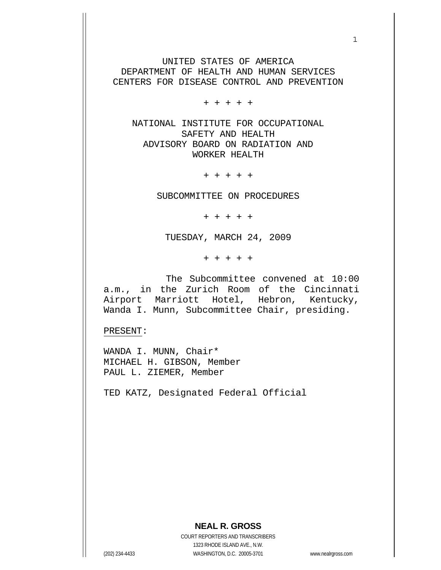UNITED STATES OF AMERICA DEPARTMENT OF HEALTH AND HUMAN SERVICES CENTERS FOR DISEASE CONTROL AND PREVENTION

+ + + + +

 NATIONAL INSTITUTE FOR OCCUPATIONAL SAFETY AND HEALTH ADVISORY BOARD ON RADIATION AND WORKER HEALTH

+ + + + +

SUBCOMMITTEE ON PROCEDURES

+ + + + +

TUESDAY, MARCH 24, 2009

+ + + + +

 The Subcommittee convened at 10:00 a.m., in the Zurich Room of the Cincinnati Airport Marriott Hotel, Hebron, Kentucky, Wanda I. Munn, Subcommittee Chair, presiding.

PRESENT:

WANDA I. MUNN, Chair\* MICHAEL H. GIBSON, Member PAUL L. ZIEMER, Member

TED KATZ, Designated Federal Official

## **NEAL R. GROSS**

COURT REPORTERS AND TRANSCRIBERS 1323 RHODE ISLAND AVE., N.W. (202) 234-4433 WASHINGTON, D.C. 20005-3701 www.nealrgross.com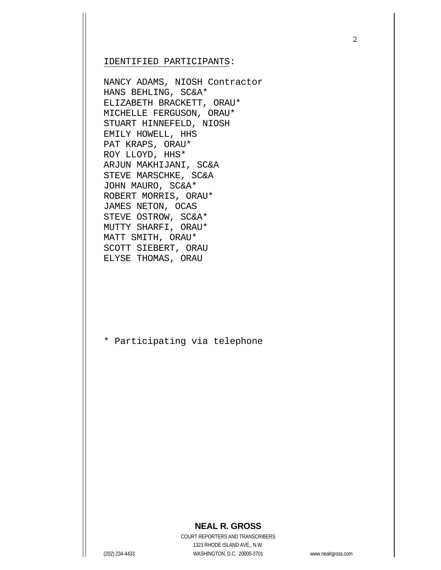IDENTIFIED PARTICIPANTS:

NANCY ADAMS, NIOSH Contractor HANS BEHLING, SC&A\* ELIZABETH BRACKETT, ORAU\* MICHELLE FERGUSON, ORAU\* STUART HINNEFELD, NIOSH EMILY HOWELL, HHS PAT KRAPS, ORAU\* ROY LLOYD, HHS\* ARJUN MAKHIJANI, SC&A STEVE MARSCHKE, SC&A JOHN MAURO, SC&A\* ROBERT MORRIS, ORAU\* JAMES NETON, OCAS STEVE OSTROW, SC&A\* MUTTY SHARFI, ORAU\* MATT SMITH, ORAU\* SCOTT SIEBERT, ORAU ELYSE THOMAS, ORAU

\* Participating via telephone

## **NEAL R. GROSS**

COURT REPORTERS AND TRANSCRIBERS 1323 RHODE ISLAND AVE., N.W. (202) 234-4433 WASHINGTON, D.C. 20005-3701 www.nealrgross.com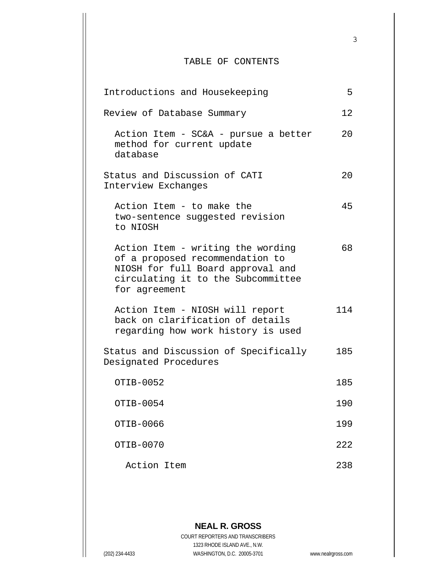## TABLE OF CONTENTS

3

| Introductions and Housekeeping                                                                                                                                   | 5   |
|------------------------------------------------------------------------------------------------------------------------------------------------------------------|-----|
| Review of Database Summary                                                                                                                                       | 12  |
| Action Item - SC&A - pursue a better<br>method for current update<br>database                                                                                    | 20  |
| Status and Discussion of CATI<br>Interview Exchanges                                                                                                             | 20  |
| Action Item - to make the<br>two-sentence suggested revision<br>to NIOSH                                                                                         | 45  |
| Action Item - writing the wording<br>of a proposed recommendation to<br>NIOSH for full Board approval and<br>circulating it to the Subcommittee<br>for agreement | 68  |
| Action Item - NIOSH will report<br>back on clarification of details<br>regarding how work history is used                                                        | 114 |
| Status and Discussion of Specifically<br>Designated Procedures                                                                                                   | 185 |
| OTIB-0052                                                                                                                                                        | 185 |
| OTIB-0054                                                                                                                                                        | 190 |
| OTIB-0066                                                                                                                                                        | 199 |
| OTIB-0070                                                                                                                                                        | 222 |
| Action Item                                                                                                                                                      | 238 |

**NEAL R. GROSS** COURT REPORTERS AND TRANSCRIBERS 1323 RHODE ISLAND AVE., N.W. (202) 234-4433 WASHINGTON, D.C. 20005-3701 www.nealrgross.com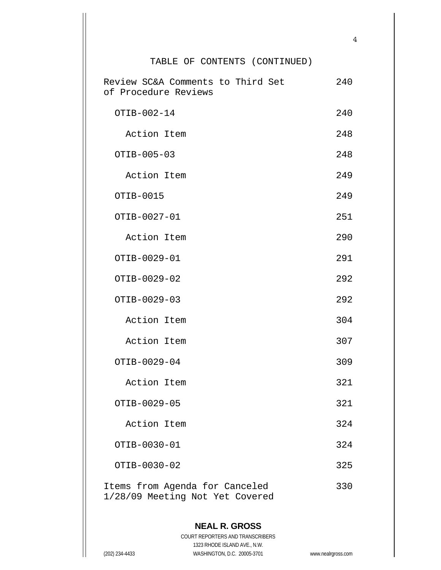## TABLE OF CONTENTS (CONTINUED)

| Review SC&A Comments to Third Set<br>of Procedure Reviews         | 240 |
|-------------------------------------------------------------------|-----|
| OTIB-002-14                                                       | 240 |
| Action Item                                                       | 248 |
| OTIB-005-03                                                       | 248 |
| Action Item                                                       | 249 |
| OTIB-0015                                                         | 249 |
| OTIB-0027-01                                                      | 251 |
| Action Item                                                       | 290 |
| OTIB-0029-01                                                      | 291 |
| OTIB-0029-02                                                      | 292 |
| OTIB-0029-03                                                      | 292 |
| Action Item                                                       | 304 |
| Action Item                                                       | 307 |
| OTIB-0029-04                                                      | 309 |
| Action Item                                                       | 321 |
| OTIB-0029-05                                                      | 321 |
| Action Item                                                       | 324 |
| OTIB-0030-01                                                      | 324 |
| OTIB-0030-02                                                      | 325 |
| Items from Agenda for Canceled<br>1/28/09 Meeting Not Yet Covered | 330 |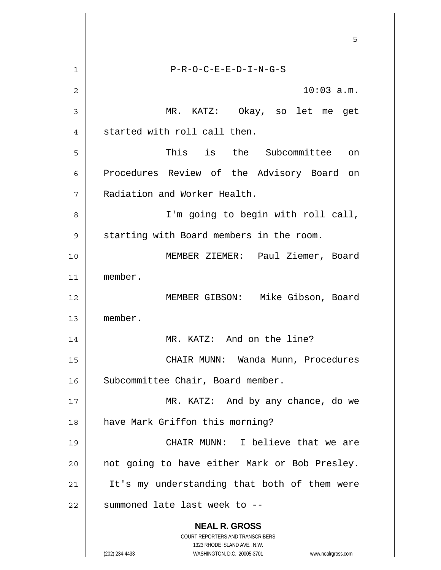**NEAL R. GROSS** COURT REPORTERS AND TRANSCRIBERS 1323 RHODE ISLAND AVE., N.W. (202) 234-4433 WASHINGTON, D.C. 20005-3701 www.nealrgross.com  $\sim$  5  $\sim$  5  $\sim$  5  $\sim$  5  $\sim$  5  $\sim$  5  $\sim$  5  $\sim$  5  $\sim$  5  $\sim$  5  $\sim$  5  $\sim$  5  $\sim$  5  $\sim$  5  $\sim$  5  $\sim$  5  $\sim$  5  $\sim$  5  $\sim$  5  $\sim$  5  $\sim$  5  $\sim$  5  $\sim$  5  $\sim$  5  $\sim$  5  $\sim$  5  $\sim$  5  $\sim$  5  $\sim$  5  $\sim$  5  $\sim$  5  $\sim$ 1 2 3 4 5 6 7 8 9 10 11 12 13 14 15 16 17 18 19 20 21 22 P-R-O-C-E-E-D-I-N-G-S 10:03 a.m. MR. KATZ: Okay, so let me get started with roll call then. This is the Subcommittee on Procedures Review of the Advisory Board on Radiation and Worker Health. I'm going to begin with roll call, starting with Board members in the room. MEMBER ZIEMER: Paul Ziemer, Board member. MEMBER GIBSON: Mike Gibson, Board member. MR. KATZ: And on the line? CHAIR MUNN: Wanda Munn, Procedures Subcommittee Chair, Board member. MR. KATZ: And by any chance, do we have Mark Griffon this morning? CHAIR MUNN: I believe that we are not going to have either Mark or Bob Presley. It's my understanding that both of them were summoned late last week to --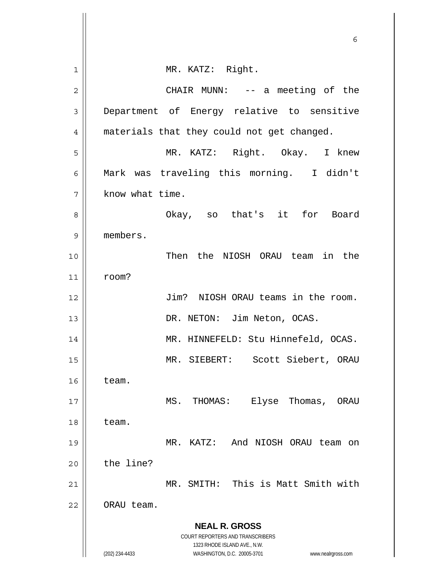|                | 6                                                                       |
|----------------|-------------------------------------------------------------------------|
| 1              | MR. KATZ: Right.                                                        |
| $\overline{2}$ | CHAIR MUNN: -- a meeting of the                                         |
| 3              | Department of Energy relative to sensitive                              |
| 4              | materials that they could not get changed.                              |
| 5              | MR. KATZ: Right. Okay. I knew                                           |
| 6              | Mark was traveling this morning. I didn't                               |
| 7              | know what time.                                                         |
| 8              | Okay, so that's it for Board                                            |
| 9              | members.                                                                |
| 10             | Then the NIOSH ORAU team in the                                         |
| 11             | room?                                                                   |
| 12             | Jim? NIOSH ORAU teams in the room.                                      |
| 13             | DR. NETON: Jim Neton, OCAS.                                             |
| 14             | MR. HINNEFELD: Stu Hinnefeld, OCAS.                                     |
| 15             | MR. SIEBERT: Scott Siebert, ORAU                                        |
| 16             | team.                                                                   |
| 17             | Elyse Thomas,<br>MS.<br>THOMAS:<br>ORAU                                 |
| 18             | team.                                                                   |
| 19             | MR. KATZ:<br>And NIOSH ORAU team on                                     |
| 20             | the line?                                                               |
| 21             | MR. SMITH: This is Matt Smith with                                      |
| 22             | ORAU team.                                                              |
|                | <b>NEAL R. GROSS</b>                                                    |
|                | <b>COURT REPORTERS AND TRANSCRIBERS</b><br>1323 RHODE ISLAND AVE., N.W. |
|                | (202) 234-4433<br>WASHINGTON, D.C. 20005-3701<br>www.nealrgross.com     |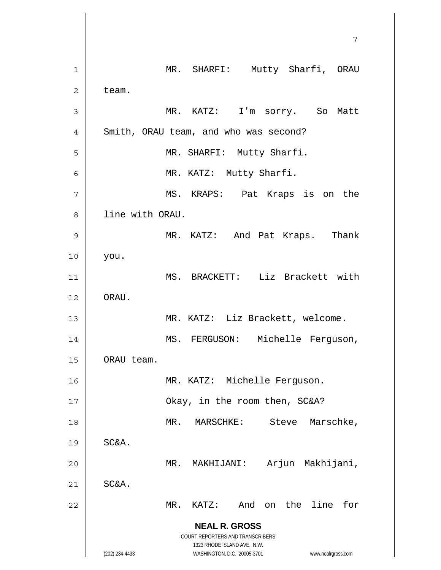|             | 7                                                                                                   |
|-------------|-----------------------------------------------------------------------------------------------------|
| $\mathbf 1$ | MR. SHARFI: Mutty Sharfi, ORAU                                                                      |
| 2           | team.                                                                                               |
| 3           | MR. KATZ: I'm sorry. So<br>Matt                                                                     |
| 4           | Smith, ORAU team, and who was second?                                                               |
| 5           | MR. SHARFI: Mutty Sharfi.                                                                           |
| 6           | MR. KATZ: Mutty Sharfi.                                                                             |
| 7           | MS. KRAPS: Pat Kraps is on the                                                                      |
| 8           | line with ORAU.                                                                                     |
| 9           | MR. KATZ: And Pat Kraps. Thank                                                                      |
| 10          | you.                                                                                                |
| 11          | MS. BRACKETT: Liz Brackett with                                                                     |
| 12          | ORAU.                                                                                               |
| 13          | MR. KATZ: Liz Brackett, welcome.                                                                    |
| 14          | MS. FERGUSON: Michelle Ferguson,                                                                    |
| 15          | ORAU team.                                                                                          |
| 16          | MR. KATZ: Michelle Ferguson.                                                                        |
| 17          | Okay, in the room then, SC&A?                                                                       |
| 18          | Marschke,<br>MARSCHKE:<br>Steve<br>MR.                                                              |
| 19          | SC&A.                                                                                               |
| 20          | Arjun Makhijani,<br>$MR$ .<br>MAKHIJANI:                                                            |
| 21          | SC&A.                                                                                               |
| 22          | on the line<br>for<br>$MR$ .<br>KATZ:<br>And                                                        |
|             | <b>NEAL R. GROSS</b><br>COURT REPORTERS AND TRANSCRIBERS                                            |
|             | 1323 RHODE ISLAND AVE., N.W.<br>(202) 234-4433<br>WASHINGTON, D.C. 20005-3701<br>www.nealrgross.com |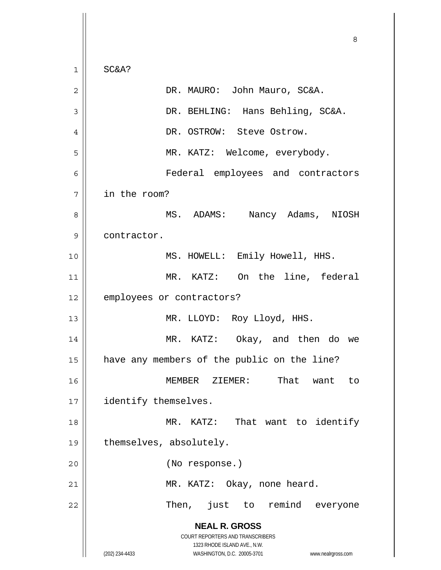**NEAL R. GROSS** COURT REPORTERS AND TRANSCRIBERS 1323 RHODE ISLAND AVE., N.W. (202) 234-4433 WASHINGTON, D.C. 20005-3701 www.nealrgross.com <u>83 - Santa Carlos de Santa Carlos de Santa Carlos de Santa Carlos de Santa Carlos de Santa Carlos de Santa Ca</u> 1 2 3 4 5 6 7 8 9 10 11 12 13 14 15 16 17 18 19 20 21 22 SC&A? DR. MAURO: John Mauro, SC&A. DR. BEHLING: Hans Behling, SC&A. DR. OSTROW: Steve Ostrow. MR. KATZ: Welcome, everybody. Federal employees and contractors in the room? MS. ADAMS: Nancy Adams, NIOSH contractor. MS. HOWELL: Emily Howell, HHS. MR. KATZ: On the line, federal employees or contractors? MR. LLOYD: Roy Lloyd, HHS. MR. KATZ: Okay, and then do we have any members of the public on the line? MEMBER ZIEMER: That want to identify themselves. MR. KATZ: That want to identify themselves, absolutely. (No response.) MR. KATZ: Okay, none heard. Then, just to remind everyone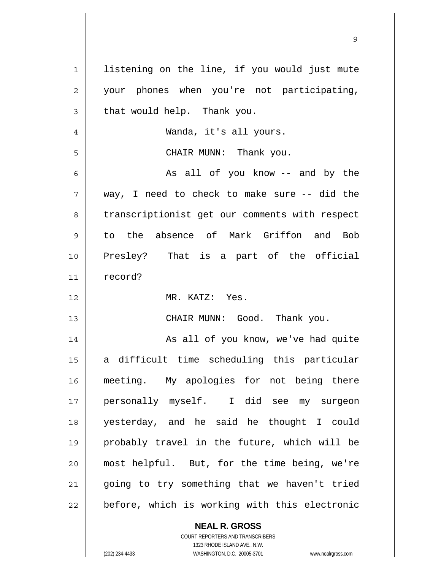| $\mathbf 1$    | listening on the line, if you would just mute  |
|----------------|------------------------------------------------|
| $\overline{2}$ | your phones when you're not participating,     |
| 3              | that would help. Thank you.                    |
| 4              | Wanda, it's all yours.                         |
| 5              | CHAIR MUNN: Thank you.                         |
| 6              | As all of you know -- and by the               |
| 7              | way, I need to check to make sure -- did the   |
| 8              | transcriptionist get our comments with respect |
| 9              | to the absence of Mark Griffon and Bob         |
| 10             | Presley? That is a part of the official        |
| 11             | record?                                        |
|                |                                                |
| 12             | MR. KATZ: Yes.                                 |
| 13             | CHAIR MUNN: Good. Thank you.                   |
| 14             | As all of you know, we've had quite            |
| 15             | difficult time scheduling this particular<br>a |
| 16             | meeting. My apologies for not being there      |
| $17$           | personally myself. I did see my surgeon        |
| 18             | yesterday, and he said he thought I could      |
| 19             | probably travel in the future, which will be   |
| 20             | most helpful. But, for the time being, we're   |
| 21             | going to try something that we haven't tried   |

COURT REPORTERS AND TRANSCRIBERS 1323 RHODE ISLAND AVE., N.W.

**NEAL R. GROSS**

(202) 234-4433 WASHINGTON, D.C. 20005-3701 www.nealrgross.com

 $\mathsf{II}$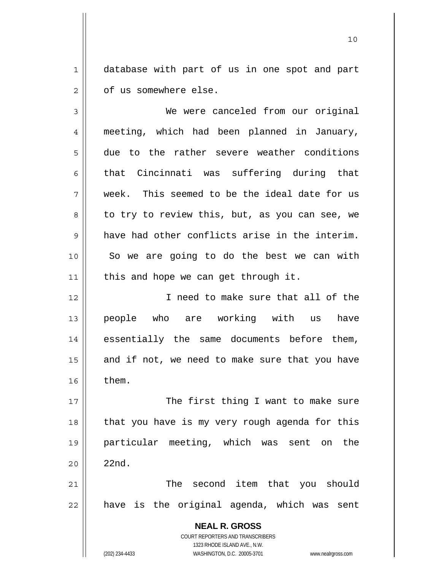1 2 database with part of us in one spot and part of us somewhere else.

**NEAL R. GROSS** COURT REPORTERS AND TRANSCRIBERS 1323 RHODE ISLAND AVE., N.W. 3 4 5 6 7 8 9 10 11 12 13 14 15 16 17 18 19 20 21 22 We were canceled from our original meeting, which had been planned in January, due to the rather severe weather conditions that Cincinnati was suffering during that week. This seemed to be the ideal date for us to try to review this, but, as you can see, we have had other conflicts arise in the interim. So we are going to do the best we can with this and hope we can get through it. I need to make sure that all of the people who are working with us have essentially the same documents before them, and if not, we need to make sure that you have them. The first thing I want to make sure that you have is my very rough agenda for this particular meeting, which was sent on the 22nd. The second item that you should have is the original agenda, which was sent

(202) 234-4433 WASHINGTON, D.C. 20005-3701 www.nealrgross.com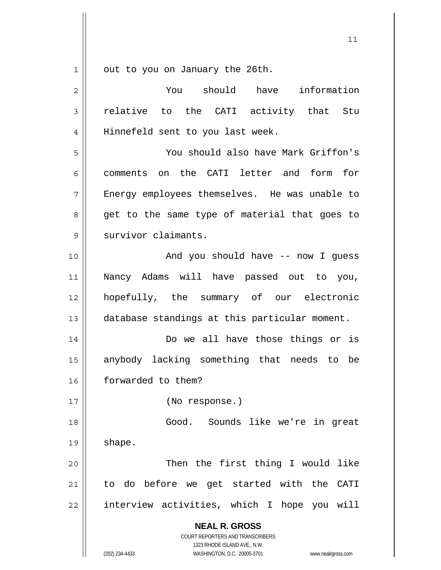$\begin{array}{c|c|c|c} 1 & 1 \\ \hline \end{array}$ out to you on January the 26th.

| $\overline{2}$ | You should have<br>information                                                                                                                                         |
|----------------|------------------------------------------------------------------------------------------------------------------------------------------------------------------------|
| 3              | relative to the CATI activity that Stu                                                                                                                                 |
| 4              | Hinnefeld sent to you last week.                                                                                                                                       |
| 5              | You should also have Mark Griffon's                                                                                                                                    |
| 6              | comments on the CATI letter and form<br>for                                                                                                                            |
| 7              | Energy employees themselves. He was unable to                                                                                                                          |
| 8              | get to the same type of material that goes to                                                                                                                          |
| 9              | survivor claimants.                                                                                                                                                    |
| 10             | And you should have -- now I guess                                                                                                                                     |
| 11             | Nancy Adams will have passed out to you,                                                                                                                               |
| 12             | hopefully, the summary of our electronic                                                                                                                               |
| 13             | database standings at this particular moment.                                                                                                                          |
| 14             | Do we all have those things or is                                                                                                                                      |
| 15             | anybody lacking something that needs to be                                                                                                                             |
| 16             | forwarded to them?                                                                                                                                                     |
| 17             | (No response.)                                                                                                                                                         |
| 18             | Good. Sounds like we're in great                                                                                                                                       |
| 19             | shape.                                                                                                                                                                 |
| 20             | Then the first thing I would like                                                                                                                                      |
| 21             | to do before we get started with the CATI                                                                                                                              |
| 22             | interview activities, which I hope you will                                                                                                                            |
|                | <b>NEAL R. GROSS</b><br><b>COURT REPORTERS AND TRANSCRIBERS</b><br>1323 RHODE ISLAND AVE., N.W.<br>(202) 234-4433<br>WASHINGTON, D.C. 20005-3701<br>www.nealrgross.com |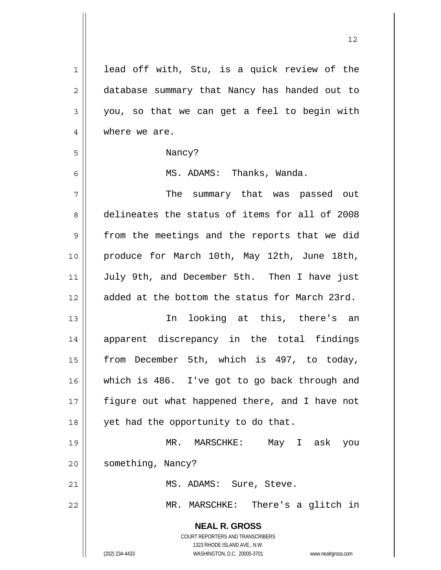| $\mathbf 1$    | lead off with, Stu, is a quick review of the                        |
|----------------|---------------------------------------------------------------------|
| $\overline{2}$ | database summary that Nancy has handed out to                       |
| 3              | you, so that we can get a feel to begin with                        |
| 4              | where we are.                                                       |
| 5              | Nancy?                                                              |
| 6              | MS. ADAMS: Thanks, Wanda.                                           |
| 7              | The summary that was passed out                                     |
| 8              | delineates the status of items for all of 2008                      |
| $\mathsf 9$    | from the meetings and the reports that we did                       |
| 10             | produce for March 10th, May 12th, June 18th,                        |
| 11             | July 9th, and December 5th. Then I have just                        |
| 12             | added at the bottom the status for March 23rd.                      |
| 13             | In looking at this, there's an                                      |
| 14             | apparent discrepancy in the total findings                          |
| 15             | from December 5th, which is 497, to today,                          |
| 16             | which is 486. I've got to go back through and                       |
| 17             | figure out what happened there, and I have not                      |
|                |                                                                     |
| 18             | yet had the opportunity to do that.                                 |
| 19             | MR. MARSCHKE:<br>May I ask<br>you                                   |
| 20             | something, Nancy?                                                   |
| 21             | MS. ADAMS: Sure, Steve.                                             |
| 22             | MR. MARSCHKE: There's a glitch in                                   |
|                | <b>NEAL R. GROSS</b>                                                |
|                | COURT REPORTERS AND TRANSCRIBERS                                    |
|                | 1323 RHODE ISLAND AVE., N.W.                                        |
|                | (202) 234-4433<br>WASHINGTON, D.C. 20005-3701<br>www.nealrgross.com |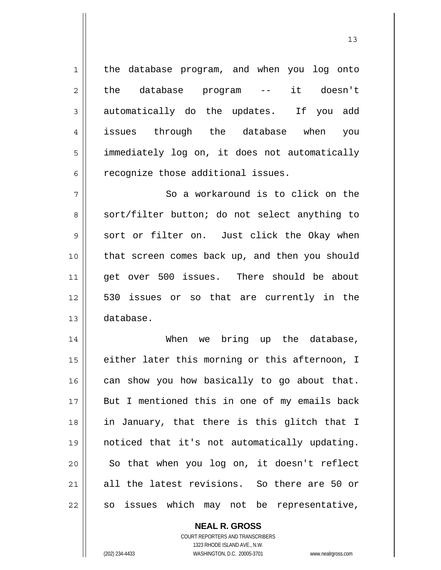the database program, and when you log onto the database program -- it doesn't automatically do the updates. If you add issues through the database when you immediately log on, it does not automatically recognize those additional issues.

7 8 9 10 11 12 13 So a workaround is to click on the sort/filter button; do not select anything to sort or filter on. Just click the Okay when that screen comes back up, and then you should get over 500 issues. There should be about 530 issues or so that are currently in the database.

14 15 16 17 18 19 20 21 22 When we bring up the database, either later this morning or this afternoon, I can show you how basically to go about that. But I mentioned this in one of my emails back in January, that there is this glitch that I noticed that it's not automatically updating. So that when you log on, it doesn't reflect all the latest revisions. So there are 50 or so issues which may not be representative,

> **NEAL R. GROSS** COURT REPORTERS AND TRANSCRIBERS 1323 RHODE ISLAND AVE., N.W. (202) 234-4433 WASHINGTON, D.C. 20005-3701 www.nealrgross.com

1

2

3

4

5

6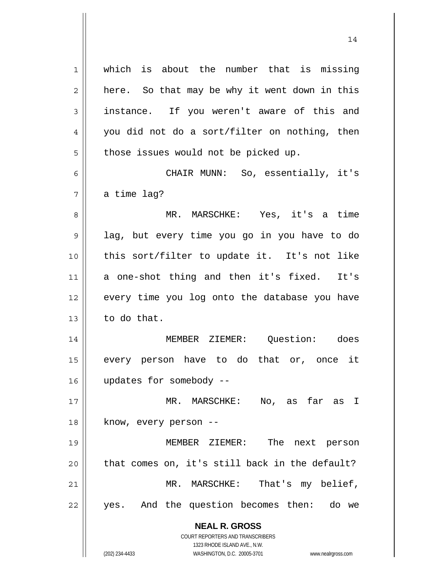**NEAL R. GROSS** COURT REPORTERS AND TRANSCRIBERS 1323 RHODE ISLAND AVE., N.W. 1 2 3 4 5 6 7 8 9 10 11 12 13 14 15 16 17 18 19 20 21 22 which is about the number that is missing here. So that may be why it went down in this instance. If you weren't aware of this and you did not do a sort/filter on nothing, then those issues would not be picked up. CHAIR MUNN: So, essentially, it's a time lag? MR. MARSCHKE: Yes, it's a time lag, but every time you go in you have to do this sort/filter to update it. It's not like a one-shot thing and then it's fixed. It's every time you log onto the database you have to do that. MEMBER ZIEMER: Question: does every person have to do that or, once it updates for somebody -- MR. MARSCHKE: No, as far as I know, every person -- MEMBER ZIEMER: The next person that comes on, it's still back in the default? MR. MARSCHKE: That's my belief, yes. And the question becomes then: do we

14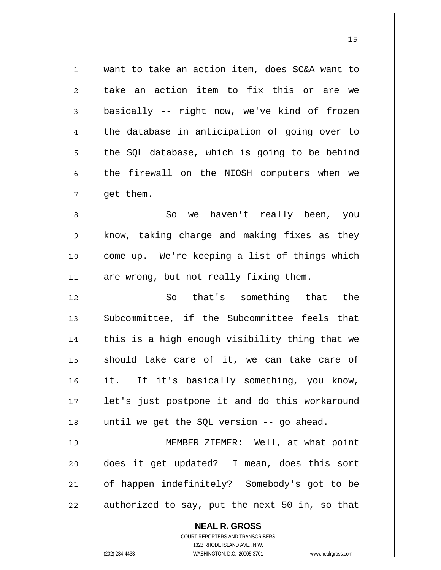1 7 want to take an action item, does SC&A want to take an action item to fix this or are we basically -- right now, we've kind of frozen the database in anticipation of going over to the SQL database, which is going to be behind the firewall on the NIOSH computers when we get them.

8 9 10 11 So we haven't really been, you know, taking charge and making fixes as they come up. We're keeping a list of things which are wrong, but not really fixing them.

12 13 14 15 16 17 18 So that's something that the Subcommittee, if the Subcommittee feels that this is a high enough visibility thing that we should take care of it, we can take care of it. If it's basically something, you know, let's just postpone it and do this workaround until we get the SQL version -- go ahead.

19 20 21 22 MEMBER ZIEMER: Well, at what point does it get updated? I mean, does this sort of happen indefinitely? Somebody's got to be authorized to say, put the next 50 in, so that

> **NEAL R. GROSS** COURT REPORTERS AND TRANSCRIBERS 1323 RHODE ISLAND AVE., N.W. (202) 234-4433 WASHINGTON, D.C. 20005-3701 www.nealrgross.com

2

3

4

5

6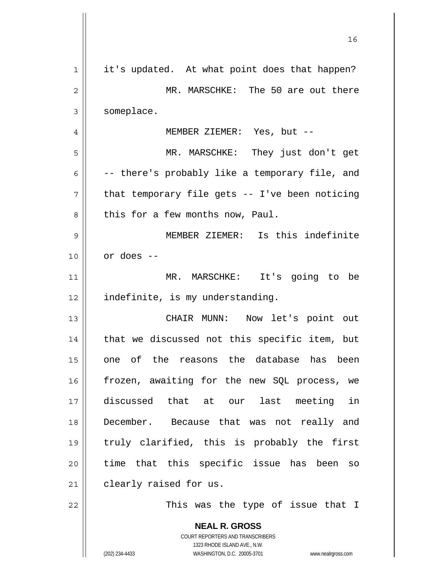| 1  | it's updated. At what point does that happen?                       |
|----|---------------------------------------------------------------------|
| 2  | MR. MARSCHKE: The 50 are out there                                  |
| 3  | someplace.                                                          |
| 4  | MEMBER ZIEMER: Yes, but --                                          |
| 5  | MR. MARSCHKE: They just don't get                                   |
| 6  | -- there's probably like a temporary file, and                      |
| 7  | that temporary file gets -- I've been noticing                      |
| 8  | this for a few months now, Paul.                                    |
| 9  | MEMBER ZIEMER: Is this indefinite                                   |
| 10 | or does --                                                          |
| 11 | MR. MARSCHKE: It's going to be                                      |
| 12 | indefinite, is my understanding.                                    |
| 13 | CHAIR MUNN: Now let's point out                                     |
| 14 | that we discussed not this specific item, but                       |
| 15 | one of the reasons the database has been                            |
| 16 | frozen, awaiting for the new SQL process, we                        |
| 17 | discussed that at our last meeting in                               |
| 18 | December. Because that was not really and                           |
| 19 | truly clarified, this is probably the first                         |
| 20 | time that this specific issue has been so                           |
| 21 | clearly raised for us.                                              |
| 22 | This was the type of issue that I                                   |
|    | <b>NEAL R. GROSS</b>                                                |
|    | <b>COURT REPORTERS AND TRANSCRIBERS</b>                             |
|    | 1323 RHODE ISLAND AVE., N.W.                                        |
|    | (202) 234-4433<br>WASHINGTON, D.C. 20005-3701<br>www.nealrgross.com |

 $\mathsf{I}$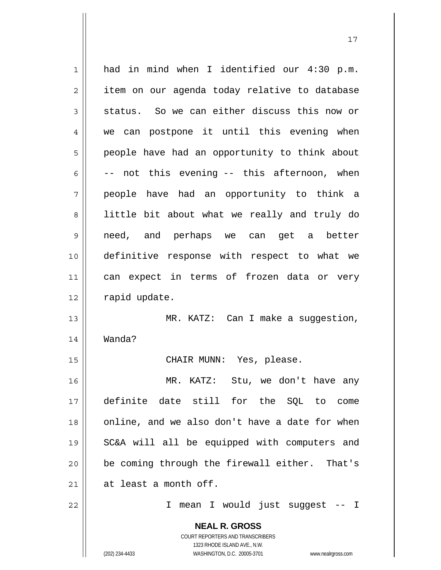**NEAL R. GROSS** COURT REPORTERS AND TRANSCRIBERS 1 2 3 4 5 6 7 8 9 10 11 12 13 14 15 16 17 18 19 20 21 22 had in mind when I identified our 4:30 p.m. item on our agenda today relative to database status. So we can either discuss this now or we can postpone it until this evening when people have had an opportunity to think about -- not this evening -- this afternoon, when people have had an opportunity to think a little bit about what we really and truly do need, and perhaps we can get a better definitive response with respect to what we can expect in terms of frozen data or very rapid update. MR. KATZ: Can I make a suggestion, Wanda? CHAIR MUNN: Yes, please. MR. KATZ: Stu, we don't have any definite date still for the SQL to come online, and we also don't have a date for when SC&A will all be equipped with computers and be coming through the firewall either. That's at least a month off. I mean I would just suggest -- I

1323 RHODE ISLAND AVE., N.W.

(202) 234-4433 WASHINGTON, D.C. 20005-3701 www.nealrgross.com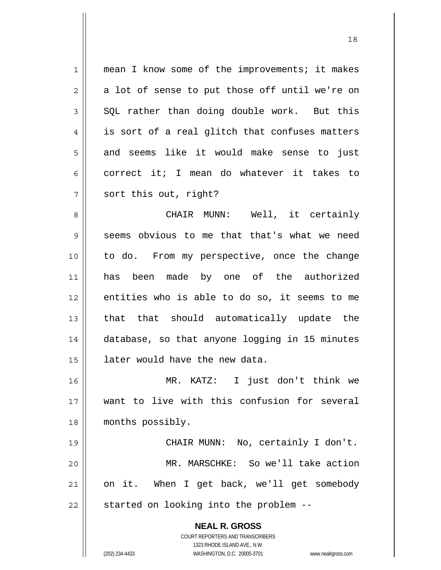1 2 3 4 5 6 7 8 9 10 11 mean I know some of the improvements; it makes a lot of sense to put those off until we're on SQL rather than doing double work. But this is sort of a real glitch that confuses matters and seems like it would make sense to just correct it; I mean do whatever it takes to sort this out, right? CHAIR MUNN: Well, it certainly seems obvious to me that that's what we need to do. From my perspective, once the change has been made by one of the authorized

13 14 15 16 that that should automatically update the database, so that anyone logging in 15 minutes later would have the new data.

entities who is able to do so, it seems to me

17 18 MR. KATZ: I just don't think we want to live with this confusion for several months possibly.

19 20 21 22 CHAIR MUNN: No, certainly I don't. MR. MARSCHKE: So we'll take action on it. When I get back, we'll get somebody started on looking into the problem --

> **NEAL R. GROSS** COURT REPORTERS AND TRANSCRIBERS 1323 RHODE ISLAND AVE., N.W. (202) 234-4433 WASHINGTON, D.C. 20005-3701 www.nealrgross.com

12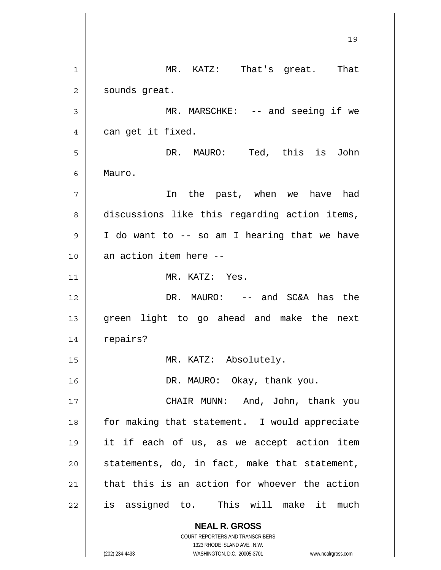**NEAL R. GROSS** COURT REPORTERS AND TRANSCRIBERS 1323 RHODE ISLAND AVE., N.W. 19 1 2 3 4 5 6 7 8 9 10 11 12 13 14 15 16 17 18 19 20 21 22 MR. KATZ: That's great. That sounds great. MR. MARSCHKE: -- and seeing if we can get it fixed. DR. MAURO: Ted, this is John Mauro. In the past, when we have had discussions like this regarding action items, I do want to -- so am I hearing that we have an action item here -- MR. KATZ: Yes. DR. MAURO: -- and SC&A has the green light to go ahead and make the next repairs? MR. KATZ: Absolutely. DR. MAURO: Okay, thank you. CHAIR MUNN: And, John, thank you for making that statement. I would appreciate it if each of us, as we accept action item statements, do, in fact, make that statement, that this is an action for whoever the action is assigned to. This will make it much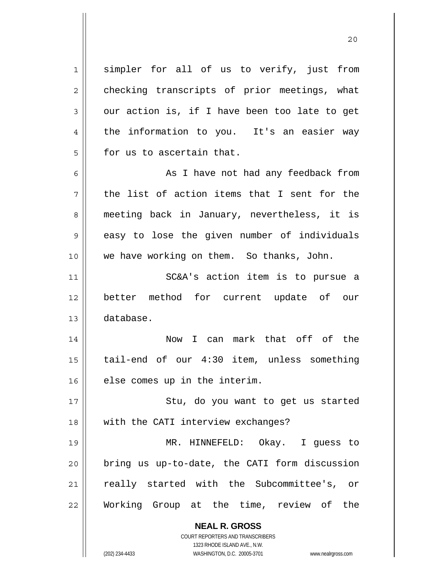1 2 3 4 5 6 7 8 9 10 11 12 13 14 15 16 17 18 19 20 21 22 simpler for all of us to verify, just from checking transcripts of prior meetings, what our action is, if I have been too late to get the information to you. It's an easier way for us to ascertain that. As I have not had any feedback from the list of action items that I sent for the meeting back in January, nevertheless, it is easy to lose the given number of individuals we have working on them. So thanks, John. SC&A's action item is to pursue a better method for current update of our database. Now I can mark that off of the tail-end of our 4:30 item, unless something else comes up in the interim. Stu, do you want to get us started with the CATI interview exchanges? MR. HINNEFELD: Okay. I guess to bring us up-to-date, the CATI form discussion really started with the Subcommittee's, or Working Group at the time, review of the

> **NEAL R. GROSS** COURT REPORTERS AND TRANSCRIBERS 1323 RHODE ISLAND AVE., N.W.

(202) 234-4433 WASHINGTON, D.C. 20005-3701 www.nealrgross.com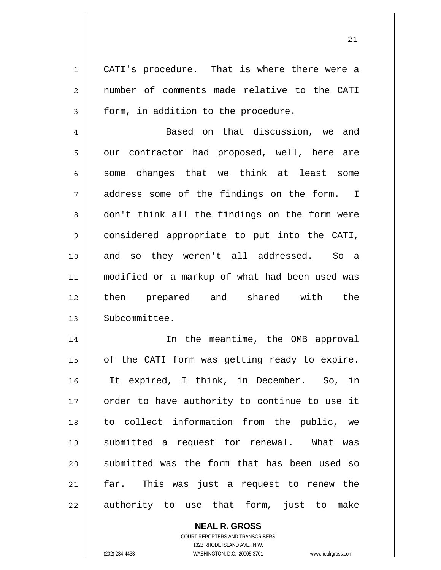1 2 3 CATI's procedure. That is where there were a number of comments made relative to the CATI form, in addition to the procedure.

4 5 6 7 8 9 10 11 12 13 Based on that discussion, we and our contractor had proposed, well, here are some changes that we think at least some address some of the findings on the form. I don't think all the findings on the form were considered appropriate to put into the CATI, and so they weren't all addressed. So a modified or a markup of what had been used was then prepared and shared with the Subcommittee.

14 15 16 17 18 19 20 21 22 In the meantime, the OMB approval of the CATI form was getting ready to expire. It expired, I think, in December. So, in order to have authority to continue to use it to collect information from the public, we submitted a request for renewal. What was submitted was the form that has been used so far. This was just a request to renew the authority to use that form, just to make

> **NEAL R. GROSS** COURT REPORTERS AND TRANSCRIBERS 1323 RHODE ISLAND AVE., N.W. (202) 234-4433 WASHINGTON, D.C. 20005-3701 www.nealrgross.com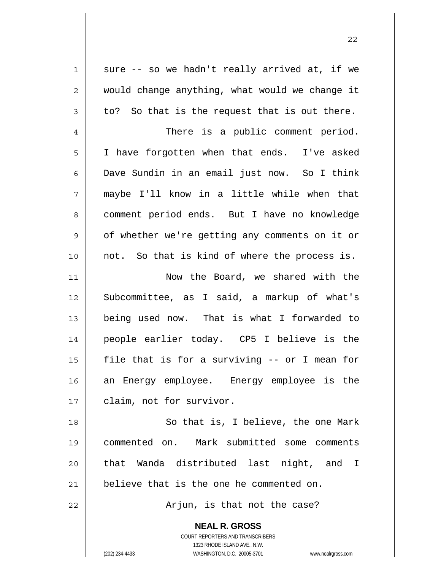sure -- so we hadn't really arrived at, if we would change anything, what would we change it to? So that is the request that is out there.

22

7 There is a public comment period. I have forgotten when that ends. I've asked Dave Sundin in an email just now. So I think maybe I'll know in a little while when that comment period ends. But I have no knowledge of whether we're getting any comments on it or not. So that is kind of where the process is.

11 12 13 14 15 16 17 Now the Board, we shared with the Subcommittee, as I said, a markup of what's being used now. That is what I forwarded to people earlier today. CP5 I believe is the file that is for a surviving -- or I mean for an Energy employee. Energy employee is the claim, not for survivor.

18 19 20 21 So that is, I believe, the one Mark commented on. Mark submitted some comments that Wanda distributed last night, and I believe that is the one he commented on.

Arjun, is that not the case?

**NEAL R. GROSS** COURT REPORTERS AND TRANSCRIBERS 1323 RHODE ISLAND AVE., N.W.

1

2

3

4

5

6

8

9

10

22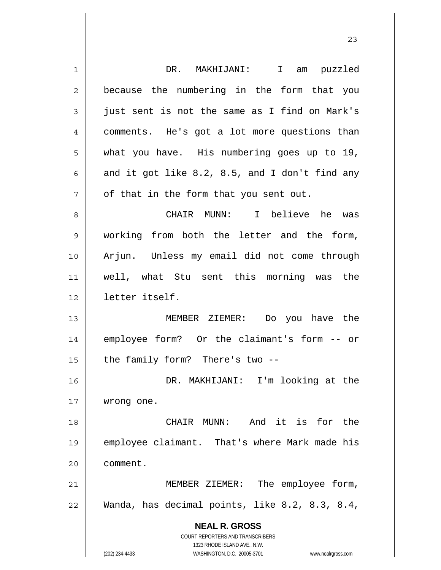| 1  | DR. MAKHIJANI: I am puzzled                                         |
|----|---------------------------------------------------------------------|
| 2  | because the numbering in the form that you                          |
| 3  | just sent is not the same as I find on Mark's                       |
| 4  | comments. He's got a lot more questions than                        |
| 5  | what you have. His numbering goes up to 19,                         |
| 6  | and it got like 8.2, 8.5, and I don't find any                      |
| 7  | of that in the form that you sent out.                              |
| 8  | CHAIR MUNN: I believe he was                                        |
| 9  | working from both the letter and the form,                          |
| 10 | Arjun. Unless my email did not come through                         |
| 11 | well, what Stu sent this morning was the                            |
| 12 | letter itself.                                                      |
| 13 | MEMBER ZIEMER: Do you have the                                      |
| 14 | employee form? Or the claimant's form -- or                         |
| 15 | the family form? There's two --                                     |
| 16 | DR. MAKHIJANI: I'm looking at the                                   |
| 17 | wrong one.                                                          |
| 18 | And it is for the<br>CHAIR MUNN:                                    |
| 19 | employee claimant. That's where Mark made his                       |
| 20 | comment.                                                            |
| 21 | MEMBER ZIEMER: The employee form,                                   |
| 22 | Wanda, has decimal points, like 8.2, 8.3, 8.4,                      |
|    | <b>NEAL R. GROSS</b>                                                |
|    | <b>COURT REPORTERS AND TRANSCRIBERS</b>                             |
|    | 1323 RHODE ISLAND AVE., N.W.                                        |
|    | (202) 234-4433<br>WASHINGTON, D.C. 20005-3701<br>www.nealrgross.com |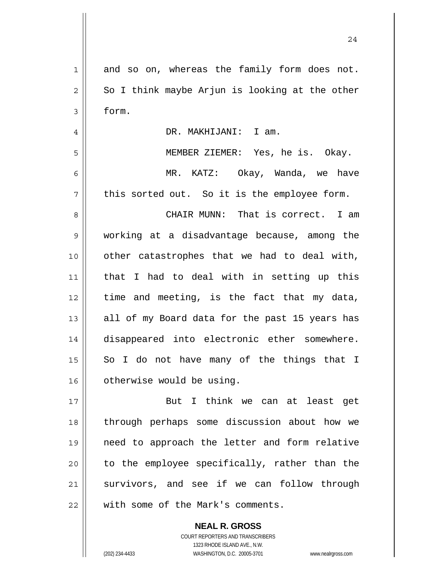| $\mathbf 1$    | and so on, whereas the family form does not.   |
|----------------|------------------------------------------------|
| $\mathbf 2$    | So I think maybe Arjun is looking at the other |
| $\mathfrak{Z}$ | form.                                          |
| $\overline{4}$ | DR. MAKHIJANI: I am.                           |
| 5              | MEMBER ZIEMER: Yes, he is. Okay.               |
| 6              | MR. KATZ: Okay, Wanda, we have                 |
| 7              | this sorted out. So it is the employee form.   |
| 8              | CHAIR MUNN: That is correct. I am              |
| $\mathsf 9$    | working at a disadvantage because, among the   |
| 10             | other catastrophes that we had to deal with,   |
| 11             | that I had to deal with in setting up this     |
| 12             | time and meeting, is the fact that my data,    |
| 13             | all of my Board data for the past 15 years has |
| 14             | disappeared into electronic ether somewhere.   |
| 15             | So I do not have many of the things that I     |
| 16             | otherwise would be using.                      |
| 17             | But I think we can at least get                |
| 18             | through perhaps some discussion about how we   |
| 19             | need to approach the letter and form relative  |
| 20             | to the employee specifically, rather than the  |
| 21             | survivors, and see if we can follow through    |
| 22             | with some of the Mark's comments.              |

**NEAL R. GROSS** COURT REPORTERS AND TRANSCRIBERS 1323 RHODE ISLAND AVE., N.W. (202) 234-4433 WASHINGTON, D.C. 20005-3701 www.nealrgross.com

 $\mathsf{II}$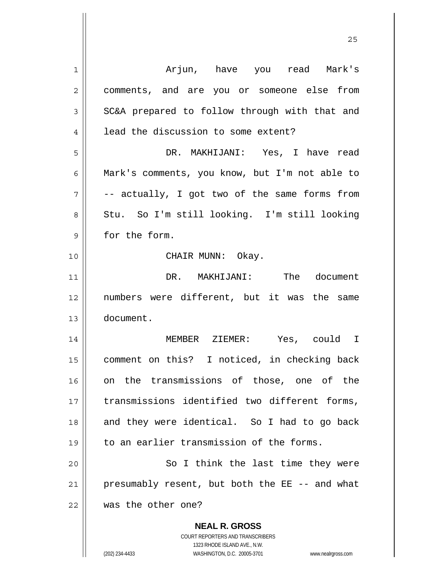| 1           | Arjun, have you read Mark's                                                                         |
|-------------|-----------------------------------------------------------------------------------------------------|
| 2           | comments, and are you or someone else from                                                          |
| 3           | SC&A prepared to follow through with that and                                                       |
| 4           | lead the discussion to some extent?                                                                 |
| 5           | DR. MAKHIJANI: Yes, I have read                                                                     |
| 6           | Mark's comments, you know, but I'm not able to                                                      |
| 7           | -- actually, I got two of the same forms from                                                       |
| 8           | Stu. So I'm still looking. I'm still looking                                                        |
| $\mathsf 9$ | for the form.                                                                                       |
| 10          | CHAIR MUNN: Okay.                                                                                   |
| 11          | DR. MAKHIJANI: The document                                                                         |
| 12          | numbers were different, but it was the same                                                         |
| 13          | document.                                                                                           |
| 14          | MEMBER ZIEMER: Yes, could I                                                                         |
| 15          | comment on this? I noticed, in checking back                                                        |
| 16          | on the transmissions of those, one of the                                                           |
| 17          | transmissions identified two different forms,                                                       |
| 18          | and they were identical. So I had to go back                                                        |
| 19          | to an earlier transmission of the forms.                                                            |
| 20          | So I think the last time they were                                                                  |
| 21          | presumably resent, but both the EE -- and what                                                      |
| 22          | was the other one?                                                                                  |
|             | <b>NEAL R. GROSS</b>                                                                                |
|             | <b>COURT REPORTERS AND TRANSCRIBERS</b>                                                             |
|             | 1323 RHODE ISLAND AVE., N.W.<br>(202) 234-4433<br>WASHINGTON, D.C. 20005-3701<br>www.nealrgross.com |
|             |                                                                                                     |

<u>25</u>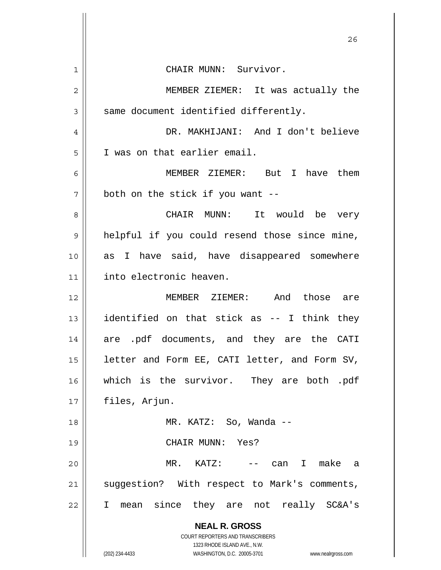|    | 26                                                                      |
|----|-------------------------------------------------------------------------|
| 1  | CHAIR MUNN: Survivor.                                                   |
| 2  | MEMBER ZIEMER: It was actually the                                      |
| 3  | same document identified differently.                                   |
| 4  | DR. MAKHIJANI: And I don't believe                                      |
| 5  | I was on that earlier email.                                            |
| 6  | MEMBER ZIEMER: But I have them                                          |
| 7  | both on the stick if you want --                                        |
| 8  | CHAIR MUNN: It would be very                                            |
| 9  | helpful if you could resend those since mine,                           |
| 10 | as I have said, have disappeared somewhere                              |
| 11 | into electronic heaven.                                                 |
| 12 | MEMBER ZIEMER: And those are                                            |
| 13 | identified on that stick as -- I think they                             |
| 14 | are .pdf documents, and they are the CATI                               |
| 15 | letter and Form EE, CATI letter, and Form SV,                           |
| 16 | which is the survivor. They are both .pdf                               |
| 17 | files, Arjun.                                                           |
| 18 | MR. KATZ: So, Wanda --                                                  |
| 19 | CHAIR MUNN: Yes?                                                        |
| 20 | MR. KATZ: -- can I make a                                               |
| 21 | suggestion? With respect to Mark's comments,                            |
| 22 | I mean since they are not really SC&A's                                 |
|    | <b>NEAL R. GROSS</b>                                                    |
|    | <b>COURT REPORTERS AND TRANSCRIBERS</b><br>1323 RHODE ISLAND AVE., N.W. |
|    | (202) 234-4433<br>WASHINGTON, D.C. 20005-3701<br>www.nealrgross.com     |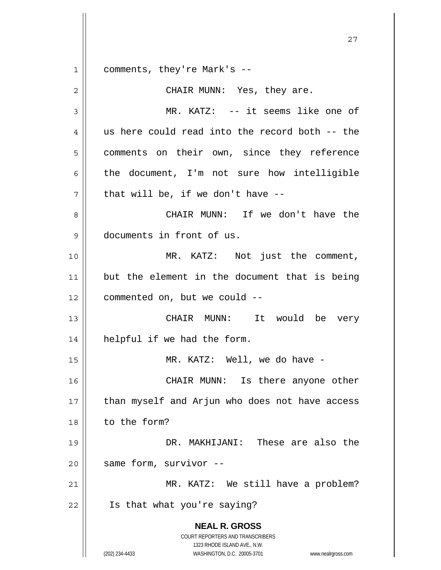**NEAL R. GROSS** COURT REPORTERS AND TRANSCRIBERS 1323 RHODE ISLAND AVE., N.W. (202) 234-4433 WASHINGTON, D.C. 20005-3701 www.nealrgross.com 27 1 2 3 4 5 6 7 8 9 10 11 12 13 14 15 16 17 18 19 20 21 22 comments, they're Mark's -- CHAIR MUNN: Yes, they are. MR. KATZ: -- it seems like one of us here could read into the record both -- the comments on their own, since they reference the document, I'm not sure how intelligible that will be, if we don't have -- CHAIR MUNN: If we don't have the documents in front of us. MR. KATZ: Not just the comment, but the element in the document that is being commented on, but we could -- CHAIR MUNN: It would be very helpful if we had the form. MR. KATZ: Well, we do have - CHAIR MUNN: Is there anyone other than myself and Arjun who does not have access to the form? DR. MAKHIJANI: These are also the same form, survivor -- MR. KATZ: We still have a problem? Is that what you're saying?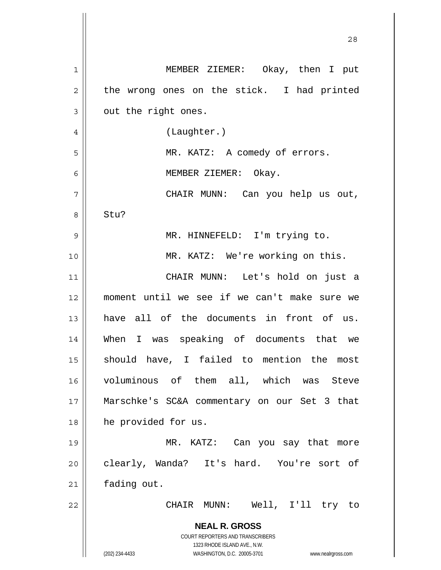|                | 28                                                                      |
|----------------|-------------------------------------------------------------------------|
| 1              | MEMBER ZIEMER: Okay, then I put                                         |
| $\overline{c}$ | the wrong ones on the stick. I had printed                              |
| 3              | out the right ones.                                                     |
| $\overline{4}$ | (Laughter.)                                                             |
| 5              | MR. KATZ: A comedy of errors.                                           |
| 6              | MEMBER ZIEMER: Okay.                                                    |
| 7              | CHAIR MUNN: Can you help us out,                                        |
| 8              | Stu?                                                                    |
| $\mathsf 9$    | MR. HINNEFELD: I'm trying to.                                           |
| 10             | MR. KATZ: We're working on this.                                        |
| 11             | CHAIR MUNN: Let's hold on just a                                        |
| 12             | moment until we see if we can't make sure we                            |
| 13             | have all of the documents in front of us.                               |
| 14             | When I was speaking of documents that we                                |
| 15             | should have, I failed to mention the most                               |
| 16             | voluminous of them all, which was Steve                                 |
| 17             | Marschke's SC&A commentary on our Set 3 that                            |
| 18             | he provided for us.                                                     |
| 19             | MR. KATZ: Can you say that more                                         |
| 20             | clearly, Wanda? It's hard. You're sort of                               |
| 21             | fading out.                                                             |
| 22             | CHAIR MUNN: Well, I'll try to                                           |
|                | <b>NEAL R. GROSS</b>                                                    |
|                | <b>COURT REPORTERS AND TRANSCRIBERS</b><br>1323 RHODE ISLAND AVE., N.W. |
|                | (202) 234-4433<br>WASHINGTON, D.C. 20005-3701<br>www.nealrgross.com     |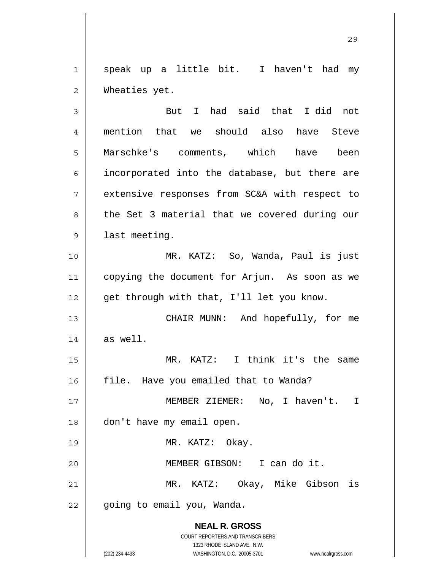1 2 speak up a little bit. I haven't had my Wheaties yet.

**NEAL R. GROSS** COURT REPORTERS AND TRANSCRIBERS 3 4 5 6 7 8 9 10 11 12 13 14 15 16 17 18 19 20 21 22 But I had said that I did not mention that we should also have Steve Marschke's comments, which have been incorporated into the database, but there are extensive responses from SC&A with respect to the Set 3 material that we covered during our last meeting. MR. KATZ: So, Wanda, Paul is just copying the document for Arjun. As soon as we get through with that, I'll let you know. CHAIR MUNN: And hopefully, for me as well. MR. KATZ: I think it's the same file. Have you emailed that to Wanda? MEMBER ZIEMER: No, I haven't. I don't have my email open. MR. KATZ: Okay. MEMBER GIBSON: I can do it. MR. KATZ: Okay, Mike Gibson is going to email you, Wanda.

1323 RHODE ISLAND AVE., N.W.

(202) 234-4433 WASHINGTON, D.C. 20005-3701 www.nealrgross.com

<u>29</u>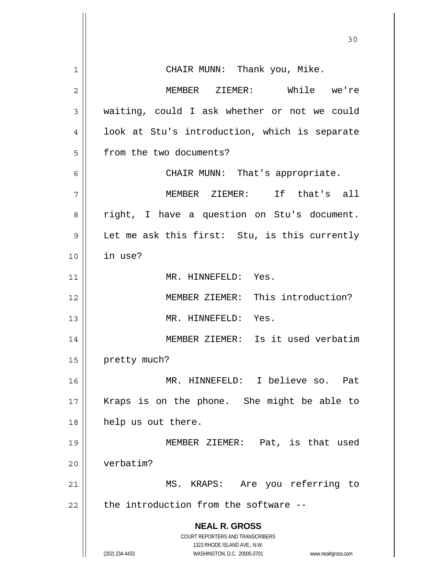| 1              | CHAIR MUNN: Thank you, Mike.                                                                        |
|----------------|-----------------------------------------------------------------------------------------------------|
| $\overline{2}$ | MEMBER ZIEMER: While we're                                                                          |
| 3              | waiting, could I ask whether or not we could                                                        |
| 4              | look at Stu's introduction, which is separate                                                       |
| 5              | from the two documents?                                                                             |
| 6              | CHAIR MUNN: That's appropriate.                                                                     |
| 7              | MEMBER ZIEMER: If that's all                                                                        |
| 8              | right, I have a question on Stu's document.                                                         |
| 9              | Let me ask this first: Stu, is this currently                                                       |
| 10             | in use?                                                                                             |
| 11             | MR. HINNEFELD: Yes.                                                                                 |
| 12             | MEMBER ZIEMER: This introduction?                                                                   |
| 13             | MR. HINNEFELD: Yes.                                                                                 |
| 14             | MEMBER ZIEMER: Is it used verbatim                                                                  |
| 15             | pretty much?                                                                                        |
| 16             | MR. HINNEFELD: I believe so. Pat                                                                    |
| 17             | Kraps is on the phone. She might be able to                                                         |
| 18             | help us out there.                                                                                  |
| 19             | MEMBER ZIEMER: Pat, is that used                                                                    |
| 20             | verbatim?                                                                                           |
| 21             | MS. KRAPS: Are you referring to                                                                     |
| 22             | the introduction from the software --                                                               |
|                | <b>NEAL R. GROSS</b>                                                                                |
|                | COURT REPORTERS AND TRANSCRIBERS                                                                    |
|                | 1323 RHODE ISLAND AVE., N.W.<br>WASHINGTON, D.C. 20005-3701<br>(202) 234-4433<br>www.nealrgross.com |
|                |                                                                                                     |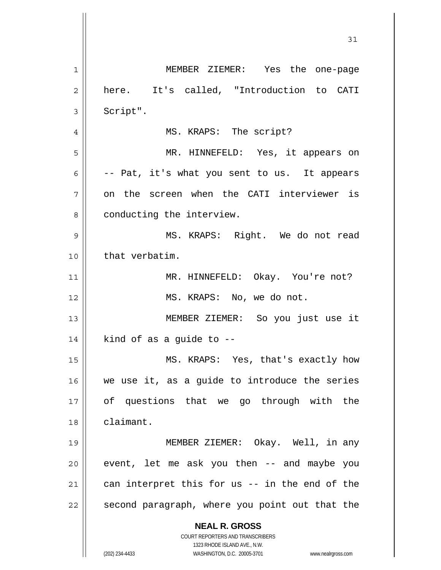**NEAL R. GROSS** COURT REPORTERS AND TRANSCRIBERS 1323 RHODE ISLAND AVE., N.W. (202) 234-4433 WASHINGTON, D.C. 20005-3701 www.nealrgross.com 1 2 3 4 5 6 7 8 9 10 11 12 13 14 15 16 17 18 19 20 21 22 MEMBER ZIEMER: Yes the one-page here. It's called, "Introduction to CATI Script". MS. KRAPS: The script? MR. HINNEFELD: Yes, it appears on -- Pat, it's what you sent to us. It appears on the screen when the CATI interviewer is conducting the interview. MS. KRAPS: Right. We do not read that verbatim. MR. HINNEFELD: Okay. You're not? MS. KRAPS: No, we do not. MEMBER ZIEMER: So you just use it kind of as a guide to -- MS. KRAPS: Yes, that's exactly how we use it, as a guide to introduce the series of questions that we go through with the claimant. MEMBER ZIEMER: Okay. Well, in any event, let me ask you then -- and maybe you can interpret this for us -- in the end of the second paragraph, where you point out that the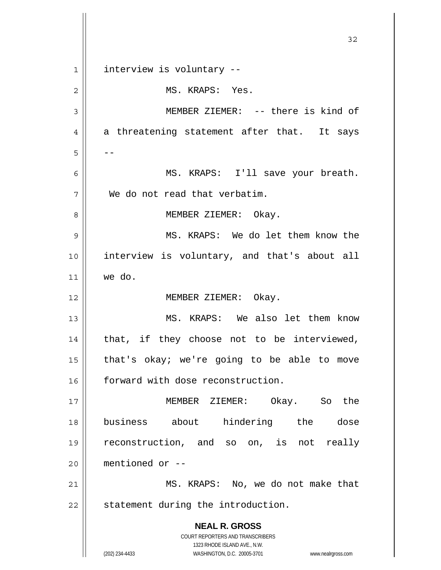**NEAL R. GROSS** COURT REPORTERS AND TRANSCRIBERS 1323 RHODE ISLAND AVE., N.W. (202) 234-4433 WASHINGTON, D.C. 20005-3701 www.nealrgross.com 32 1 2 3 4 5 6 7 8 9 10 11 12 13 14 15 16 17 18 19 20 21 22 interview is voluntary -- MS. KRAPS: Yes. MEMBER ZIEMER: -- there is kind of a threatening statement after that. It says -- MS. KRAPS: I'll save your breath. We do not read that verbatim. MEMBER ZIEMER: Okay. MS. KRAPS: We do let them know the interview is voluntary, and that's about all we do. MEMBER ZIEMER: Okay. MS. KRAPS: We also let them know that, if they choose not to be interviewed, that's okay; we're going to be able to move forward with dose reconstruction. MEMBER ZIEMER: Okay. So the business about hindering the dose reconstruction, and so on, is not really mentioned or -- MS. KRAPS: No, we do not make that statement during the introduction.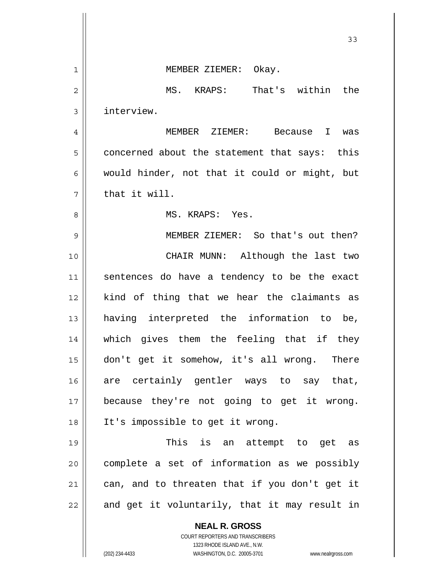|              | 33                                                                  |
|--------------|---------------------------------------------------------------------|
| $\mathbf{1}$ | MEMBER ZIEMER: Okay.                                                |
| 2            | MS. KRAPS: That's within the                                        |
| 3            | interview.                                                          |
| 4            | MEMBER ZIEMER: Because I<br>was                                     |
| 5            | concerned about the statement that says: this                       |
| 6            | would hinder, not that it could or might, but                       |
| 7            | that it will.                                                       |
| 8            | MS. KRAPS: Yes.                                                     |
| 9            | MEMBER ZIEMER: So that's out then?                                  |
| 10           | CHAIR MUNN: Although the last two                                   |
| 11           | sentences do have a tendency to be the exact                        |
| 12           | kind of thing that we hear the claimants as                         |
| 13           | having interpreted the information to be,                           |
| 14           | which gives them the feeling that if they                           |
| 15           | don't get it somehow, it's all wrong. There                         |
| 16           | are certainly gentler ways to say that,                             |
| 17           | because they're not going to get it wrong.                          |
| 18           | It's impossible to get it wrong.                                    |
| 19           | This is an attempt to get as                                        |
| 20           | complete a set of information as we possibly                        |
| 21           | can, and to threaten that if you don't get it                       |
| 22           | and get it voluntarily, that it may result in                       |
|              | <b>NEAL R. GROSS</b>                                                |
|              | COURT REPORTERS AND TRANSCRIBERS<br>1323 RHODE ISLAND AVE., N.W.    |
|              | (202) 234-4433<br>WASHINGTON, D.C. 20005-3701<br>www.nealrgross.com |

 $\mathsf{l}$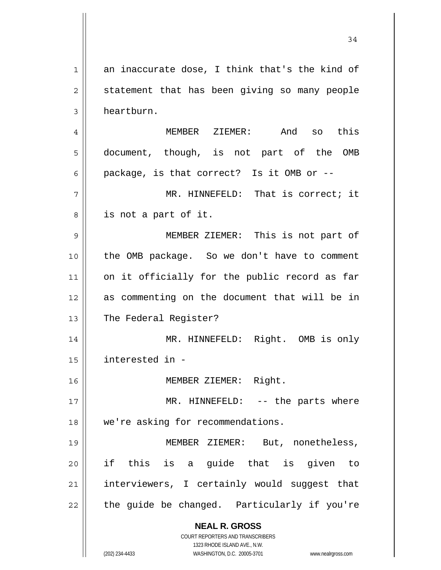**NEAL R. GROSS** COURT REPORTERS AND TRANSCRIBERS 1323 RHODE ISLAND AVE., N.W. (202) 234-4433 WASHINGTON, D.C. 20005-3701 www.nealrgross.com 1 2 3 4 5 6 7 8 9 10 11 12 13 14 15 16 17 18 19 20 21 22 an inaccurate dose, I think that's the kind of statement that has been giving so many people heartburn. MEMBER ZIEMER: And so this document, though, is not part of the OMB package, is that correct? Is it OMB or -- MR. HINNEFELD: That is correct; it is not a part of it. MEMBER ZIEMER: This is not part of the OMB package. So we don't have to comment on it officially for the public record as far as commenting on the document that will be in The Federal Register? MR. HINNEFELD: Right. OMB is only interested in - MEMBER ZIEMER: Right. MR. HINNEFELD: -- the parts where we're asking for recommendations. MEMBER ZIEMER: But, nonetheless, if this is a guide that is given to interviewers, I certainly would suggest that the guide be changed. Particularly if you're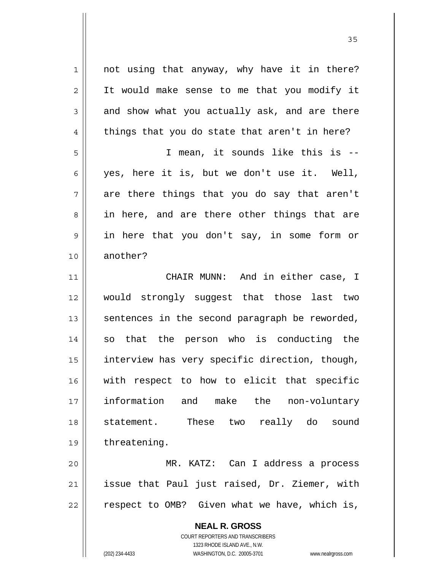not using that anyway, why have it in there? It would make sense to me that you modify it and show what you actually ask, and are there things that you do state that aren't in here? I mean, it sounds like this is --

yes, here it is, but we don't use it. Well, are there things that you do say that aren't in here, and are there other things that are in here that you don't say, in some form or another?

11 12 13 14 15 16 17 18 19 CHAIR MUNN: And in either case, I would strongly suggest that those last two sentences in the second paragraph be reworded, so that the person who is conducting the interview has very specific direction, though, with respect to how to elicit that specific information and make the non-voluntary statement. These two really do sound threatening.

20 21 22 MR. KATZ: Can I address a process issue that Paul just raised, Dr. Ziemer, with respect to OMB? Given what we have, which is,

> **NEAL R. GROSS** COURT REPORTERS AND TRANSCRIBERS

> > 1323 RHODE ISLAND AVE., N.W.

1

2

3

4

5

6

7

8

9

10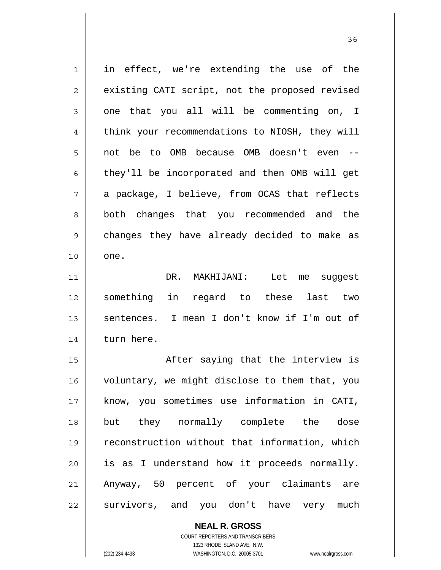1 2 3 4 5 6 7 8 9 10 11 12 13 14 15 16 17 18 19 20 21 22 in effect, we're extending the use of the existing CATI script, not the proposed revised one that you all will be commenting on, I think your recommendations to NIOSH, they will not be to OMB because OMB doesn't even - they'll be incorporated and then OMB will get a package, I believe, from OCAS that reflects both changes that you recommended and the changes they have already decided to make as one. DR. MAKHIJANI: Let me suggest something in regard to these last two sentences. I mean I don't know if I'm out of turn here. After saying that the interview is voluntary, we might disclose to them that, you know, you sometimes use information in CATI, but they normally complete the dose reconstruction without that information, which is as I understand how it proceeds normally. Anyway, 50 percent of your claimants are survivors, and you don't have very much

<u>36 and 36</u>

**NEAL R. GROSS**

COURT REPORTERS AND TRANSCRIBERS 1323 RHODE ISLAND AVE., N.W. (202) 234-4433 WASHINGTON, D.C. 20005-3701 www.nealrgross.com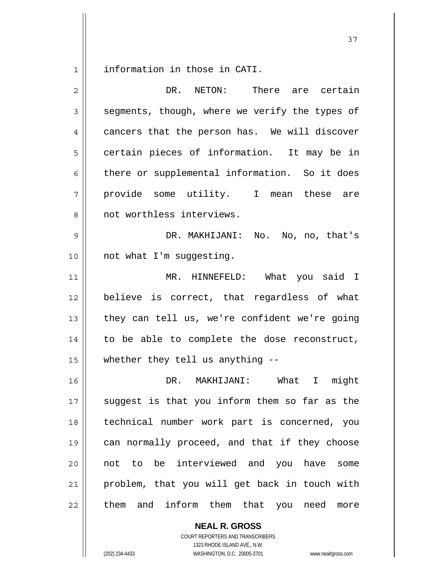1 information in those in CATI.

| DR. NETON:<br>There are certain                |
|------------------------------------------------|
| segments, though, where we verify the types of |
| cancers that the person has. We will discover  |
| certain pieces of information. It may be in    |
| there or supplemental information. So it does  |
| provide some utility. I mean these are         |
| not worthless interviews.                      |
| DR. MAKHIJANI: No. No, no, that's              |
| not what I'm suggesting.                       |
| MR. HINNEFELD: What you said I                 |
| believe is correct, that regardless of what    |
| they can tell us, we're confident we're going  |
| to be able to complete the dose reconstruct,   |
| whether they tell us anything --               |
| DR. MAKHIJANI: What I might                    |
| suggest is that you inform them so far as the  |
| technical number work part is concerned, you   |
| can normally proceed, and that if they choose  |
| not to be interviewed and you have<br>some     |
| problem, that you will get back in touch with  |
| and inform them that you need more<br>them     |
|                                                |

COURT REPORTERS AND TRANSCRIBERS 1323 RHODE ISLAND AVE., N.W. (202) 234-4433 WASHINGTON, D.C. 20005-3701 www.nealrgross.com

**NEAL R. GROSS**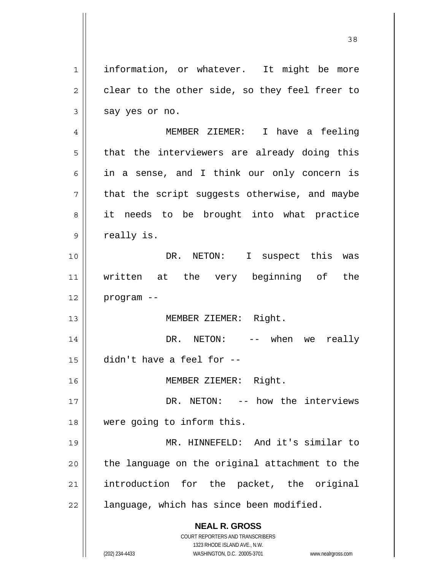**NEAL R. GROSS** COURT REPORTERS AND TRANSCRIBERS 1323 RHODE ISLAND AVE., N.W. 1 2 3 4 5 6 7 8 9 10 11 12 13 14 15 16 17 18 19 20 21 22 information, or whatever. It might be more clear to the other side, so they feel freer to say yes or no. MEMBER ZIEMER: I have a feeling that the interviewers are already doing this in a sense, and I think our only concern is that the script suggests otherwise, and maybe it needs to be brought into what practice really is. DR. NETON: I suspect this was written at the very beginning of the program -- MEMBER ZIEMER: Right. DR. NETON: -- when we really didn't have a feel for -- MEMBER ZIEMER: Right. DR. NETON: -- how the interviews were going to inform this. MR. HINNEFELD: And it's similar to the language on the original attachment to the introduction for the packet, the original language, which has since been modified.

<u>38</u>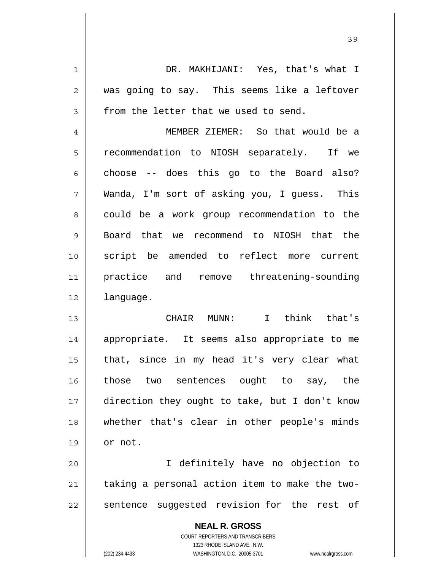DR. MAKHIJANI: Yes, that's what I was going to say. This seems like a leftover from the letter that we used to send. MEMBER ZIEMER: So that would be a

5 6 7 8 9 10 11 12 recommendation to NIOSH separately. If we choose -- does this go to the Board also? Wanda, I'm sort of asking you, I guess. This could be a work group recommendation to the Board that we recommend to NIOSH that the script be amended to reflect more current practice and remove threatening-sounding language.

13 14 15 16 17 18 19 CHAIR MUNN: I think that's appropriate. It seems also appropriate to me that, since in my head it's very clear what those two sentences ought to say, the direction they ought to take, but I don't know whether that's clear in other people's minds or not.

20 21 22 I definitely have no objection to taking a personal action item to make the twosentence suggested revision for the rest of

> **NEAL R. GROSS** COURT REPORTERS AND TRANSCRIBERS 1323 RHODE ISLAND AVE., N.W. (202) 234-4433 WASHINGTON, D.C. 20005-3701 www.nealrgross.com

1

2

3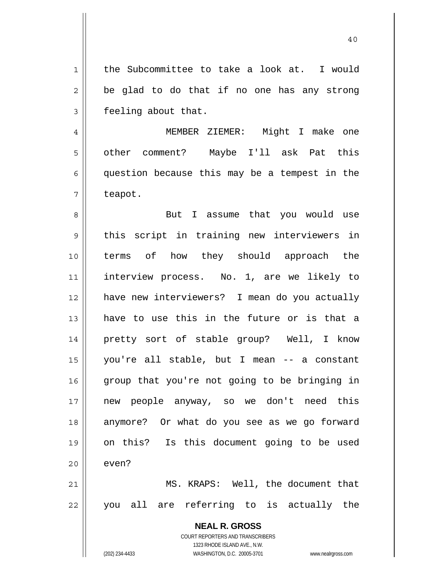1 2 3 the Subcommittee to take a look at. I would be glad to do that if no one has any strong feeling about that.

4 5 6 7 MEMBER ZIEMER: Might I make one other comment? Maybe I'll ask Pat this question because this may be a tempest in the teapot.

8 9 10 11 12 13 14 15 16 17 18 19 20 21 But I assume that you would use this script in training new interviewers in terms of how they should approach the interview process. No. 1, are we likely to have new interviewers? I mean do you actually have to use this in the future or is that a pretty sort of stable group? Well, I know you're all stable, but I mean -- a constant group that you're not going to be bringing in new people anyway, so we don't need this anymore? Or what do you see as we go forward on this? Is this document going to be used even? MS. KRAPS: Well, the document that

22 you all are referring to is actually the

> **NEAL R. GROSS** COURT REPORTERS AND TRANSCRIBERS

> > 1323 RHODE ISLAND AVE., N.W.

(202) 234-4433 WASHINGTON, D.C. 20005-3701 www.nealrgross.com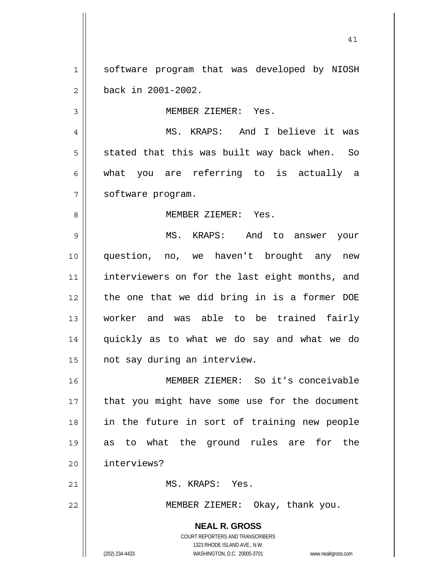1 2 software program that was developed by NIOSH back in 2001-2002.

41

MEMBER ZIEMER: Yes.

7 MS. KRAPS: And I believe it was stated that this was built way back when. So what you are referring to is actually a software program.

MEMBER ZIEMER: Yes.

9 10 11 12 13 14 15 MS. KRAPS: And to answer your question, no, we haven't brought any new interviewers on for the last eight months, and the one that we did bring in is a former DOE worker and was able to be trained fairly quickly as to what we do say and what we do not say during an interview.

16 17 18 19 20 MEMBER ZIEMER: So it's conceivable that you might have some use for the document in the future in sort of training new people as to what the ground rules are for the interviews?

MS. KRAPS: Yes.

MEMBER ZIEMER: Okay, thank you.

**NEAL R. GROSS** COURT REPORTERS AND TRANSCRIBERS 1323 RHODE ISLAND AVE., N.W. (202) 234-4433 WASHINGTON, D.C. 20005-3701 www.nealrgross.com

3

4

5

6

8

21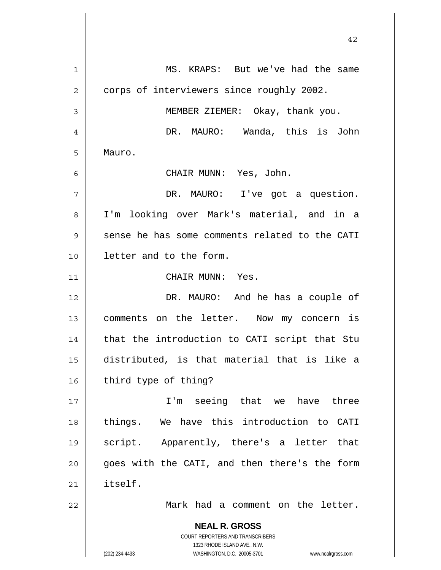**NEAL R. GROSS** COURT REPORTERS AND TRANSCRIBERS 1323 RHODE ISLAND AVE., N.W. (202) 234-4433 WASHINGTON, D.C. 20005-3701 www.nealrgross.com 1 2 3 4 5 6 7 8 9 10 11 12 13 14 15 16 17 18 19 20 21 22 MS. KRAPS: But we've had the same corps of interviewers since roughly 2002. MEMBER ZIEMER: Okay, thank you. DR. MAURO: Wanda, this is John Mauro. CHAIR MUNN: Yes, John. DR. MAURO: I've got a question. I'm looking over Mark's material, and in a sense he has some comments related to the CATI letter and to the form. CHAIR MUNN: Yes. DR. MAURO: And he has a couple of comments on the letter. Now my concern is that the introduction to CATI script that Stu distributed, is that material that is like a third type of thing? I'm seeing that we have three things. We have this introduction to CATI script. Apparently, there's a letter that goes with the CATI, and then there's the form itself. Mark had a comment on the letter.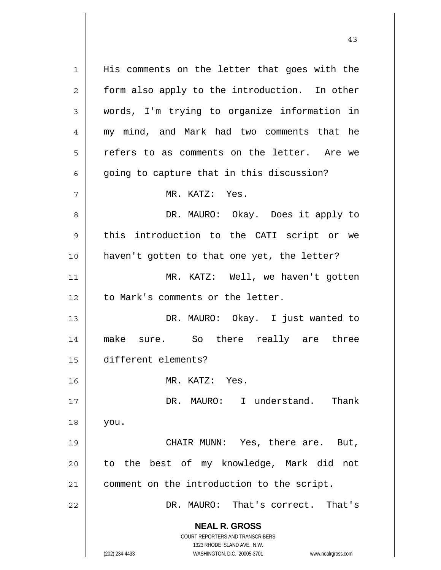**NEAL R. GROSS** COURT REPORTERS AND TRANSCRIBERS 1323 RHODE ISLAND AVE., N.W. (202) 234-4433 WASHINGTON, D.C. 20005-3701 www.nealrgross.com 1 2 3 4 5 6 7 8 9 10 11 12 13 14 15 16 17 18 19 20 21 22 His comments on the letter that goes with the form also apply to the introduction. In other words, I'm trying to organize information in my mind, and Mark had two comments that he refers to as comments on the letter. Are we going to capture that in this discussion? MR. KATZ: Yes. DR. MAURO: Okay. Does it apply to this introduction to the CATI script or we haven't gotten to that one yet, the letter? MR. KATZ: Well, we haven't gotten to Mark's comments or the letter. DR. MAURO: Okay. I just wanted to make sure. So there really are three different elements? MR. KATZ: Yes. DR. MAURO: I understand. Thank you. CHAIR MUNN: Yes, there are. But, to the best of my knowledge, Mark did not comment on the introduction to the script. DR. MAURO: That's correct. That's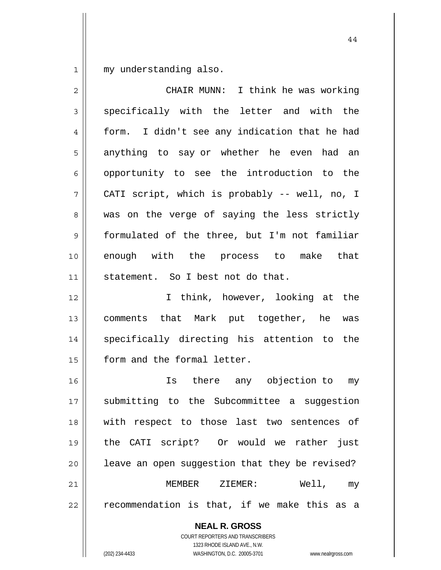1 my understanding also.

| 2  | CHAIR MUNN: I think he was working             |
|----|------------------------------------------------|
| 3  | specifically with the letter and with the      |
| 4  | form. I didn't see any indication that he had  |
| 5  | anything to say or whether he even had an      |
| 6  | opportunity to see the introduction to the     |
| 7  | CATI script, which is probably -- well, no, I  |
| 8  | was on the verge of saying the less strictly   |
| 9  | formulated of the three, but I'm not familiar  |
| 10 | enough with the process to make that           |
| 11 | statement. So I best not do that.              |
| 12 | I think, however, looking at the               |
| 13 | comments that Mark put together, he was        |
| 14 | specifically directing his attention to the    |
| 15 | form and the formal letter.                    |
| 16 | Is there any objection to my                   |
| 17 | submitting to the Subcommittee a suggestion    |
| 18 | with respect to those last two sentences of    |
| 19 | the CATI script? Or would we rather just       |
| 20 | leave an open suggestion that they be revised? |
| 21 | MEMBER ZIEMER:<br>Well, my                     |
| 22 | recommendation is that, if we make this as a   |
|    | <b>NEAL R. GROSS</b>                           |

COURT REPORTERS AND TRANSCRIBERS 1323 RHODE ISLAND AVE., N.W.

 $\mathsf{II}$ 

(202) 234-4433 WASHINGTON, D.C. 20005-3701 www.nealrgross.com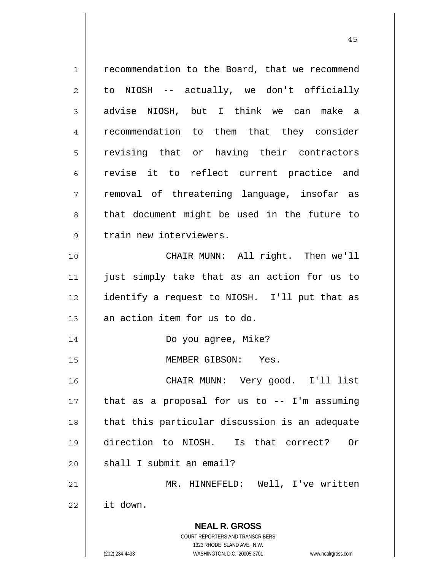| $\mathbf 1$    | recommendation to the Board, that we recommend                          |
|----------------|-------------------------------------------------------------------------|
| $\overline{c}$ | to NIOSH -- actually, we don't officially                               |
| 3              | advise NIOSH, but I think we can make a                                 |
| 4              | recommendation to them that they consider                               |
| 5              | revising that or having their contractors                               |
| 6              | revise it to reflect current practice and                               |
| 7              | removal of threatening language, insofar as                             |
| 8              | that document might be used in the future to                            |
| $\mathsf 9$    | train new interviewers.                                                 |
| 10             | CHAIR MUNN: All right. Then we'll                                       |
| 11             | just simply take that as an action for us to                            |
| 12             | identify a request to NIOSH. I'll put that as                           |
| 13             | an action item for us to do.                                            |
| 14             | Do you agree, Mike?                                                     |
| 15             | MEMBER GIBSON: Yes.                                                     |
| 16             | CHAIR MUNN: Very good. I'll list                                        |
| 17             | that as a proposal for us to $-$ - I'm assuming                         |
| 18             | that this particular discussion is an adequate                          |
| 19             | direction to NIOSH. Is that correct?<br>0r                              |
| 20             | shall I submit an email?                                                |
| 21             | MR. HINNEFELD: Well, I've written                                       |
| 22             | it down.                                                                |
|                |                                                                         |
|                | <b>NEAL R. GROSS</b>                                                    |
|                | <b>COURT REPORTERS AND TRANSCRIBERS</b><br>1323 RHODE ISLAND AVE., N.W. |
|                | (202) 234-4433<br>WASHINGTON, D.C. 20005-3701<br>www.nealrgross.com     |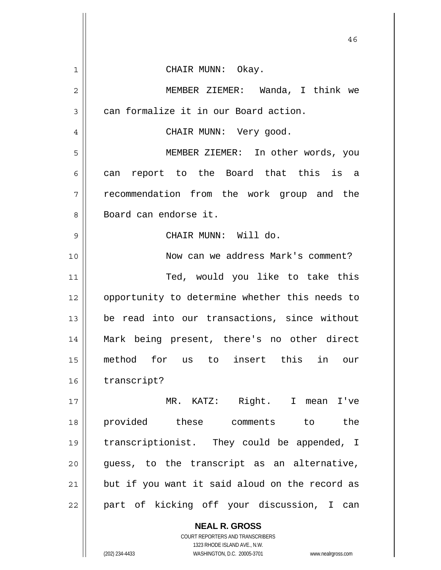|                | 46                                                       |
|----------------|----------------------------------------------------------|
| $\mathbf{1}$   | CHAIR MUNN: Okay.                                        |
| $\overline{2}$ | MEMBER ZIEMER: Wanda, I think we                         |
| 3              | can formalize it in our Board action.                    |
| 4              | CHAIR MUNN: Very good.                                   |
| 5              | MEMBER ZIEMER: In other words, you                       |
| 6              | can report to the Board that this is a                   |
| 7              | recommendation from the work group and the               |
| 8              | Board can endorse it.                                    |
| 9              | CHAIR MUNN: Will do.                                     |
| 10             | Now can we address Mark's comment?                       |
| 11             | Ted, would you like to take this                         |
| 12             | opportunity to determine whether this needs to           |
| 13             | be read into our transactions, since without             |
| 14             | Mark being present, there's no other direct              |
| 15             | method for us to insert this in our                      |
| 16             | transcript?                                              |
| 17             | MR. KATZ: Right. I mean I've                             |
| 18             | provided these comments to<br>the                        |
| 19             | transcriptionist. They could be appended, I              |
| 20             | guess, to the transcript as an alternative,              |
| 21             | but if you want it said aloud on the record as           |
| 22             | part of kicking off your discussion, I can               |
|                | <b>NEAL R. GROSS</b><br>COURT REPORTERS AND TRANSCRIBERS |

1323 RHODE ISLAND AVE., N.W.

 $\prod$ 

 $\mathsf{I}$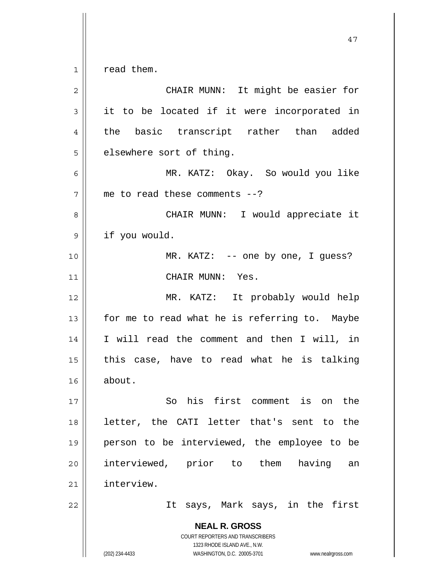| $\overline{c}$ | CHAIR MUNN: It might be easier for                                                                                                                              |
|----------------|-----------------------------------------------------------------------------------------------------------------------------------------------------------------|
| 3              | it to be located if it were incorporated in                                                                                                                     |
| 4              | the basic transcript rather than added                                                                                                                          |
| 5              | elsewhere sort of thing.                                                                                                                                        |
| 6              | MR. KATZ: Okay. So would you like                                                                                                                               |
| 7              | me to read these comments $--?$                                                                                                                                 |
| 8              | CHAIR MUNN: I would appreciate it                                                                                                                               |
| 9              | if you would.                                                                                                                                                   |
| 10             | $MR. KATZ: -- one by one, I guess?$                                                                                                                             |
| 11             | CHAIR MUNN: Yes.                                                                                                                                                |
| 12             | MR. KATZ: It probably would help                                                                                                                                |
| 13             | for me to read what he is referring to. Maybe                                                                                                                   |
| 14             | I will read the comment and then I will, in                                                                                                                     |
| 15             | this case, have to read what he is talking                                                                                                                      |
| 16             | about.                                                                                                                                                          |
| 17             | So his first comment is on the                                                                                                                                  |
| 18             | letter, the CATI letter that's sent to the                                                                                                                      |
| 19             | person to be interviewed, the employee to be                                                                                                                    |
| 20             | interviewed, prior to them<br>having<br>an                                                                                                                      |
| 21             | interview.                                                                                                                                                      |
| 22             | It says, Mark says, in the first                                                                                                                                |
|                | <b>NEAL R. GROSS</b><br>COURT REPORTERS AND TRANSCRIBERS<br>1323 RHODE ISLAND AVE., N.W.<br>(202) 234-4433<br>WASHINGTON, D.C. 20005-3701<br>www.nealrgross.com |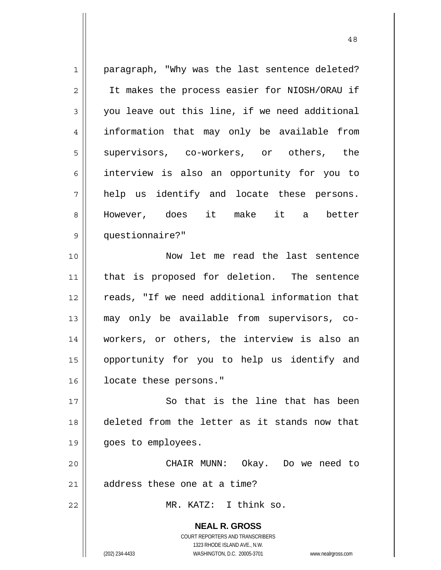**NEAL R. GROSS** COURT REPORTERS AND TRANSCRIBERS 1323 RHODE ISLAND AVE., N.W. 1 2 3 4 5 6 7 8 9 10 11 12 13 14 15 16 17 18 19 20 21 22 paragraph, "Why was the last sentence deleted? It makes the process easier for NIOSH/ORAU if you leave out this line, if we need additional information that may only be available from supervisors, co-workers, or others, the interview is also an opportunity for you to help us identify and locate these persons. However, does it make it a better questionnaire?" Now let me read the last sentence that is proposed for deletion. The sentence reads, "If we need additional information that may only be available from supervisors, coworkers, or others, the interview is also an opportunity for you to help us identify and locate these persons." So that is the line that has been deleted from the letter as it stands now that goes to employees. CHAIR MUNN: Okay. Do we need to address these one at a time? MR. KATZ: I think so.

(202) 234-4433 WASHINGTON, D.C. 20005-3701 www.nealrgross.com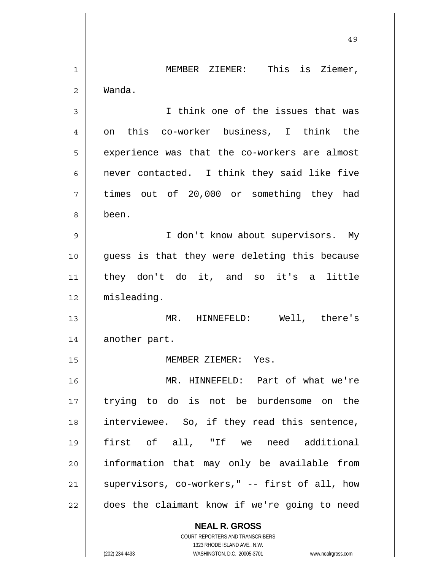|    | 49                                                                                                  |
|----|-----------------------------------------------------------------------------------------------------|
| 1  | This is Ziemer,<br>MEMBER ZIEMER:                                                                   |
| 2  | Wanda.                                                                                              |
| 3  | I think one of the issues that was                                                                  |
| 4  | on this co-worker business, I think the                                                             |
| 5  | experience was that the co-workers are almost                                                       |
| 6  | never contacted. I think they said like five                                                        |
| 7  | times out of 20,000 or something they had                                                           |
| 8  | been.                                                                                               |
| 9  | I don't know about supervisors. My                                                                  |
| 10 | guess is that they were deleting this because                                                       |
| 11 | they don't do it, and so it's a little                                                              |
| 12 | misleading.                                                                                         |
| 13 | MR. HINNEFELD: Well, there's                                                                        |
| 14 | another part.                                                                                       |
| 15 | MEMBER ZIEMER: Yes.                                                                                 |
| 16 | MR. HINNEFELD: Part of what we're                                                                   |
| 17 | trying to do is not be burdensome on the                                                            |
| 18 | interviewee. So, if they read this sentence,                                                        |
| 19 | first of all, "If we need additional                                                                |
| 20 | information that may only be available from                                                         |
| 21 | supervisors, co-workers," -- first of all, how                                                      |
| 22 | does the claimant know if we're going to need                                                       |
|    | <b>NEAL R. GROSS</b>                                                                                |
|    | COURT REPORTERS AND TRANSCRIBERS                                                                    |
|    | 1323 RHODE ISLAND AVE., N.W.<br>(202) 234-4433<br>WASHINGTON, D.C. 20005-3701<br>www.nealrgross.com |

 $\mathsf{I}$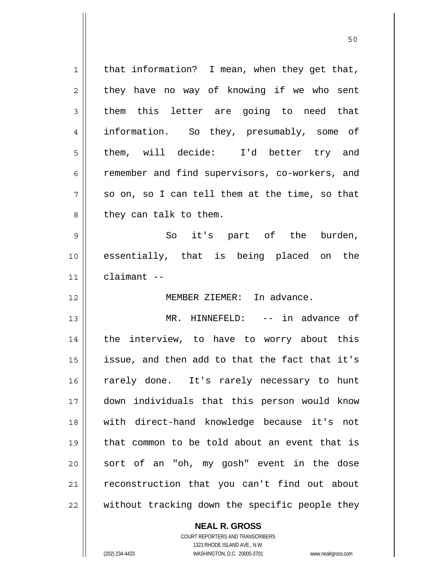| $\mathbf 1$ | that information? I mean, when they get that,  |
|-------------|------------------------------------------------|
| 2           | they have no way of knowing if we who sent     |
| 3           | them this letter are going to need that        |
| 4           | information. So they, presumably, some of      |
| 5           | them, will decide: I'd better try and          |
| 6           | remember and find supervisors, co-workers, and |
| 7           | so on, so I can tell them at the time, so that |
| 8           | they can talk to them.                         |
| 9           | So it's part of the burden,                    |
| 10          | essentially, that is being placed on the       |
| 11          | claimant --                                    |
| 12          | MEMBER ZIEMER: In advance.                     |
| 13          | MR. HINNEFELD: -- in advance of                |
| 14          | the interview, to have to worry about this     |
| 15          | issue, and then add to that the fact that it's |
| 16          | rarely done. It's rarely necessary to hunt     |
| 17          | down individuals that this person would know   |
| 18          | with direct-hand knowledge because it's not    |
| 19          | that common to be told about an event that is  |
| 20          | sort of an "oh, my gosh" event in the dose     |
| 21          | reconstruction that you can't find out about   |
| 22          | without tracking down the specific people they |

50

**NEAL R. GROSS** COURT REPORTERS AND TRANSCRIBERS

1323 RHODE ISLAND AVE., N.W.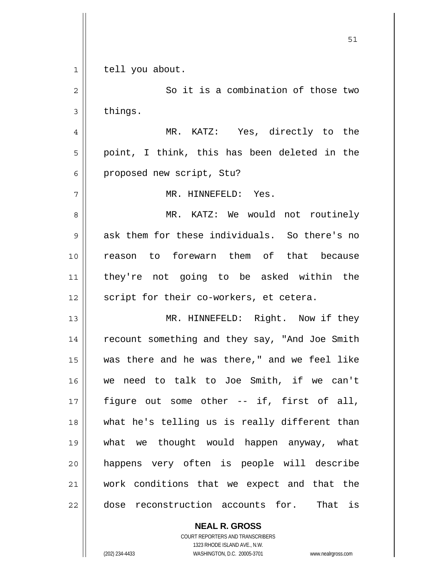**NEAL R. GROSS** 1 2 3 4 5 6 7 8 9 10 11 12 13 14 15 16 17 18 19 20 21 22 tell you about. So it is a combination of those two things. MR. KATZ: Yes, directly to the point, I think, this has been deleted in the proposed new script, Stu? MR. HINNEFELD: Yes. MR. KATZ: We would not routinely ask them for these individuals. So there's no reason to forewarn them of that because they're not going to be asked within the script for their co-workers, et cetera. MR. HINNEFELD: Right. Now if they recount something and they say, "And Joe Smith was there and he was there," and we feel like we need to talk to Joe Smith, if we can't figure out some other -- if, first of all, what he's telling us is really different than what we thought would happen anyway, what happens very often is people will describe work conditions that we expect and that the dose reconstruction accounts for. That is

 $51$ 

COURT REPORTERS AND TRANSCRIBERS 1323 RHODE ISLAND AVE., N.W. (202) 234-4433 WASHINGTON, D.C. 20005-3701 www.nealrgross.com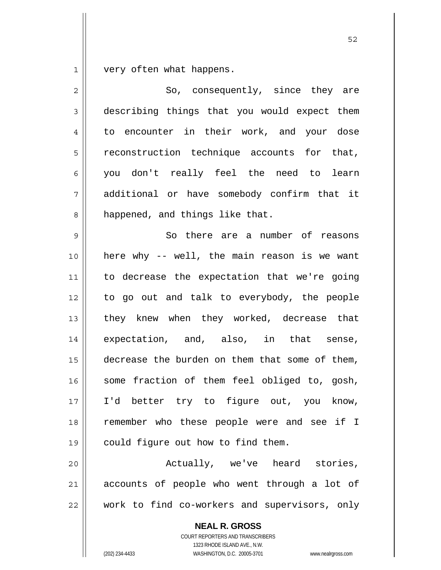1 very often what happens.

| $\overline{2}$ | So, consequently, since they are               |
|----------------|------------------------------------------------|
| $\mathfrak{Z}$ | describing things that you would expect them   |
| 4              | to encounter in their work, and your dose      |
| 5              | reconstruction technique accounts for that,    |
| 6              | you don't really feel the need to learn        |
| 7              | additional or have somebody confirm that it    |
| 8              | happened, and things like that.                |
| 9              | So there are a number of reasons               |
| 10             | here why -- well, the main reason is we want   |
| 11             | to decrease the expectation that we're going   |
| 12             | to go out and talk to everybody, the people    |
| 13             | they knew when they worked, decrease that      |
| 14             | expectation, and, also, in that sense,         |
| 15             | decrease the burden on them that some of them, |
| 16             | some fraction of them feel obliged to, gosh,   |
| 17             | I'd better try to figure out, you know,        |
| 18             | remember who these people were and see if I    |
| 19             | could figure out how to find them.             |
| 20             | Actually, we've heard stories,                 |
| 21             | accounts of people who went through a lot of   |
| 22             | work to find co-workers and supervisors, only  |
|                | <b>NEAL R. GROSS</b>                           |

COURT REPORTERS AND TRANSCRIBERS 1323 RHODE ISLAND AVE., N.W.

(202) 234-4433 WASHINGTON, D.C. 20005-3701 www.nealrgross.com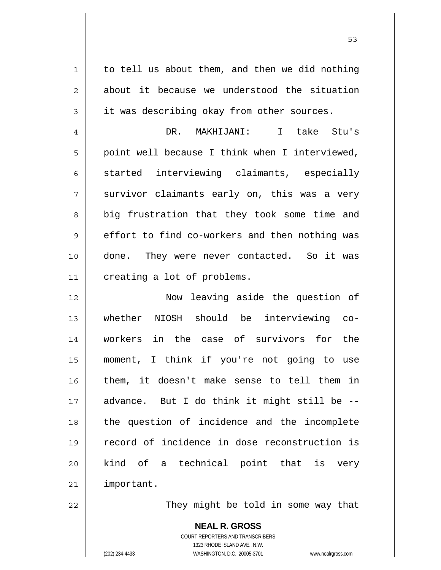| $\mathbf 1$    | to tell us about them, and then we did nothing |
|----------------|------------------------------------------------|
| $\overline{2}$ | about it because we understood the situation   |
| 3              | it was describing okay from other sources.     |
| 4              | DR. MAKHIJANI: I take Stu's                    |
| 5              | point well because I think when I interviewed, |
| 6              | started interviewing claimants, especially     |
| 7              | survivor claimants early on, this was a very   |
| 8              | big frustration that they took some time and   |
| 9              | effort to find co-workers and then nothing was |
| 10             | done. They were never contacted. So it was     |
| 11             | creating a lot of problems.                    |
| 12             | Now leaving aside the question of              |
| 13             | NIOSH should be interviewing co-<br>whether    |
| 14             | workers in the case of survivors for the       |
| 15             | moment, I think if you're not going to use     |
| 16             | them, it doesn't make sense to tell them in    |
| 17             | advance. But I do think it might still be --   |
| 18             | the question of incidence and the incomplete   |
| 19             | record of incidence in dose reconstruction is  |
| 20             | kind of a technical point that is very         |
| 21             | important.                                     |
| 22             | They might be told in some way that            |

They might be told in some way that

**NEAL R. GROSS** COURT REPORTERS AND TRANSCRIBERS 1323 RHODE ISLAND AVE., N.W. (202) 234-4433 WASHINGTON, D.C. 20005-3701 www.nealrgross.com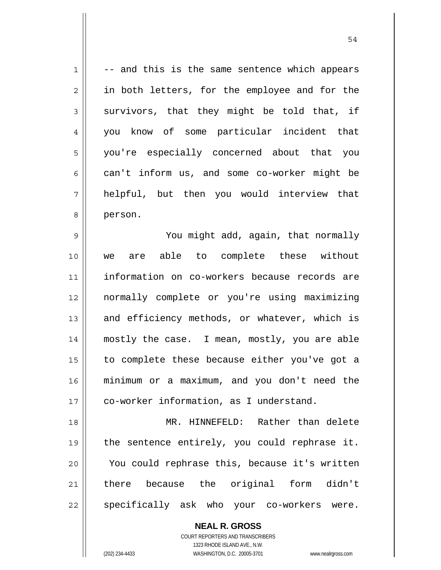1 2 3 4 5 6 7 8 9 10 11 12 13 14 15 16 17 18 19 20 -- and this is the same sentence which appears in both letters, for the employee and for the survivors, that they might be told that, if you know of some particular incident that you're especially concerned about that you can't inform us, and some co-worker might be helpful, but then you would interview that person. You might add, again, that normally we are able to complete these without information on co-workers because records are normally complete or you're using maximizing and efficiency methods, or whatever, which is mostly the case. I mean, mostly, you are able to complete these because either you've got a minimum or a maximum, and you don't need the co-worker information, as I understand. MR. HINNEFELD: Rather than delete the sentence entirely, you could rephrase it. You could rephrase this, because it's written

54

21 22 there because the original form didn't specifically ask who your co-workers were.

> **NEAL R. GROSS** COURT REPORTERS AND TRANSCRIBERS 1323 RHODE ISLAND AVE., N.W.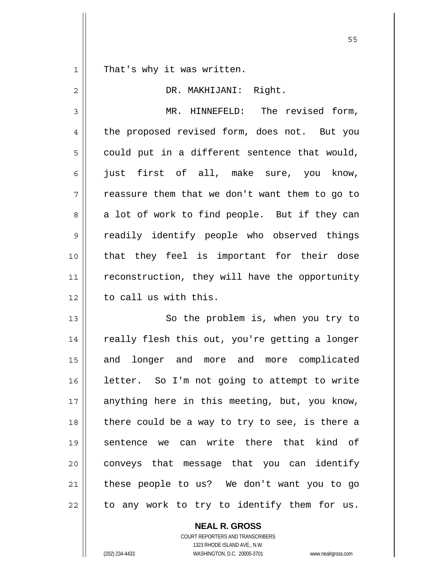1 That's why it was written.

| $\overline{2}$ | DR. MAKHIJANI: Right.                          |
|----------------|------------------------------------------------|
| 3              | MR. HINNEFELD: The revised form,               |
| 4              | the proposed revised form, does not. But you   |
| 5              | could put in a different sentence that would,  |
| 6              | just first of all, make sure, you know,        |
| 7              | reassure them that we don't want them to go to |
| 8              | a lot of work to find people. But if they can  |
| $\mathsf 9$    | readily identify people who observed things    |
| 10             | that they feel is important for their dose     |
| 11             | reconstruction, they will have the opportunity |
| 12             | to call us with this.                          |
| 13             | So the problem is, when you try to             |
| 14             | really flesh this out, you're getting a longer |
| 15             | and longer and more and more complicated       |
| 16             | letter. So I'm not going to attempt to write   |
| 17             | anything here in this meeting, but, you know,  |
| 18             | there could be a way to try to see, is there a |
| 19             | sentence we can write there that kind of       |
| 20             | conveys that message that you can identify     |
| 21             | these people to us? We don't want you to go    |
| 22             | to any work to try to identify them for us.    |

**NEAL R. GROSS** COURT REPORTERS AND TRANSCRIBERS

1323 RHODE ISLAND AVE., N.W.

(202) 234-4433 WASHINGTON, D.C. 20005-3701 www.nealrgross.com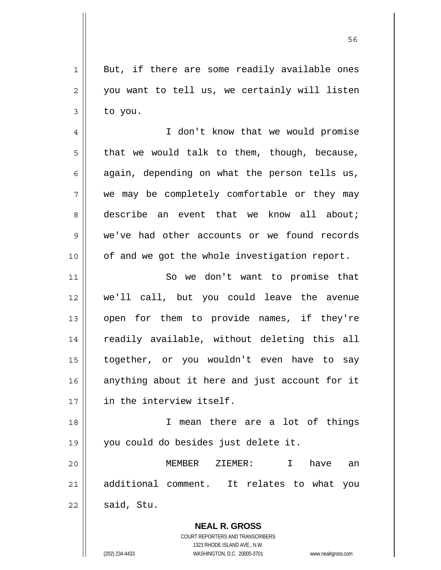1 2 3 But, if there are some readily available ones you want to tell us, we certainly will listen to you.

4 5 6 7 8 9 10 I don't know that we would promise that we would talk to them, though, because, again, depending on what the person tells us, we may be completely comfortable or they may describe an event that we know all about; we've had other accounts or we found records of and we got the whole investigation report.

11 12 13 14 15 16 17 So we don't want to promise that we'll call, but you could leave the avenue open for them to provide names, if they're readily available, without deleting this all together, or you wouldn't even have to say anything about it here and just account for it in the interview itself.

18 19 I mean there are a lot of things you could do besides just delete it.

20 21 22 MEMBER ZIEMER: I have an additional comment. It relates to what you said, Stu.

> **NEAL R. GROSS** COURT REPORTERS AND TRANSCRIBERS 1323 RHODE ISLAND AVE., N.W. (202) 234-4433 WASHINGTON, D.C. 20005-3701 www.nealrgross.com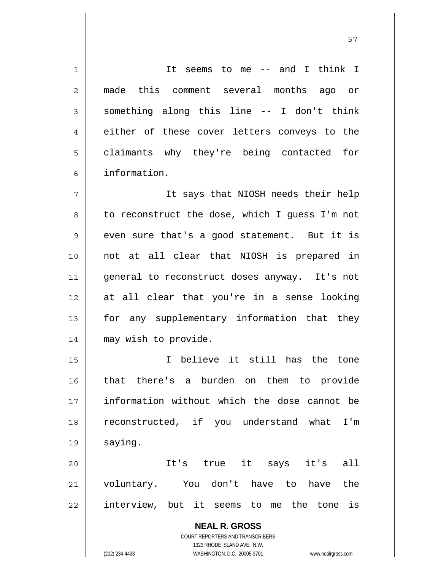**NEAL R. GROSS** COURT REPORTERS AND TRANSCRIBERS 1323 RHODE ISLAND AVE., N.W. 1 2 3 4 5 6 7 8 9 10 11 12 13 14 15 16 17 18 19 20 21 22 It seems to me -- and I think I made this comment several months ago or something along this line -- I don't think either of these cover letters conveys to the claimants why they're being contacted for information. It says that NIOSH needs their help to reconstruct the dose, which I guess I'm not even sure that's a good statement. But it is not at all clear that NIOSH is prepared in general to reconstruct doses anyway. It's not at all clear that you're in a sense looking for any supplementary information that they may wish to provide. I believe it still has the tone that there's a burden on them to provide information without which the dose cannot be reconstructed, if you understand what I'm saying. It's true it says it's all voluntary. You don't have to have the interview, but it seems to me the tone is

57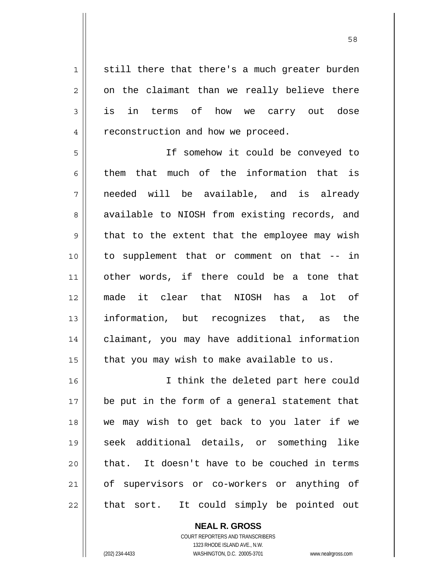1 2 3 4 still there that there's a much greater burden on the claimant than we really believe there is in terms of how we carry out dose reconstruction and how we proceed.

5 6 7 8 9 10 11 12 13 14 15 If somehow it could be conveyed to them that much of the information that is needed will be available, and is already available to NIOSH from existing records, and that to the extent that the employee may wish to supplement that or comment on that -- in other words, if there could be a tone that made it clear that NIOSH has a lot of information, but recognizes that, as the claimant, you may have additional information that you may wish to make available to us.

16 17 18 19 20 21 22 I think the deleted part here could be put in the form of a general statement that we may wish to get back to you later if we seek additional details, or something like that. It doesn't have to be couched in terms of supervisors or co-workers or anything of that sort. It could simply be pointed out

> **NEAL R. GROSS** COURT REPORTERS AND TRANSCRIBERS 1323 RHODE ISLAND AVE., N.W. (202) 234-4433 WASHINGTON, D.C. 20005-3701 www.nealrgross.com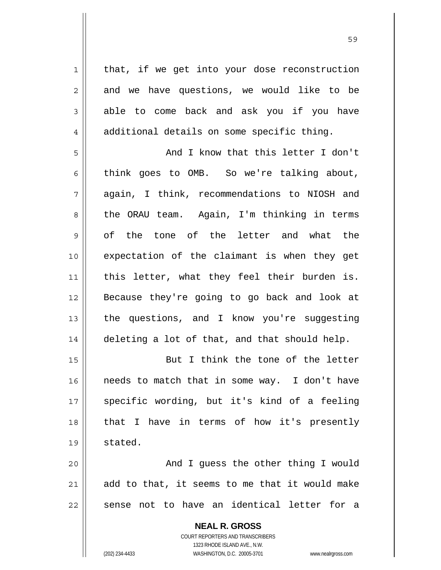1 2 3 4 5 6 7 8 9 10 11 12 13 14 15 16 17 18 19 20 21 22 that, if we get into your dose reconstruction and we have questions, we would like to be able to come back and ask you if you have additional details on some specific thing. And I know that this letter I don't think goes to OMB. So we're talking about, again, I think, recommendations to NIOSH and the ORAU team. Again, I'm thinking in terms of the tone of the letter and what the expectation of the claimant is when they get this letter, what they feel their burden is. Because they're going to go back and look at the questions, and I know you're suggesting deleting a lot of that, and that should help. But I think the tone of the letter needs to match that in some way. I don't have specific wording, but it's kind of a feeling that I have in terms of how it's presently stated. And I guess the other thing I would add to that, it seems to me that it would make sense not to have an identical letter for a

<u>59 September 2005 September 2005 September 2005 September 2005 September 2005 September 2005 September 2005 S</u>

**NEAL R. GROSS** COURT REPORTERS AND TRANSCRIBERS 1323 RHODE ISLAND AVE., N.W. (202) 234-4433 WASHINGTON, D.C. 20005-3701 www.nealrgross.com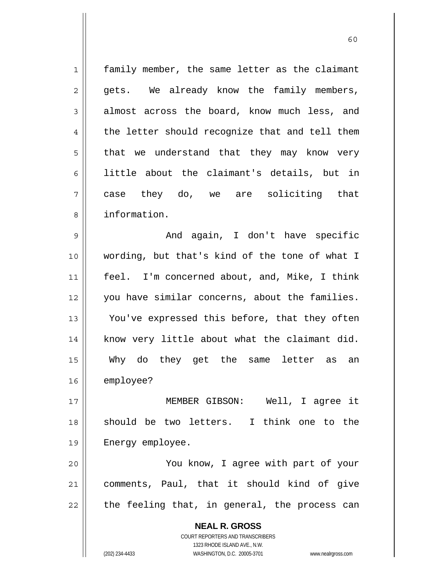| $\mathbf 1$ | family member, the same letter as the claimant                      |
|-------------|---------------------------------------------------------------------|
| 2           | gets. We already know the family members,                           |
| 3           | almost across the board, know much less, and                        |
| 4           | the letter should recognize that and tell them                      |
| 5           | that we understand that they may know very                          |
| 6           | little about the claimant's details, but in                         |
| 7           | case they do, we are soliciting that                                |
| 8           | information.                                                        |
| 9           | And again, I don't have specific                                    |
| 10          | wording, but that's kind of the tone of what I                      |
| 11          | feel. I'm concerned about, and, Mike, I think                       |
| 12          | you have similar concerns, about the families.                      |
| 13          | You've expressed this before, that they often                       |
| 14          | know very little about what the claimant did.                       |
| 15          | Why do they get the same<br>letter as<br>an                         |
| 16          | employee?                                                           |
| 17          | MEMBER GIBSON: Well, I agree it                                     |
| 18          | should be two letters. I think one to the                           |
| 19          | Energy employee.                                                    |
| 20          | You know, I agree with part of your                                 |
| 21          | comments, Paul, that it should kind of give                         |
| 22          | the feeling that, in general, the process can                       |
|             | <b>NEAL R. GROSS</b>                                                |
|             | <b>COURT REPORTERS AND TRANSCRIBERS</b>                             |
|             | 1323 RHODE ISLAND AVE., N.W.                                        |
|             | (202) 234-4433<br>WASHINGTON, D.C. 20005-3701<br>www.nealrgross.com |

 $\sim$  60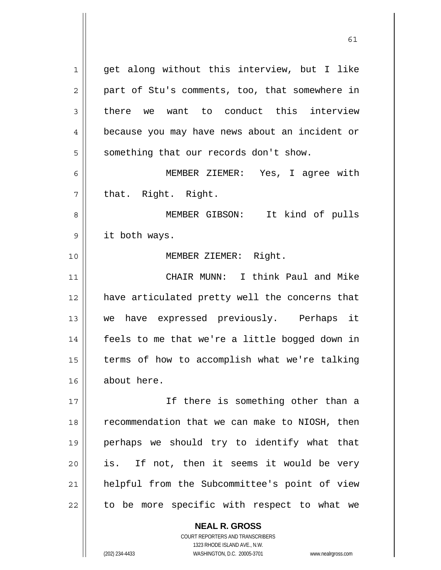1 2 3 4 5 6 7 8 9 10 11 12 13 14 15 16 17 18 19 20 21 22 get along without this interview, but I like part of Stu's comments, too, that somewhere in there we want to conduct this interview because you may have news about an incident or something that our records don't show. MEMBER ZIEMER: Yes, I agree with that. Right. Right. MEMBER GIBSON: It kind of pulls it both ways. MEMBER ZIEMER: Right. CHAIR MUNN: I think Paul and Mike have articulated pretty well the concerns that we have expressed previously. Perhaps it feels to me that we're a little bogged down in terms of how to accomplish what we're talking about here. If there is something other than a recommendation that we can make to NIOSH, then perhaps we should try to identify what that is. If not, then it seems it would be very helpful from the Subcommittee's point of view to be more specific with respect to what we

61

**NEAL R. GROSS**

COURT REPORTERS AND TRANSCRIBERS 1323 RHODE ISLAND AVE., N.W. (202) 234-4433 WASHINGTON, D.C. 20005-3701 www.nealrgross.com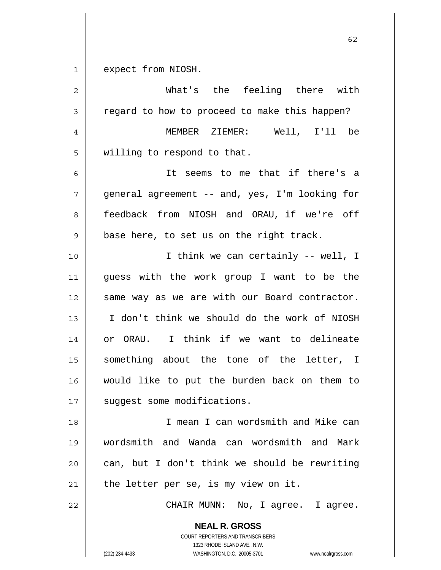$1 \parallel$ expect from NIOSH.

| $\overline{c}$ | What's the feeling there with                                                                                                                                   |
|----------------|-----------------------------------------------------------------------------------------------------------------------------------------------------------------|
| 3              | regard to how to proceed to make this happen?                                                                                                                   |
| $\overline{4}$ | MEMBER ZIEMER: Well, I'll be                                                                                                                                    |
| 5              | willing to respond to that.                                                                                                                                     |
| 6              | It seems to me that if there's a                                                                                                                                |
| 7              | general agreement -- and, yes, I'm looking for                                                                                                                  |
| 8              | feedback from NIOSH and ORAU, if we're off                                                                                                                      |
| $\mathsf 9$    | base here, to set us on the right track.                                                                                                                        |
| 10             | I think we can certainly -- well, I                                                                                                                             |
| 11             | quess with the work group I want to be the                                                                                                                      |
| 12             | same way as we are with our Board contractor.                                                                                                                   |
| 13             | I don't think we should do the work of NIOSH                                                                                                                    |
| 14             | or ORAU. I think if we want to delineate                                                                                                                        |
| 15             | something about the tone of the letter, I                                                                                                                       |
| 16             | would like to put the burden back on them to                                                                                                                    |
| 17             | suggest some modifications.                                                                                                                                     |
| 18             | I mean I can wordsmith and Mike can                                                                                                                             |
| 19             | wordsmith and Wanda can wordsmith and Mark                                                                                                                      |
| 20             | can, but I don't think we should be rewriting                                                                                                                   |
| 21             | the letter per se, is my view on it.                                                                                                                            |
| 22             | CHAIR MUNN: No, I agree. I agree.                                                                                                                               |
|                | <b>NEAL R. GROSS</b><br>COURT REPORTERS AND TRANSCRIBERS<br>1323 RHODE ISLAND AVE., N.W.<br>WASHINGTON, D.C. 20005-3701<br>(202) 234-4433<br>www.nealrgross.com |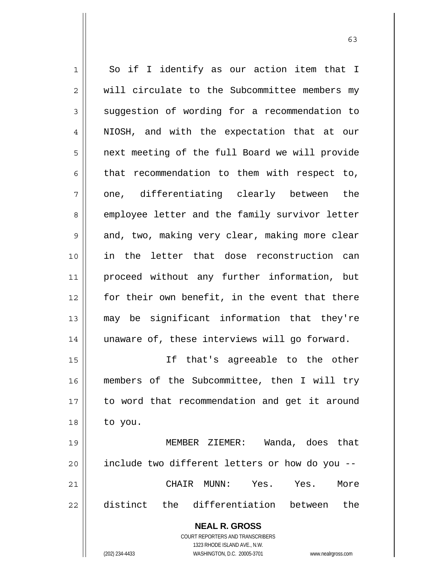| $\mathbf 1$ | So if I identify as our action item that I                          |
|-------------|---------------------------------------------------------------------|
| 2           | will circulate to the Subcommittee members my                       |
| 3           | suggestion of wording for a recommendation to                       |
| 4           | NIOSH, and with the expectation that at our                         |
| 5           | next meeting of the full Board we will provide                      |
| 6           | that recommendation to them with respect to,                        |
| 7           | one, differentiating clearly between the                            |
| 8           | employee letter and the family survivor letter                      |
| 9           | and, two, making very clear, making more clear                      |
| 10          | in the letter that dose reconstruction can                          |
| 11          | proceed without any further information, but                        |
| 12          | for their own benefit, in the event that there                      |
| 13          | may be significant information that they're                         |
| 14          | unaware of, these interviews will go forward.                       |
| 15          | If that's agreeable to the other                                    |
| 16          | members of the Subcommittee, then I will try                        |
| 17          | to word that recommendation and get it around                       |
| 18          | to you.                                                             |
| 19          | MEMBER ZIEMER: Wanda, does that                                     |
| 20          | include two different letters or how do you --                      |
| 21          | CHAIR MUNN: Yes. Yes.<br>More                                       |
| 22          | distinct the differentiation between the                            |
|             | <b>NEAL R. GROSS</b>                                                |
|             | <b>COURT REPORTERS AND TRANSCRIBERS</b>                             |
|             | 1323 RHODE ISLAND AVE., N.W.                                        |
|             | (202) 234-4433<br>WASHINGTON, D.C. 20005-3701<br>www.nealrgross.com |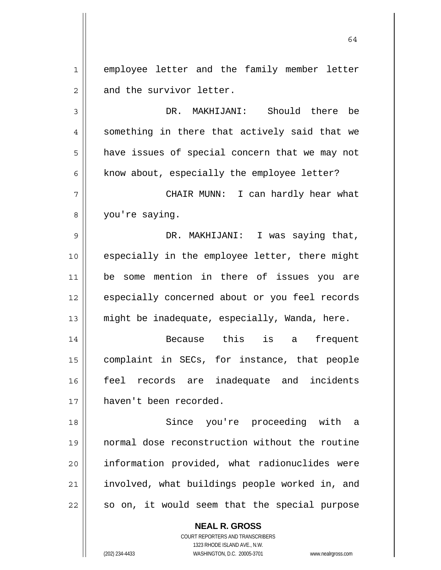1 2 employee letter and the family member letter and the survivor letter.

64

3 4 5 6 7 8 9 10 11 12 13 14 15 DR. MAKHIJANI: Should there be something in there that actively said that we have issues of special concern that we may not know about, especially the employee letter? CHAIR MUNN: I can hardly hear what you're saying. DR. MAKHIJANI: I was saying that, especially in the employee letter, there might be some mention in there of issues you are especially concerned about or you feel records might be inadequate, especially, Wanda, here. Because this is a frequent complaint in SECs, for instance, that people

16 17 feel records are inadequate and incidents haven't been recorded.

18 19 20 21 22 Since you're proceeding with a normal dose reconstruction without the routine information provided, what radionuclides were involved, what buildings people worked in, and so on, it would seem that the special purpose

> **NEAL R. GROSS** COURT REPORTERS AND TRANSCRIBERS 1323 RHODE ISLAND AVE., N.W.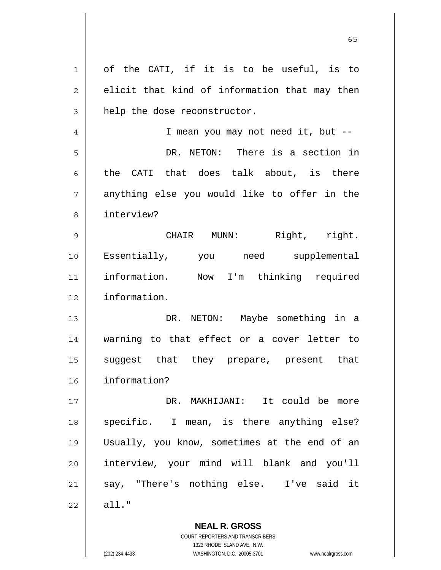|    | <b>NEAL R. GROSS</b>                          |
|----|-----------------------------------------------|
| 22 | $all.$ "                                      |
| 21 | say, "There's nothing else. I've said it      |
| 20 | interview, your mind will blank and you'll    |
| 19 | Usually, you know, sometimes at the end of an |
| 18 | specific. I mean, is there anything else?     |
| 17 | DR. MAKHIJANI: It could be more               |
| 16 | information?                                  |
| 15 | suggest that they prepare, present that       |
| 14 | warning to that effect or a cover letter to   |
| 13 | DR. NETON: Maybe something in a               |
| 12 | information.                                  |
| 11 | information. Now I'm thinking required        |
| 10 | Essentially, you need supplemental            |
| 9  | Right, right.<br>CHAIR MUNN:                  |
| 8  | interview?                                    |
| 7  | anything else you would like to offer in the  |
| 6  | the CATI that does talk about, is there       |
| 5  | DR. NETON: There is a section in              |
| 4  | I mean you may not need it, but --            |
| 3  | help the dose reconstructor.                  |
| 2  | elicit that kind of information that may then |
| 1  | of the CATI, if it is to be useful, is to     |
|    |                                               |

 $\sim$  65

COURT REPORTERS AND TRANSCRIBERS 1323 RHODE ISLAND AVE., N.W.

 $\prod$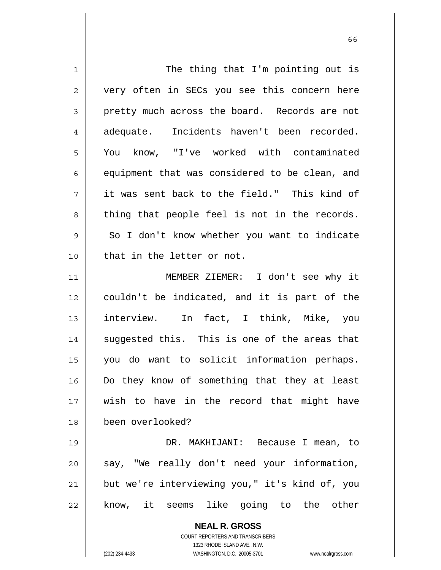| $\mathbf 1$ | The thing that I'm pointing out is                                  |
|-------------|---------------------------------------------------------------------|
| 2           | very often in SECs you see this concern here                        |
| 3           | pretty much across the board. Records are not                       |
| 4           | Incidents haven't been recorded.<br>adequate.                       |
| 5           | You know, "I've worked with contaminated                            |
| 6           | equipment that was considered to be clean, and                      |
| 7           | it was sent back to the field." This kind of                        |
| 8           | thing that people feel is not in the records.                       |
| 9           | So I don't know whether you want to indicate                        |
| 10          | that in the letter or not.                                          |
| 11          | MEMBER ZIEMER: I don't see why it                                   |
| 12          | couldn't be indicated, and it is part of the                        |
| 13          | interview. In fact, I think, Mike, you                              |
| 14          | suggested this. This is one of the areas that                       |
| 15          | you do want to solicit information perhaps.                         |
| 16          | Do they know of something that they at least                        |
| 17          | wish to have in the record that might have                          |
| 18          | been overlooked?                                                    |
| 19          | DR. MAKHIJANI: Because I mean, to                                   |
| 20          | say, "We really don't need your information,                        |
| 21          | but we're interviewing you," it's kind of, you                      |
| 22          | know, it seems like going to the other                              |
|             | <b>NEAL R. GROSS</b>                                                |
|             | <b>COURT REPORTERS AND TRANSCRIBERS</b>                             |
|             | 1323 RHODE ISLAND AVE., N.W.                                        |
|             | (202) 234-4433<br>WASHINGTON, D.C. 20005-3701<br>www.nealrgross.com |

 $\sim$  66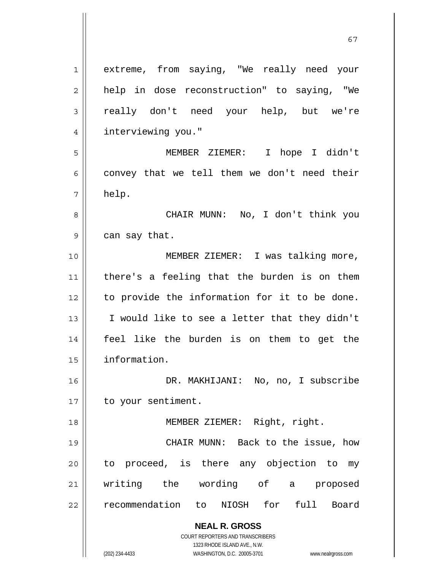**NEAL R. GROSS** COURT REPORTERS AND TRANSCRIBERS 1323 RHODE ISLAND AVE., N.W. (202) 234-4433 WASHINGTON, D.C. 20005-3701 www.nealrgross.com 1 2 3 4 5 6 7 8 9 10 11 12 13 14 15 16 17 18 19 20 21 22 extreme, from saying, "We really need your help in dose reconstruction" to saying, "We really don't need your help, but we're interviewing you." MEMBER ZIEMER: I hope I didn't convey that we tell them we don't need their help. CHAIR MUNN: No, I don't think you can say that. MEMBER ZIEMER: I was talking more, there's a feeling that the burden is on them to provide the information for it to be done. I would like to see a letter that they didn't feel like the burden is on them to get the information. DR. MAKHIJANI: No, no, I subscribe to your sentiment. MEMBER ZIEMER: Right, right. CHAIR MUNN: Back to the issue, how to proceed, is there any objection to my writing the wording of a proposed recommendation to NIOSH for full Board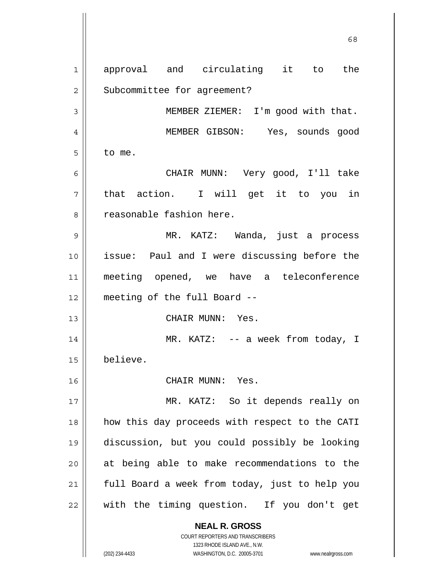**NEAL R. GROSS** COURT REPORTERS AND TRANSCRIBERS  $\sim$  68 1 2 3 4 5 6 7 8 9 10 11 12 13 14 15 16 17 18 19 20 21 22 approval and circulating it to the Subcommittee for agreement? MEMBER ZIEMER: I'm good with that. MEMBER GIBSON: Yes, sounds good to me. CHAIR MUNN: Very good, I'll take that action. I will get it to you in reasonable fashion here. MR. KATZ: Wanda, just a process issue: Paul and I were discussing before the meeting opened, we have a teleconference meeting of the full Board -- CHAIR MUNN: Yes. MR. KATZ: -- a week from today, I believe. CHAIR MUNN: Yes. MR. KATZ: So it depends really on how this day proceeds with respect to the CATI discussion, but you could possibly be looking at being able to make recommendations to the full Board a week from today, just to help you with the timing question. If you don't get

1323 RHODE ISLAND AVE., N.W.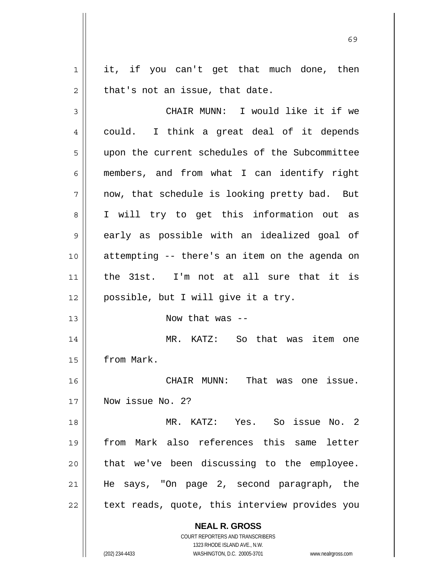1 2 it, if you can't get that much done, then that's not an issue, that date.

**NEAL R. GROSS** COURT REPORTERS AND TRANSCRIBERS 3 4 5 6 7 8 9 10 11 12 13 14 15 16 17 18 19 20 21 22 CHAIR MUNN: I would like it if we could. I think a great deal of it depends upon the current schedules of the Subcommittee members, and from what I can identify right now, that schedule is looking pretty bad. But I will try to get this information out as early as possible with an idealized goal of attempting -- there's an item on the agenda on the 31st. I'm not at all sure that it is possible, but I will give it a try. Now that was -- MR. KATZ: So that was item one from Mark. CHAIR MUNN: That was one issue. Now issue No. 2? MR. KATZ: Yes. So issue No. 2 from Mark also references this same letter that we've been discussing to the employee. He says, "On page 2, second paragraph, the text reads, quote, this interview provides you

1323 RHODE ISLAND AVE., N.W. (202) 234-4433 WASHINGTON, D.C. 20005-3701 www.nealrgross.com

 $\sim$  69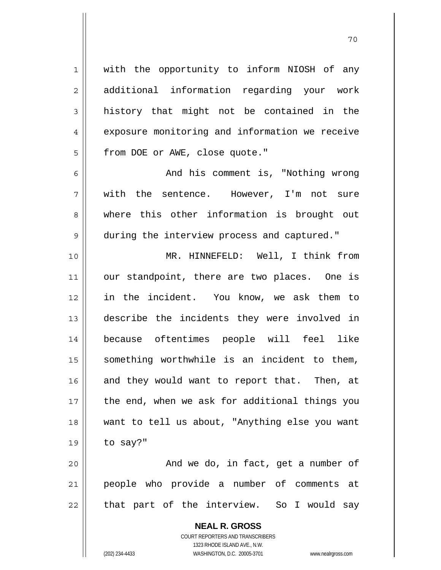with the opportunity to inform NIOSH of any additional information regarding your work history that might not be contained in the exposure monitoring and information we receive from DOE or AWE, close quote."

 And his comment is, "Nothing wrong with the sentence. However, I'm not sure where this other information is brought out during the interview process and captured."

10 11 12 13 14 15 16 17 18 19 MR. HINNEFELD: Well, I think from our standpoint, there are two places. One is in the incident. You know, we ask them to describe the incidents they were involved in because oftentimes people will feel like something worthwhile is an incident to them, and they would want to report that. Then, at the end, when we ask for additional things you want to tell us about, "Anything else you want to say?"

20 21 22 And we do, in fact, get a number of people who provide a number of comments at that part of the interview. So I would say

> **NEAL R. GROSS** COURT REPORTERS AND TRANSCRIBERS 1323 RHODE ISLAND AVE., N.W. (202) 234-4433 WASHINGTON, D.C. 20005-3701 www.nealrgross.com

1

2

3

4

5

6

7

8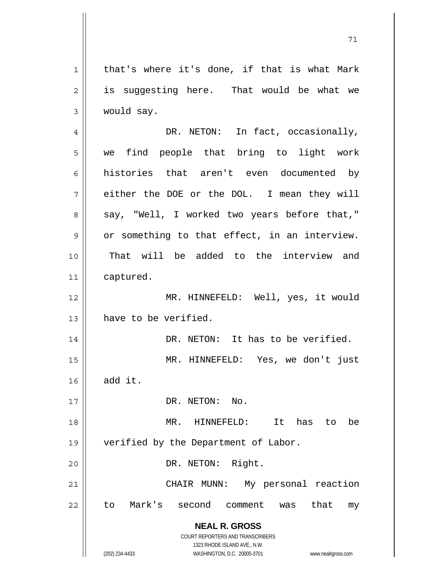1 2 3 4 5 6 7 8 9 10 11 12 13 14 15 16 17 18 19 20 21 22 that's where it's done, if that is what Mark is suggesting here. That would be what we would say. DR. NETON: In fact, occasionally, we find people that bring to light work histories that aren't even documented by either the DOE or the DOL. I mean they will say, "Well, I worked two years before that," or something to that effect, in an interview. That will be added to the interview and captured. MR. HINNEFELD: Well, yes, it would have to be verified. DR. NETON: It has to be verified. MR. HINNEFELD: Yes, we don't just add it. DR. NETON: No. MR. HINNEFELD: It has to be verified by the Department of Labor. DR. NETON: Right. CHAIR MUNN: My personal reaction to Mark's second comment was that my

> **NEAL R. GROSS** COURT REPORTERS AND TRANSCRIBERS

> > 1323 RHODE ISLAND AVE., N.W.

(202) 234-4433 WASHINGTON, D.C. 20005-3701 www.nealrgross.com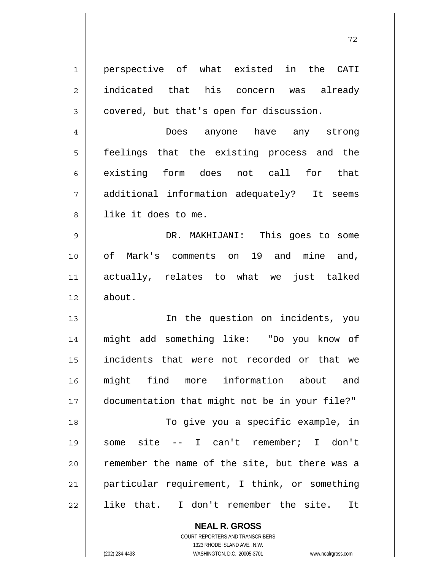| 1  | perspective of what existed in the CATI        |
|----|------------------------------------------------|
| 2  | indicated that his concern was already         |
| 3  | covered, but that's open for discussion.       |
| 4  | Does anyone have any strong                    |
| 5  | feelings that the existing process and the     |
| 6  | existing form does not call for that           |
| 7  | additional information adequately? It seems    |
| 8  | like it does to me.                            |
| 9  | DR. MAKHIJANI: This goes to some               |
| 10 | of Mark's comments on 19 and mine and,         |
| 11 | actually, relates to what we just talked       |
| 12 | about.                                         |
| 13 | In the question on incidents, you              |
| 14 | might add something like: "Do you know of      |
| 15 | incidents that were not recorded or that we    |
| 16 | might find more information about and          |
| 17 | documentation that might not be in your file?" |
| 18 | To give you a specific example, in             |
| 19 | some site -- I can't remember; I don't         |
| 20 | remember the name of the site, but there was a |
| 21 | particular requirement, I think, or something  |
| 22 | like that. I don't remember the site.<br>It    |
|    | <b>NEAL R. GROSS</b>                           |

COURT REPORTERS AND TRANSCRIBERS 1323 RHODE ISLAND AVE., N.W.

 $\mathsf{I}$ 

(202) 234-4433 WASHINGTON, D.C. 20005-3701 www.nealrgross.com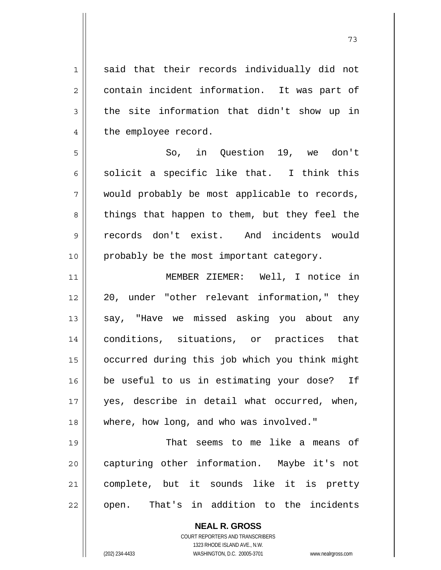said that their records individually did not contain incident information. It was part of the site information that didn't show up in the employee record.

5 6 7 8 9 10 So, in Question 19, we don't solicit a specific like that. I think this would probably be most applicable to records, things that happen to them, but they feel the records don't exist. And incidents would probably be the most important category.

11 12 13 14 15 16 17 18 MEMBER ZIEMER: Well, I notice in 20, under "other relevant information," they say, "Have we missed asking you about any conditions, situations, or practices that occurred during this job which you think might be useful to us in estimating your dose? If yes, describe in detail what occurred, when, where, how long, and who was involved."

19 20 21 22 That seems to me like a means of capturing other information. Maybe it's not complete, but it sounds like it is pretty open. That's in addition to the incidents

> **NEAL R. GROSS** COURT REPORTERS AND TRANSCRIBERS 1323 RHODE ISLAND AVE., N.W. (202) 234-4433 WASHINGTON, D.C. 20005-3701 www.nealrgross.com

1

2

3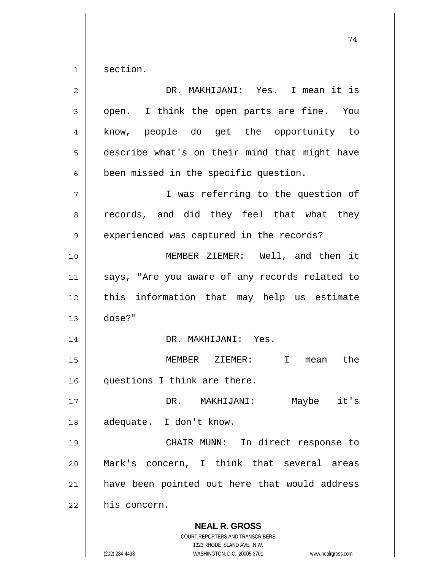1 section.

| $\overline{2}$ | DR. MAKHIJANI: Yes. I mean it is                                |
|----------------|-----------------------------------------------------------------|
| 3              | open. I think the open parts are fine. You                      |
| 4              | know, people do get the opportunity to                          |
| 5              | describe what's on their mind that might have                   |
| 6              | been missed in the specific question.                           |
| 7              | I was referring to the question of                              |
| 8              | records, and did they feel that what they                       |
| 9              | experienced was captured in the records?                        |
| 10             | MEMBER ZIEMER: Well, and then it                                |
| 11             | says, "Are you aware of any records related to                  |
| 12             | this information that may help us estimate                      |
| 13             | dose?"                                                          |
| 14             | DR. MAKHIJANI: Yes.                                             |
| 15             | MEMBER ZIEMER: I<br>the<br>mean                                 |
| 16             | questions I think are there.                                    |
| 17             | it's<br>DR. MAKHIJANI:<br>Maybe                                 |
| 18             | adequate. I don't know.                                         |
| 19             | CHAIR MUNN: In direct response to                               |
| 20             | Mark's concern, I think that several areas                      |
| 21             | have been pointed out here that would address                   |
| 22             | his concern.                                                    |
|                | <b>NEAL R. GROSS</b><br><b>COURT REPORTERS AND TRANSCRIBERS</b> |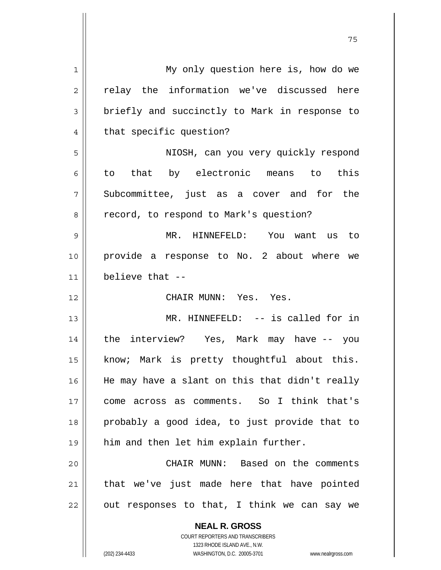| 1  | My only question here is, how do we                                 |
|----|---------------------------------------------------------------------|
| 2  | relay the information we've discussed here                          |
| 3  | briefly and succinctly to Mark in response to                       |
| 4  | that specific question?                                             |
| 5  | NIOSH, can you very quickly respond                                 |
| 6  | to that by electronic means to this                                 |
| 7  | Subcommittee, just as a cover and for the                           |
| 8  | record, to respond to Mark's question?                              |
| 9  | MR. HINNEFELD: You want us<br>to                                    |
| 10 | provide a response to No. 2 about where we                          |
| 11 | believe that --                                                     |
| 12 | CHAIR MUNN: Yes. Yes.                                               |
| 13 | MR. HINNEFELD: -- is called for in                                  |
| 14 | the interview? Yes, Mark may have -- you                            |
| 15 | know; Mark is pretty thoughtful about this.                         |
| 16 | He may have a slant on this that didn't really                      |
| 17 | come across as comments. So I think that's                          |
| 18 | probably a good idea, to just provide that to                       |
| 19 | him and then let him explain further.                               |
| 20 | CHAIR MUNN: Based on the comments                                   |
| 21 | that we've just made here that have pointed                         |
| 22 | out responses to that, I think we can say we                        |
|    |                                                                     |
|    | <b>NEAL R. GROSS</b><br><b>COURT REPORTERS AND TRANSCRIBERS</b>     |
|    | 1323 RHODE ISLAND AVE., N.W.                                        |
|    | (202) 234-4433<br>WASHINGTON, D.C. 20005-3701<br>www.nealrgross.com |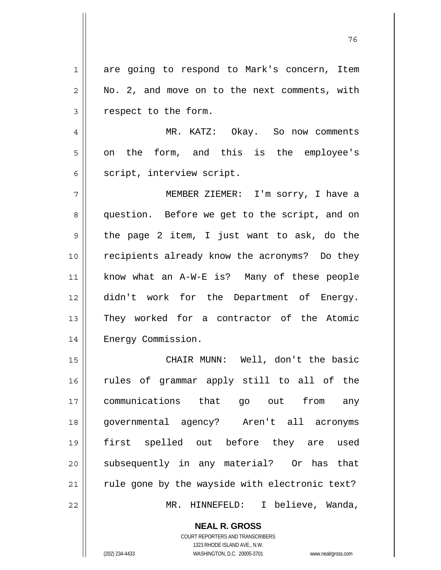1 2 3 are going to respond to Mark's concern, Item No. 2, and move on to the next comments, with respect to the form.

и процесс в политическиот представление в 176 године. В 176 године в 176 године. В 176 године в 176 године в 1<br>В 176 године в 176 године в 176 године в 176 године в 176 године в 176 године в 176 године в 176 године в 176

4 5 6 MR. KATZ: Okay. So now comments on the form, and this is the employee's script, interview script.

7 8 9 10 11 12 13 14 MEMBER ZIEMER: I'm sorry, I have a question. Before we get to the script, and on the page 2 item, I just want to ask, do the recipients already know the acronyms? Do they know what an A-W-E is? Many of these people didn't work for the Department of Energy. They worked for a contractor of the Atomic Energy Commission.

15 16 17 18 19 20 21 22 CHAIR MUNN: Well, don't the basic rules of grammar apply still to all of the communications that go out from any governmental agency? Aren't all acronyms first spelled out before they are used subsequently in any material? Or has that rule gone by the wayside with electronic text? MR. HINNEFELD: I believe, Wanda,

> **NEAL R. GROSS** COURT REPORTERS AND TRANSCRIBERS

1323 RHODE ISLAND AVE., N.W. (202) 234-4433 WASHINGTON, D.C. 20005-3701 www.nealrgross.com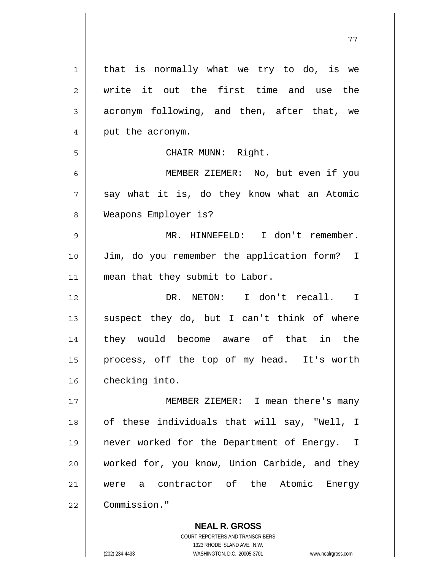| $\mathbf{1}$ | that is normally what we try to do, is we     |
|--------------|-----------------------------------------------|
| 2            | write it out the first time and use the       |
| 3            | acronym following, and then, after that, we   |
| 4            | put the acronym.                              |
| 5            | CHAIR MUNN: Right.                            |
| 6            | MEMBER ZIEMER: No, but even if you            |
| 7            | say what it is, do they know what an Atomic   |
| 8            | Weapons Employer is?                          |
| 9            | MR. HINNEFELD: I don't remember.              |
| 10           | Jim, do you remember the application form? I  |
| 11           | mean that they submit to Labor.               |
| 12           | DR. NETON: I don't recall. I                  |
| 13           | suspect they do, but I can't think of where   |
| 14           | they would become aware of that in the        |
| 15           | process, off the top of my head. It's worth   |
| 16           | checking into.                                |
| 17           | MEMBER ZIEMER: I mean there's many            |
| 18           | of these individuals that will say, "Well, I  |
| 19           | never worked for the Department of Energy. I  |
| 20           | worked for, you know, Union Carbide, and they |
| 21           | were a contractor of the Atomic Energy        |
| 22           | Commission."                                  |
|              |                                               |

77

**NEAL R. GROSS** COURT REPORTERS AND TRANSCRIBERS 1323 RHODE ISLAND AVE., N.W. (202) 234-4433 WASHINGTON, D.C. 20005-3701 www.nealrgross.com

 $\mathbf{I}$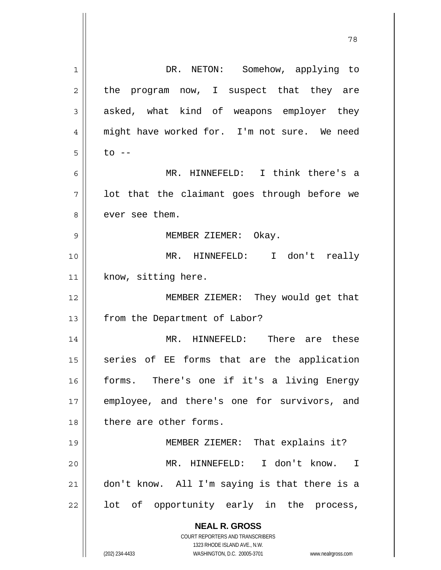| 1  | DR. NETON: Somehow, applying to                                                                     |
|----|-----------------------------------------------------------------------------------------------------|
| 2  | the program now, I suspect that they are                                                            |
| 3  | asked, what kind of weapons employer they                                                           |
| 4  | might have worked for. I'm not sure. We need                                                        |
| 5  | $to$ $-$                                                                                            |
| 6  | MR. HINNEFELD: I think there's a                                                                    |
| 7  | lot that the claimant goes through before we                                                        |
| 8  | ever see them.                                                                                      |
| 9  | MEMBER ZIEMER: Okay.                                                                                |
| 10 | MR. HINNEFELD: I don't really                                                                       |
| 11 | know, sitting here.                                                                                 |
| 12 | MEMBER ZIEMER: They would get that                                                                  |
| 13 | from the Department of Labor?                                                                       |
| 14 | MR. HINNEFELD: There are these                                                                      |
| 15 | series of EE forms that are the application                                                         |
| 16 | forms. There's one if it's a living Energy                                                          |
| 17 | employee, and there's one for survivors, and                                                        |
| 18 | there are other forms.                                                                              |
| 19 | MEMBER ZIEMER: That explains it?                                                                    |
| 20 | MR. HINNEFELD: I don't know. I                                                                      |
| 21 | don't know. All I'm saying is that there is a                                                       |
| 22 | lot of opportunity early in the process,                                                            |
|    | <b>NEAL R. GROSS</b>                                                                                |
|    | <b>COURT REPORTERS AND TRANSCRIBERS</b>                                                             |
|    | 1323 RHODE ISLAND AVE., N.W.<br>(202) 234-4433<br>WASHINGTON, D.C. 20005-3701<br>www.nealrgross.com |

78

 $\mathsf{I}$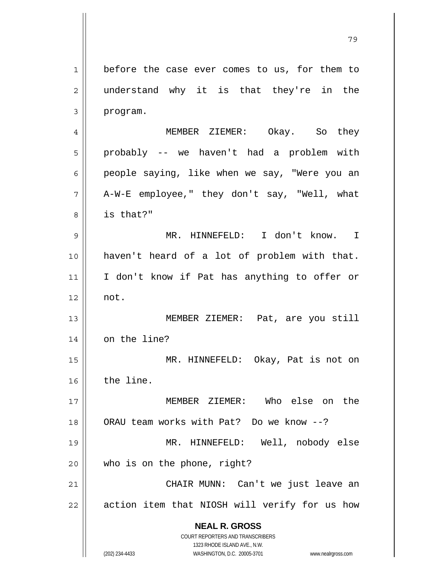**NEAL R. GROSS** COURT REPORTERS AND TRANSCRIBERS 1323 RHODE ISLAND AVE., N.W. 1 2 3 4 5 6 7 8 9 10 11 12 13 14 15 16 17 18 19 20 21 22 before the case ever comes to us, for them to understand why it is that they're in the program. MEMBER ZIEMER: Okay. So they probably -- we haven't had a problem with people saying, like when we say, "Were you an A-W-E employee," they don't say, "Well, what is that?" MR. HINNEFELD: I don't know. I haven't heard of a lot of problem with that. I don't know if Pat has anything to offer or not. MEMBER ZIEMER: Pat, are you still on the line? MR. HINNEFELD: Okay, Pat is not on the line. MEMBER ZIEMER: Who else on the ORAU team works with Pat? Do we know --? MR. HINNEFELD: Well, nobody else who is on the phone, right? CHAIR MUNN: Can't we just leave an action item that NIOSH will verify for us how

79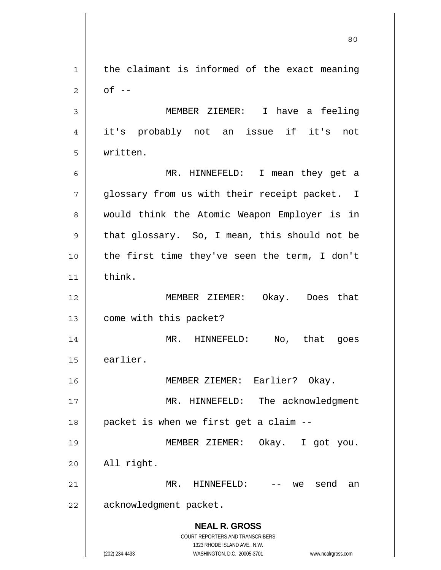**NEAL R. GROSS** COURT REPORTERS AND TRANSCRIBERS 1323 RHODE ISLAND AVE., N.W. (202) 234-4433 WASHINGTON, D.C. 20005-3701 www.nealrgross.com 1 2 3 4 5 6 7 8 9 10 11 12 13 14 15 16 17 18 19 20 21 22 the claimant is informed of the exact meaning  $of$   $-$  MEMBER ZIEMER: I have a feeling it's probably not an issue if it's not written. MR. HINNEFELD: I mean they get a glossary from us with their receipt packet. I would think the Atomic Weapon Employer is in that glossary. So, I mean, this should not be the first time they've seen the term, I don't think. MEMBER ZIEMER: Okay. Does that come with this packet? MR. HINNEFELD: No, that goes earlier. MEMBER ZIEMER: Earlier? Okay. MR. HINNEFELD: The acknowledgment packet is when we first get a claim -- MEMBER ZIEMER: Okay. I got you. All right. MR. HINNEFELD: -- we send an acknowledgment packet.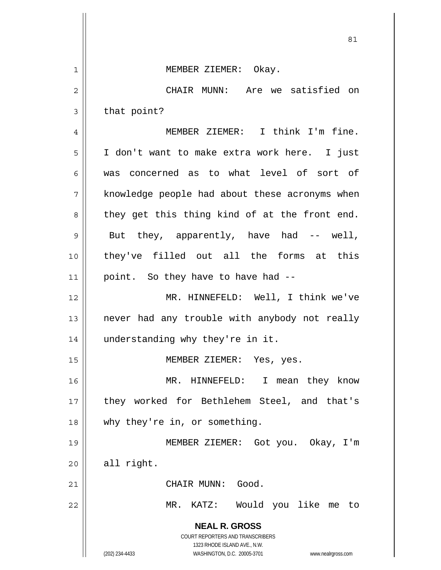**NEAL R. GROSS** COURT REPORTERS AND TRANSCRIBERS 1323 RHODE ISLAND AVE., N.W. (202) 234-4433 WASHINGTON, D.C. 20005-3701 www.nealrgross.com <u>81</u> 1 2 3 4 5 6 7 8 9 10 11 12 13 14 15 16 17 18 19 20 21 22 MEMBER ZIEMER: Okay. CHAIR MUNN: Are we satisfied on that point? MEMBER ZIEMER: I think I'm fine. I don't want to make extra work here. I just was concerned as to what level of sort of knowledge people had about these acronyms when they get this thing kind of at the front end. But they, apparently, have had -- well, they've filled out all the forms at this point. So they have to have had -- MR. HINNEFELD: Well, I think we've never had any trouble with anybody not really understanding why they're in it. MEMBER ZIEMER: Yes, yes. MR. HINNEFELD: I mean they know they worked for Bethlehem Steel, and that's why they're in, or something. MEMBER ZIEMER: Got you. Okay, I'm all right. CHAIR MUNN: Good. MR. KATZ: Would you like me to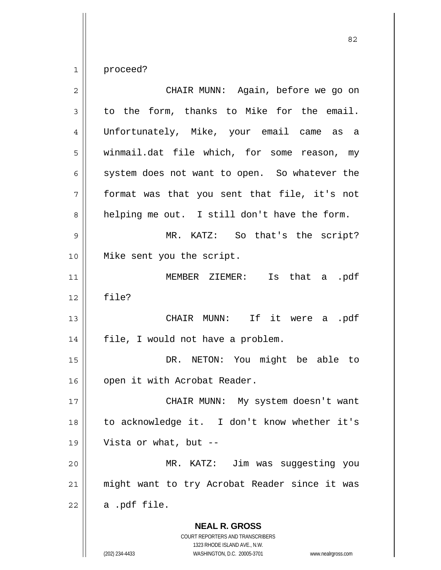1 proceed?

| $\overline{2}$ | CHAIR MUNN: Again, before we go on            |
|----------------|-----------------------------------------------|
| 3              | to the form, thanks to Mike for the email.    |
| 4              | Unfortunately, Mike, your email came as a     |
| 5              | winmail.dat file which, for some reason, my   |
| 6              | system does not want to open. So whatever the |
| 7              | format was that you sent that file, it's not  |
| 8              | helping me out. I still don't have the form.  |
| 9              | MR. KATZ: So that's the script?               |
| 10             | Mike sent you the script.                     |
| 11             | MEMBER ZIEMER: Is that a .pdf                 |
| 12             | file?                                         |
| 13             | CHAIR MUNN: If it were a .pdf                 |
| 14             | file, I would not have a problem.             |
| 15             | DR. NETON: You might be able to               |
| 16             | open it with Acrobat Reader.                  |
| 17             | CHAIR MUNN: My system doesn't want            |
| 18             | to acknowledge it. I don't know whether it's  |
| 19             | Vista or what, but --                         |
| 20             | MR. KATZ: Jim was suggesting you              |
| 21             | might want to try Acrobat Reader since it was |
| 22             | a .pdf file.                                  |
|                | <b>NEAL R. GROSS</b>                          |

COURT REPORTERS AND TRANSCRIBERS 1323 RHODE ISLAND AVE., N.W.

 $\prod$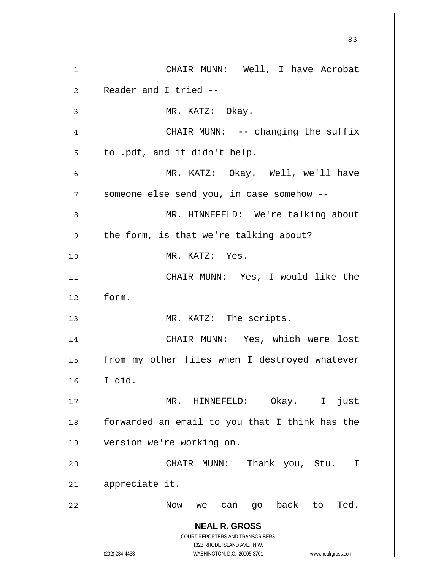**NEAL R. GROSS** COURT REPORTERS AND TRANSCRIBERS 1323 RHODE ISLAND AVE., N.W. (202) 234-4433 WASHINGTON, D.C. 20005-3701 www.nealrgross.com <u>83</u> 1 2 3 4 5 6 7 8 9 10 11 12 13 14 15 16 17 18 19 20 21 22 CHAIR MUNN: Well, I have Acrobat Reader and I tried -- MR. KATZ: Okay. CHAIR MUNN: -- changing the suffix to .pdf, and it didn't help. MR. KATZ: Okay. Well, we'll have someone else send you, in case somehow -- MR. HINNEFELD: We're talking about the form, is that we're talking about? MR. KATZ: Yes. CHAIR MUNN: Yes, I would like the form. MR. KATZ: The scripts. CHAIR MUNN: Yes, which were lost from my other files when I destroyed whatever I did. MR. HINNEFELD: Okay. I just forwarded an email to you that I think has the version we're working on. CHAIR MUNN: Thank you, Stu. I appreciate it. Now we can go back to Ted.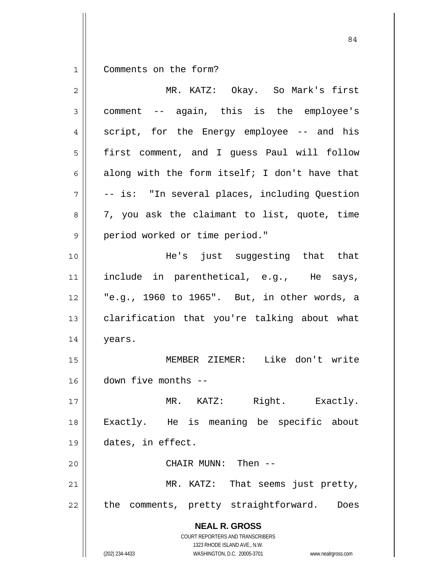1 Comments on the form?

| $\overline{2}$ | MR. KATZ: Okay. So Mark's first                                                                                                                                 |
|----------------|-----------------------------------------------------------------------------------------------------------------------------------------------------------------|
| 3              | comment -- again, this is the employee's                                                                                                                        |
| 4              | script, for the Energy employee -- and his                                                                                                                      |
| 5              | first comment, and I guess Paul will follow                                                                                                                     |
| 6              | along with the form itself; I don't have that                                                                                                                   |
| 7              | -- is: "In several places, including Question                                                                                                                   |
| 8              | 7, you ask the claimant to list, quote, time                                                                                                                    |
| 9              | period worked or time period."                                                                                                                                  |
| 10             | He's just suggesting that that                                                                                                                                  |
| 11             | include in parenthetical, e.g., He says,                                                                                                                        |
| 12             | "e.g., 1960 to 1965". But, in other words, a                                                                                                                    |
| 13             | clarification that you're talking about what                                                                                                                    |
| 14             | years.                                                                                                                                                          |
| 15             | MEMBER ZIEMER: Like don't write                                                                                                                                 |
| 16             | down five months --                                                                                                                                             |
| 17             | MR. KATZ:<br>Right. Exactly.                                                                                                                                    |
| 18             | Exactly. He is meaning be specific about                                                                                                                        |
| 19             | dates, in effect.                                                                                                                                               |
| 20             | CHAIR MUNN: Then --                                                                                                                                             |
| 21             | MR. KATZ: That seems just pretty,                                                                                                                               |
| 22             | comments, pretty straightforward.<br>the<br>Does                                                                                                                |
|                | <b>NEAL R. GROSS</b><br>COURT REPORTERS AND TRANSCRIBERS<br>1323 RHODE ISLAND AVE., N.W.<br>(202) 234-4433<br>WASHINGTON, D.C. 20005-3701<br>www.nealrgross.com |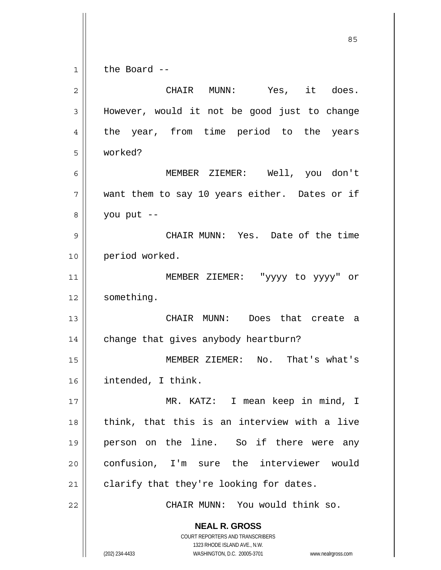**NEAL R. GROSS** COURT REPORTERS AND TRANSCRIBERS 1323 RHODE ISLAND AVE., N.W. (202) 234-4433 WASHINGTON, D.C. 20005-3701 www.nealrgross.com <u>85 and 2001 and 2001 and 2001 and 2001 and 2001 and 2001 and 2001 and 2001 and 2001 and 2001 and 2001 and 200</u> 1 2 3 4 5 6 7 8 9 10 11 12 13 14 15 16 17 18 19 20 21 22 the Board -- CHAIR MUNN: Yes, it does. However, would it not be good just to change the year, from time period to the years worked? MEMBER ZIEMER: Well, you don't want them to say 10 years either. Dates or if you put -- CHAIR MUNN: Yes. Date of the time period worked. MEMBER ZIEMER: "yyyy to yyyy" or something. CHAIR MUNN: Does that create a change that gives anybody heartburn? MEMBER ZIEMER: No. That's what's intended, I think. MR. KATZ: I mean keep in mind, I think, that this is an interview with a live person on the line. So if there were any confusion, I'm sure the interviewer would clarify that they're looking for dates. CHAIR MUNN: You would think so.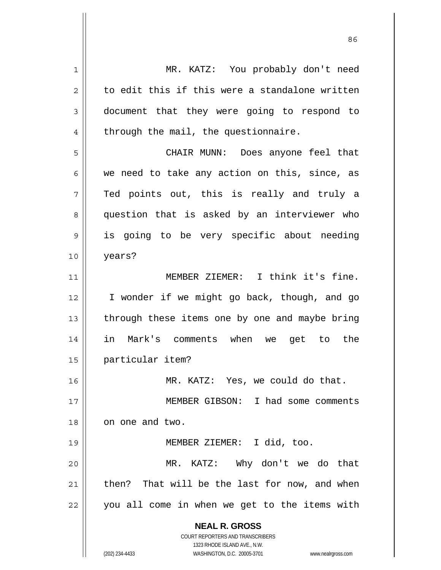**NEAL R. GROSS** COURT REPORTERS AND TRANSCRIBERS 1323 RHODE ISLAND AVE., N.W. 1 2 3 4 5 6 7 8 9 10 11 12 13 14 15 16 17 18 19 20 21 22 MR. KATZ: You probably don't need to edit this if this were a standalone written document that they were going to respond to through the mail, the questionnaire. CHAIR MUNN: Does anyone feel that we need to take any action on this, since, as Ted points out, this is really and truly a question that is asked by an interviewer who is going to be very specific about needing years? MEMBER ZIEMER: I think it's fine. I wonder if we might go back, though, and go through these items one by one and maybe bring in Mark's comments when we get to the particular item? MR. KATZ: Yes, we could do that. MEMBER GIBSON: I had some comments on one and two. MEMBER ZIEMER: I did, too. MR. KATZ: Why don't we do that then? That will be the last for now, and when you all come in when we get to the items with

<u>86 and 2001 and 2002 and 2003 and 2003 and 2003 and 2003 and 2003 and 2003 and 2003 and 2003 and 2003 and 200</u>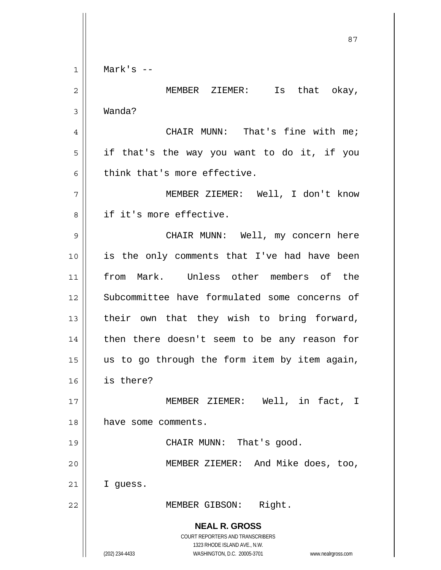**NEAL R. GROSS** COURT REPORTERS AND TRANSCRIBERS 1323 RHODE ISLAND AVE., N.W. <u>87 and 2014 and 2014 and 2014 and 2014 and 2014 and 2014 and 2014 and 2014 and 2014 and 2014 and 2014 and 201</u> 1 2 3 4 5 6 7 8 9 10 11 12 13 14 15 16 17 18 19 20 21 22 Mark's -- MEMBER ZIEMER: Is that okay, Wanda? CHAIR MUNN: That's fine with me; if that's the way you want to do it, if you think that's more effective. MEMBER ZIEMER: Well, I don't know if it's more effective. CHAIR MUNN: Well, my concern here is the only comments that I've had have been from Mark. Unless other members of the Subcommittee have formulated some concerns of their own that they wish to bring forward, then there doesn't seem to be any reason for us to go through the form item by item again, is there? MEMBER ZIEMER: Well, in fact, I have some comments. CHAIR MUNN: That's good. MEMBER ZIEMER: And Mike does, too, I guess. MEMBER GIBSON: Right.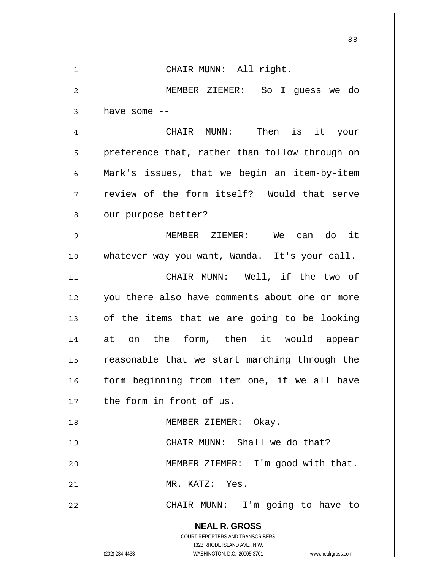**NEAL R. GROSS** COURT REPORTERS AND TRANSCRIBERS 1323 RHODE ISLAND AVE., N.W. 88 1 2 3 4 5 6 7 8 9 10 11 12 13 14 15 16 17 18 19 20 21 22 CHAIR MUNN: All right. MEMBER ZIEMER: So I guess we do have some -- CHAIR MUNN: Then is it your preference that, rather than follow through on Mark's issues, that we begin an item-by-item review of the form itself? Would that serve our purpose better? MEMBER ZIEMER: We can do it whatever way you want, Wanda. It's your call. CHAIR MUNN: Well, if the two of you there also have comments about one or more of the items that we are going to be looking at on the form, then it would appear reasonable that we start marching through the form beginning from item one, if we all have the form in front of us. MEMBER ZIEMER: Okay. CHAIR MUNN: Shall we do that? MEMBER ZIEMER: I'm good with that. MR. KATZ: Yes. CHAIR MUNN: I'm going to have to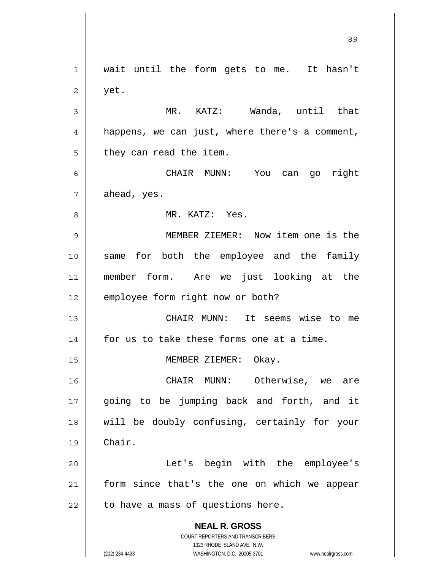**NEAL R. GROSS** COURT REPORTERS AND TRANSCRIBERS 1323 RHODE ISLAND AVE., N.W. (202) 234-4433 WASHINGTON, D.C. 20005-3701 www.nealrgross.com 1 2 3 4 5 6 7 8 9 10 11 12 13 14 15 16 17 18 19 20 21 22 wait until the form gets to me. It hasn't yet. MR. KATZ: Wanda, until that happens, we can just, where there's a comment, they can read the item. CHAIR MUNN: You can go right ahead, yes. MR. KATZ: Yes. MEMBER ZIEMER: Now item one is the same for both the employee and the family member form. Are we just looking at the employee form right now or both? CHAIR MUNN: It seems wise to me for us to take these forms one at a time. MEMBER ZIEMER: Okay. CHAIR MUNN: Otherwise, we are going to be jumping back and forth, and it will be doubly confusing, certainly for your Chair. Let's begin with the employee's form since that's the one on which we appear to have a mass of questions here.

<u>89 and 2001 and 2002 and 2003 and 2003 and 2003 and 2003 and 2003 and 2003 and 2003 and 2003 and 2003 and 200</u>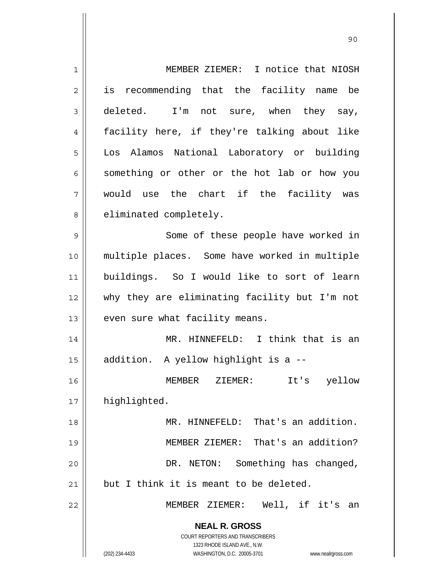| 1  | MEMBER ZIEMER: I notice that NIOSH                                  |
|----|---------------------------------------------------------------------|
| 2  | is recommending that the facility name be                           |
| 3  | deleted. I'm not sure, when they say,                               |
| 4  | facility here, if they're talking about like                        |
| 5  | Los Alamos National Laboratory or building                          |
| 6  | something or other or the hot lab or how you                        |
| 7  | would use the chart if the facility was                             |
| 8  | eliminated completely.                                              |
| 9  | Some of these people have worked in                                 |
| 10 | multiple places. Some have worked in multiple                       |
| 11 | buildings. So I would like to sort of learn                         |
| 12 | why they are eliminating facility but I'm not                       |
| 13 | even sure what facility means.                                      |
| 14 | MR. HINNEFELD: I think that is an                                   |
| 15 | addition. A yellow highlight is a --                                |
| 16 | It's<br>yellow<br>MEMBER<br>ZIEMER:                                 |
| 17 | highlighted.                                                        |
| 18 | MR. HINNEFELD: That's an addition.                                  |
| 19 | MEMBER ZIEMER: That's an addition?                                  |
| 20 | DR. NETON: Something has changed,                                   |
| 21 | but I think it is meant to be deleted.                              |
| 22 | MEMBER ZIEMER: Well, if it's an                                     |
|    |                                                                     |
|    | <b>NEAL R. GROSS</b><br>COURT REPORTERS AND TRANSCRIBERS            |
|    | 1323 RHODE ISLAND AVE., N.W.                                        |
|    | (202) 234-4433<br>WASHINGTON, D.C. 20005-3701<br>www.nealrgross.com |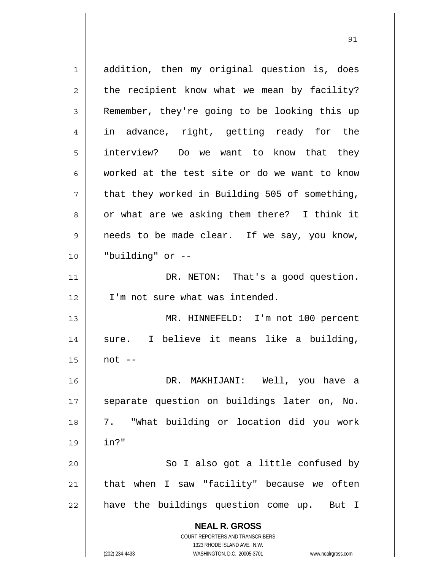**NEAL R. GROSS** COURT REPORTERS AND TRANSCRIBERS 1323 RHODE ISLAND AVE., N.W. 1 2 3 4 5 6 7 8 9 10 11 12 13 14 15 16 17 18 19 20 21 22 addition, then my original question is, does the recipient know what we mean by facility? Remember, they're going to be looking this up in advance, right, getting ready for the interview? Do we want to know that they worked at the test site or do we want to know that they worked in Building 505 of something, or what are we asking them there? I think it needs to be made clear. If we say, you know, "building" or -- DR. NETON: That's a good question. I'm not sure what was intended. MR. HINNEFELD: I'm not 100 percent sure. I believe it means like a building, not -- DR. MAKHIJANI: Well, you have a separate question on buildings later on, No. 7. "What building or location did you work in?" So I also got a little confused by that when I saw "facility" because we often have the buildings question come up. But I

<u>91</u>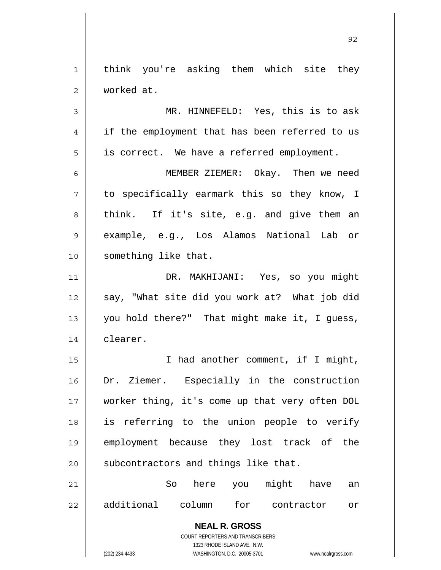**NEAL R. GROSS** COURT REPORTERS AND TRANSCRIBERS 1 2 3 4 5 6 7 8 9 10 11 12 13 14 15 16 17 18 19 20 21 22 think you're asking them which site they worked at. MR. HINNEFELD: Yes, this is to ask if the employment that has been referred to us is correct. We have a referred employment. MEMBER ZIEMER: Okay. Then we need to specifically earmark this so they know, I think. If it's site, e.g. and give them an example, e.g., Los Alamos National Lab or something like that. DR. MAKHIJANI: Yes, so you might say, "What site did you work at? What job did you hold there?" That might make it, I guess, clearer. I had another comment, if I might, Dr. Ziemer. Especially in the construction worker thing, it's come up that very often DOL is referring to the union people to verify employment because they lost track of the subcontractors and things like that. So here you might have an additional column for contractor or

1323 RHODE ISLAND AVE., N.W.

<u>92 and 2014 and 2014 and 2014 and 2014 and 2014 and 2014 and 2014 and 2014 and 2014 and 2014 and 2014 and 201</u>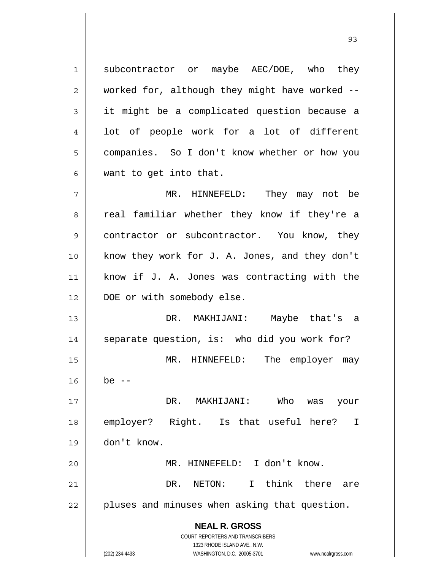**NEAL R. GROSS** COURT REPORTERS AND TRANSCRIBERS 1323 RHODE ISLAND AVE., N.W. (202) 234-4433 WASHINGTON, D.C. 20005-3701 www.nealrgross.com 1 2 3 4 5 6 7 8 9 10 11 12 13 14 15 16 17 18 19 20 21 22 subcontractor or maybe AEC/DOE, who they worked for, although they might have worked - it might be a complicated question because a lot of people work for a lot of different companies. So I don't know whether or how you want to get into that. MR. HINNEFELD: They may not be real familiar whether they know if they're a contractor or subcontractor. You know, they know they work for J. A. Jones, and they don't know if J. A. Jones was contracting with the DOE or with somebody else. DR. MAKHIJANI: Maybe that's a separate question, is: who did you work for? MR. HINNEFELD: The employer may be  $--$  DR. MAKHIJANI: Who was your employer? Right. Is that useful here? I don't know. MR. HINNEFELD: I don't know. DR. NETON: I think there are pluses and minuses when asking that question.

<u>93 and 200 and 200 and 200 and 200 and 200 and 200 and 200 and 200 and 200 and 200 and 200 and 200 and 200 an</u>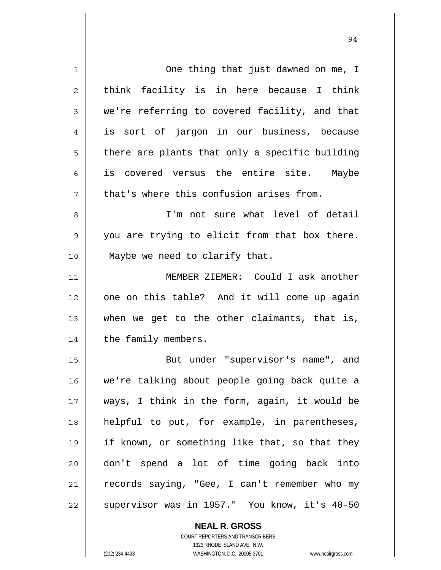| $\mathbf{1}$   | One thing that just dawned on me, I            |
|----------------|------------------------------------------------|
| $\overline{c}$ | think facility is in here because I think      |
| $\mathfrak{Z}$ | we're referring to covered facility, and that  |
| 4              | is sort of jargon in our business, because     |
| 5              | there are plants that only a specific building |
| 6              | is covered versus the entire site. Maybe       |
| 7              | that's where this confusion arises from.       |
| 8              | I'm not sure what level of detail              |
| 9              | you are trying to elicit from that box there.  |
| 10             | Maybe we need to clarify that.                 |
| 11             | MEMBER ZIEMER: Could I ask another             |
| 12             | one on this table? And it will come up again   |
| 13             | when we get to the other claimants, that is,   |
| 14             | the family members.                            |
| 15             | But under "supervisor's name", and             |
| 16             | we're talking about people going back quite a  |
| 17             | ways, I think in the form, again, it would be  |
| 18             | helpful to put, for example, in parentheses,   |
| 19             | if known, or something like that, so that they |
| 20             | don't spend a lot of time going back into      |
| 21             | records saying, "Gee, I can't remember who my  |
| 22             | supervisor was in 1957." You know, it's 40-50  |

COURT REPORTERS AND TRANSCRIBERS 1323 RHODE ISLAND AVE., N.W. (202) 234-4433 WASHINGTON, D.C. 20005-3701 www.nealrgross.com

**NEAL R. GROSS**

 $\mathsf{I}$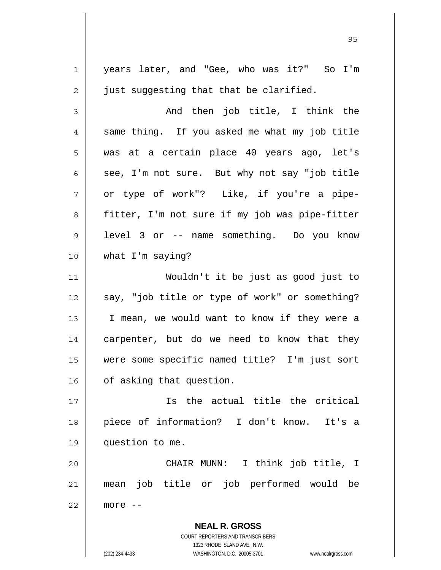**NEAL R. GROSS** COURT REPORTERS AND TRANSCRIBERS 1 2 3 4 5 6 7 8 9 10 11 12 13 14 15 16 17 18 19 20 21 22 years later, and "Gee, who was it?" So I'm just suggesting that that be clarified. And then job title, I think the same thing. If you asked me what my job title was at a certain place 40 years ago, let's see, I'm not sure. But why not say "job title or type of work"? Like, if you're a pipefitter, I'm not sure if my job was pipe-fitter level 3 or -- name something. Do you know what I'm saying? Wouldn't it be just as good just to say, "job title or type of work" or something? I mean, we would want to know if they were a carpenter, but do we need to know that they were some specific named title? I'm just sort of asking that question. Is the actual title the critical piece of information? I don't know. It's a question to me. CHAIR MUNN: I think job title, I mean job title or job performed would be more --

<u>95 and 2001 and 2001 and 2001 and 2001 and 2001 and 2001 and 2001 and 2001 and 2001 and 2001 and 2001 and 200</u>

1323 RHODE ISLAND AVE., N.W.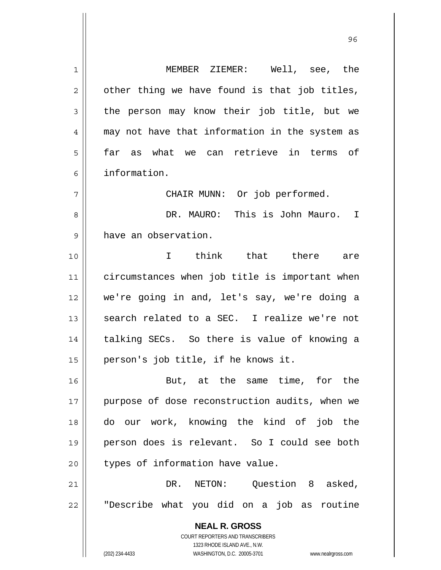**NEAL R. GROSS** COURT REPORTERS AND TRANSCRIBERS 1323 RHODE ISLAND AVE., N.W. 1 2 3 4 5 6 7 8 9 10 11 12 13 14 15 16 17 18 19 20 21 22 MEMBER ZIEMER: Well, see, the other thing we have found is that job titles, the person may know their job title, but we may not have that information in the system as far as what we can retrieve in terms of information. CHAIR MUNN: Or job performed. DR. MAURO: This is John Mauro. I have an observation. I think that there are circumstances when job title is important when we're going in and, let's say, we're doing a search related to a SEC. I realize we're not talking SECs. So there is value of knowing a person's job title, if he knows it. But, at the same time, for the purpose of dose reconstruction audits, when we do our work, knowing the kind of job the person does is relevant. So I could see both types of information have value. DR. NETON: Ouestion 8 asked, "Describe what you did on a job as routine

<u>96 and 200 million and 200 million and 200 million and 200 million and 200 million and 200 million and 200 million and 200 million and 200 million and 200 million and 200 million and 200 million and 200 million and 200 mi</u>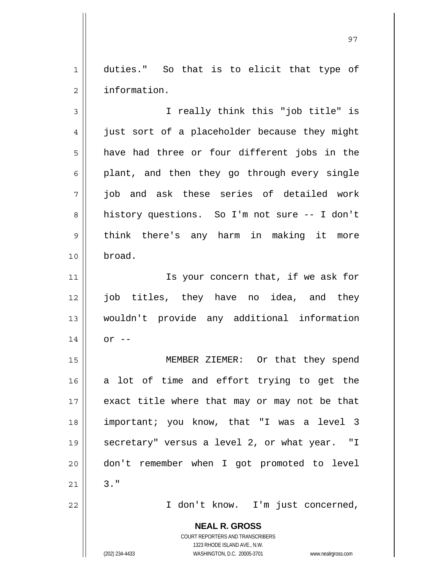1 2 duties." So that is to elicit that type of information.

3 4 5 6 7 8 9 10 I really think this "job title" is just sort of a placeholder because they might have had three or four different jobs in the plant, and then they go through every single job and ask these series of detailed work history questions. So I'm not sure -- I don't think there's any harm in making it more broad.

 Is your concern that, if we ask for job titles, they have no idea, and they wouldn't provide any additional information  $or$   $--$ 

15 16 17 18 19 20 21 MEMBER ZIEMER: Or that they spend a lot of time and effort trying to get the exact title where that may or may not be that important; you know, that "I was a level 3 secretary" versus a level 2, or what year. "I don't remember when I got promoted to level 3."

I don't know. I'm just concerned,

**NEAL R. GROSS** COURT REPORTERS AND TRANSCRIBERS

1323 RHODE ISLAND AVE., N.W.

(202) 234-4433 WASHINGTON, D.C. 20005-3701 www.nealrgross.com

11

12

13

14

22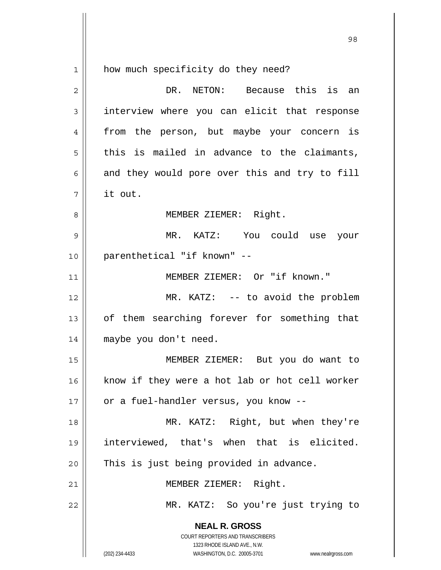$1$ 

how much specificity do they need?

| 2  | DR. NETON: Because this is an                                                                                                                                   |
|----|-----------------------------------------------------------------------------------------------------------------------------------------------------------------|
| 3  | interview where you can elicit that response                                                                                                                    |
| 4  | from the person, but maybe your concern is                                                                                                                      |
| 5  | this is mailed in advance to the claimants,                                                                                                                     |
| 6  | and they would pore over this and try to fill                                                                                                                   |
| 7  | it out.                                                                                                                                                         |
| 8  | MEMBER ZIEMER: Right.                                                                                                                                           |
| 9  | MR. KATZ: You could use your                                                                                                                                    |
| 10 | parenthetical "if known" --                                                                                                                                     |
| 11 | MEMBER ZIEMER: Or "if known."                                                                                                                                   |
| 12 | MR. KATZ: -- to avoid the problem                                                                                                                               |
| 13 | of them searching forever for something that                                                                                                                    |
| 14 | maybe you don't need.                                                                                                                                           |
| 15 | MEMBER ZIEMER: But you do want to                                                                                                                               |
| 16 | know if they were a hot lab or hot cell worker                                                                                                                  |
| 17 | or a fuel-handler versus, you know --                                                                                                                           |
| 18 | MR. KATZ: Right, but when they're                                                                                                                               |
| 19 | interviewed, that's when that is elicited.                                                                                                                      |
| 20 | This is just being provided in advance.                                                                                                                         |
| 21 | MEMBER ZIEMER: Right.                                                                                                                                           |
| 22 | MR. KATZ: So you're just trying to                                                                                                                              |
|    | <b>NEAL R. GROSS</b><br>COURT REPORTERS AND TRANSCRIBERS<br>1323 RHODE ISLAND AVE., N.W.<br>(202) 234-4433<br>WASHINGTON, D.C. 20005-3701<br>www.nealrgross.com |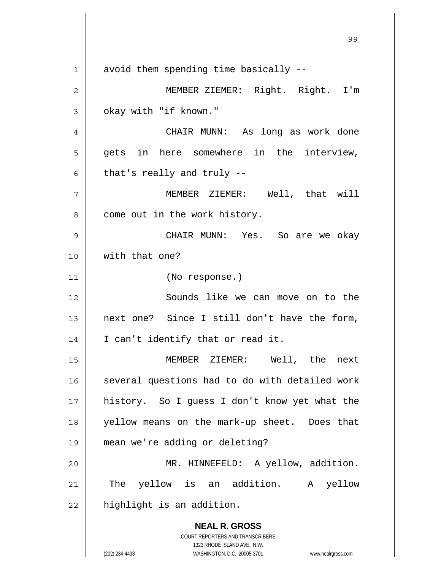**NEAL R. GROSS** COURT REPORTERS AND TRANSCRIBERS 99 - Paul Barbara, poeta e a contra de 1999 - Paul Barbara, español de 1999 - Paul Barbara, español de 1999 -<br>1990 - Paul Barbara, poeta español de 1990 - Paul Barbara, español de 1990 - Paul Barbara, español de 1990 -1 2 3 4 5 6 7 8 9 10 11 12 13 14 15 16 17 18 19 20 21 22 avoid them spending time basically -- MEMBER ZIEMER: Right. Right. I'm okay with "if known." CHAIR MUNN: As long as work done gets in here somewhere in the interview, that's really and truly -- MEMBER ZIEMER: Well, that will come out in the work history. CHAIR MUNN: Yes. So are we okay with that one? (No response.) Sounds like we can move on to the next one? Since I still don't have the form, I can't identify that or read it. MEMBER ZIEMER: Well, the next several questions had to do with detailed work history. So I guess I don't know yet what the yellow means on the mark-up sheet. Does that mean we're adding or deleting? MR. HINNEFELD: A yellow, addition. The yellow is an addition. A yellow highlight is an addition.

1323 RHODE ISLAND AVE., N.W.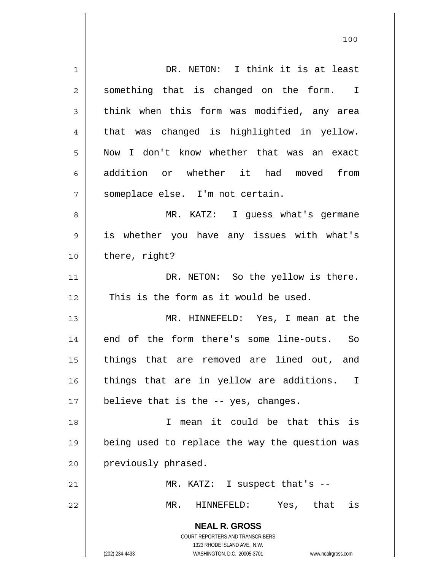**NEAL R. GROSS** COURT REPORTERS AND TRANSCRIBERS 1323 RHODE ISLAND AVE., N.W. (202) 234-4433 WASHINGTON, D.C. 20005-3701 www.nealrgross.com 1 2 3 4 5 6 7 8 9 10 11 12 13 14 15 16 17 18 19 20 21 22 DR. NETON: I think it is at least something that is changed on the form. I think when this form was modified, any area that was changed is highlighted in yellow. Now I don't know whether that was an exact addition or whether it had moved from someplace else. I'm not certain. MR. KATZ: I guess what's germane is whether you have any issues with what's there, right? DR. NETON: So the yellow is there. This is the form as it would be used. MR. HINNEFELD: Yes, I mean at the end of the form there's some line-outs. So things that are removed are lined out, and things that are in yellow are additions. I believe that is the -- yes, changes. I mean it could be that this is being used to replace the way the question was previously phrased. MR. KATZ: I suspect that's -- MR. HINNEFELD: Yes, that is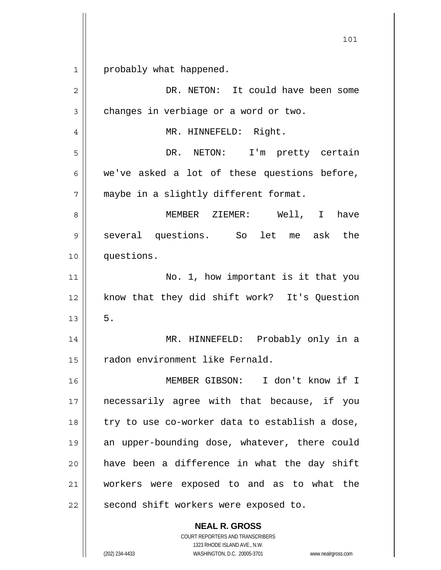1 probably what happened.

| $\overline{2}$ | DR. NETON: It could have been some             |
|----------------|------------------------------------------------|
| 3              | changes in verbiage or a word or two.          |
| 4              | MR. HINNEFELD: Right.                          |
| 5              | DR. NETON: I'm pretty certain                  |
| 6              | we've asked a lot of these questions before,   |
| 7              | maybe in a slightly different format.          |
| 8              | MEMBER ZIEMER: Well, I<br>have                 |
| 9              | several questions. So let me ask the           |
| 10             | questions.                                     |
| 11             | No. 1, how important is it that you            |
| 12             | know that they did shift work? It's Question   |
| 13             | 5.                                             |
| 14             | MR. HINNEFELD: Probably only in a              |
| 15             | radon environment like Fernald.                |
| 16             | MEMBER GIBSON: I don't know if I               |
| 17             | necessarily agree with that because, if you    |
| 18             | try to use co-worker data to establish a dose, |
| 19             | an upper-bounding dose, whatever, there could  |
| 20             | have been a difference in what the day shift   |
| 21             | workers were exposed to and as to what the     |
| 22             | second shift workers were exposed to.          |
|                | <b>NEAL R. GROSS</b>                           |

1323 RHODE ISLAND AVE., N.W. (202) 234-4433 WASHINGTON, D.C. 20005-3701 www.nealrgross.com

COURT REPORTERS AND TRANSCRIBERS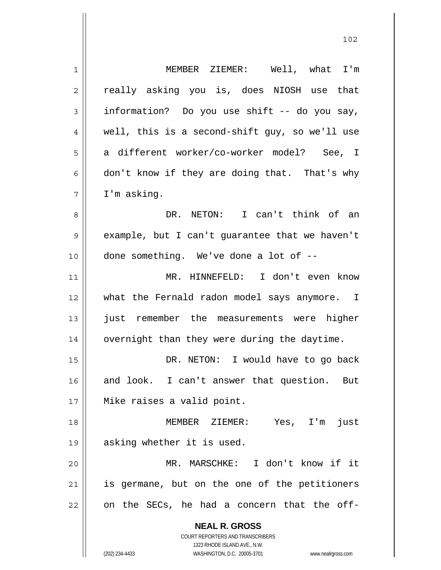**NEAL R. GROSS** COURT REPORTERS AND TRANSCRIBERS 1323 RHODE ISLAND AVE., N.W. (202) 234-4433 WASHINGTON, D.C. 20005-3701 www.nealrgross.com 1 2 3 4 5 6 7 8 9 10 11 12 13 14 15 16 17 18 19 20 21 22 MEMBER ZIEMER: Well, what I'm really asking you is, does NIOSH use that information? Do you use shift -- do you say, well, this is a second-shift guy, so we'll use a different worker/co-worker model? See, I don't know if they are doing that. That's why I'm asking. DR. NETON: I can't think of an example, but I can't guarantee that we haven't done something. We've done a lot of -- MR. HINNEFELD: I don't even know what the Fernald radon model says anymore. I just remember the measurements were higher overnight than they were during the daytime. DR. NETON: I would have to go back and look. I can't answer that question. But Mike raises a valid point. MEMBER ZIEMER: Yes, I'm just asking whether it is used. MR. MARSCHKE: I don't know if it is germane, but on the one of the petitioners on the SECs, he had a concern that the off-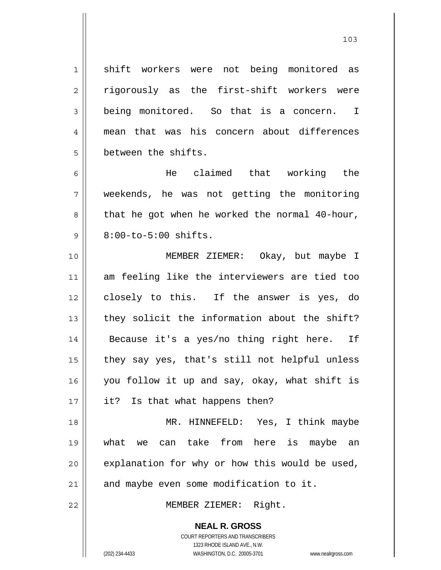shift workers were not being monitored as rigorously as the first-shift workers were being monitored. So that is a concern. I mean that was his concern about differences between the shifts.

1

2

3

4

5

6

7

8

9

22

 He claimed that working the weekends, he was not getting the monitoring that he got when he worked the normal 40-hour, 8:00-to-5:00 shifts.

10 11 12 13 14 15 16 17 MEMBER ZIEMER: Okay, but maybe I am feeling like the interviewers are tied too closely to this. If the answer is yes, do they solicit the information about the shift? Because it's a yes/no thing right here. If they say yes, that's still not helpful unless you follow it up and say, okay, what shift is it? Is that what happens then?

18 19 20 21 MR. HINNEFELD: Yes, I think maybe what we can take from here is maybe an explanation for why or how this would be used, and maybe even some modification to it.

MEMBER ZIEMER: Right.

**NEAL R. GROSS** COURT REPORTERS AND TRANSCRIBERS

1323 RHODE ISLAND AVE., N.W.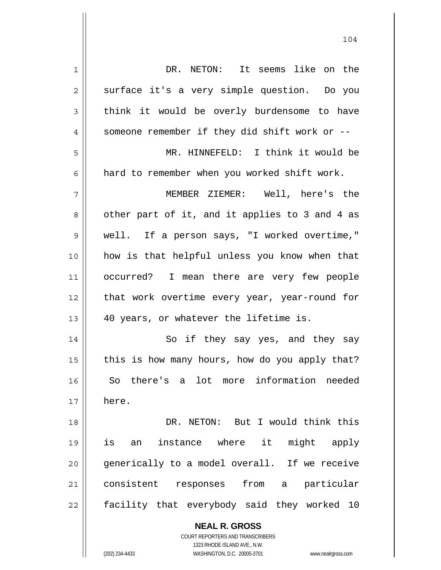| 1  | DR. NETON: It seems like on the                                     |
|----|---------------------------------------------------------------------|
| 2  | surface it's a very simple question. Do you                         |
| 3  | think it would be overly burdensome to have                         |
| 4  | someone remember if they did shift work or --                       |
| 5  | MR. HINNEFELD: I think it would be                                  |
| 6  | hard to remember when you worked shift work.                        |
| 7  | MEMBER ZIEMER: Well, here's the                                     |
| 8  | other part of it, and it applies to 3 and 4 as                      |
| 9  | well. If a person says, "I worked overtime,"                        |
| 10 | how is that helpful unless you know when that                       |
| 11 | occurred? I mean there are very few people                          |
| 12 | that work overtime every year, year-round for                       |
| 13 | 40 years, or whatever the lifetime is.                              |
| 14 | So if they say yes, and they say                                    |
| 15 | this is how many hours, how do you apply that?                      |
| 16 | So there's a lot more information needed                            |
| 17 | here.                                                               |
| 18 | DR. NETON: But I would think this                                   |
| 19 | instance where it<br>might apply<br>is<br>an                        |
| 20 | generically to a model overall. If we receive                       |
| 21 | consistent responses from a<br>particular                           |
| 22 | facility that everybody said they worked 10                         |
|    | <b>NEAL R. GROSS</b>                                                |
|    | <b>COURT REPORTERS AND TRANSCRIBERS</b>                             |
|    | 1323 RHODE ISLAND AVE., N.W.                                        |
|    | (202) 234-4433<br>WASHINGTON, D.C. 20005-3701<br>www.nealrgross.com |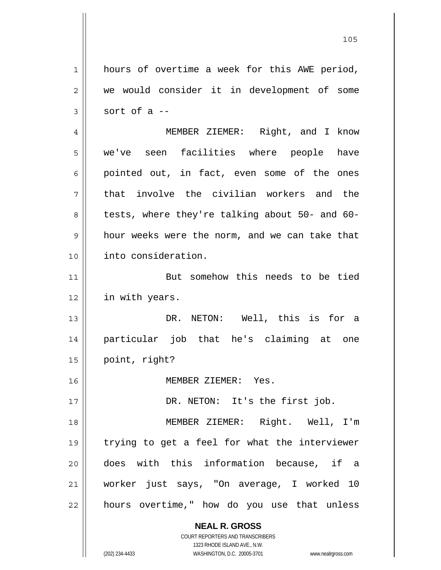**NEAL R. GROSS** 1 2 3 4 5 6 7 8 9 10 11 12 13 14 15 16 17 18 19 20 21 22 hours of overtime a week for this AWE period, we would consider it in development of some sort of a -- MEMBER ZIEMER: Right, and I know we've seen facilities where people have pointed out, in fact, even some of the ones that involve the civilian workers and the tests, where they're talking about 50- and 60 hour weeks were the norm, and we can take that into consideration. But somehow this needs to be tied in with years. DR. NETON: Well, this is for a particular job that he's claiming at one point, right? MEMBER ZIEMER: Yes. DR. NETON: It's the first job. MEMBER ZIEMER: Right. Well, I'm trying to get a feel for what the interviewer does with this information because, if a worker just says, "On average, I worked 10 hours overtime," how do you use that unless

105

1323 RHODE ISLAND AVE., N.W. (202) 234-4433 WASHINGTON, D.C. 20005-3701 www.nealrgross.com

COURT REPORTERS AND TRANSCRIBERS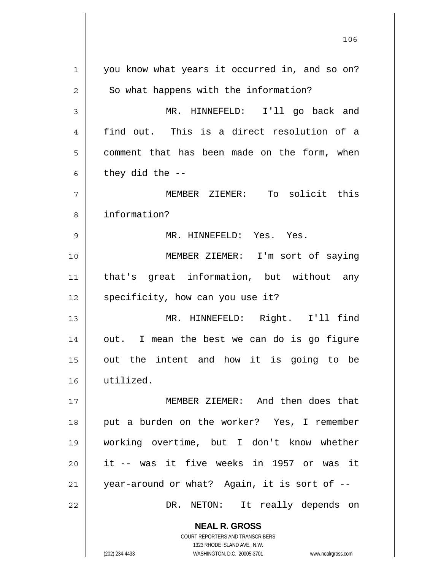**NEAL R. GROSS** COURT REPORTERS AND TRANSCRIBERS 1 2 3 4 5 6 7 8 9 10 11 12 13 14 15 16 17 18 19 20 21 22 you know what years it occurred in, and so on? So what happens with the information? MR. HINNEFELD: I'll go back and find out. This is a direct resolution of a comment that has been made on the form, when they did the -- MEMBER ZIEMER: To solicit this information? MR. HINNEFELD: Yes. Yes. MEMBER ZIEMER: I'm sort of saying that's great information, but without any specificity, how can you use it? MR. HINNEFELD: Right. I'll find out. I mean the best we can do is go figure out the intent and how it is going to be utilized. MEMBER ZIEMER: And then does that put a burden on the worker? Yes, I remember working overtime, but I don't know whether it -- was it five weeks in 1957 or was it year-around or what? Again, it is sort of -- DR. NETON: It really depends on

<u>106</u>

1323 RHODE ISLAND AVE., N.W.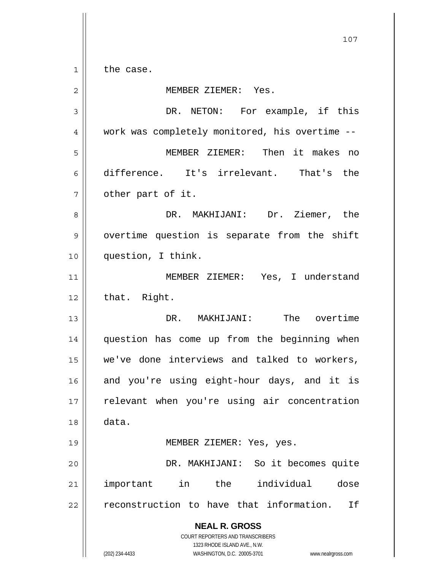1 the case.

**NEAL R. GROSS** COURT REPORTERS AND TRANSCRIBERS 1323 RHODE ISLAND AVE., N.W. (202) 234-4433 WASHINGTON, D.C. 20005-3701 www.nealrgross.com 2 3 4 5 6 7 8 9 10 11 12 13 14 15 16 17 18 19 20 21 22 MEMBER ZIEMER: Yes. DR. NETON: For example, if this work was completely monitored, his overtime -- MEMBER ZIEMER: Then it makes no difference. It's irrelevant. That's the other part of it. DR. MAKHIJANI: Dr. Ziemer, the overtime question is separate from the shift question, I think. MEMBER ZIEMER: Yes, I understand that. Right. DR. MAKHIJANI: The overtime question has come up from the beginning when we've done interviews and talked to workers, and you're using eight-hour days, and it is relevant when you're using air concentration data. MEMBER ZIEMER: Yes, yes. DR. MAKHIJANI: So it becomes quite important in the individual dose reconstruction to have that information. If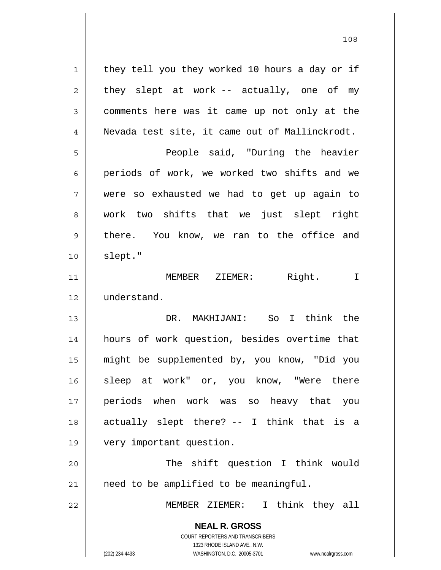**NEAL R. GROSS** COURT REPORTERS AND TRANSCRIBERS 1323 RHODE ISLAND AVE., N.W. 1 2 3 4 5 6 7 8 9 10 11 12 13 14 15 16 17 18 19 20 21 22 they tell you they worked 10 hours a day or if they slept at work -- actually, one of my comments here was it came up not only at the Nevada test site, it came out of Mallinckrodt. People said, "During the heavier periods of work, we worked two shifts and we were so exhausted we had to get up again to work two shifts that we just slept right there. You know, we ran to the office and slept." MEMBER ZIEMER: Right. I understand. DR. MAKHIJANI: So I think the hours of work question, besides overtime that might be supplemented by, you know, "Did you sleep at work" or, you know, "Were there periods when work was so heavy that you actually slept there? -- I think that is a very important question. The shift question I think would need to be amplified to be meaningful. MEMBER ZIEMER: I think they all

108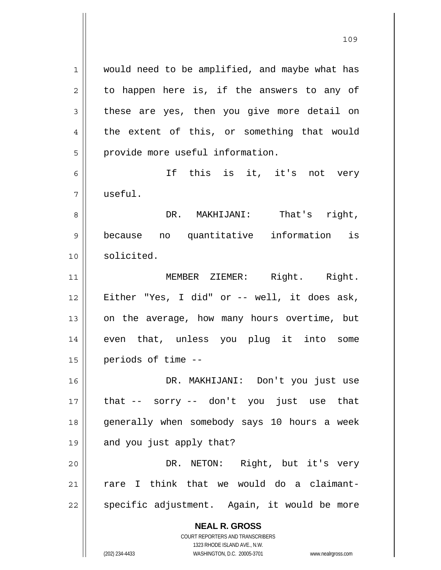**NEAL R. GROSS** COURT REPORTERS AND TRANSCRIBERS 1 2 3 4 5 6 7 8 9 10 11 12 13 14 15 16 17 18 19 20 21 22 would need to be amplified, and maybe what has to happen here is, if the answers to any of these are yes, then you give more detail on the extent of this, or something that would provide more useful information. If this is it, it's not very useful. DR. MAKHIJANI: That's right, because no quantitative information is solicited. MEMBER ZIEMER: Right. Right. Either "Yes, I did" or -- well, it does ask, on the average, how many hours overtime, but even that, unless you plug it into some periods of time -- DR. MAKHIJANI: Don't you just use that -- sorry -- don't you just use that generally when somebody says 10 hours a week and you just apply that? DR. NETON: Right, but it's very rare I think that we would do a claimantspecific adjustment. Again, it would be more

1323 RHODE ISLAND AVE., N.W.

(202) 234-4433 WASHINGTON, D.C. 20005-3701 www.nealrgross.com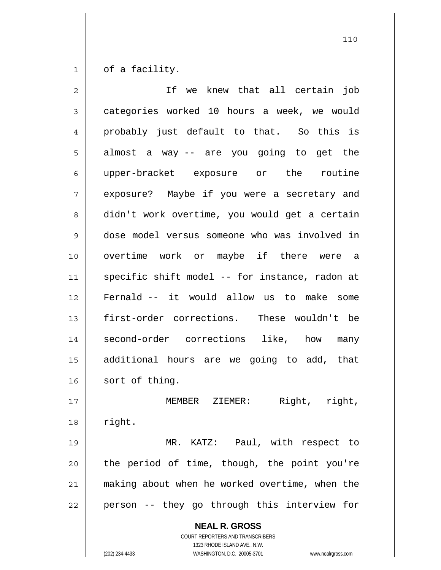1 of a facility.

| $\overline{2}$ | If we knew that all certain job                          |
|----------------|----------------------------------------------------------|
| 3              | categories worked 10 hours a week, we would              |
| 4              | probably just default to that. So this is                |
| 5              | almost a way -- are you going to get the                 |
| 6              | upper-bracket exposure or the routine                    |
| 7              | exposure? Maybe if you were a secretary and              |
| 8              | didn't work overtime, you would get a certain            |
| 9              | dose model versus someone who was involved in            |
| 10             | overtime work or maybe if there were a                   |
| 11             | specific shift model -- for instance, radon at           |
| 12             | Fernald -- it would allow us to make some                |
| 13             | first-order corrections. These wouldn't be               |
| 14             | second-order corrections like, how many                  |
| 15             | additional hours are we going to add, that               |
| 16             | sort of thing.                                           |
| 17             | MEMBER ZIEMER: Right, right,                             |
| 18             | right.                                                   |
| 19             | MR. KATZ: Paul, with respect to                          |
| 20             | the period of time, though, the point you're             |
| 21             | making about when he worked overtime, when the           |
| 22             | person -- they go through this interview for             |
|                | <b>NEAL R. GROSS</b><br>COURT REPORTERS AND TRANSCRIBERS |

1323 RHODE ISLAND AVE., N.W.

 $\prod$ 

(202) 234-4433 WASHINGTON, D.C. 20005-3701 www.nealrgross.com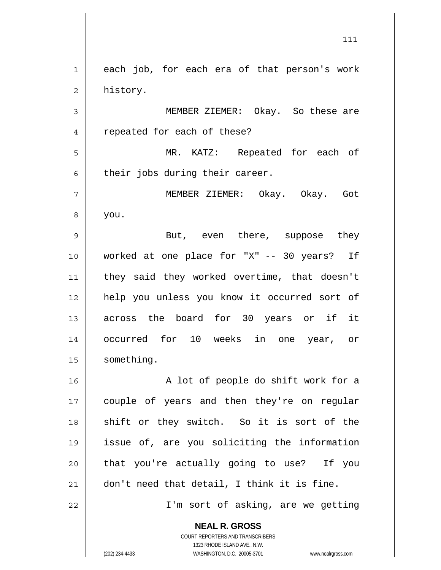1 2 each job, for each era of that person's work history.

3 4 MEMBER ZIEMER: Okay. So these are repeated for each of these?

5 6 MR. KATZ: Repeated for each of their jobs during their career.

7 8 MEMBER ZIEMER: Okay. Okay. Got you.

9 10 11 12 13 14 15 But, even there, suppose they worked at one place for "X" -- 30 years? If they said they worked overtime, that doesn't help you unless you know it occurred sort of across the board for 30 years or if it occurred for 10 weeks in one year, or something.

16 17 18 19 20 21 A lot of people do shift work for a couple of years and then they're on regular shift or they switch. So it is sort of the issue of, are you soliciting the information that you're actually going to use? If you don't need that detail, I think it is fine.

I'm sort of asking, are we getting

**NEAL R. GROSS**

22

COURT REPORTERS AND TRANSCRIBERS 1323 RHODE ISLAND AVE., N.W. (202) 234-4433 WASHINGTON, D.C. 20005-3701 www.nealrgross.com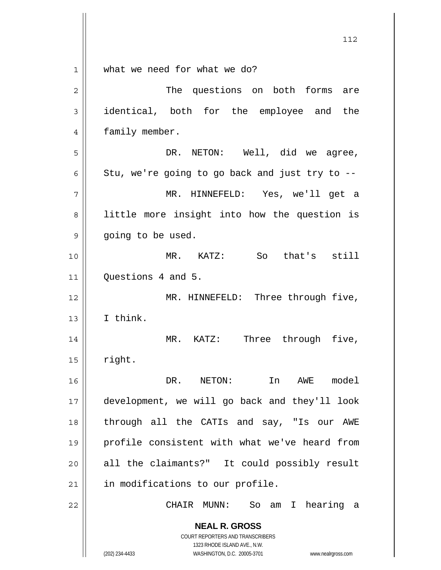| $\mathbf{1}$   | what we need for what we do?                                                                        |
|----------------|-----------------------------------------------------------------------------------------------------|
| $\overline{2}$ | The questions on both forms are                                                                     |
| 3              | identical, both for the employee and the                                                            |
| 4              | family member.                                                                                      |
| 5              | DR.<br>NETON: Well, did we agree,                                                                   |
| 6              | Stu, we're going to go back and just try to --                                                      |
| 7              | MR. HINNEFELD: Yes, we'll get a                                                                     |
| 8              | little more insight into how the question is                                                        |
| 9              | going to be used.                                                                                   |
| 10             | MR. KATZ: So that's still                                                                           |
| 11             | Questions 4 and 5.                                                                                  |
| 12             | MR. HINNEFELD: Three through five,                                                                  |
| 13             | I think.                                                                                            |
| 14             | Three through five,<br>MR. KATZ:                                                                    |
| 15             | right.                                                                                              |
| 16             | DR. NETON:<br>In AWE model                                                                          |
| 17             | development, we will go back and they'll look                                                       |
| 18             | through all the CATIs and say, "Is our AWE                                                          |
| 19             | profile consistent with what we've heard from                                                       |
| 20             | all the claimants?" It could possibly result                                                        |
| 21             | in modifications to our profile.                                                                    |
| 22             | CHAIR MUNN:<br>So am I hearing a                                                                    |
|                | <b>NEAL R. GROSS</b>                                                                                |
|                | <b>COURT REPORTERS AND TRANSCRIBERS</b>                                                             |
|                | 1323 RHODE ISLAND AVE., N.W.<br>WASHINGTON, D.C. 20005-3701<br>(202) 234-4433<br>www.nealrgross.com |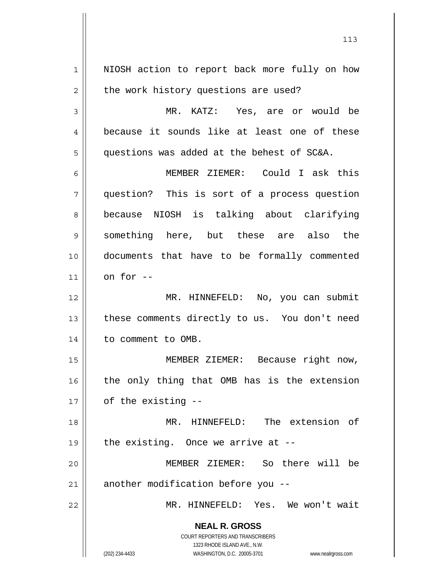**NEAL R. GROSS** COURT REPORTERS AND TRANSCRIBERS 1323 RHODE ISLAND AVE., N.W. 1 2 3 4 5 6 7 8 9 10 11 12 13 14 15 16 17 18 19 20 21 22 NIOSH action to report back more fully on how the work history questions are used? MR. KATZ: Yes, are or would be because it sounds like at least one of these questions was added at the behest of SC&A. MEMBER ZIEMER: Could I ask this question? This is sort of a process question because NIOSH is talking about clarifying something here, but these are also the documents that have to be formally commented on for -- MR. HINNEFELD: No, you can submit these comments directly to us. You don't need to comment to OMB. MEMBER ZIEMER: Because right now, the only thing that OMB has is the extension of the existing -- MR. HINNEFELD: The extension of the existing. Once we arrive at -- MEMBER ZIEMER: So there will be another modification before you -- MR. HINNEFELD: Yes. We won't wait

113

(202) 234-4433 WASHINGTON, D.C. 20005-3701 www.nealrgross.com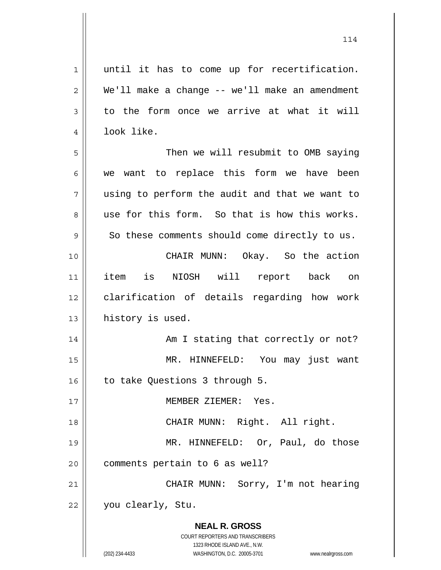| $\mathbf 1$    | until it has to come up for recertification.                        |
|----------------|---------------------------------------------------------------------|
| $\overline{c}$ | We'll make a change -- we'll make an amendment                      |
| 3              | to the form once we arrive at what it will                          |
| 4              | look like.                                                          |
| 5              | Then we will resubmit to OMB saying                                 |
| 6              | we want to replace this form we have been                           |
| 7              | using to perform the audit and that we want to                      |
| 8              | use for this form. So that is how this works.                       |
| $\mathsf 9$    | So these comments should come directly to us.                       |
| 10             | CHAIR MUNN: Okay. So the action                                     |
| 11             | item is NIOSH will report back on                                   |
| 12             | clarification of details regarding how work                         |
| 13             | history is used.                                                    |
| 14             | Am I stating that correctly or not?                                 |
| 15             | MR. HINNEFELD:<br>You may just want                                 |
| 16             | to take Questions 3 through 5.                                      |
| 17             | MEMBER ZIEMER: Yes.                                                 |
| 18             | CHAIR MUNN: Right. All right.                                       |
| 19             | MR. HINNEFELD: Or, Paul, do those                                   |
| 20             | comments pertain to 6 as well?                                      |
| 21             | CHAIR MUNN: Sorry, I'm not hearing                                  |
| 22             | you clearly, Stu.                                                   |
|                |                                                                     |
|                | <b>NEAL R. GROSS</b><br>COURT REPORTERS AND TRANSCRIBERS            |
|                | 1323 RHODE ISLAND AVE., N.W.                                        |
|                | (202) 234-4433<br>WASHINGTON, D.C. 20005-3701<br>www.nealrgross.com |

114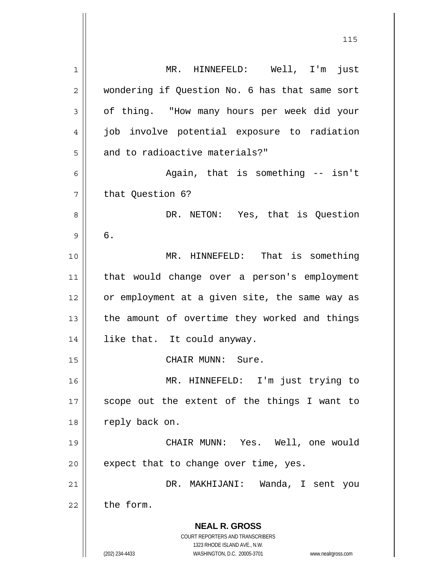| 1  | MR. HINNEFELD: Well, I'm just                                       |
|----|---------------------------------------------------------------------|
| 2  | wondering if Question No. 6 has that same sort                      |
| 3  | of thing. "How many hours per week did your                         |
| 4  | job involve potential exposure to radiation                         |
| 5  | and to radioactive materials?"                                      |
| 6  | Again, that is something -- isn't                                   |
| 7  | that Question 6?                                                    |
| 8  | DR. NETON: Yes, that is Question                                    |
| 9  | б.                                                                  |
| 10 | MR. HINNEFELD: That is something                                    |
| 11 | that would change over a person's employment                        |
| 12 | or employment at a given site, the same way as                      |
| 13 | the amount of overtime they worked and things                       |
| 14 | like that. It could anyway.                                         |
| 15 | CHAIR MUNN: Sure.                                                   |
| 16 | MR. HINNEFELD: I'm just trying to                                   |
| 17 | scope out the extent of the things I want to                        |
| 18 | reply back on.                                                      |
| 19 | CHAIR MUNN: Yes. Well, one would                                    |
| 20 | expect that to change over time, yes.                               |
| 21 | DR. MAKHIJANI: Wanda, I sent you                                    |
| 22 | the form.                                                           |
|    |                                                                     |
|    | <b>NEAL R. GROSS</b>                                                |
|    | COURT REPORTERS AND TRANSCRIBERS<br>1323 RHODE ISLAND AVE., N.W.    |
|    | (202) 234-4433<br>WASHINGTON, D.C. 20005-3701<br>www.nealrgross.com |

<u>115</u>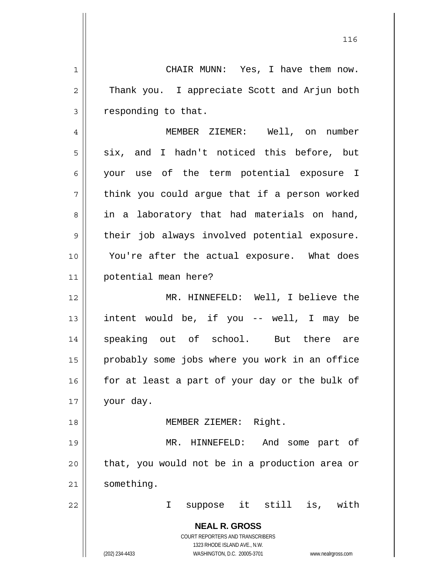**NEAL R. GROSS** COURT REPORTERS AND TRANSCRIBERS 1323 RHODE ISLAND AVE., N.W. 1 2 3 4 5 6 7 8 9 10 11 12 13 14 15 16 17 18 19 20 21 22 CHAIR MUNN: Yes, I have them now. Thank you. I appreciate Scott and Arjun both responding to that. MEMBER ZIEMER: Well, on number six, and I hadn't noticed this before, but your use of the term potential exposure I think you could argue that if a person worked in a laboratory that had materials on hand, their job always involved potential exposure. You're after the actual exposure. What does potential mean here? MR. HINNEFELD: Well, I believe the intent would be, if you -- well, I may be speaking out of school. But there are probably some jobs where you work in an office for at least a part of your day or the bulk of your day. MEMBER ZIEMER: Right. MR. HINNEFELD: And some part of that, you would not be in a production area or something. I suppose it still is, with

(202) 234-4433 WASHINGTON, D.C. 20005-3701 www.nealrgross.com

<u>116</u>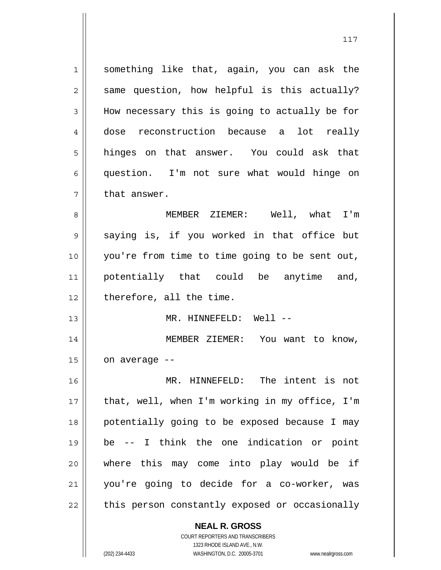**NEAL R. GROSS** 1 2 3 4 5 6 7 8 9 10 11 12 13 14 15 16 17 18 19 20 21 22 something like that, again, you can ask the same question, how helpful is this actually? How necessary this is going to actually be for dose reconstruction because a lot really hinges on that answer. You could ask that question. I'm not sure what would hinge on that answer. MEMBER ZIEMER: Well, what I'm saying is, if you worked in that office but you're from time to time going to be sent out, potentially that could be anytime and, therefore, all the time. MR. HINNEFELD: Well -- MEMBER ZIEMER: You want to know, on average -- MR. HINNEFELD: The intent is not that, well, when I'm working in my office, I'm potentially going to be exposed because I may be -- I think the one indication or point where this may come into play would be if you're going to decide for a co-worker, was this person constantly exposed or occasionally

1323 RHODE ISLAND AVE., N.W. (202) 234-4433 WASHINGTON, D.C. 20005-3701 www.nealrgross.com

COURT REPORTERS AND TRANSCRIBERS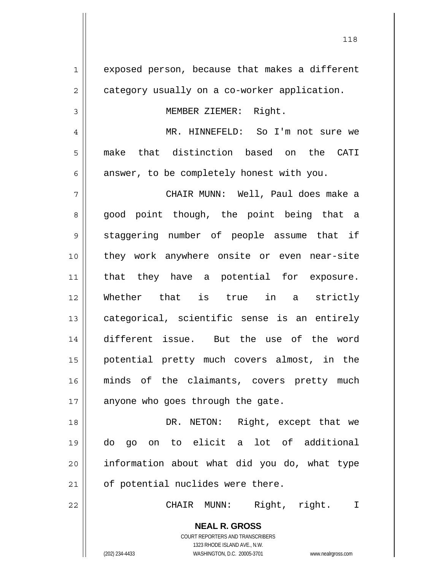**NEAL R. GROSS** 1 2 3 4 5 6 7 8 9 10 11 12 13 14 15 16 17 18 19 20 21 22 exposed person, because that makes a different category usually on a co-worker application. MEMBER ZIEMER: Right. MR. HINNEFELD: So I'm not sure we make that distinction based on the CATI answer, to be completely honest with you. CHAIR MUNN: Well, Paul does make a good point though, the point being that a staggering number of people assume that if they work anywhere onsite or even near-site that they have a potential for exposure. Whether that is true in a strictly categorical, scientific sense is an entirely different issue. But the use of the word potential pretty much covers almost, in the minds of the claimants, covers pretty much anyone who goes through the gate. DR. NETON: Right, except that we do go on to elicit a lot of additional information about what did you do, what type of potential nuclides were there. CHAIR MUNN: Right, right. I

> COURT REPORTERS AND TRANSCRIBERS 1323 RHODE ISLAND AVE., N.W.

(202) 234-4433 WASHINGTON, D.C. 20005-3701 www.nealrgross.com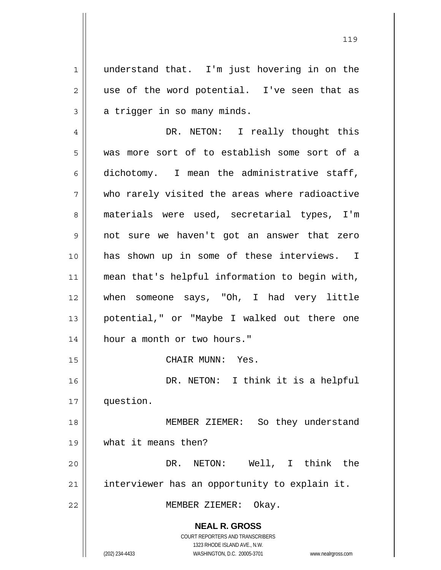1 understand that. I'm just hovering in on the use of the word potential. I've seen that as a trigger in so many minds.

**NEAL R. GROSS** COURT REPORTERS AND TRANSCRIBERS 1323 RHODE ISLAND AVE., N.W. 4 5 6 7 8 9 10 11 12 13 14 15 16 17 18 19 20 21 22 DR. NETON: I really thought this was more sort of to establish some sort of a dichotomy. I mean the administrative staff, who rarely visited the areas where radioactive materials were used, secretarial types, I'm not sure we haven't got an answer that zero has shown up in some of these interviews. I mean that's helpful information to begin with, when someone says, "Oh, I had very little potential," or "Maybe I walked out there one hour a month or two hours." CHAIR MUNN: Yes. DR. NETON: I think it is a helpful question. MEMBER ZIEMER: So they understand what it means then? DR. NETON: Well, I think the interviewer has an opportunity to explain it. MEMBER ZIEMER: Okay.

2

3

(202) 234-4433 WASHINGTON, D.C. 20005-3701 www.nealrgross.com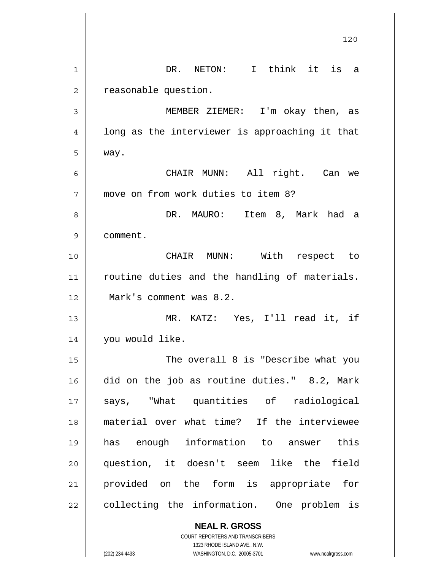|    | 120                                                      |
|----|----------------------------------------------------------|
| 1  | DR. NETON: I think it is a                               |
| 2  | reasonable question.                                     |
| 3  | MEMBER ZIEMER: I'm okay then, as                         |
| 4  | long as the interviewer is approaching it that           |
| 5  | way.                                                     |
| 6  | CHAIR MUNN: All right. Can we                            |
| 7  | move on from work duties to item 8?                      |
| 8  | DR. MAURO: Item 8, Mark had a                            |
| 9  | comment.                                                 |
| 10 | CHAIR MUNN: With respect to                              |
| 11 | routine duties and the handling of materials.            |
| 12 | Mark's comment was 8.2.                                  |
| 13 | MR. KATZ: Yes, I'll read it, if                          |
| 14 | you would like.                                          |
| 15 | The overall 8 is "Describe what you                      |
| 16 | did on the job as routine duties." 8.2, Mark             |
| 17 | says, "What quantities of radiological                   |
| 18 | material over what time? If the interviewee              |
| 19 | has enough information to answer this                    |
| 20 | question, it doesn't seem like the field                 |
| 21 | provided on the form is appropriate for                  |
| 22 | collecting the information. One problem is               |
|    | <b>NEAL R. GROSS</b><br>COURT REPORTERS AND TRANSCRIBERS |

1323 RHODE ISLAND AVE., N.W.

 $\prod$ 

(202) 234-4433 WASHINGTON, D.C. 20005-3701 www.nealrgross.com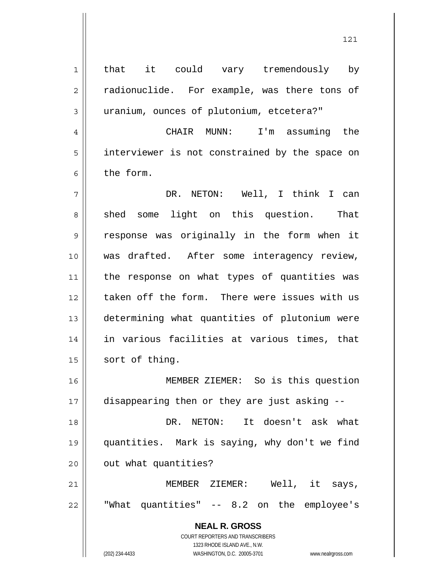**NEAL R. GROSS** COURT REPORTERS AND TRANSCRIBERS 1323 RHODE ISLAND AVE., N.W. 1 2 3 4 5 6 7 8 9 10 11 12 13 14 15 16 17 18 19 20 21 22 that it could vary tremendously by radionuclide. For example, was there tons of uranium, ounces of plutonium, etcetera?" CHAIR MUNN: I'm assuming the interviewer is not constrained by the space on the form. DR. NETON: Well, I think I can shed some light on this question. That response was originally in the form when it was drafted. After some interagency review, the response on what types of quantities was taken off the form. There were issues with us determining what quantities of plutonium were in various facilities at various times, that sort of thing. MEMBER ZIEMER: So is this question disappearing then or they are just asking -- DR. NETON: It doesn't ask what quantities. Mark is saying, why don't we find out what quantities? MEMBER ZIEMER: Well, it says, "What quantities" -- 8.2 on the employee's

121

(202) 234-4433 WASHINGTON, D.C. 20005-3701 www.nealrgross.com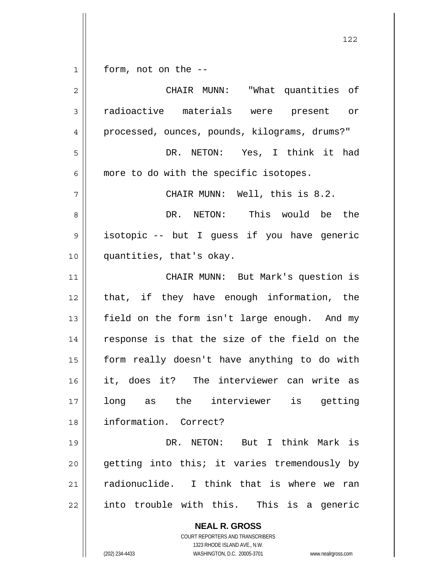| $\mathbf 1$ | form, not on the --                                                                                 |
|-------------|-----------------------------------------------------------------------------------------------------|
| $\mathbf 2$ | CHAIR MUNN: "What quantities of                                                                     |
| 3           | radioactive materials were present or                                                               |
| 4           | processed, ounces, pounds, kilograms, drums?"                                                       |
| 5           | DR. NETON: Yes, I think it had                                                                      |
| 6           | more to do with the specific isotopes.                                                              |
| 7           | CHAIR MUNN: Well, this is 8.2.                                                                      |
| 8           | DR. NETON: This would be the                                                                        |
| $\mathsf 9$ | isotopic -- but I guess if you have generic                                                         |
| 10          | quantities, that's okay.                                                                            |
| 11          | CHAIR MUNN: But Mark's question is                                                                  |
| 12          | that, if they have enough information, the                                                          |
| 13          | field on the form isn't large enough. And my                                                        |
| 14          | response is that the size of the field on the                                                       |
| 15          | form really doesn't have anything to do with                                                        |
| 16          | it, does it? The interviewer can write as                                                           |
| 17          | long as the interviewer<br>is<br>getting                                                            |
| 18          | information. Correct?                                                                               |
| 19          | DR. NETON: But I think Mark is                                                                      |
| 20          | getting into this; it varies tremendously by                                                        |
| 21          | radionuclide. I think that is where we ran                                                          |
| 22          | into trouble with this. This is a generic                                                           |
|             | <b>NEAL R. GROSS</b>                                                                                |
|             | COURT REPORTERS AND TRANSCRIBERS                                                                    |
|             | 1323 RHODE ISLAND AVE., N.W.<br>(202) 234-4433<br>WASHINGTON, D.C. 20005-3701<br>www.nealrgross.com |
|             |                                                                                                     |

122

 $\mathsf{I}$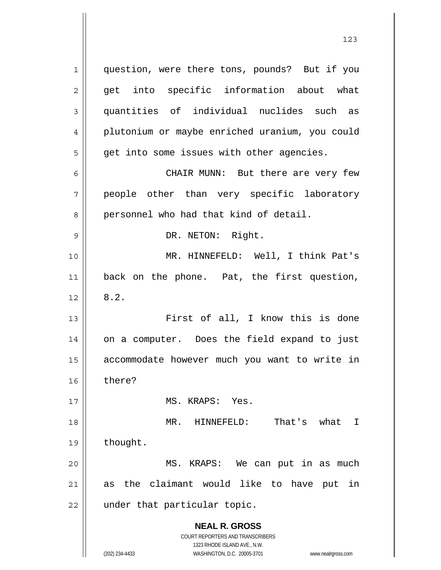**NEAL R. GROSS** COURT REPORTERS AND TRANSCRIBERS 1323 RHODE ISLAND AVE., N.W. 1 2 3 4 5 6 7 8 9 10 11 12 13 14 15 16 17 18 19 20 21 22 question, were there tons, pounds? But if you get into specific information about what quantities of individual nuclides such as plutonium or maybe enriched uranium, you could get into some issues with other agencies. CHAIR MUNN: But there are very few people other than very specific laboratory personnel who had that kind of detail. DR. NETON: Right. MR. HINNEFELD: Well, I think Pat's back on the phone. Pat, the first question, 8.2. First of all, I know this is done on a computer. Does the field expand to just accommodate however much you want to write in there? MS. KRAPS: Yes. MR. HINNEFELD: That's what I thought. MS. KRAPS: We can put in as much as the claimant would like to have put in under that particular topic.

(202) 234-4433 WASHINGTON, D.C. 20005-3701 www.nealrgross.com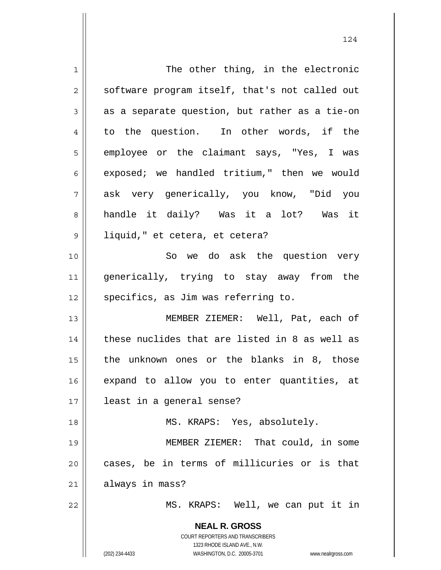| $\mathbf 1$ | The other thing, in the electronic                                                                                                                              |
|-------------|-----------------------------------------------------------------------------------------------------------------------------------------------------------------|
| 2           | software program itself, that's not called out                                                                                                                  |
| 3           | as a separate question, but rather as a tie-on                                                                                                                  |
| 4           | to the question. In other words, if the                                                                                                                         |
| 5           | employee or the claimant says, "Yes, I was                                                                                                                      |
| 6           | exposed; we handled tritium," then we would                                                                                                                     |
| 7           | ask very generically, you know, "Did you                                                                                                                        |
| 8           | handle it daily? Was it a lot? Was it                                                                                                                           |
| 9           | liquid," et cetera, et cetera?                                                                                                                                  |
| 10          | So we do ask the question very                                                                                                                                  |
| 11          | generically, trying to stay away from the                                                                                                                       |
| 12          | specifics, as Jim was referring to.                                                                                                                             |
| 13          | MEMBER ZIEMER: Well, Pat, each of                                                                                                                               |
| 14          | these nuclides that are listed in 8 as well as                                                                                                                  |
| 15          | the unknown ones or the blanks in 8, those                                                                                                                      |
| 16          | expand to allow you to enter quantities, at                                                                                                                     |
| 17          | least in a general sense?                                                                                                                                       |
| 18          | MS. KRAPS: Yes, absolutely.                                                                                                                                     |
| 19          | MEMBER ZIEMER: That could, in some                                                                                                                              |
| 20          | cases, be in terms of millicuries or is that                                                                                                                    |
| 21          | always in mass?                                                                                                                                                 |
| 22          | MS. KRAPS: Well, we can put it in                                                                                                                               |
|             | <b>NEAL R. GROSS</b><br>COURT REPORTERS AND TRANSCRIBERS<br>1323 RHODE ISLAND AVE., N.W.<br>(202) 234-4433<br>WASHINGTON, D.C. 20005-3701<br>www.nealrgross.com |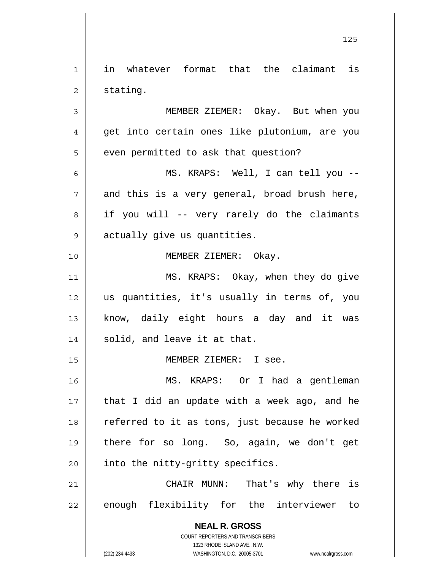**NEAL R. GROSS** COURT REPORTERS AND TRANSCRIBERS 1323 RHODE ISLAND AVE., N.W. (202) 234-4433 WASHINGTON, D.C. 20005-3701 www.nealrgross.com 1 2 3 4 5 6 7 8 9 10 11 12 13 14 15 16 17 18 19 20 21 22 in whatever format that the claimant is stating. MEMBER ZIEMER: Okay. But when you get into certain ones like plutonium, are you even permitted to ask that question? MS. KRAPS: Well, I can tell you - and this is a very general, broad brush here, if you will -- very rarely do the claimants actually give us quantities. MEMBER ZIEMER: Okay. MS. KRAPS: Okay, when they do give us quantities, it's usually in terms of, you know, daily eight hours a day and it was solid, and leave it at that. MEMBER ZIEMER: I see. MS. KRAPS: Or I had a gentleman that I did an update with a week ago, and he referred to it as tons, just because he worked there for so long. So, again, we don't get into the nitty-gritty specifics. CHAIR MUNN: That's why there is enough flexibility for the interviewer to

<u>125</u>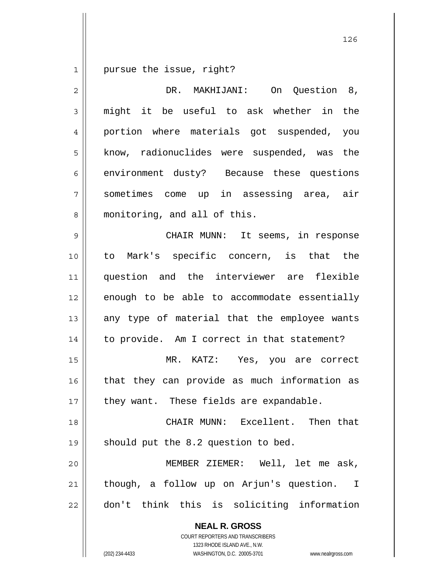1 pursue the issue, right?

| $\overline{2}$ | On Question 8,<br>DR. MAKHIJANI:                         |
|----------------|----------------------------------------------------------|
| 3              | might it be useful to ask whether in the                 |
| 4              | portion where materials got suspended, you               |
| 5              | know, radionuclides were suspended, was the              |
| 6              | environment dusty? Because these questions               |
| 7              | sometimes come up in assessing area, air                 |
| 8              | monitoring, and all of this.                             |
| $\mathsf{S}$   | CHAIR MUNN: It seems, in response                        |
| 10             | to Mark's specific concern, is that the                  |
| 11             | question and the interviewer are flexible                |
| 12             | enough to be able to accommodate essentially             |
| 13             | any type of material that the employee wants             |
| 14             | to provide. Am I correct in that statement?              |
| 15             | MR. KATZ: Yes, you are correct                           |
| 16             | that they can provide as much information as             |
| 17             | they want. These fields are expandable.                  |
| 18             | CHAIR MUNN: Excellent. Then that                         |
| 19             | should put the 8.2 question to bed.                      |
| 20             | MEMBER ZIEMER: Well, let me ask,                         |
| 21             | though, a follow up on Arjun's question. I               |
| 22             | don't think this is soliciting information               |
|                | <b>NEAL R. GROSS</b><br>COURT REPORTERS AND TRANSCRIBERS |

1323 RHODE ISLAND AVE., N.W.

 $\mathsf{II}$ 

(202) 234-4433 WASHINGTON, D.C. 20005-3701 www.nealrgross.com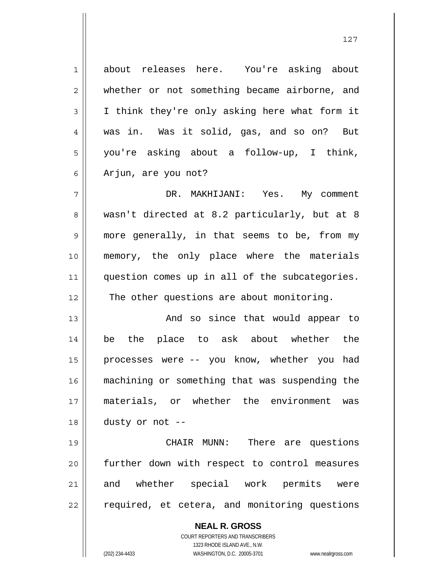1 2 3 4 5 6 7 8 about releases here. You're asking about whether or not something became airborne, and I think they're only asking here what form it was in. Was it solid, gas, and so on? But you're asking about a follow-up, I think, Arjun, are you not? DR. MAKHIJANI: Yes. My comment wasn't directed at 8.2 particularly, but at 8

9 10 11 12 more generally, in that seems to be, from my memory, the only place where the materials question comes up in all of the subcategories. The other questions are about monitoring.

13 14 15 16 17 18 And so since that would appear to be the place to ask about whether the processes were -- you know, whether you had machining or something that was suspending the materials, or whether the environment was dusty or not --

19 20 21 22 CHAIR MUNN: There are questions further down with respect to control measures and whether special work permits were required, et cetera, and monitoring questions

> **NEAL R. GROSS** COURT REPORTERS AND TRANSCRIBERS 1323 RHODE ISLAND AVE., N.W. (202) 234-4433 WASHINGTON, D.C. 20005-3701 www.nealrgross.com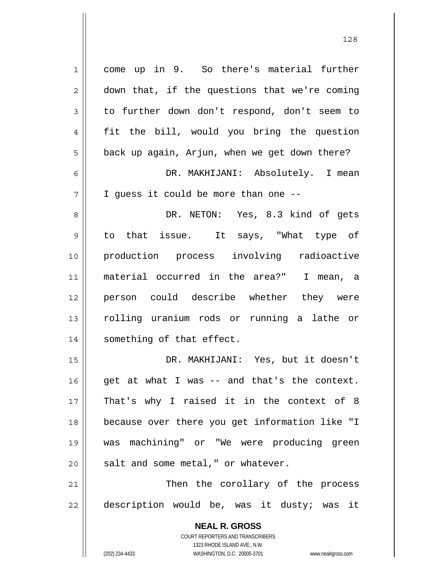**NEAL R. GROSS** COURT REPORTERS AND TRANSCRIBERS 1 2 3 4 5 6 7 8 9 10 11 12 13 14 15 16 17 18 19 20 21 22 come up in 9. So there's material further down that, if the questions that we're coming to further down don't respond, don't seem to fit the bill, would you bring the question back up again, Arjun, when we get down there? DR. MAKHIJANI: Absolutely. I mean I guess it could be more than one -- DR. NETON: Yes, 8.3 kind of gets to that issue. It says, "What type of production process involving radioactive material occurred in the area?" I mean, a person could describe whether they were rolling uranium rods or running a lathe or something of that effect. DR. MAKHIJANI: Yes, but it doesn't get at what I was -- and that's the context. That's why I raised it in the context of 8 because over there you get information like "I was machining" or "We were producing green salt and some metal," or whatever. Then the corollary of the process description would be, was it dusty; was it

1323 RHODE ISLAND AVE., N.W.

(202) 234-4433 WASHINGTON, D.C. 20005-3701 www.nealrgross.com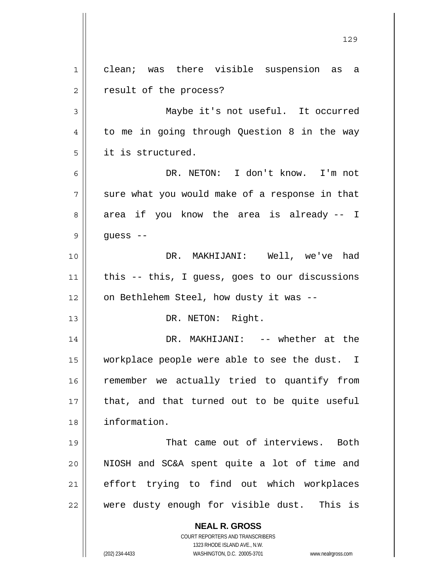**NEAL R. GROSS** COURT REPORTERS AND TRANSCRIBERS 1323 RHODE ISLAND AVE., N.W. (202) 234-4433 WASHINGTON, D.C. 20005-3701 www.nealrgross.com 1 2 3 4 5 6 7 8 9 10 11 12 13 14 15 16 17 18 19 20 21 22 clean; was there visible suspension as a result of the process? Maybe it's not useful. It occurred to me in going through Question 8 in the way it is structured. DR. NETON: I don't know. I'm not sure what you would make of a response in that area if you know the area is already -- I guess -- DR. MAKHIJANI: Well, we've had this -- this, I guess, goes to our discussions on Bethlehem Steel, how dusty it was -- DR. NETON: Right. DR. MAKHIJANI: -- whether at the workplace people were able to see the dust. I remember we actually tried to quantify from that, and that turned out to be quite useful information. That came out of interviews. Both NIOSH and SC&A spent quite a lot of time and effort trying to find out which workplaces were dusty enough for visible dust. This is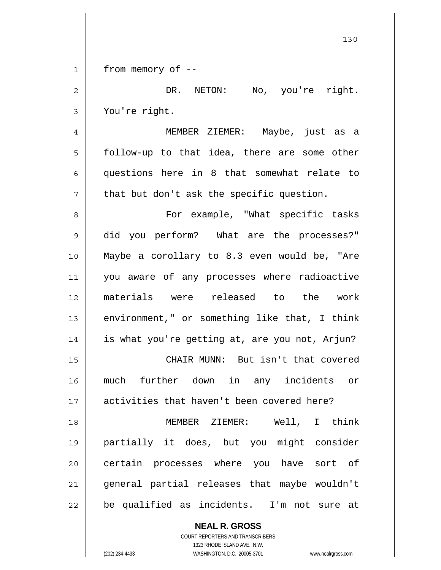|              | 130                                            |
|--------------|------------------------------------------------|
| $\mathbf{1}$ | from memory of --                              |
| 2            | DR. NETON: No, you're right.                   |
| 3            | You're right.                                  |
| 4            | MEMBER ZIEMER: Maybe, just as a                |
| 5            | follow-up to that idea, there are some other   |
| 6            | questions here in 8 that somewhat relate to    |
| 7            | that but don't ask the specific question.      |
| 8            | For example, "What specific tasks              |
| 9            | did you perform? What are the processes?"      |
| 10           | Maybe a corollary to 8.3 even would be, "Are   |
| 11           | you aware of any processes where radioactive   |
| 12           | materials were released to the work            |
| 13           | environment," or something like that, I think  |
| 14           | is what you're getting at, are you not, Arjun? |
| 15           | CHAIR MUNN: But isn't that covered             |
| 16           | much further down in any incidents or          |
| 17           | activities that haven't been covered here?     |
| 18           | MEMBER ZIEMER: Well, I think                   |
| 19           | partially it does, but you might consider      |
| 20           | certain processes where you have sort of       |
| 21           | general partial releases that maybe wouldn't   |
| 22           | be qualified as incidents. I'm not sure at     |

COURT REPORTERS AND TRANSCRIBERS 1323 RHODE ISLAND AVE., N.W. (202) 234-4433 WASHINGTON, D.C. 20005-3701 www.nealrgross.com

**NEAL R. GROSS**

 $\mathbf{I}$ 

 $\mathsf{I}$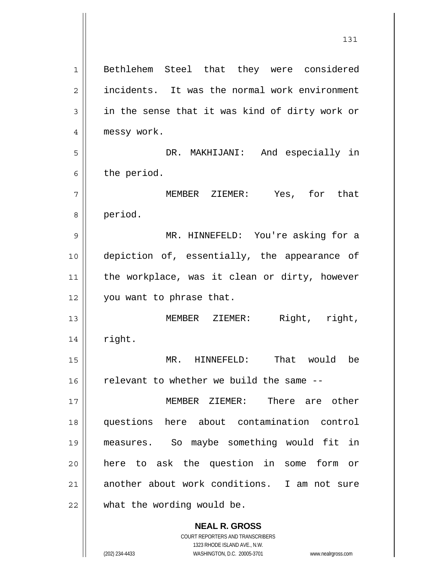**NEAL R. GROSS** COURT REPORTERS AND TRANSCRIBERS 1 2 3 4 5 6 7 8 9 10 11 12 13 14 15 16 17 18 19 20 21 22 Bethlehem Steel that they were considered incidents. It was the normal work environment in the sense that it was kind of dirty work or messy work. DR. MAKHIJANI: And especially in the period. MEMBER ZIEMER: Yes, for that period. MR. HINNEFELD: You're asking for a depiction of, essentially, the appearance of the workplace, was it clean or dirty, however you want to phrase that. MEMBER ZIEMER: Right, right, right. MR. HINNEFELD: That would be relevant to whether we build the same -- MEMBER ZIEMER: There are other questions here about contamination control measures. So maybe something would fit in here to ask the question in some form or another about work conditions. I am not sure what the wording would be.

131

1323 RHODE ISLAND AVE., N.W.

(202) 234-4433 WASHINGTON, D.C. 20005-3701 www.nealrgross.com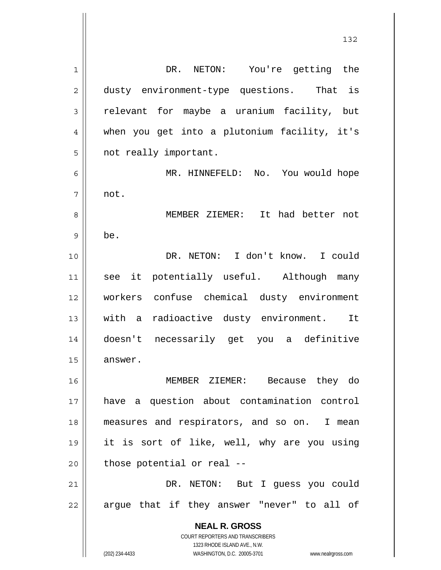**NEAL R. GROSS** COURT REPORTERS AND TRANSCRIBERS 1323 RHODE ISLAND AVE., N.W. (202) 234-4433 WASHINGTON, D.C. 20005-3701 www.nealrgross.com 1 2 3 4 5 6 7 8 9 10 11 12 13 14 15 16 17 18 19 20 21 22 DR. NETON: You're getting the dusty environment-type questions. That is relevant for maybe a uranium facility, but when you get into a plutonium facility, it's not really important. MR. HINNEFELD: No. You would hope not. MEMBER ZIEMER: It had better not be. DR. NETON: I don't know. I could see it potentially useful. Although many workers confuse chemical dusty environment with a radioactive dusty environment. It doesn't necessarily get you a definitive answer. MEMBER ZIEMER: Because they do have a question about contamination control measures and respirators, and so on. I mean it is sort of like, well, why are you using those potential or real -- DR. NETON: But I guess you could argue that if they answer "never" to all of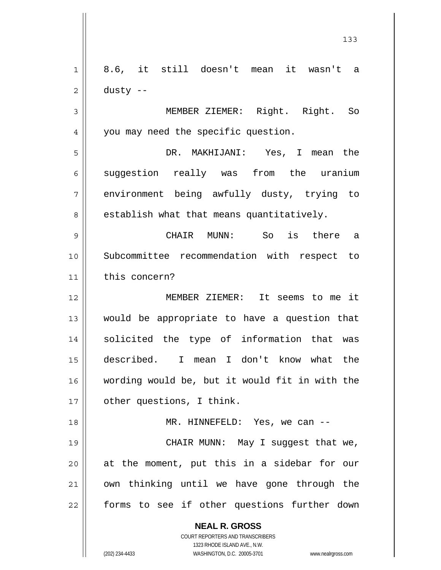**NEAL R. GROSS** COURT REPORTERS AND TRANSCRIBERS 1323 RHODE ISLAND AVE., N.W. 1 2 3 4 5 6 7 8 9 10 11 12 13 14 15 16 17 18 19 20 21 22 8.6, it still doesn't mean it wasn't a dusty -- MEMBER ZIEMER: Right. Right. So you may need the specific question. DR. MAKHIJANI: Yes, I mean the suggestion really was from the uranium environment being awfully dusty, trying to establish what that means quantitatively. CHAIR MUNN: So is there a Subcommittee recommendation with respect to this concern? MEMBER ZIEMER: It seems to me it would be appropriate to have a question that solicited the type of information that was described. I mean I don't know what the wording would be, but it would fit in with the other questions, I think. MR. HINNEFELD: Yes, we can -- CHAIR MUNN: May I suggest that we, at the moment, put this in a sidebar for our own thinking until we have gone through the forms to see if other questions further down

133

(202) 234-4433 WASHINGTON, D.C. 20005-3701 www.nealrgross.com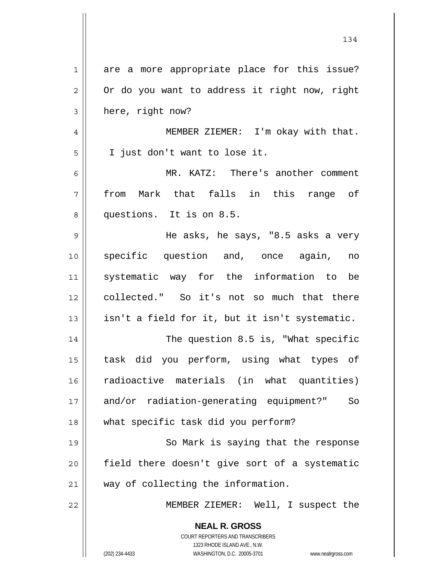| $\mathbf 1$    | are a more appropriate place for this issue?                                                        |
|----------------|-----------------------------------------------------------------------------------------------------|
| $\overline{c}$ | Or do you want to address it right now, right                                                       |
| 3              | here, right now?                                                                                    |
| 4              | MEMBER ZIEMER: I'm okay with that.                                                                  |
| 5              | I just don't want to lose it.                                                                       |
| 6              | MR. KATZ: There's another comment                                                                   |
| 7              | from Mark that falls in this range of                                                               |
| 8              | questions. It is on 8.5.                                                                            |
| 9              | He asks, he says, "8.5 asks a very                                                                  |
| 10             | specific question and, once again, no                                                               |
| 11             | systematic way for the information to be                                                            |
| 12             | collected." So it's not so much that there                                                          |
| 13             | isn't a field for it, but it isn't systematic.                                                      |
| 14             | The question 8.5 is, "What specific                                                                 |
| 15             | task did you perform, using what types of                                                           |
| 16             | radioactive materials (in what quantities)                                                          |
| 17             | and/or radiation-generating equipment?"<br>So                                                       |
| 18             | what specific task did you perform?                                                                 |
| 19             | So Mark is saying that the response                                                                 |
| 20             | field there doesn't give sort of a systematic                                                       |
| 21             | way of collecting the information.                                                                  |
| 22             | MEMBER ZIEMER: Well, I suspect the                                                                  |
|                | <b>NEAL R. GROSS</b>                                                                                |
|                | COURT REPORTERS AND TRANSCRIBERS                                                                    |
|                | 1323 RHODE ISLAND AVE., N.W.<br>(202) 234-4433<br>WASHINGTON, D.C. 20005-3701<br>www.nealrgross.com |
|                |                                                                                                     |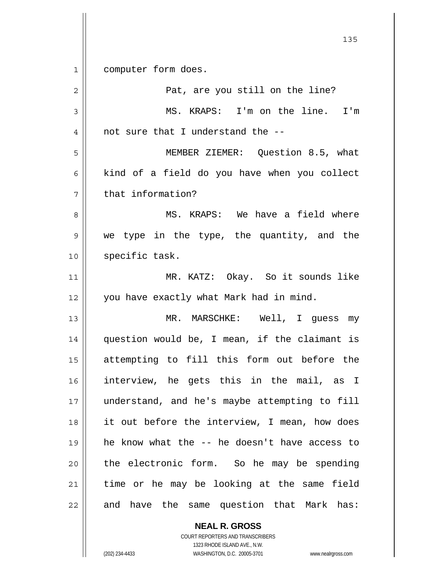<u>135</u> 1 2 3 4 5 6 7 8 9 10 11 12 13 14 15 16 17 18 19 20 21 22 computer form does. Pat, are you still on the line? MS. KRAPS: I'm on the line. I'm not sure that I understand the -- MEMBER ZIEMER: Question 8.5, what kind of a field do you have when you collect that information? MS. KRAPS: We have a field where we type in the type, the quantity, and the specific task. MR. KATZ: Okay. So it sounds like you have exactly what Mark had in mind. MR. MARSCHKE: Well, I guess my question would be, I mean, if the claimant is attempting to fill this form out before the interview, he gets this in the mail, as I understand, and he's maybe attempting to fill it out before the interview, I mean, how does he know what the -- he doesn't have access to the electronic form. So he may be spending time or he may be looking at the same field and have the same question that Mark has:

**NEAL R. GROSS**

COURT REPORTERS AND TRANSCRIBERS 1323 RHODE ISLAND AVE., N.W. (202) 234-4433 WASHINGTON, D.C. 20005-3701 www.nealrgross.com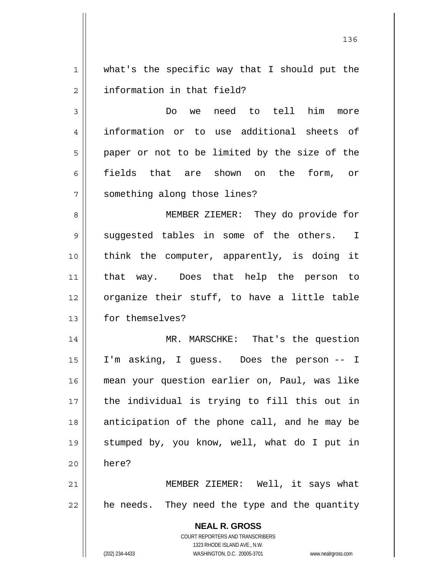1 2 what's the specific way that I should put the information in that field?

3 4 5 6 7 Do we need to tell him more information or to use additional sheets of paper or not to be limited by the size of the fields that are shown on the form, or something along those lines?

8 9 10 11 12 13 MEMBER ZIEMER: They do provide for suggested tables in some of the others. I think the computer, apparently, is doing it that way. Does that help the person to organize their stuff, to have a little table for themselves?

14 15 16 17 18 19 20 MR. MARSCHKE: That's the question I'm asking, I guess. Does the person -- I mean your question earlier on, Paul, was like the individual is trying to fill this out in anticipation of the phone call, and he may be stumped by, you know, well, what do I put in here?

21 22 MEMBER ZIEMER: Well, it says what he needs. They need the type and the quantity

> **NEAL R. GROSS** COURT REPORTERS AND TRANSCRIBERS 1323 RHODE ISLAND AVE., N.W. (202) 234-4433 WASHINGTON, D.C. 20005-3701 www.nealrgross.com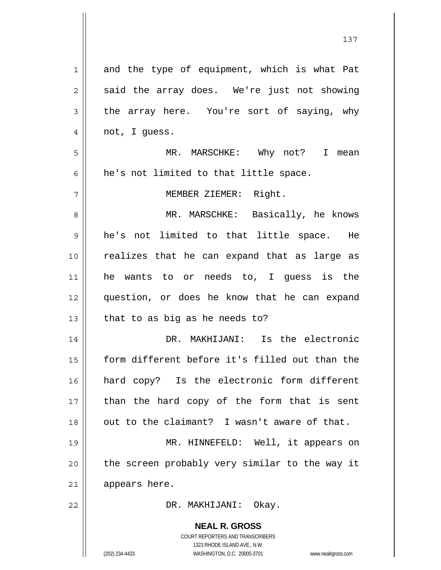| $\mathbf 1$    | and the type of equipment, which is what Pat                                                        |
|----------------|-----------------------------------------------------------------------------------------------------|
| $\overline{c}$ | said the array does. We're just not showing                                                         |
| 3              | the array here. You're sort of saying, why                                                          |
| 4              | not, I guess.                                                                                       |
| 5              | MR. MARSCHKE: Why not? I mean                                                                       |
| 6              | he's not limited to that little space.                                                              |
| 7              | MEMBER ZIEMER: Right.                                                                               |
| 8              | MR. MARSCHKE: Basically, he knows                                                                   |
| 9              | he's not limited to that little space. He                                                           |
| 10             | realizes that he can expand that as large as                                                        |
| 11             | he wants to or needs to, I guess is the                                                             |
| 12             | question, or does he know that he can expand                                                        |
| 13             | that to as big as he needs to?                                                                      |
| 14             | DR. MAKHIJANI: Is the electronic                                                                    |
| 15             | form different before it's filled out than the                                                      |
| 16             | hard copy? Is the electronic form different                                                         |
| 17             | than the hard copy of the form that is sent                                                         |
| 18             | out to the claimant? I wasn't aware of that.                                                        |
| 19             | MR. HINNEFELD: Well, it appears on                                                                  |
| 20             | the screen probably very similar to the way it                                                      |
| 21             | appears here.                                                                                       |
| 22             | DR. MAKHIJANI:<br>Okay.                                                                             |
|                |                                                                                                     |
|                | <b>NEAL R. GROSS</b>                                                                                |
|                | COURT REPORTERS AND TRANSCRIBERS                                                                    |
|                | 1323 RHODE ISLAND AVE., N.W.<br>(202) 234-4433<br>WASHINGTON, D.C. 20005-3701<br>www.nealrgross.com |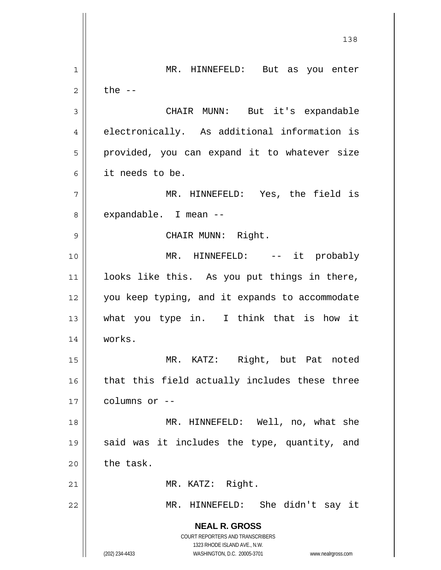**NEAL R. GROSS** COURT REPORTERS AND TRANSCRIBERS 1323 RHODE ISLAND AVE., N.W. (202) 234-4433 WASHINGTON, D.C. 20005-3701 www.nealrgross.com 138 1 2 3 4 5 6 7 8 9 10 11 12 13 14 15 16 17 18 19 20 21 22 MR. HINNEFELD: But as you enter the  $--$  CHAIR MUNN: But it's expandable electronically. As additional information is provided, you can expand it to whatever size it needs to be. MR. HINNEFELD: Yes, the field is expandable. I mean -- CHAIR MUNN: Right. MR. HINNEFELD: -- it probably looks like this. As you put things in there, you keep typing, and it expands to accommodate what you type in. I think that is how it works. MR. KATZ: Right, but Pat noted that this field actually includes these three columns or -- MR. HINNEFELD: Well, no, what she said was it includes the type, quantity, and the task. MR. KATZ: Right. MR. HINNEFELD: She didn't say it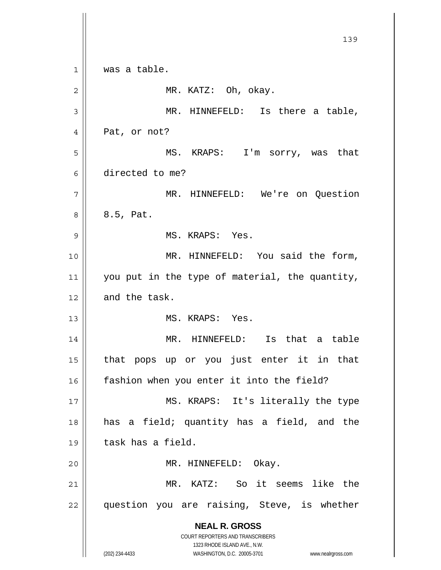**NEAL R. GROSS** COURT REPORTERS AND TRANSCRIBERS 1323 RHODE ISLAND AVE., N.W. (202) 234-4433 WASHINGTON, D.C. 20005-3701 www.nealrgross.com 139 1 2 3 4 5 6 7 8 9 10 11 12 13 14 15 16 17 18 19 20 21 22 was a table. MR. KATZ: Oh, okay. MR. HINNEFELD: Is there a table, Pat, or not? MS. KRAPS: I'm sorry, was that directed to me? MR. HINNEFELD: We're on Question 8.5, Pat. MS. KRAPS: Yes. MR. HINNEFELD: You said the form, you put in the type of material, the quantity, and the task. MS. KRAPS: Yes. MR. HINNEFELD: Is that a table that pops up or you just enter it in that fashion when you enter it into the field? MS. KRAPS: It's literally the type has a field; quantity has a field, and the task has a field. MR. HINNEFELD: Okay. MR. KATZ: So it seems like the question you are raising, Steve, is whether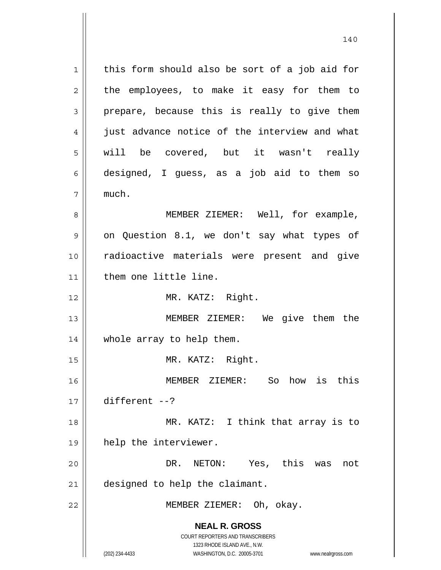**NEAL R. GROSS** COURT REPORTERS AND TRANSCRIBERS 1323 RHODE ISLAND AVE., N.W. 1 2 3 4 5 6 7 8 9 10 11 12 13 14 15 16 17 18 19 20 21 22 this form should also be sort of a job aid for the employees, to make it easy for them to prepare, because this is really to give them just advance notice of the interview and what will be covered, but it wasn't really designed, I guess, as a job aid to them so much. MEMBER ZIEMER: Well, for example, on Question 8.1, we don't say what types of radioactive materials were present and give them one little line. MR. KATZ: Right. MEMBER ZIEMER: We give them the whole array to help them. MR. KATZ: Right. MEMBER ZIEMER: So how is this different --? MR. KATZ: I think that array is to help the interviewer. DR. NETON: Yes, this was not designed to help the claimant. MEMBER ZIEMER: Oh, okay.

(202) 234-4433 WASHINGTON, D.C. 20005-3701 www.nealrgross.com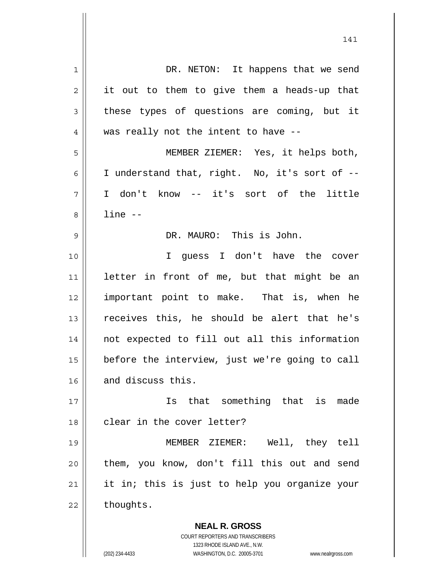| 1  | DR. NETON: It happens that we send                                  |
|----|---------------------------------------------------------------------|
| 2  | it out to them to give them a heads-up that                         |
| 3  | these types of questions are coming, but it                         |
| 4  | was really not the intent to have --                                |
| 5  | MEMBER ZIEMER: Yes, it helps both,                                  |
| 6  | I understand that, right. No, it's sort of --                       |
| 7  | I don't know -- it's sort of the little                             |
| 8  | $line -$                                                            |
| 9  | DR. MAURO: This is John.                                            |
| 10 | I quess I don't have the cover                                      |
| 11 | letter in front of me, but that might be an                         |
| 12 | important point to make. That is, when he                           |
| 13 | receives this, he should be alert that he's                         |
| 14 | not expected to fill out all this information                       |
| 15 | before the interview, just we're going to call                      |
| 16 | and discuss this.                                                   |
| 17 | that something that is made<br>Is                                   |
| 18 | clear in the cover letter?                                          |
| 19 | MEMBER ZIEMER: Well, they tell                                      |
| 20 | them, you know, don't fill this out and send                        |
| 21 | it in; this is just to help you organize your                       |
| 22 | thoughts.                                                           |
|    | <b>NEAL R. GROSS</b>                                                |
|    | COURT REPORTERS AND TRANSCRIBERS                                    |
|    | 1323 RHODE ISLAND AVE., N.W.                                        |
|    | (202) 234-4433<br>WASHINGTON, D.C. 20005-3701<br>www.nealrgross.com |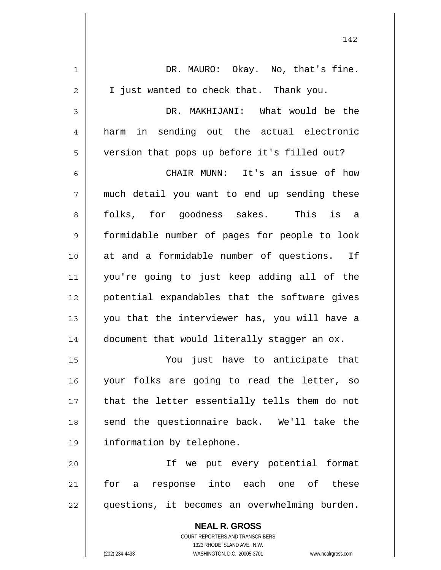| 1  | DR. MAURO: Okay. No, that's fine.                        |
|----|----------------------------------------------------------|
| 2  | I just wanted to check that. Thank you.                  |
| 3  | DR. MAKHIJANI: What would be the                         |
| 4  | in sending out the actual electronic<br>harm             |
| 5  | version that pops up before it's filled out?             |
| 6  | CHAIR MUNN: It's an issue of how                         |
| 7  | much detail you want to end up sending these             |
| 8  | folks, for goodness sakes. This is a                     |
| 9  | formidable number of pages for people to look            |
| 10 | at and a formidable number of questions. If              |
| 11 | you're going to just keep adding all of the              |
| 12 | potential expandables that the software gives            |
| 13 | you that the interviewer has, you will have a            |
| 14 | document that would literally stagger an ox.             |
| 15 | You just have to anticipate that                         |
| 16 | your folks are going to read the letter, so              |
| 17 | that the letter essentially tells them do not            |
| 18 | send the questionnaire back. We'll take the              |
| 19 | information by telephone.                                |
| 20 | If we put every potential format                         |
| 21 | for a response into each one of these                    |
| 22 | questions, it becomes an overwhelming burden.            |
|    | <b>NEAL R. GROSS</b><br>COURT REPORTERS AND TRANSCRIBERS |

1323 RHODE ISLAND AVE., N.W.

 $\begin{array}{c} \hline \end{array}$ 

(202) 234-4433 WASHINGTON, D.C. 20005-3701 www.nealrgross.com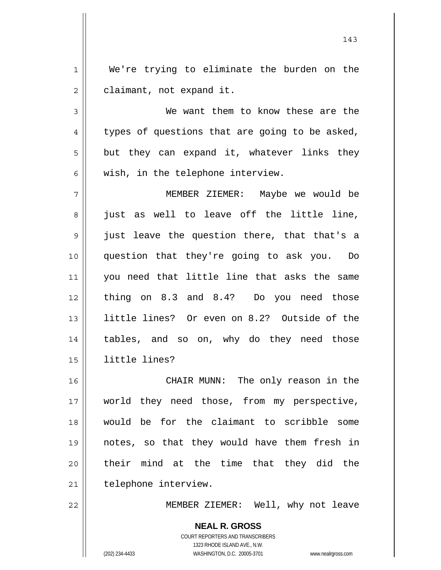1 2 We're trying to eliminate the burden on the claimant, not expand it.

3 4 5 6 We want them to know these are the types of questions that are going to be asked, but they can expand it, whatever links they wish, in the telephone interview.

7 8 9 10 11 12 13 14 15 MEMBER ZIEMER: Maybe we would be just as well to leave off the little line, just leave the question there, that that's a question that they're going to ask you. Do you need that little line that asks the same thing on 8.3 and 8.4? Do you need those little lines? Or even on 8.2? Outside of the tables, and so on, why do they need those little lines?

16 17 18 19 20 21 CHAIR MUNN: The only reason in the world they need those, from my perspective, would be for the claimant to scribble some notes, so that they would have them fresh in their mind at the time that they did the telephone interview.

22

MEMBER ZIEMER: Well, why not leave

**NEAL R. GROSS** COURT REPORTERS AND TRANSCRIBERS 1323 RHODE ISLAND AVE., N.W. (202) 234-4433 WASHINGTON, D.C. 20005-3701 www.nealrgross.com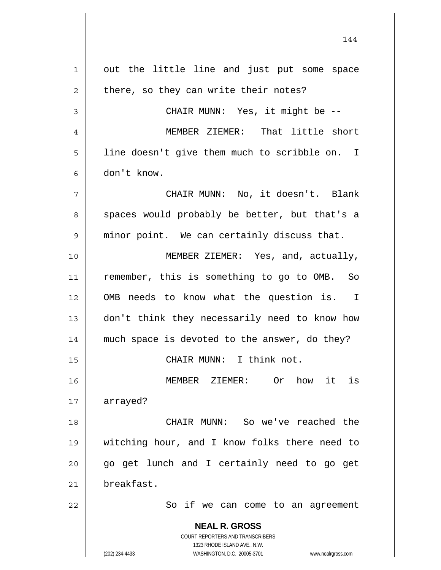**NEAL R. GROSS** COURT REPORTERS AND TRANSCRIBERS 1323 RHODE ISLAND AVE., N.W. (202) 234-4433 WASHINGTON, D.C. 20005-3701 www.nealrgross.com 1 2 3 4 5 6 7 8 9 10 11 12 13 14 15 16 17 18 19 20 21 22 out the little line and just put some space there, so they can write their notes? CHAIR MUNN: Yes, it might be -- MEMBER ZIEMER: That little short line doesn't give them much to scribble on. I don't know. CHAIR MUNN: No, it doesn't. Blank spaces would probably be better, but that's a minor point. We can certainly discuss that. MEMBER ZIEMER: Yes, and, actually, remember, this is something to go to OMB. So OMB needs to know what the question is. I don't think they necessarily need to know how much space is devoted to the answer, do they? CHAIR MUNN: I think not. MEMBER ZIEMER: Or how it is arrayed? CHAIR MUNN: So we've reached the witching hour, and I know folks there need to go get lunch and I certainly need to go get breakfast. So if we can come to an agreement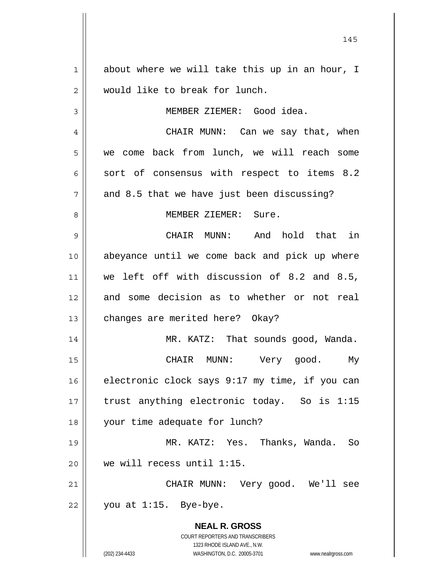**NEAL R. GROSS** COURT REPORTERS AND TRANSCRIBERS 1323 RHODE ISLAND AVE., N.W. 1 2 3 4 5 6 7 8 9 10 11 12 13 14 15 16 17 18 19 20 21 22 about where we will take this up in an hour, I would like to break for lunch. MEMBER ZIEMER: Good idea. CHAIR MUNN: Can we say that, when we come back from lunch, we will reach some sort of consensus with respect to items 8.2 and 8.5 that we have just been discussing? MEMBER ZIEMER: Sure. CHAIR MUNN: And hold that in abeyance until we come back and pick up where we left off with discussion of 8.2 and 8.5, and some decision as to whether or not real changes are merited here? Okay? MR. KATZ: That sounds good, Wanda. CHAIR MUNN: Very good. My electronic clock says 9:17 my time, if you can trust anything electronic today. So is 1:15 your time adequate for lunch? MR. KATZ: Yes. Thanks, Wanda. So we will recess until 1:15. CHAIR MUNN: Very good. We'll see you at 1:15. Bye-bye.

145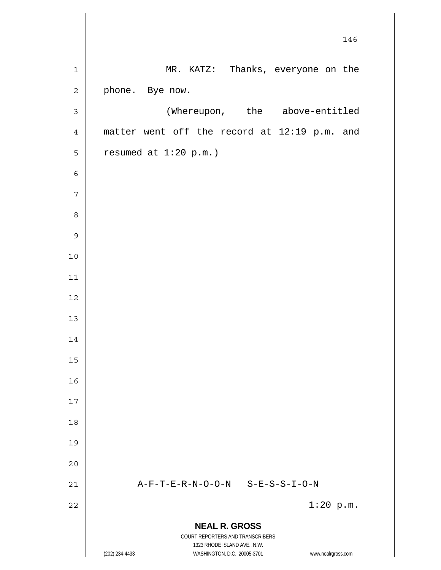|                | 146                                                                                      |
|----------------|------------------------------------------------------------------------------------------|
| $\mathbf 1$    | MR. KATZ: Thanks, everyone on the                                                        |
| $\mathbf 2$    | phone. Bye now.                                                                          |
| $\mathsf 3$    | (Whereupon, the above-entitled                                                           |
| $\overline{4}$ | matter went off the record at 12:19 p.m. and                                             |
| 5              | resumed at $1:20$ p.m.)                                                                  |
| $\epsilon$     |                                                                                          |
| 7              |                                                                                          |
| 8              |                                                                                          |
| $\mathsf 9$    |                                                                                          |
| 10             |                                                                                          |
| 11             |                                                                                          |
| 12             |                                                                                          |
| 13             |                                                                                          |
| 14             |                                                                                          |
| 15             |                                                                                          |
| 16             |                                                                                          |
| 17             |                                                                                          |
| 18             |                                                                                          |
| 19             |                                                                                          |
| 20             |                                                                                          |
| 21             | A-F-T-E-R-N-O-O-N S-E-S-S-I-O-N                                                          |
| 22             | $1:20$ p.m.                                                                              |
|                | <b>NEAL R. GROSS</b><br>COURT REPORTERS AND TRANSCRIBERS<br>1323 RHODE ISLAND AVE., N.W. |
|                | (202) 234-4433<br>WASHINGTON, D.C. 20005-3701<br>www.nealrgross.com                      |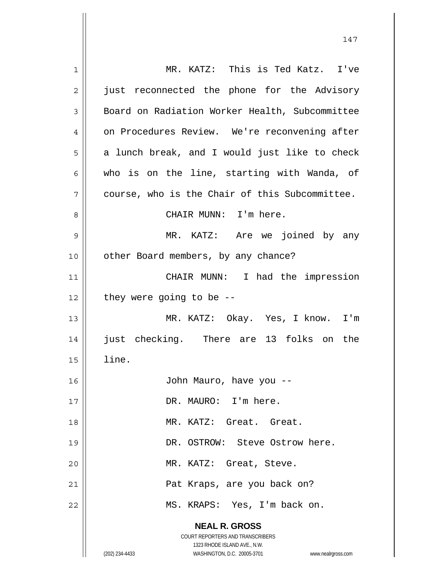| 1  | MR. KATZ: This is Ted Katz. I've                                                                    |
|----|-----------------------------------------------------------------------------------------------------|
| 2  | just reconnected the phone for the Advisory                                                         |
| 3  | Board on Radiation Worker Health, Subcommittee                                                      |
| 4  | on Procedures Review. We're reconvening after                                                       |
| 5  | a lunch break, and I would just like to check                                                       |
| 6  | who is on the line, starting with Wanda, of                                                         |
| 7  | course, who is the Chair of this Subcommittee.                                                      |
| 8  | CHAIR MUNN: I'm here.                                                                               |
| 9  | MR. KATZ: Are we joined by any                                                                      |
| 10 | other Board members, by any chance?                                                                 |
| 11 | CHAIR MUNN: I had the impression                                                                    |
| 12 | they were going to be $-$                                                                           |
| 13 | MR. KATZ: Okay. Yes, I know. I'm                                                                    |
| 14 | just checking. There are 13 folks on the                                                            |
| 15 | line.                                                                                               |
| 16 | John Mauro, have you --                                                                             |
| 17 | DR. MAURO: I'm here.                                                                                |
| 18 | MR. KATZ: Great. Great.                                                                             |
| 19 | DR. OSTROW: Steve Ostrow here.                                                                      |
| 20 | MR. KATZ: Great, Steve.                                                                             |
|    |                                                                                                     |
| 21 | Pat Kraps, are you back on?                                                                         |
| 22 | MS. KRAPS: Yes, I'm back on.                                                                        |
|    | <b>NEAL R. GROSS</b>                                                                                |
|    | COURT REPORTERS AND TRANSCRIBERS                                                                    |
|    | 1323 RHODE ISLAND AVE., N.W.<br>WASHINGTON, D.C. 20005-3701<br>(202) 234-4433<br>www.nealrgross.com |
|    |                                                                                                     |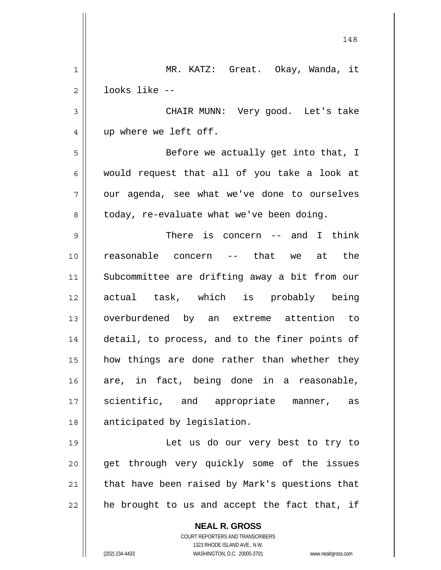**NEAL R. GROSS** COURT REPORTERS AND TRANSCRIBERS 1323 RHODE ISLAND AVE., N.W. 148 1 2 3 4 5 6 7 8 9 10 11 12 13 14 15 16 17 18 19 20 21 22 MR. KATZ: Great. Okay, Wanda, it looks like -- CHAIR MUNN: Very good. Let's take up where we left off. Before we actually get into that, I would request that all of you take a look at our agenda, see what we've done to ourselves today, re-evaluate what we've been doing. There is concern -- and I think reasonable concern -- that we at the Subcommittee are drifting away a bit from our actual task, which is probably being overburdened by an extreme attention to detail, to process, and to the finer points of how things are done rather than whether they are, in fact, being done in a reasonable, scientific, and appropriate manner, as anticipated by legislation. Let us do our very best to try to get through very quickly some of the issues that have been raised by Mark's questions that he brought to us and accept the fact that, if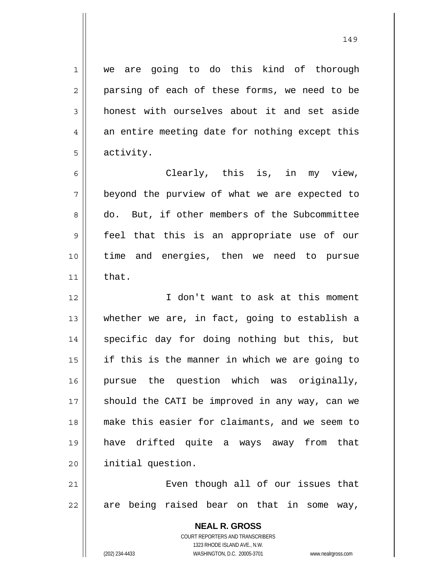we are going to do this kind of thorough parsing of each of these forms, we need to be honest with ourselves about it and set aside

7 an entire meeting date for nothing except this activity. Clearly, this is, in my view,

beyond the purview of what we are expected to do. But, if other members of the Subcommittee feel that this is an appropriate use of our time and energies, then we need to pursue that.

12 13 14 15 16 17 18 19 20 I don't want to ask at this moment whether we are, in fact, going to establish a specific day for doing nothing but this, but if this is the manner in which we are going to pursue the question which was originally, should the CATI be improved in any way, can we make this easier for claimants, and we seem to have drifted quite a ways away from that initial question.

21 22 Even though all of our issues that are being raised bear on that in some way,

> **NEAL R. GROSS** COURT REPORTERS AND TRANSCRIBERS 1323 RHODE ISLAND AVE., N.W. (202) 234-4433 WASHINGTON, D.C. 20005-3701 www.nealrgross.com

1

2

3

4

5

6

8

9

10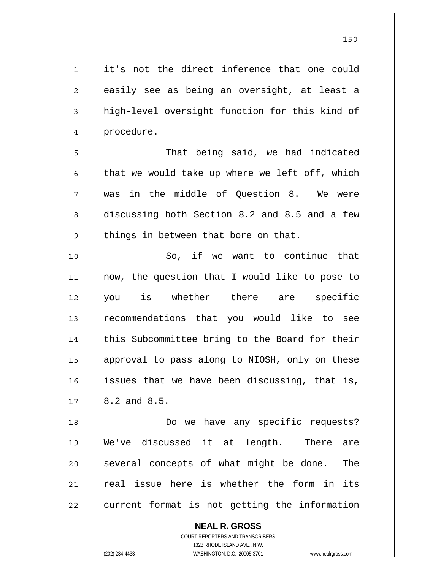**NEAL R. GROSS** 1 2 3 4 5 6 7 8 9 10 11 12 13 14 15 16 17 18 19 20 21 22 it's not the direct inference that one could easily see as being an oversight, at least a high-level oversight function for this kind of procedure. That being said, we had indicated that we would take up where we left off, which was in the middle of Question 8. We were discussing both Section 8.2 and 8.5 and a few things in between that bore on that. So, if we want to continue that now, the question that I would like to pose to you is whether there are specific recommendations that you would like to see this Subcommittee bring to the Board for their approval to pass along to NIOSH, only on these issues that we have been discussing, that is, 8.2 and 8.5. Do we have any specific requests? We've discussed it at length. There are several concepts of what might be done. The real issue here is whether the form in its current format is not getting the information

1323 RHODE ISLAND AVE., N.W. (202) 234-4433 WASHINGTON, D.C. 20005-3701 www.nealrgross.com

COURT REPORTERS AND TRANSCRIBERS

<u>150</u>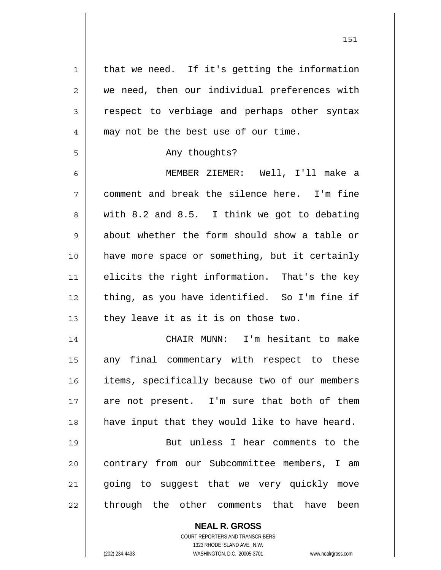1 2 3 4 5 6 7 8 9 10 11 12 13 14 15 16 17 18 19 20 21 22 that we need. If it's getting the information we need, then our individual preferences with respect to verbiage and perhaps other syntax may not be the best use of our time. Any thoughts? MEMBER ZIEMER: Well, I'll make a comment and break the silence here. I'm fine with 8.2 and 8.5. I think we got to debating about whether the form should show a table or have more space or something, but it certainly elicits the right information. That's the key thing, as you have identified. So I'm fine if they leave it as it is on those two. CHAIR MUNN: I'm hesitant to make any final commentary with respect to these items, specifically because two of our members are not present. I'm sure that both of them have input that they would like to have heard. But unless I hear comments to the contrary from our Subcommittee members, I am going to suggest that we very quickly move through the other comments that have been

> **NEAL R. GROSS** COURT REPORTERS AND TRANSCRIBERS

> > 1323 RHODE ISLAND AVE., N.W.

(202) 234-4433 WASHINGTON, D.C. 20005-3701 www.nealrgross.com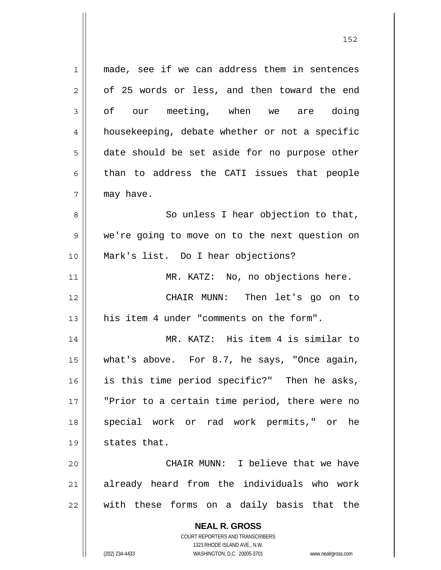**NEAL R. GROSS** COURT REPORTERS AND TRANSCRIBERS 1323 RHODE ISLAND AVE., N.W. 1 2 3 4 5 6 7 8 9 10 11 12 13 14 15 16 17 18 19 20 21 22 made, see if we can address them in sentences of 25 words or less, and then toward the end of our meeting, when we are doing housekeeping, debate whether or not a specific date should be set aside for no purpose other than to address the CATI issues that people may have. So unless I hear objection to that, we're going to move on to the next question on Mark's list. Do I hear objections? MR. KATZ: No, no objections here. CHAIR MUNN: Then let's go on to his item 4 under "comments on the form". MR. KATZ: His item 4 is similar to what's above. For 8.7, he says, "Once again, is this time period specific?" Then he asks, "Prior to a certain time period, there were no special work or rad work permits," or he states that. CHAIR MUNN: I believe that we have already heard from the individuals who work with these forms on a daily basis that the

152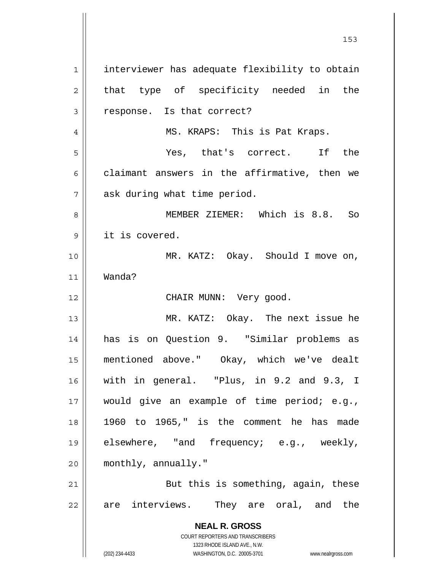**NEAL R. GROSS** COURT REPORTERS AND TRANSCRIBERS 1323 RHODE ISLAND AVE., N.W. (202) 234-4433 WASHINGTON, D.C. 20005-3701 www.nealrgross.com 1 2 3 4 5 6 7 8 9 10 11 12 13 14 15 16 17 18 19 20 21 22 interviewer has adequate flexibility to obtain that type of specificity needed in the response. Is that correct? MS. KRAPS: This is Pat Kraps. Yes, that's correct. If the claimant answers in the affirmative, then we ask during what time period. MEMBER ZIEMER: Which is 8.8. So it is covered. MR. KATZ: Okay. Should I move on, Wanda? CHAIR MUNN: Very good. MR. KATZ: Okay. The next issue he has is on Question 9. "Similar problems as mentioned above." Okay, which we've dealt with in general. "Plus, in 9.2 and 9.3, I would give an example of time period; e.g., 1960 to 1965," is the comment he has made elsewhere, "and frequency; e.g., weekly, monthly, annually." But this is something, again, these are interviews. They are oral, and the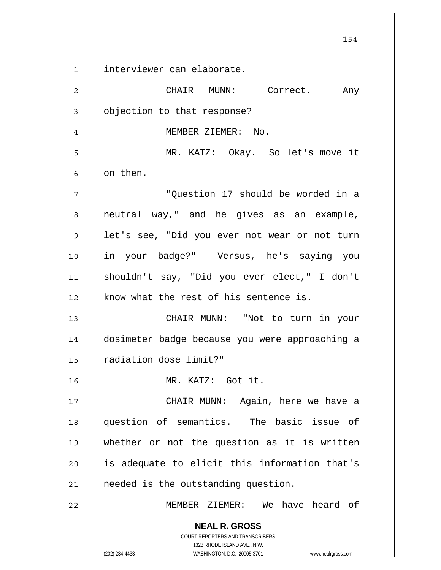**NEAL R. GROSS** COURT REPORTERS AND TRANSCRIBERS 1 2 3 4 5 6 7 8 9 10 11 12 13 14 15 16 17 18 19 20 21 22 interviewer can elaborate. CHAIR MUNN: Correct. Any objection to that response? MEMBER ZIEMER: No. MR. KATZ: Okay. So let's move it on then. "Question 17 should be worded in a neutral way," and he gives as an example, let's see, "Did you ever not wear or not turn in your badge?" Versus, he's saying you shouldn't say, "Did you ever elect," I don't know what the rest of his sentence is. CHAIR MUNN: "Not to turn in your dosimeter badge because you were approaching a radiation dose limit?" MR. KATZ: Got it. CHAIR MUNN: Again, here we have a question of semantics. The basic issue of whether or not the question as it is written is adequate to elicit this information that's needed is the outstanding question. MEMBER ZIEMER: We have heard of

154

1323 RHODE ISLAND AVE., N.W.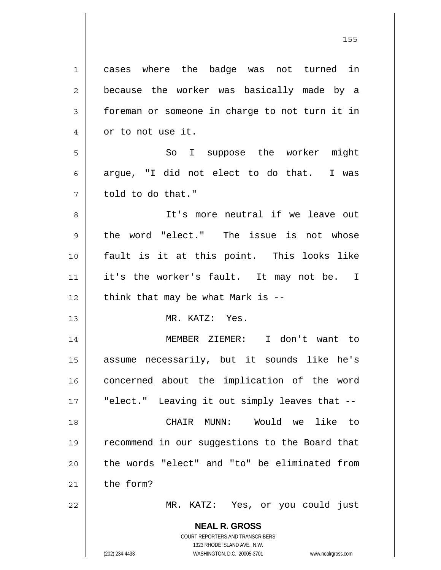**NEAL R. GROSS** 1 2 3 4 5 6 7 8 9 10 11 12 13 14 15 16 17 18 19 20 21 22 cases where the badge was not turned in because the worker was basically made by a foreman or someone in charge to not turn it in or to not use it. So I suppose the worker might argue, "I did not elect to do that. I was told to do that." It's more neutral if we leave out the word "elect." The issue is not whose fault is it at this point. This looks like it's the worker's fault. It may not be. I think that may be what Mark is -- MR. KATZ: Yes. MEMBER ZIEMER: I don't want to assume necessarily, but it sounds like he's concerned about the implication of the word "elect." Leaving it out simply leaves that -- CHAIR MUNN: Would we like to recommend in our suggestions to the Board that the words "elect" and "to" be eliminated from the form? MR. KATZ: Yes, or you could just

> COURT REPORTERS AND TRANSCRIBERS 1323 RHODE ISLAND AVE., N.W.

<u>155 میں اس کی استعمال کرتا ہے۔ اس کی اس کی اس کی اس کی اس کی اس کی اس کی اس کی اس کی اس کی اس کی اس کی اس کی</u>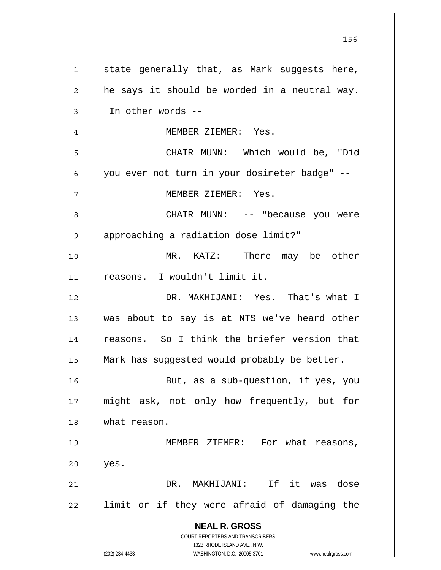**NEAL R. GROSS** COURT REPORTERS AND TRANSCRIBERS 1323 RHODE ISLAND AVE., N.W. (202) 234-4433 WASHINGTON, D.C. 20005-3701 www.nealrgross.com 1 2 3 4 5 6 7 8 9 10 11 12 13 14 15 16 17 18 19 20 21 22 state generally that, as Mark suggests here, he says it should be worded in a neutral way. In other words -- MEMBER ZIEMER: Yes. CHAIR MUNN: Which would be, "Did you ever not turn in your dosimeter badge" -- MEMBER ZIEMER: Yes. CHAIR MUNN: -- "because you were approaching a radiation dose limit?" MR. KATZ: There may be other reasons. I wouldn't limit it. DR. MAKHIJANI: Yes. That's what I was about to say is at NTS we've heard other reasons. So I think the briefer version that Mark has suggested would probably be better. But, as a sub-question, if yes, you might ask, not only how frequently, but for what reason. MEMBER ZIEMER: For what reasons, yes. DR. MAKHIJANI: If it was dose limit or if they were afraid of damaging the

<u>156 - Animal Stephen Barbara, amerikan pendadaran pengaran pengaran pengaran pengaran pengaran pengaran penga</u>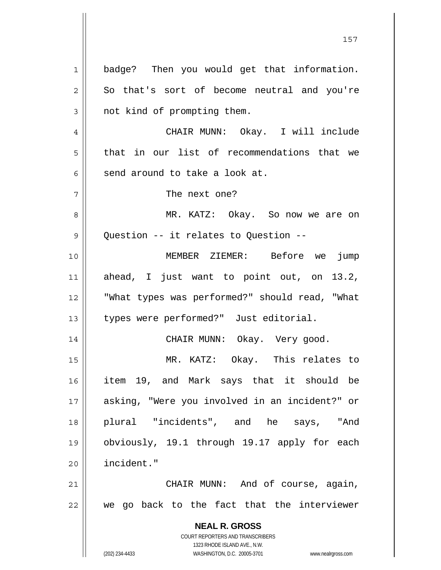**NEAL R. GROSS** COURT REPORTERS AND TRANSCRIBERS 1323 RHODE ISLAND AVE., N.W. (202) 234-4433 WASHINGTON, D.C. 20005-3701 www.nealrgross.com 1 2 3 4 5 6 7 8 9 10 11 12 13 14 15 16 17 18 19 20 21 22 badge? Then you would get that information. So that's sort of become neutral and you're not kind of prompting them. CHAIR MUNN: Okay. I will include that in our list of recommendations that we send around to take a look at. The next one? MR. KATZ: Okay. So now we are on Question -- it relates to Question -- MEMBER ZIEMER: Before we jump ahead, I just want to point out, on 13.2, "What types was performed?" should read, "What types were performed?" Just editorial. CHAIR MUNN: Okay. Very good. MR. KATZ: Okay. This relates to item 19, and Mark says that it should be asking, "Were you involved in an incident?" or plural "incidents", and he says, "And obviously, 19.1 through 19.17 apply for each incident." CHAIR MUNN: And of course, again, we go back to the fact that the interviewer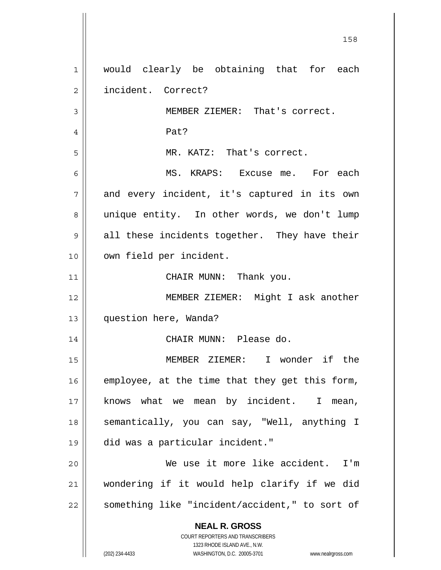**NEAL R. GROSS** COURT REPORTERS AND TRANSCRIBERS 1323 RHODE ISLAND AVE., N.W. 1 2 3 4 5 6 7 8 9 10 11 12 13 14 15 16 17 18 19 20 21 22 would clearly be obtaining that for each incident. Correct? MEMBER ZIEMER: That's correct. Pat? MR. KATZ: That's correct. MS. KRAPS: Excuse me. For each and every incident, it's captured in its own unique entity. In other words, we don't lump all these incidents together. They have their own field per incident. CHAIR MUNN: Thank you. MEMBER ZIEMER: Might I ask another question here, Wanda? CHAIR MUNN: Please do. MEMBER ZIEMER: I wonder if the employee, at the time that they get this form, knows what we mean by incident. I mean, semantically, you can say, "Well, anything I did was a particular incident." We use it more like accident. I'm wondering if it would help clarify if we did something like "incident/accident," to sort of

158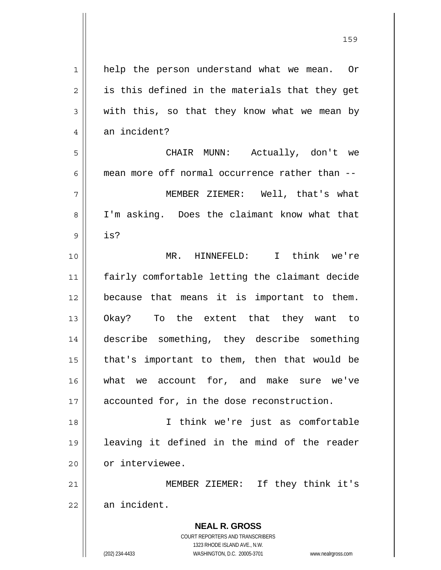| $\mathbf 1$    | help the person understand what we mean. Or                                                         |
|----------------|-----------------------------------------------------------------------------------------------------|
| $\overline{2}$ | is this defined in the materials that they get                                                      |
| 3              | with this, so that they know what we mean by                                                        |
| $\overline{4}$ | an incident?                                                                                        |
| 5              | CHAIR MUNN: Actually, don't we                                                                      |
| 6              | mean more off normal occurrence rather than --                                                      |
| 7              | MEMBER ZIEMER: Well, that's what                                                                    |
| 8              | I'm asking. Does the claimant know what that                                                        |
| 9              | is?                                                                                                 |
| 10             | MR. HINNEFELD: I think we're                                                                        |
| 11             | fairly comfortable letting the claimant decide                                                      |
| 12             | because that means it is important to them.                                                         |
| 13             | To the extent that they want to<br>Okay?                                                            |
| 14             | describe something, they describe something                                                         |
| 15             | that's important to them, then that would be                                                        |
| 16             | what we account for, and make sure we've                                                            |
| 17             | accounted for, in the dose reconstruction.                                                          |
| 18             | I think we're just as comfortable                                                                   |
| 19             | leaving it defined in the mind of the reader                                                        |
| 20             | or interviewee.                                                                                     |
| 21             | If they think it's<br>MEMBER ZIEMER:                                                                |
| 22             | an incident.                                                                                        |
|                | <b>NEAL R. GROSS</b>                                                                                |
|                | <b>COURT REPORTERS AND TRANSCRIBERS</b>                                                             |
|                | 1323 RHODE ISLAND AVE., N.W.<br>(202) 234-4433<br>WASHINGTON, D.C. 20005-3701<br>www.nealrgross.com |

159

 $\mathsf{I}$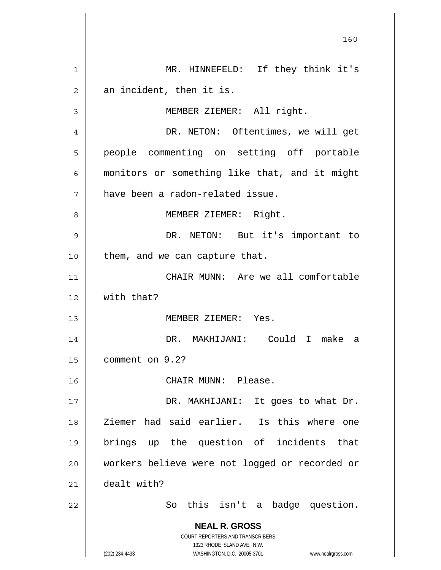**NEAL R. GROSS** COURT REPORTERS AND TRANSCRIBERS 1323 RHODE ISLAND AVE., N.W. (202) 234-4433 WASHINGTON, D.C. 20005-3701 www.nealrgross.com 160 1 2 3 4 5 6 7 8 9 10 11 12 13 14 15 16 17 18 19 20 21 22 MR. HINNEFELD: If they think it's an incident, then it is. MEMBER ZIEMER: All right. DR. NETON: Oftentimes, we will get people commenting on setting off portable monitors or something like that, and it might have been a radon-related issue. MEMBER ZIEMER: Right. DR. NETON: But it's important to them, and we can capture that. CHAIR MUNN: Are we all comfortable with that? MEMBER ZIEMER: Yes. DR. MAKHIJANI: Could I make a comment on 9.2? CHAIR MUNN: Please. DR. MAKHIJANI: It goes to what Dr. Ziemer had said earlier. Is this where one brings up the question of incidents that workers believe were not logged or recorded or dealt with? So this isn't a badge question.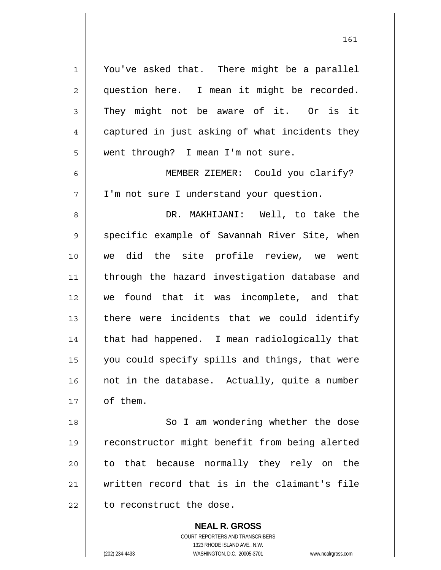You've asked that. There might be a parallel question here. I mean it might be recorded. They might not be aware of it. Or is it captured in just asking of what incidents they went through? I mean I'm not sure.

6 7 MEMBER ZIEMER: Could you clarify? I'm not sure I understand your question.

8 9 10 11 12 13 14 15 16 17 DR. MAKHIJANI: Well, to take the specific example of Savannah River Site, when we did the site profile review, we went through the hazard investigation database and we found that it was incomplete, and that there were incidents that we could identify that had happened. I mean radiologically that you could specify spills and things, that were not in the database. Actually, quite a number of them.

18 19 20 21 22 So I am wondering whether the dose reconstructor might benefit from being alerted to that because normally they rely on the written record that is in the claimant's file to reconstruct the dose.

> **NEAL R. GROSS** COURT REPORTERS AND TRANSCRIBERS 1323 RHODE ISLAND AVE., N.W. (202) 234-4433 WASHINGTON, D.C. 20005-3701 www.nealrgross.com

1

2

3

4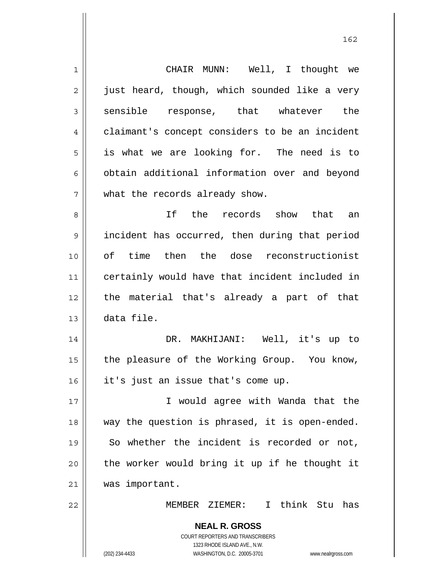| $\mathbf 1$    | CHAIR MUNN: Well, I thought we                                      |
|----------------|---------------------------------------------------------------------|
| $\overline{2}$ | just heard, though, which sounded like a very                       |
| 3              | sensible response, that whatever the                                |
| 4              | claimant's concept considers to be an incident                      |
| 5              | is what we are looking for. The need is to                          |
| 6              | obtain additional information over and beyond                       |
| 7              | what the records already show.                                      |
| 8              | If the records show that an                                         |
| 9              | incident has occurred, then during that period                      |
| 10             | of time then the dose reconstructionist                             |
| 11             | certainly would have that incident included in                      |
| 12             | the material that's already a part of that                          |
| 13             | data file.                                                          |
| 14             | DR. MAKHIJANI: Well, it's up to                                     |
| 15             | the pleasure of the Working Group. You know,                        |
| 16             | it's just an issue that's come up.                                  |
| 17             | I would agree with Wanda that the                                   |
| 18             | way the question is phrased, it is open-ended.                      |
| 19             | So whether the incident is recorded or not,                         |
| 20             | the worker would bring it up if he thought it                       |
| 21             | was important.                                                      |
| 22             | I think Stu has<br>MEMBER ZIEMER:                                   |
|                | <b>NEAL R. GROSS</b>                                                |
|                | COURT REPORTERS AND TRANSCRIBERS                                    |
|                | 1323 RHODE ISLAND AVE., N.W.                                        |
|                | (202) 234-4433<br>WASHINGTON, D.C. 20005-3701<br>www.nealrgross.com |

<u>162</u>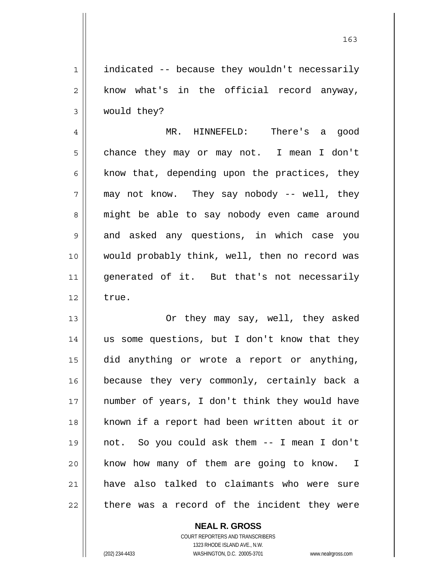1 2 3 indicated -- because they wouldn't necessarily know what's in the official record anyway, would they?

4 5 6 7 8 9 10 11 12 MR. HINNEFELD: There's a good chance they may or may not. I mean I don't know that, depending upon the practices, they may not know. They say nobody -- well, they might be able to say nobody even came around and asked any questions, in which case you would probably think, well, then no record was generated of it. But that's not necessarily true.

13 14 15 16 17 18 19 20 21 22 Or they may say, well, they asked us some questions, but I don't know that they did anything or wrote a report or anything, because they very commonly, certainly back a number of years, I don't think they would have known if a report had been written about it or not. So you could ask them -- I mean I don't know how many of them are going to know. I have also talked to claimants who were sure there was a record of the incident they were

> **NEAL R. GROSS** COURT REPORTERS AND TRANSCRIBERS

> > 1323 RHODE ISLAND AVE., N.W.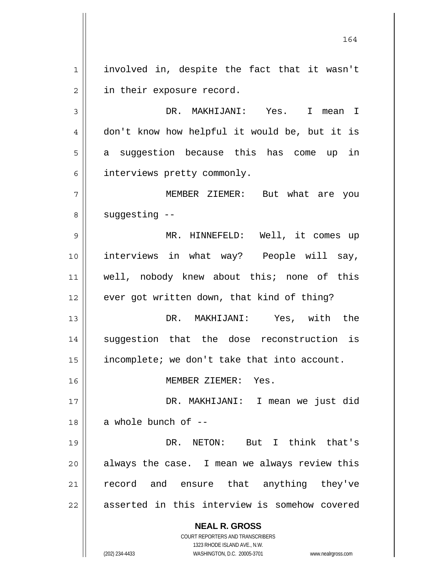1 2 involved in, despite the fact that it wasn't in their exposure record.

3 4 5 6 DR. MAKHIJANI: Yes. I mean I don't know how helpful it would be, but it is a suggestion because this has come up in interviews pretty commonly.

7 8 MEMBER ZIEMER: But what are you suggesting --

9 10 11 12 MR. HINNEFELD: Well, it comes up interviews in what way? People will say, well, nobody knew about this; none of this ever got written down, that kind of thing?

13 14 15 DR. MAKHIJANI: Yes, with the suggestion that the dose reconstruction is incomplete; we don't take that into account.

MEMBER ZIEMER: Yes.

17 18 DR. MAKHIJANI: I mean we just did a whole bunch of --

19 20 21 22 DR. NETON: But I think that's always the case. I mean we always review this record and ensure that anything they've asserted in this interview is somehow covered

**NEAL R. GROSS**

COURT REPORTERS AND TRANSCRIBERS 1323 RHODE ISLAND AVE., N.W. (202) 234-4433 WASHINGTON, D.C. 20005-3701 www.nealrgross.com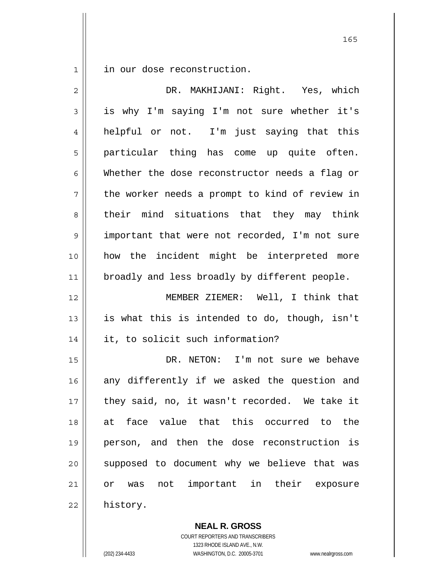1 in our dose reconstruction.

| $\overline{2}$ | DR. MAKHIJANI: Right. Yes, which               |
|----------------|------------------------------------------------|
| 3              | is why I'm saying I'm not sure whether it's    |
| 4              | helpful or not. I'm just saying that this      |
| 5              | particular thing has come up quite often.      |
| 6              | Whether the dose reconstructor needs a flag or |
| 7              | the worker needs a prompt to kind of review in |
| 8              | their mind situations that they may think      |
| $\mathsf 9$    | important that were not recorded, I'm not sure |
| 10             | how the incident might be interpreted more     |
| 11             | broadly and less broadly by different people.  |
| 12             | MEMBER ZIEMER: Well, I think that              |
| 13             | is what this is intended to do, though, isn't  |
| 14             | it, to solicit such information?               |
| 15             | DR. NETON: I'm not sure we behave              |
| 16             | any differently if we asked the question and   |
| 17             | they said, no, it wasn't recorded. We take it  |
| 18             | at face value that this occurred to the        |
| 19             | person, and then the dose reconstruction is    |
| 20             | supposed to document why we believe that was   |
| 21             | was not important in their exposure<br>or      |
| 22             | history.                                       |

**NEAL R. GROSS** COURT REPORTERS AND TRANSCRIBERS

1323 RHODE ISLAND AVE., N.W.

(202) 234-4433 WASHINGTON, D.C. 20005-3701 www.nealrgross.com

<u>165</u>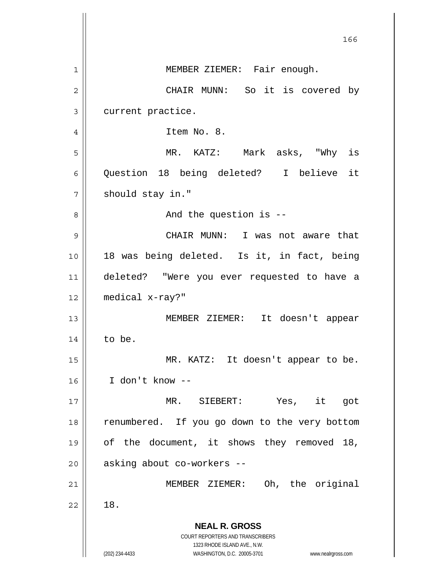| 166                                                                                                 |
|-----------------------------------------------------------------------------------------------------|
| MEMBER ZIEMER: Fair enough.                                                                         |
| CHAIR MUNN: So it is covered by                                                                     |
| current practice.                                                                                   |
| Item No. 8.                                                                                         |
| MR. KATZ: Mark asks, "Why is                                                                        |
| Question 18 being deleted? I believe it                                                             |
| should stay in."                                                                                    |
| And the question is --                                                                              |
| CHAIR MUNN: I was not aware that                                                                    |
| 18 was being deleted. Is it, in fact, being                                                         |
| deleted? "Were you ever requested to have a                                                         |
| medical x-ray?"                                                                                     |
| MEMBER ZIEMER: It doesn't appear                                                                    |
| to be.                                                                                              |
| MR. KATZ: It doesn't appear to be.                                                                  |
| I don't know --                                                                                     |
| Yes, it<br>MR. SIEBERT:<br>got                                                                      |
| renumbered. If you go down to the very bottom                                                       |
| of the document, it shows they removed 18,                                                          |
| asking about co-workers --                                                                          |
| MEMBER ZIEMER: Oh, the original                                                                     |
| 18.                                                                                                 |
| <b>NEAL R. GROSS</b><br>COURT REPORTERS AND TRANSCRIBERS                                            |
| 1323 RHODE ISLAND AVE., N.W.<br>(202) 234-4433<br>WASHINGTON, D.C. 20005-3701<br>www.nealrgross.com |
|                                                                                                     |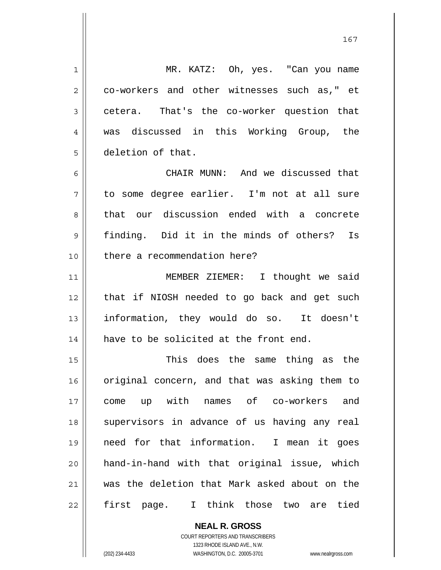1 2 3 4 5 6 7 8 9 10 11 12 13 14 15 16 17 18 19 20 21 22 MR. KATZ: Oh, yes. "Can you name co-workers and other witnesses such as," et cetera. That's the co-worker question that was discussed in this Working Group, the deletion of that. CHAIR MUNN: And we discussed that to some degree earlier. I'm not at all sure that our discussion ended with a concrete finding. Did it in the minds of others? Is there a recommendation here? MEMBER ZIEMER: I thought we said that if NIOSH needed to go back and get such information, they would do so. It doesn't have to be solicited at the front end. This does the same thing as the original concern, and that was asking them to come up with names of co-workers and supervisors in advance of us having any real need for that information. I mean it goes hand-in-hand with that original issue, which was the deletion that Mark asked about on the first page. I think those two are tied

> **NEAL R. GROSS** COURT REPORTERS AND TRANSCRIBERS 1323 RHODE ISLAND AVE., N.W. (202) 234-4433 WASHINGTON, D.C. 20005-3701 www.nealrgross.com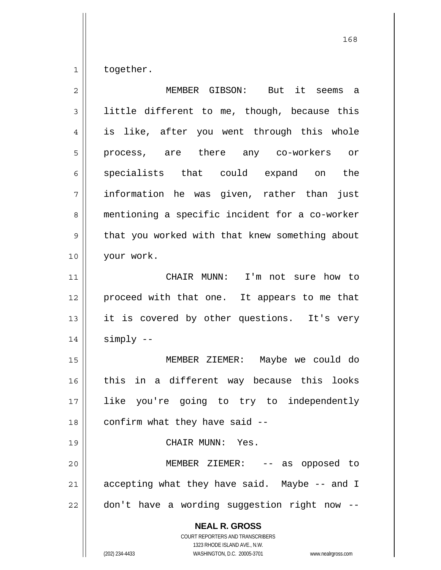1 together.

| 2  | MEMBER GIBSON: But it seems a                                                                                                                                          |
|----|------------------------------------------------------------------------------------------------------------------------------------------------------------------------|
| 3  | little different to me, though, because this                                                                                                                           |
| 4  | is like, after you went through this whole                                                                                                                             |
| 5  | process, are there any co-workers or                                                                                                                                   |
| 6  | specialists that could expand on the                                                                                                                                   |
| 7  | information he was given, rather than just                                                                                                                             |
| 8  | mentioning a specific incident for a co-worker                                                                                                                         |
| 9  | that you worked with that knew something about                                                                                                                         |
| 10 | your work.                                                                                                                                                             |
| 11 | CHAIR MUNN: I'm not sure how to                                                                                                                                        |
| 12 | proceed with that one. It appears to me that                                                                                                                           |
| 13 | it is covered by other questions. It's very                                                                                                                            |
| 14 | simply --                                                                                                                                                              |
| 15 | MEMBER ZIEMER: Maybe we could do                                                                                                                                       |
| 16 | in a different way because this looks<br>this                                                                                                                          |
| 17 | like you're going to try to independently                                                                                                                              |
| 18 | confirm what they have said --                                                                                                                                         |
| 19 | CHAIR MUNN: Yes.                                                                                                                                                       |
| 20 | MEMBER ZIEMER:<br>-- as opposed to                                                                                                                                     |
| 21 | accepting what they have said. Maybe -- and I                                                                                                                          |
| 22 | don't have a wording suggestion right now                                                                                                                              |
|    | <b>NEAL R. GROSS</b><br><b>COURT REPORTERS AND TRANSCRIBERS</b><br>1323 RHODE ISLAND AVE., N.W.<br>(202) 234-4433<br>WASHINGTON, D.C. 20005-3701<br>www.nealrgross.com |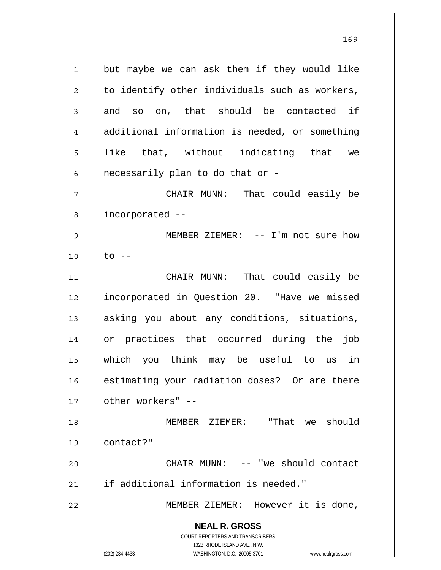**NEAL R. GROSS** 1 2 3 4 5 6 7 8 9 10 11 12 13 14 15 16 17 18 19 20 21 22 but maybe we can ask them if they would like to identify other individuals such as workers, and so on, that should be contacted if additional information is needed, or something like that, without indicating that we necessarily plan to do that or - CHAIR MUNN: That could easily be incorporated -- MEMBER ZIEMER: -- I'm not sure how  $to$   $--$  CHAIR MUNN: That could easily be incorporated in Question 20. "Have we missed asking you about any conditions, situations, or practices that occurred during the job which you think may be useful to us in estimating your radiation doses? Or are there other workers" -- MEMBER ZIEMER: "That we should contact?" CHAIR MUNN: -- "we should contact if additional information is needed." MEMBER ZIEMER: However it is done,

169

1323 RHODE ISLAND AVE., N.W. (202) 234-4433 WASHINGTON, D.C. 20005-3701 www.nealrgross.com

COURT REPORTERS AND TRANSCRIBERS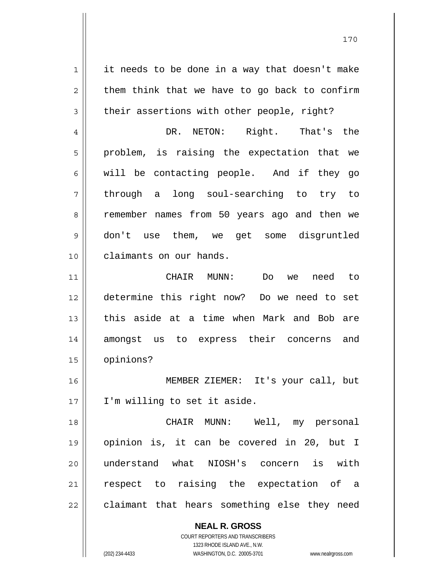**NEAL R. GROSS** 1 2 3 4 5 6 7 8 9 10 11 12 13 14 15 16 17 18 19 20 21 22 it needs to be done in a way that doesn't make them think that we have to go back to confirm their assertions with other people, right? DR. NETON: Right. That's the problem, is raising the expectation that we will be contacting people. And if they go through a long soul-searching to try to remember names from 50 years ago and then we don't use them, we get some disgruntled claimants on our hands. CHAIR MUNN: Do we need to determine this right now? Do we need to set this aside at a time when Mark and Bob are amongst us to express their concerns and opinions? MEMBER ZIEMER: It's your call, but I'm willing to set it aside. CHAIR MUNN: Well, my personal opinion is, it can be covered in 20, but I understand what NIOSH's concern is with respect to raising the expectation of a claimant that hears something else they need

> COURT REPORTERS AND TRANSCRIBERS 1323 RHODE ISLAND AVE., N.W.

(202) 234-4433 WASHINGTON, D.C. 20005-3701 www.nealrgross.com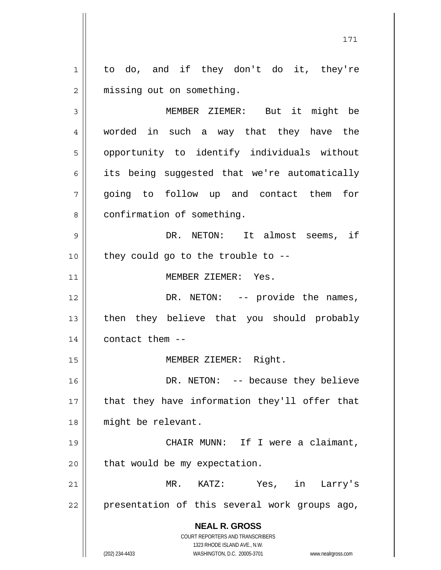**NEAL R. GROSS** COURT REPORTERS AND TRANSCRIBERS 1323 RHODE ISLAND AVE., N.W. 1 2 3 4 5 6 7 8 9 10 11 12 13 14 15 16 17 18 19 20 21 22 to do, and if they don't do it, they're missing out on something. MEMBER ZIEMER: But it might be worded in such a way that they have the opportunity to identify individuals without its being suggested that we're automatically going to follow up and contact them for confirmation of something. DR. NETON: It almost seems, if they could go to the trouble to -- MEMBER ZIEMER: Yes. DR. NETON: -- provide the names, then they believe that you should probably contact them -- MEMBER ZIEMER: Right. DR. NETON: -- because they believe that they have information they'll offer that might be relevant. CHAIR MUNN: If I were a claimant, that would be my expectation. MR. KATZ: Yes, in Larry's presentation of this several work groups ago,

171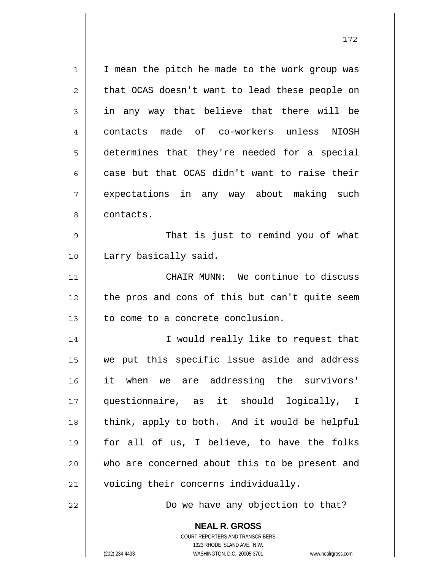1 2 3 4 5 6 7 8 9 10 11 12 13 14 15 16 17 18 19 20 I mean the pitch he made to the work group was that OCAS doesn't want to lead these people on in any way that believe that there will be contacts made of co-workers unless NIOSH determines that they're needed for a special case but that OCAS didn't want to raise their expectations in any way about making such contacts. That is just to remind you of what Larry basically said. CHAIR MUNN: We continue to discuss the pros and cons of this but can't quite seem to come to a concrete conclusion. I would really like to request that we put this specific issue aside and address it when we are addressing the survivors' questionnaire, as it should logically, I think, apply to both. And it would be helpful for all of us, I believe, to have the folks who are concerned about this to be present and

21 22

Do we have any objection to that?

**NEAL R. GROSS** COURT REPORTERS AND TRANSCRIBERS 1323 RHODE ISLAND AVE., N.W. (202) 234-4433 WASHINGTON, D.C. 20005-3701 www.nealrgross.com

voicing their concerns individually.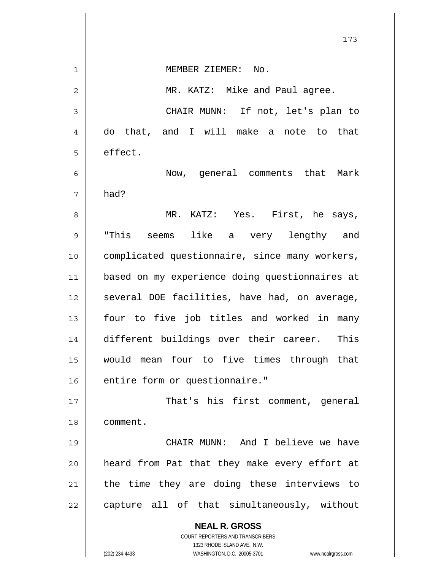**NEAL R. GROSS** COURT REPORTERS AND TRANSCRIBERS 1323 RHODE ISLAND AVE., N.W. 173 1 2 3 4 5 6 7 8 9 10 11 12 13 14 15 16 17 18 19 20 21 22 MEMBER ZIEMER: No. MR. KATZ: Mike and Paul agree. CHAIR MUNN: If not, let's plan to do that, and I will make a note to that effect. Now, general comments that Mark had? MR. KATZ: Yes. First, he says, "This seems like a very lengthy and complicated questionnaire, since many workers, based on my experience doing questionnaires at several DOE facilities, have had, on average, four to five job titles and worked in many different buildings over their career. This would mean four to five times through that entire form or questionnaire." That's his first comment, general comment. CHAIR MUNN: And I believe we have heard from Pat that they make every effort at the time they are doing these interviews to capture all of that simultaneously, without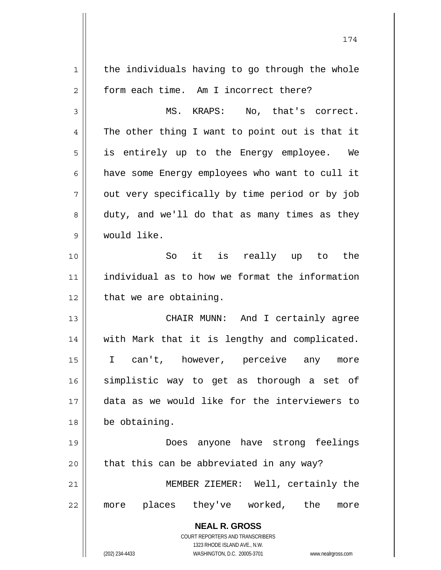**NEAL R. GROSS** COURT REPORTERS AND TRANSCRIBERS 1323 RHODE ISLAND AVE., N.W. (202) 234-4433 WASHINGTON, D.C. 20005-3701 www.nealrgross.com 1 2 3 4 5 6 7 8 9 10 11 12 13 14 15 16 17 18 19 20 21 22 the individuals having to go through the whole form each time. Am I incorrect there? MS. KRAPS: No, that's correct. The other thing I want to point out is that it is entirely up to the Energy employee. We have some Energy employees who want to cull it out very specifically by time period or by job duty, and we'll do that as many times as they would like. So it is really up to the individual as to how we format the information that we are obtaining. CHAIR MUNN: And I certainly agree with Mark that it is lengthy and complicated. I can't, however, perceive any more simplistic way to get as thorough a set of data as we would like for the interviewers to be obtaining. Does anyone have strong feelings that this can be abbreviated in any way? MEMBER ZIEMER: Well, certainly the more places they've worked, the more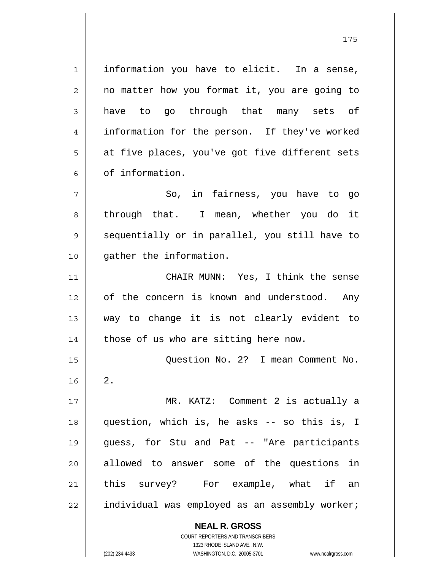**NEAL R. GROSS** 1 2 3 4 5 6 7 8 9 10 11 12 13 14 15 16 17 18 19 20 21 22 information you have to elicit. In a sense, no matter how you format it, you are going to have to go through that many sets of information for the person. If they've worked at five places, you've got five different sets of information. So, in fairness, you have to go through that. I mean, whether you do it sequentially or in parallel, you still have to gather the information. CHAIR MUNN: Yes, I think the sense of the concern is known and understood. Any way to change it is not clearly evident to those of us who are sitting here now. Question No. 2? I mean Comment No. 2. MR. KATZ: Comment 2 is actually a question, which is, he asks -- so this is, I guess, for Stu and Pat -- "Are participants allowed to answer some of the questions in this survey? For example, what if an individual was employed as an assembly worker;

> COURT REPORTERS AND TRANSCRIBERS 1323 RHODE ISLAND AVE., N.W.

(202) 234-4433 WASHINGTON, D.C. 20005-3701 www.nealrgross.com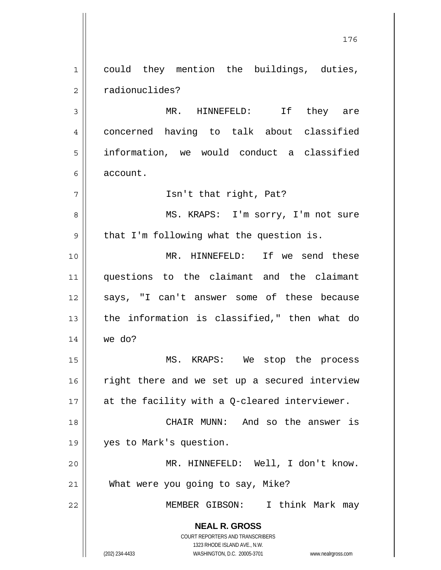**NEAL R. GROSS** COURT REPORTERS AND TRANSCRIBERS 1323 RHODE ISLAND AVE., N.W. 1 2 3 4 5 6 7 8 9 10 11 12 13 14 15 16 17 18 19 20 21 22 could they mention the buildings, duties, radionuclides? MR. HINNEFELD: If they are concerned having to talk about classified information, we would conduct a classified account. Isn't that right, Pat? MS. KRAPS: I'm sorry, I'm not sure that I'm following what the question is. MR. HINNEFELD: If we send these questions to the claimant and the claimant says, "I can't answer some of these because the information is classified," then what do we do? MS. KRAPS: We stop the process right there and we set up a secured interview at the facility with a Q-cleared interviewer. CHAIR MUNN: And so the answer is yes to Mark's question. MR. HINNEFELD: Well, I don't know. What were you going to say, Mike? MEMBER GIBSON: I think Mark may

176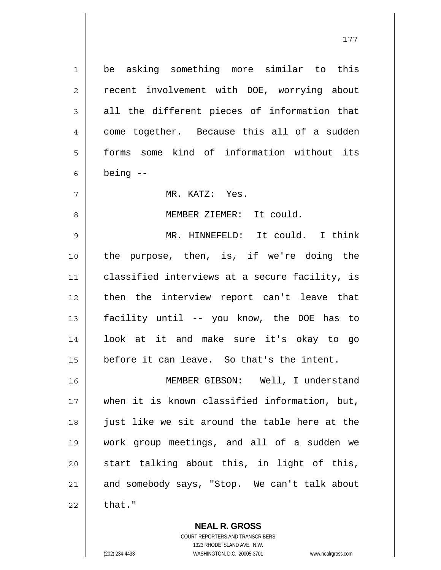be asking something more similar to this recent involvement with DOE, worrying about all the different pieces of information that come together. Because this all of a sudden forms some kind of information without its being --

MR. KATZ: Yes.

MEMBER ZIEMER: It could.

9 10 11 12 13 14 15 MR. HINNEFELD: It could. I think the purpose, then, is, if we're doing the classified interviews at a secure facility, is then the interview report can't leave that facility until -- you know, the DOE has to look at it and make sure it's okay to go before it can leave. So that's the intent.

16 17 18 19 20 21 22 MEMBER GIBSON: Well, I understand when it is known classified information, but, just like we sit around the table here at the work group meetings, and all of a sudden we start talking about this, in light of this, and somebody says, "Stop. We can't talk about that."

> **NEAL R. GROSS** COURT REPORTERS AND TRANSCRIBERS 1323 RHODE ISLAND AVE., N.W. (202) 234-4433 WASHINGTON, D.C. 20005-3701 www.nealrgross.com

1

2

3

4

5

6

7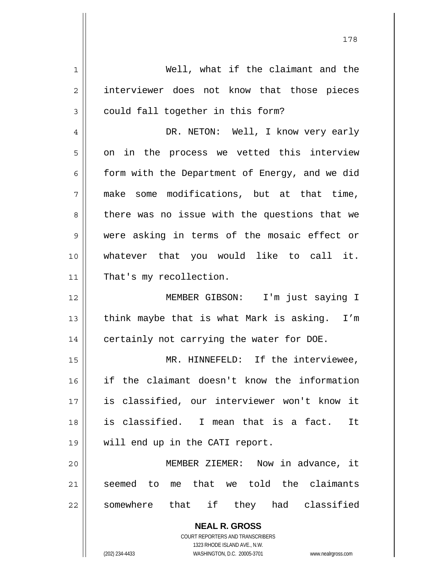| 1  | Well, what if the claimant and the                                  |
|----|---------------------------------------------------------------------|
| 2  | interviewer does not know that those pieces                         |
| 3  | could fall together in this form?                                   |
| 4  | DR. NETON: Well, I know very early                                  |
| 5  | on in the process we vetted this interview                          |
| 6  | form with the Department of Energy, and we did                      |
| 7  | make some modifications, but at that time,                          |
| 8  | there was no issue with the questions that we                       |
| 9  | were asking in terms of the mosaic effect or                        |
| 10 | whatever that you would like to call it.                            |
| 11 | That's my recollection.                                             |
| 12 | MEMBER GIBSON: I'm just saying I                                    |
| 13 | think maybe that is what Mark is asking. I'm                        |
| 14 | certainly not carrying the water for DOE.                           |
| 15 | MR. HINNEFELD: If the interviewee,                                  |
| 16 | if the claimant doesn't know the information                        |
| 17 | is classified, our interviewer won't know it                        |
| 18 | is classified. I mean that is a fact.<br>It                         |
| 19 | will end up in the CATI report.                                     |
| 20 | MEMBER ZIEMER: Now in advance, it                                   |
| 21 | me that we told the claimants<br>seemed to                          |
| 22 | somewhere that if they had classified                               |
|    |                                                                     |
|    | <b>NEAL R. GROSS</b><br>COURT REPORTERS AND TRANSCRIBERS            |
|    | 1323 RHODE ISLAND AVE., N.W.                                        |
|    | (202) 234-4433<br>WASHINGTON, D.C. 20005-3701<br>www.nealrgross.com |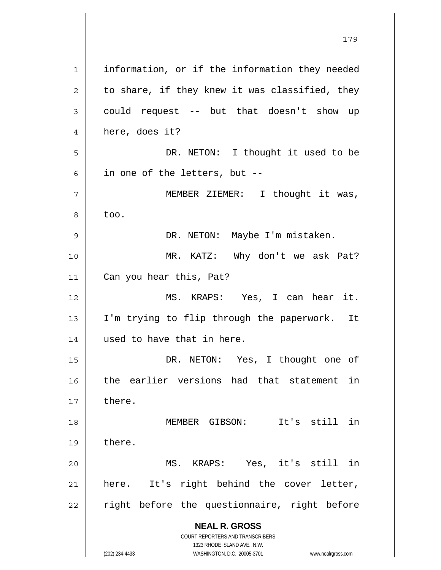**NEAL R. GROSS** COURT REPORTERS AND TRANSCRIBERS 1323 RHODE ISLAND AVE., N.W. (202) 234-4433 WASHINGTON, D.C. 20005-3701 www.nealrgross.com 1 2 3 4 5 6 7 8 9 10 11 12 13 14 15 16 17 18 19 20 21 22 information, or if the information they needed to share, if they knew it was classified, they could request -- but that doesn't show up here, does it? DR. NETON: I thought it used to be in one of the letters, but -- MEMBER ZIEMER: I thought it was, too. DR. NETON: Maybe I'm mistaken. MR. KATZ: Why don't we ask Pat? Can you hear this, Pat? MS. KRAPS: Yes, I can hear it. I'm trying to flip through the paperwork. It used to have that in here. DR. NETON: Yes, I thought one of the earlier versions had that statement in there. MEMBER GIBSON: It's still in there. MS. KRAPS: Yes, it's still in here. It's right behind the cover letter, right before the questionnaire, right before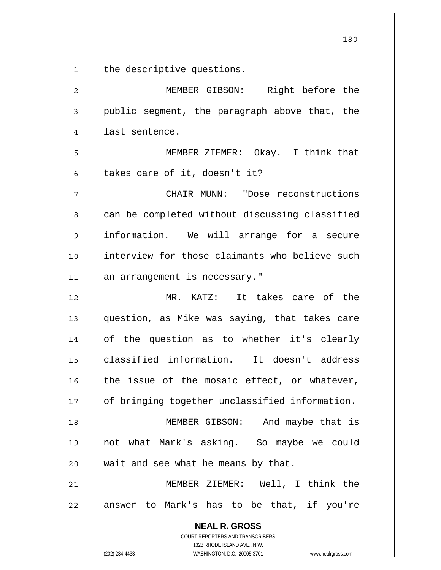**NEAL R. GROSS** 180 1 2 3 4 5 6 7 8 9 10 11 12 13 14 15 16 17 18 19 20 21 22 the descriptive questions. MEMBER GIBSON: Right before the public segment, the paragraph above that, the last sentence. MEMBER ZIEMER: Okay. I think that takes care of it, doesn't it? CHAIR MUNN: "Dose reconstructions can be completed without discussing classified information. We will arrange for a secure interview for those claimants who believe such an arrangement is necessary." MR. KATZ: It takes care of the question, as Mike was saying, that takes care of the question as to whether it's clearly classified information. It doesn't address the issue of the mosaic effect, or whatever, of bringing together unclassified information. MEMBER GIBSON: And maybe that is not what Mark's asking. So maybe we could wait and see what he means by that. MEMBER ZIEMER: Well, I think the answer to Mark's has to be that, if you're

> COURT REPORTERS AND TRANSCRIBERS 1323 RHODE ISLAND AVE., N.W.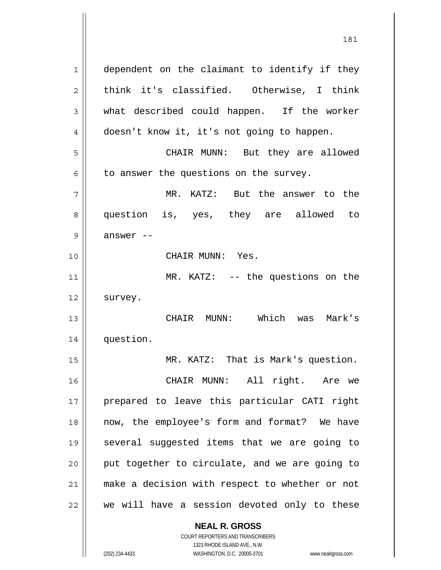1 2 3 4 5 6 7 8 9 10 11 12 13 14 15 16 17 18 19 20 21 22 dependent on the claimant to identify if they think it's classified. Otherwise, I think what described could happen. If the worker doesn't know it, it's not going to happen. CHAIR MUNN: But they are allowed to answer the questions on the survey. MR. KATZ: But the answer to the question is, yes, they are allowed to answer -- CHAIR MUNN: Yes. MR. KATZ: -- the questions on the survey. CHAIR MUNN: Which was Mark's question. MR. KATZ: That is Mark's question. CHAIR MUNN: All right. Are we prepared to leave this particular CATI right now, the employee's form and format? We have several suggested items that we are going to put together to circulate, and we are going to make a decision with respect to whether or not we will have a session devoted only to these

> **NEAL R. GROSS** COURT REPORTERS AND TRANSCRIBERS 1323 RHODE ISLAND AVE., N.W.

(202) 234-4433 WASHINGTON, D.C. 20005-3701 www.nealrgross.com

181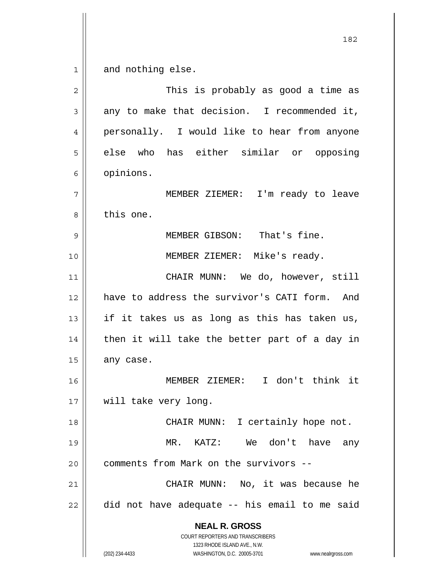1 and nothing else.

| $\overline{2}$ | This is probably as good a time as                                                                                                                                     |
|----------------|------------------------------------------------------------------------------------------------------------------------------------------------------------------------|
| 3              | any to make that decision. I recommended it,                                                                                                                           |
| 4              | personally. I would like to hear from anyone                                                                                                                           |
| 5              | else who has either similar or opposing                                                                                                                                |
| 6              | opinions.                                                                                                                                                              |
| 7              | MEMBER ZIEMER: I'm ready to leave                                                                                                                                      |
| 8              | this one.                                                                                                                                                              |
| 9              | MEMBER GIBSON: That's fine.                                                                                                                                            |
| 10             | MEMBER ZIEMER: Mike's ready.                                                                                                                                           |
| 11             | CHAIR MUNN: We do, however, still                                                                                                                                      |
| 12             | have to address the survivor's CATI form. And                                                                                                                          |
| 13             | if it takes us as long as this has taken us,                                                                                                                           |
| 14             | then it will take the better part of a day in                                                                                                                          |
| 15             | any case.                                                                                                                                                              |
| 16             | MEMBER ZIEMER: I don't think it                                                                                                                                        |
| 17             | will take very long.                                                                                                                                                   |
| 18             | CHAIR MUNN: I certainly hope not.                                                                                                                                      |
| 19             | MR. KATZ: We don't have any                                                                                                                                            |
| 20             | comments from Mark on the survivors --                                                                                                                                 |
| 21             | CHAIR MUNN: No, it was because he                                                                                                                                      |
| 22             | did not have adequate -- his email to me said                                                                                                                          |
|                | <b>NEAL R. GROSS</b><br><b>COURT REPORTERS AND TRANSCRIBERS</b><br>1323 RHODE ISLAND AVE., N.W.<br>(202) 234-4433<br>WASHINGTON, D.C. 20005-3701<br>www.nealrgross.com |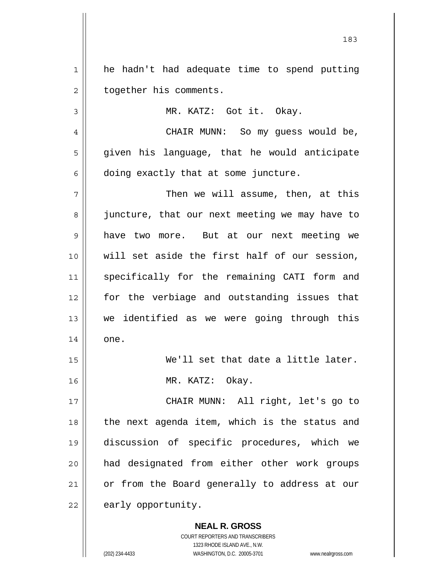1 2 he hadn't had adequate time to spend putting together his comments.

MR. KATZ: Got it. Okay.

4 5 6 CHAIR MUNN: So my guess would be, given his language, that he would anticipate doing exactly that at some juncture.

7 8 9 10 11 12 13 14 Then we will assume, then, at this juncture, that our next meeting we may have to have two more. But at our next meeting we will set aside the first half of our session, specifically for the remaining CATI form and for the verbiage and outstanding issues that we identified as we were going through this one.

> We'll set that date a little later. MR. KATZ: Okay.

17 18 19 20 21 22 CHAIR MUNN: All right, let's go to the next agenda item, which is the status and discussion of specific procedures, which we had designated from either other work groups or from the Board generally to address at our early opportunity.

> **NEAL R. GROSS** COURT REPORTERS AND TRANSCRIBERS 1323 RHODE ISLAND AVE., N.W.

3

15

16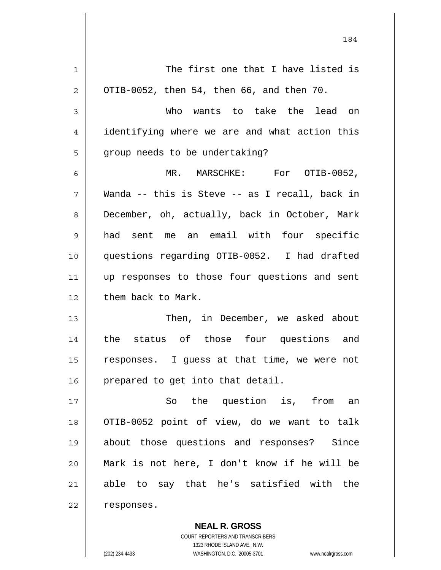| 1              | The first one that I have listed is            |
|----------------|------------------------------------------------|
| 2              | OTIB-0052, then 54, then 66, and then 70.      |
| 3              | Who wants to take the lead on                  |
| 4              | identifying where we are and what action this  |
| 5              | group needs to be undertaking?                 |
| 6              | MR. MARSCHKE: For OTIB-0052,                   |
| 7              | Wanda -- this is Steve -- as I recall, back in |
| 8              | December, oh, actually, back in October, Mark  |
| $\overline{9}$ | had sent me an email with four specific        |
| 10             | questions regarding OTIB-0052. I had drafted   |
| 11             | up responses to those four questions and sent  |
| 12             | them back to Mark.                             |
| 13             | Then, in December, we asked about              |
| 14             | the status of those four questions and         |
| 15             | responses. I guess at that time, we were not   |
| 16             | prepared to get into that detail.              |
| 17             | So the question is, from an                    |
| 18             | OTIB-0052 point of view, do we want to talk    |
| 19             | about those questions and responses? Since     |
| 20             | Mark is not here, I don't know if he will be   |
| 21             | able to say that he's satisfied with the       |
| 22             | responses.                                     |
|                |                                                |

184

**NEAL R. GROSS** COURT REPORTERS AND TRANSCRIBERS 1323 RHODE ISLAND AVE., N.W. (202) 234-4433 WASHINGTON, D.C. 20005-3701 www.nealrgross.com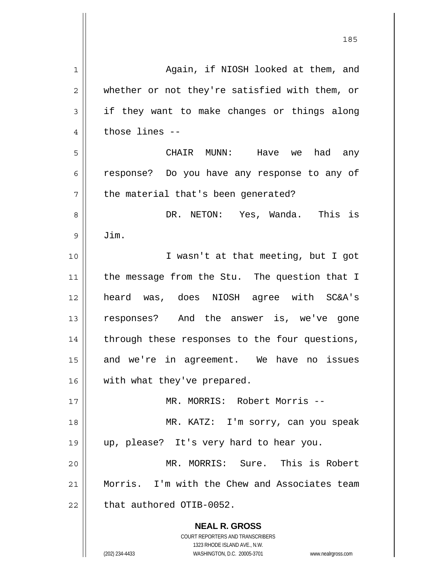| 1  | Again, if NIOSH looked at them, and                                                                 |
|----|-----------------------------------------------------------------------------------------------------|
| 2  | whether or not they're satisfied with them, or                                                      |
| 3  | if they want to make changes or things along                                                        |
| 4  | those lines --                                                                                      |
| 5  | CHAIR MUNN: Have we<br>had any                                                                      |
| 6  | response? Do you have any response to any of                                                        |
| 7  | the material that's been generated?                                                                 |
| 8  | DR. NETON: Yes, Wanda. This is                                                                      |
| 9  | Jim.                                                                                                |
| 10 | I wasn't at that meeting, but I got                                                                 |
| 11 | the message from the Stu. The question that I                                                       |
| 12 | heard was, does NIOSH agree with SC&A's                                                             |
| 13 | responses? And the answer is, we've gone                                                            |
| 14 | through these responses to the four questions,                                                      |
| 15 | and we're in agreement. We have no issues                                                           |
| 16 | with what they've prepared.                                                                         |
| 17 | MR. MORRIS: Robert Morris --                                                                        |
| 18 | MR. KATZ: I'm sorry, can you speak                                                                  |
| 19 | up, please? It's very hard to hear you.                                                             |
| 20 | MR. MORRIS: Sure. This is Robert                                                                    |
| 21 | Morris. I'm with the Chew and Associates team                                                       |
| 22 | that authored OTIB-0052.                                                                            |
|    | <b>NEAL R. GROSS</b>                                                                                |
|    | <b>COURT REPORTERS AND TRANSCRIBERS</b>                                                             |
|    | 1323 RHODE ISLAND AVE., N.W.<br>(202) 234-4433<br>WASHINGTON, D.C. 20005-3701<br>www.nealrgross.com |
|    |                                                                                                     |

<u>185</u>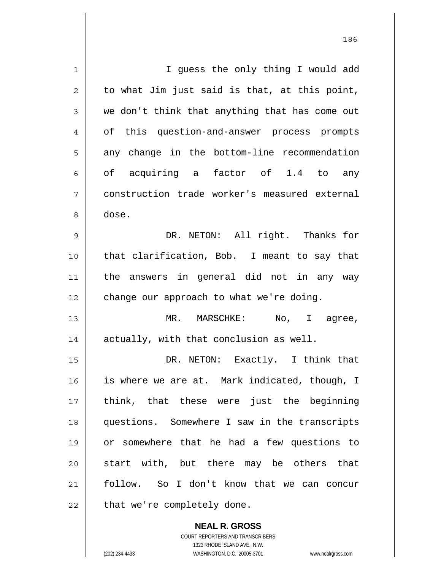| 1  | I guess the only thing I would add             |
|----|------------------------------------------------|
| 2  | to what Jim just said is that, at this point,  |
| 3  | we don't think that anything that has come out |
| 4  | of this question-and-answer process prompts    |
| 5  | any change in the bottom-line recommendation   |
| 6  | of acquiring a factor of 1.4 to any            |
| 7  | construction trade worker's measured external  |
| 8  | dose.                                          |
| 9  | DR. NETON: All right. Thanks for               |
| 10 | that clarification, Bob. I meant to say that   |
| 11 | the answers in general did not in any way      |
| 12 | change our approach to what we're doing.       |
| 13 | MR. MARSCHKE: No, I agree,                     |
| 14 | actually, with that conclusion as well.        |
| 15 | DR. NETON: Exactly. I think that               |
| 16 | is where we are at. Mark indicated, though, I  |
| 17 | think, that these were just the beginning      |
| 18 | questions. Somewhere I saw in the transcripts  |
| 19 | or somewhere that he had a few questions to    |
| 20 | start with, but there may be others that       |
| 21 | follow. So I don't know that we can concur     |
| 22 | that we're completely done.                    |
|    |                                                |

186

**NEAL R. GROSS** COURT REPORTERS AND TRANSCRIBERS 1323 RHODE ISLAND AVE., N.W. (202) 234-4433 WASHINGTON, D.C. 20005-3701 www.nealrgross.com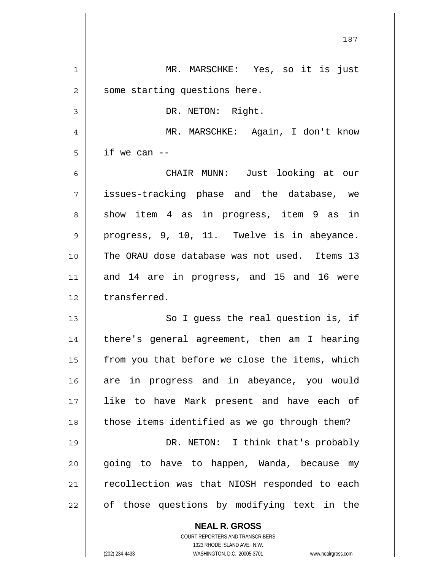|                | 187                                            |
|----------------|------------------------------------------------|
| $\mathbf 1$    | MR. MARSCHKE: Yes, so it is just               |
| $\overline{2}$ | some starting questions here.                  |
| $\mathsf 3$    | DR. NETON: Right.                              |
| $\overline{4}$ | MR. MARSCHKE: Again, I don't know              |
| 5              | if we can $--$                                 |
| 6              | CHAIR MUNN: Just looking at our                |
| 7              | issues-tracking phase and the database, we     |
| 8              | show item 4 as in progress, item 9 as in       |
| 9              | progress, 9, 10, 11. Twelve is in abeyance.    |
| 10             | The ORAU dose database was not used. Items 13  |
| 11             | and 14 are in progress, and 15 and 16 were     |
| 12             | transferred.                                   |
| 13             | So I guess the real question is, if            |
| 14             | there's general agreement, then am I hearing   |
| 15             | from you that before we close the items, which |
| 16             | are in progress and in abeyance, you would     |
| 17             | like to have Mark present and have each of     |
| 18             | those items identified as we go through them?  |
| 19             | DR. NETON: I think that's probably             |
| 20             | going to have to happen, Wanda, because my     |
| 21             | recollection was that NIOSH responded to each  |
| 22             | of those questions by modifying text in the    |
|                | <b>NEAL R. GROSS</b>                           |

COURT REPORTERS AND TRANSCRIBERS 1323 RHODE ISLAND AVE., N.W.

 $\prod$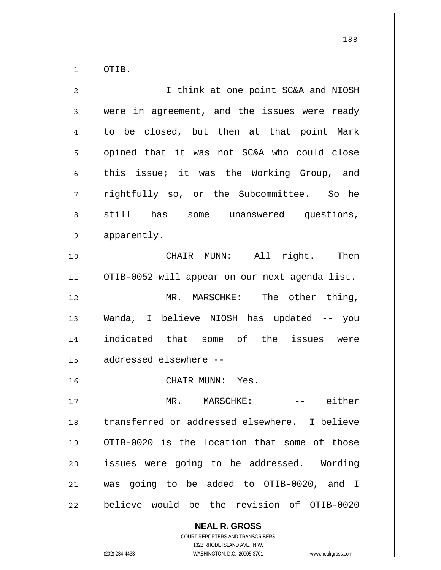1 OTIB.

| $\overline{2}$ | I think at one point SC&A and NIOSH            |
|----------------|------------------------------------------------|
| 3              | were in agreement, and the issues were ready   |
| 4              | to be closed, but then at that point Mark      |
| 5              | opined that it was not SC&A who could close    |
| 6              | this issue; it was the Working Group, and      |
| 7              | rightfully so, or the Subcommittee. So he      |
| 8              | still has some unanswered questions,           |
| 9              | apparently.                                    |
| 10             | CHAIR MUNN: All<br>right. Then                 |
| 11             | OTIB-0052 will appear on our next agenda list. |
| 12             | MR. MARSCHKE: The other thing,                 |
| 13             | Wanda, I believe NIOSH has updated -- you      |
| 14             | indicated that some of the issues were         |
| 15             | addressed elsewhere --                         |
| 16             | CHAIR MUNN: Yes.                               |
| 17             | MR.<br>MARSCHKE:<br>either                     |
| 18             | transferred or addressed elsewhere. I believe  |
| 19             | OTIB-0020 is the location that some of those   |
| 20             | issues were going to be addressed. Wording     |
| 21             | was going to be added to OTIB-0020, and I      |
| 22             | believe would be the revision of OTIB-0020     |

**NEAL R. GROSS** COURT REPORTERS AND TRANSCRIBERS 1323 RHODE ISLAND AVE., N.W. (202) 234-4433 WASHINGTON, D.C. 20005-3701 www.nealrgross.com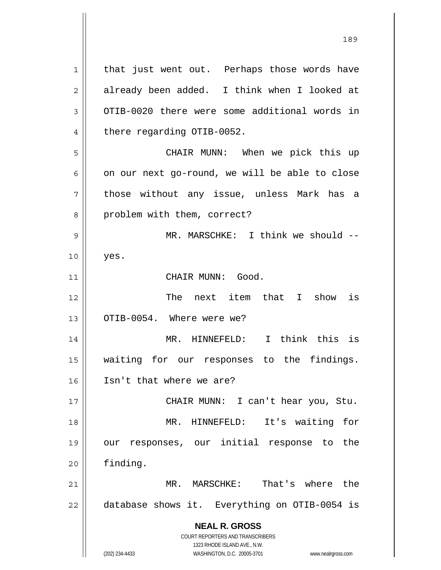**NEAL R. GROSS** COURT REPORTERS AND TRANSCRIBERS 1323 RHODE ISLAND AVE., N.W. 1 2 3 4 5 6 7 8 9 10 11 12 13 14 15 16 17 18 19 20 21 22 that just went out. Perhaps those words have already been added. I think when I looked at OTIB-0020 there were some additional words in there regarding OTIB-0052. CHAIR MUNN: When we pick this up on our next go-round, we will be able to close those without any issue, unless Mark has a problem with them, correct? MR. MARSCHKE: I think we should -yes. CHAIR MUNN: Good. The next item that I show is OTIB-0054. Where were we? MR. HINNEFELD: I think this is waiting for our responses to the findings. Isn't that where we are? CHAIR MUNN: I can't hear you, Stu. MR. HINNEFELD: It's waiting for our responses, our initial response to the finding. MR. MARSCHKE: That's where the database shows it. Everything on OTIB-0054 is

189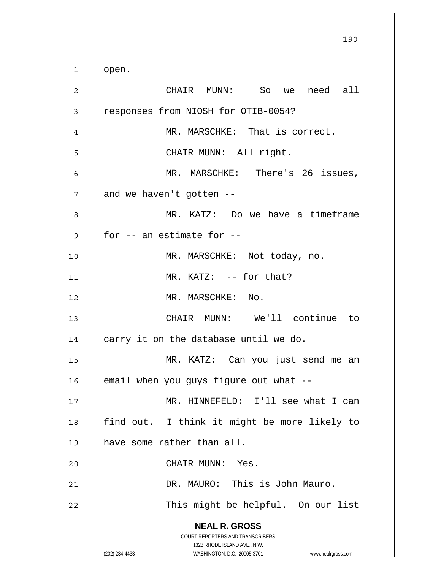**NEAL R. GROSS** COURT REPORTERS AND TRANSCRIBERS 1323 RHODE ISLAND AVE., N.W. (202) 234-4433 WASHINGTON, D.C. 20005-3701 www.nealrgross.com <u>190</u> 1 2 3 4 5 6 7 8 9 10 11 12 13 14 15 16 17 18 19 20 21 22 open. CHAIR MUNN: So we need all responses from NIOSH for OTIB-0054? MR. MARSCHKE: That is correct. CHAIR MUNN: All right. MR. MARSCHKE: There's 26 issues, and we haven't gotten -- MR. KATZ: Do we have a timeframe for -- an estimate for -- MR. MARSCHKE: Not today, no. MR. KATZ: -- for that? MR. MARSCHKE: No. CHAIR MUNN: We'll continue to carry it on the database until we do. MR. KATZ: Can you just send me an email when you guys figure out what -- MR. HINNEFELD: I'll see what I can find out. I think it might be more likely to have some rather than all. CHAIR MUNN: Yes. DR. MAURO: This is John Mauro. This might be helpful. On our list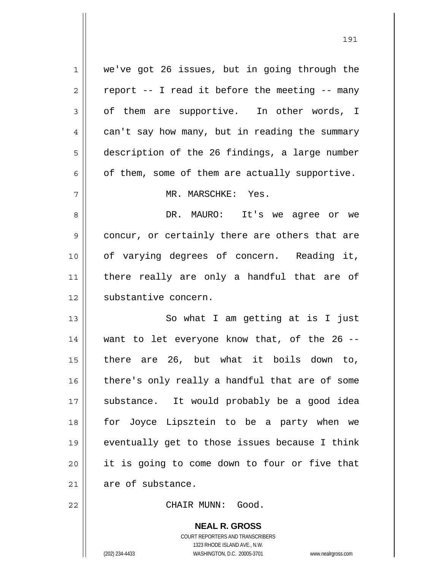1 2 3 4 5 6 7 8 9 10 11 12 13 14 15 16 17 18 19 20 21 22 we've got 26 issues, but in going through the report -- I read it before the meeting -- many of them are supportive. In other words, I can't say how many, but in reading the summary description of the 26 findings, a large number of them, some of them are actually supportive. MR. MARSCHKE: Yes. DR. MAURO: It's we agree or we concur, or certainly there are others that are of varying degrees of concern. Reading it, there really are only a handful that are of substantive concern. So what I am getting at is I just want to let everyone know that, of the 26 - there are 26, but what it boils down to, there's only really a handful that are of some substance. It would probably be a good idea for Joyce Lipsztein to be a party when we eventually get to those issues because I think it is going to come down to four or five that are of substance. CHAIR MUNN: Good.

191

**NEAL R. GROSS** COURT REPORTERS AND TRANSCRIBERS 1323 RHODE ISLAND AVE., N.W. (202) 234-4433 WASHINGTON, D.C. 20005-3701 www.nealrgross.com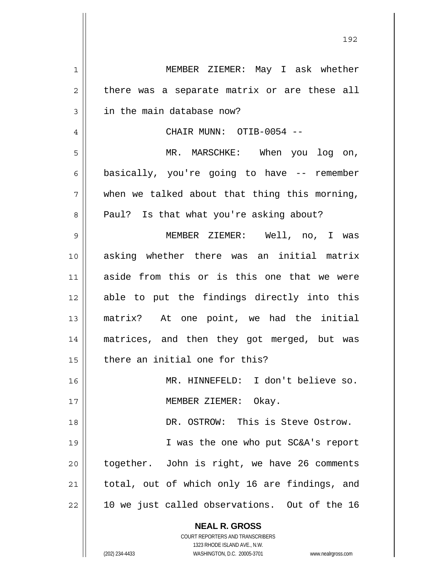**NEAL R. GROSS** COURT REPORTERS AND TRANSCRIBERS 1323 RHODE ISLAND AVE., N.W. 1 2 3 4 5 6 7 8 9 10 11 12 13 14 15 16 17 18 19 20 21 22 MEMBER ZIEMER: May I ask whether there was a separate matrix or are these all in the main database now? CHAIR MUNN: OTIB-0054 -- MR. MARSCHKE: When you log on, basically, you're going to have -- remember when we talked about that thing this morning, Paul? Is that what you're asking about? MEMBER ZIEMER: Well, no, I was asking whether there was an initial matrix aside from this or is this one that we were able to put the findings directly into this matrix? At one point, we had the initial matrices, and then they got merged, but was there an initial one for this? MR. HINNEFELD: I don't believe so. MEMBER ZIEMER: Okay. DR. OSTROW: This is Steve Ostrow. I was the one who put SC&A's report together. John is right, we have 26 comments total, out of which only 16 are findings, and 10 we just called observations. Out of the 16

(202) 234-4433 WASHINGTON, D.C. 20005-3701 www.nealrgross.com

192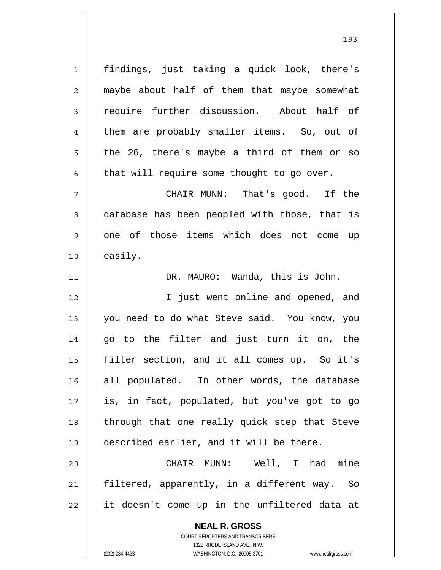1 2 3 4 5 6 7 8 9 10 11 12 13 14 15 16 17 18 19 20 21 22 findings, just taking a quick look, there's maybe about half of them that maybe somewhat require further discussion. About half of them are probably smaller items. So, out of the 26, there's maybe a third of them or so that will require some thought to go over. CHAIR MUNN: That's good. If the database has been peopled with those, that is one of those items which does not come up easily. DR. MAURO: Wanda, this is John. I just went online and opened, and you need to do what Steve said. You know, you go to the filter and just turn it on, the filter section, and it all comes up. So it's all populated. In other words, the database is, in fact, populated, but you've got to go through that one really quick step that Steve described earlier, and it will be there. CHAIR MUNN: Well, I had mine filtered, apparently, in a different way. So it doesn't come up in the unfiltered data at

193

**NEAL R. GROSS** COURT REPORTERS AND TRANSCRIBERS 1323 RHODE ISLAND AVE., N.W.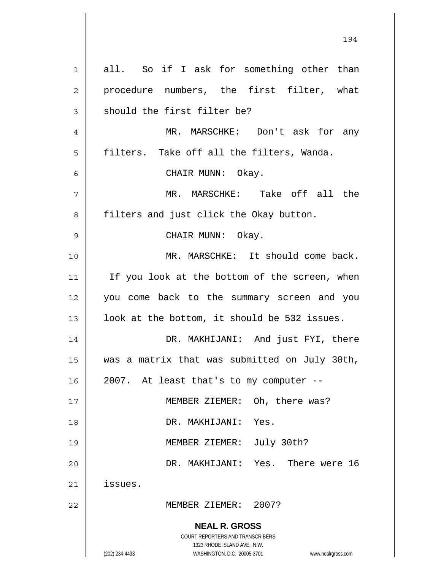**NEAL R. GROSS** COURT REPORTERS AND TRANSCRIBERS 1323 RHODE ISLAND AVE., N.W. (202) 234-4433 WASHINGTON, D.C. 20005-3701 www.nealrgross.com 1 2 3 4 5 6 7 8 9 10 11 12 13 14 15 16 17 18 19 20 21 22 all. So if I ask for something other than procedure numbers, the first filter, what should the first filter be? MR. MARSCHKE: Don't ask for any filters. Take off all the filters, Wanda. CHAIR MUNN: Okay. MR. MARSCHKE: Take off all the filters and just click the Okay button. CHAIR MUNN: Okay. MR. MARSCHKE: It should come back. If you look at the bottom of the screen, when you come back to the summary screen and you look at the bottom, it should be 532 issues. DR. MAKHIJANI: And just FYI, there was a matrix that was submitted on July 30th, 2007. At least that's to my computer -- MEMBER ZIEMER: Oh, there was? DR. MAKHIJANI: Yes. MEMBER ZIEMER: July 30th? DR. MAKHIJANI: Yes. There were 16 issues. MEMBER ZIEMER: 2007?

194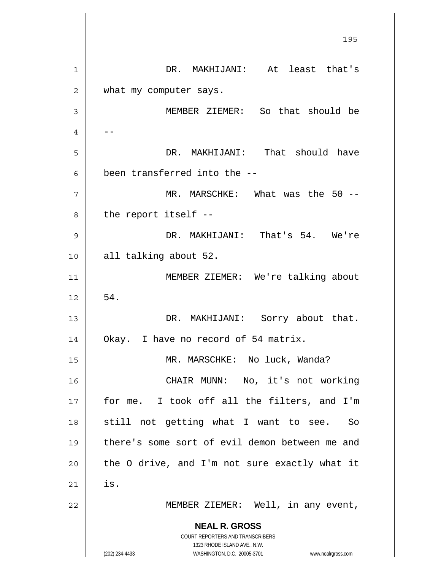**NEAL R. GROSS** COURT REPORTERS AND TRANSCRIBERS 1323 RHODE ISLAND AVE., N.W. (202) 234-4433 WASHINGTON, D.C. 20005-3701 www.nealrgross.com <u>195</u> 1 2 3 4 5 6 7 8 9 10 11 12 13 14 15 16 17 18 19 20 21 22 DR. MAKHIJANI: At least that's what my computer says. MEMBER ZIEMER: So that should be -- DR. MAKHIJANI: That should have been transferred into the -- MR. MARSCHKE: What was the 50 -the report itself -- DR. MAKHIJANI: That's 54. We're all talking about 52. MEMBER ZIEMER: We're talking about 54. DR. MAKHIJANI: Sorry about that. Okay. I have no record of 54 matrix. MR. MARSCHKE: No luck, Wanda? CHAIR MUNN: No, it's not working for me. I took off all the filters, and I'm still not getting what I want to see. So there's some sort of evil demon between me and the O drive, and I'm not sure exactly what it is. MEMBER ZIEMER: Well, in any event,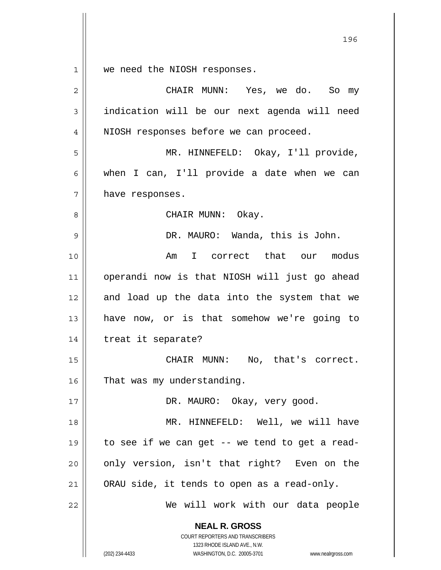$1 \parallel$ we need the NIOSH responses.

| $\overline{2}$ | CHAIR MUNN: Yes, we do. So my                                                                                                                                   |
|----------------|-----------------------------------------------------------------------------------------------------------------------------------------------------------------|
| 3              | indication will be our next agenda will need                                                                                                                    |
| 4              | NIOSH responses before we can proceed.                                                                                                                          |
| 5              | MR. HINNEFELD: Okay, I'll provide,                                                                                                                              |
| 6              | when I can, I'll provide a date when we can                                                                                                                     |
| 7              | have responses.                                                                                                                                                 |
| 8              | CHAIR MUNN: Okay.                                                                                                                                               |
| 9              | DR. MAURO: Wanda, this is John.                                                                                                                                 |
| 10             | Am I correct that our modus                                                                                                                                     |
| 11             | operandi now is that NIOSH will just go ahead                                                                                                                   |
| 12             | and load up the data into the system that we                                                                                                                    |
| 13             | have now, or is that somehow we're going to                                                                                                                     |
| 14             | treat it separate?                                                                                                                                              |
| 15             | CHAIR MUNN: No, that's correct.                                                                                                                                 |
| 16             | That was my understanding.                                                                                                                                      |
| 17             | DR. MAURO: Okay, very good.                                                                                                                                     |
| 18             | MR. HINNEFELD: Well, we will have                                                                                                                               |
| 19             | to see if we can get -- we tend to get a read-                                                                                                                  |
| 20             | only version, isn't that right? Even on the                                                                                                                     |
| 21             | ORAU side, it tends to open as a read-only.                                                                                                                     |
| 22             | We will work with our data people                                                                                                                               |
|                | <b>NEAL R. GROSS</b><br>COURT REPORTERS AND TRANSCRIBERS<br>1323 RHODE ISLAND AVE., N.W.<br>WASHINGTON, D.C. 20005-3701<br>(202) 234-4433<br>www.nealrgross.com |

<u>1962 - Johann Stein, Amerikaansk politiker (</u>† 196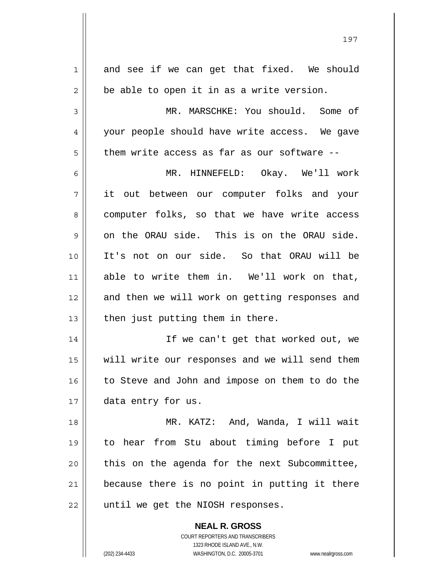| 1  | and see if we can get that fixed. We should    |
|----|------------------------------------------------|
| 2  | be able to open it in as a write version.      |
| 3  | MR. MARSCHKE: You should. Some of              |
| 4  | your people should have write access. We gave  |
| 5  | them write access as far as our software --    |
| 6  | MR. HINNEFELD: Okay. We'll work                |
| 7  | it out between our computer folks and your     |
| 8  | computer folks, so that we have write access   |
| 9  | on the ORAU side. This is on the ORAU side.    |
| 10 | It's not on our side. So that ORAU will be     |
| 11 | able to write them in. We'll work on that,     |
| 12 | and then we will work on getting responses and |
| 13 | then just putting them in there.               |
| 14 | If we can't get that worked out, we            |
| 15 | will write our responses and we will send them |
| 16 | to Steve and John and impose on them to do the |
| 17 | data entry for us.                             |
| 18 | MR. KATZ: And, Wanda, I will wait              |
| 19 | to hear from Stu about timing before I put     |
| 20 | this on the agenda for the next Subcommittee,  |
| 21 | because there is no point in putting it there  |
| 22 | until we get the NIOSH responses.              |
|    | <b>NEAL R. GROSS</b>                           |

197

COURT REPORTERS AND TRANSCRIBERS 1323 RHODE ISLAND AVE., N.W.

 $\mathbf{I}$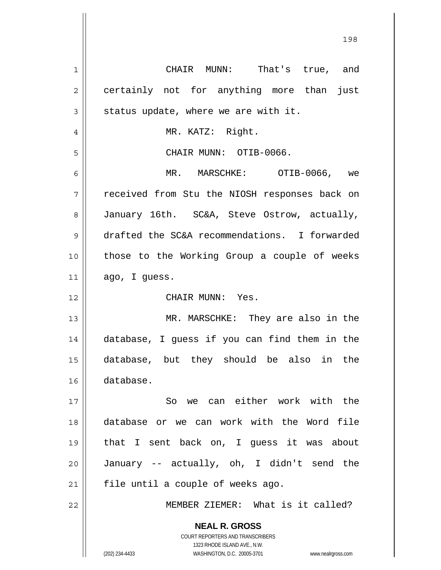**NEAL R. GROSS** COURT REPORTERS AND TRANSCRIBERS 1323 RHODE ISLAND AVE., N.W. (202) 234-4433 WASHINGTON, D.C. 20005-3701 www.nealrgross.com 1 2 3 4 5 6 7 8 9 10 11 12 13 14 15 16 17 18 19 20 21 22 CHAIR MUNN: That's true, and certainly not for anything more than just status update, where we are with it. MR. KATZ: Right. CHAIR MUNN: OTIB-0066. MR. MARSCHKE: OTIB-0066, we received from Stu the NIOSH responses back on January 16th. SC&A, Steve Ostrow, actually, drafted the SC&A recommendations. I forwarded those to the Working Group a couple of weeks ago, I guess. CHAIR MUNN: Yes. MR. MARSCHKE: They are also in the database, I guess if you can find them in the database, but they should be also in the database. So we can either work with the database or we can work with the Word file that I sent back on, I guess it was about January -- actually, oh, I didn't send the file until a couple of weeks ago. MEMBER ZIEMER: What is it called?

198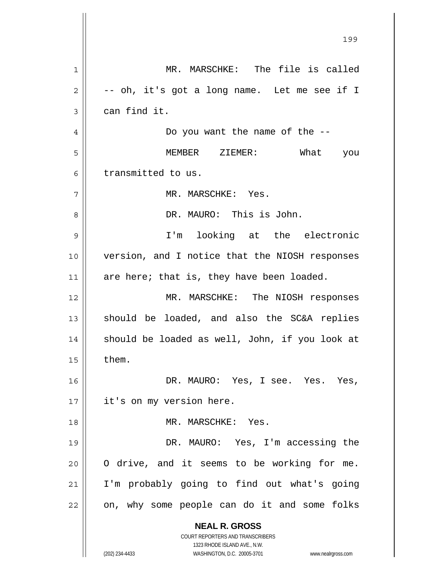**NEAL R. GROSS** COURT REPORTERS AND TRANSCRIBERS 1323 RHODE ISLAND AVE., N.W. (202) 234-4433 WASHINGTON, D.C. 20005-3701 www.nealrgross.com 199 1 2 3 4 5 6 7 8 9 10 11 12 13 14 15 16 17 18 19 20 21 22 MR. MARSCHKE: The file is called -- oh, it's got a long name. Let me see if I can find it. Do you want the name of the -- MEMBER ZIEMER: What you transmitted to us. MR. MARSCHKE: Yes. DR. MAURO: This is John. I'm looking at the electronic version, and I notice that the NIOSH responses are here; that is, they have been loaded. MR. MARSCHKE: The NIOSH responses should be loaded, and also the SC&A replies should be loaded as well, John, if you look at them. DR. MAURO: Yes, I see. Yes. Yes, it's on my version here. MR. MARSCHKE: Yes. DR. MAURO: Yes, I'm accessing the O drive, and it seems to be working for me. I'm probably going to find out what's going on, why some people can do it and some folks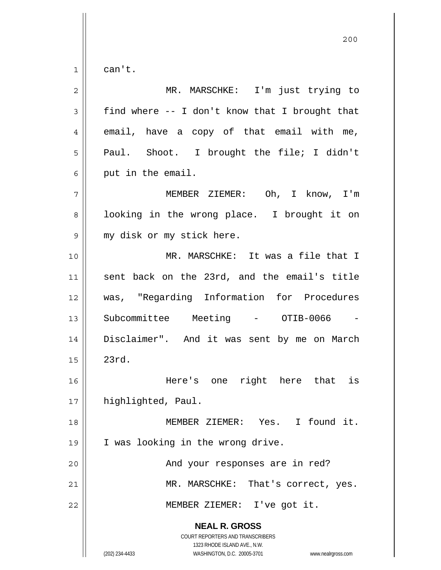1 can't.

| $\overline{2}$ | MR. MARSCHKE: I'm just trying to                                                                                                                                |
|----------------|-----------------------------------------------------------------------------------------------------------------------------------------------------------------|
| $\mathfrak{Z}$ | find where -- I don't know that I brought that                                                                                                                  |
| 4              | email, have a copy of that email with me,                                                                                                                       |
| 5              | Paul. Shoot. I brought the file; I didn't                                                                                                                       |
| 6              | put in the email.                                                                                                                                               |
| 7              | MEMBER ZIEMER: Oh, I know, I'm                                                                                                                                  |
| 8              | looking in the wrong place. I brought it on                                                                                                                     |
| 9              | my disk or my stick here.                                                                                                                                       |
| 10             | MR. MARSCHKE: It was a file that I                                                                                                                              |
| 11             | sent back on the 23rd, and the email's title                                                                                                                    |
| 12             | was, "Regarding Information for Procedures                                                                                                                      |
| 13             | Subcommittee Meeting - OTIB-0066                                                                                                                                |
| 14             | Disclaimer". And it was sent by me on March                                                                                                                     |
| 15             | 23rd.                                                                                                                                                           |
| 16             | right here that is<br>Here's one                                                                                                                                |
| $17$           | highlighted, Paul.                                                                                                                                              |
| 18             | MEMBER ZIEMER: Yes. I found it.                                                                                                                                 |
| 19             | I was looking in the wrong drive.                                                                                                                               |
| 20             | And your responses are in red?                                                                                                                                  |
| 21             | MR. MARSCHKE: That's correct, yes.                                                                                                                              |
| 22             | MEMBER ZIEMER: I've got it.                                                                                                                                     |
|                | <b>NEAL R. GROSS</b><br>COURT REPORTERS AND TRANSCRIBERS<br>1323 RHODE ISLAND AVE., N.W.<br>(202) 234-4433<br>WASHINGTON, D.C. 20005-3701<br>www.nealrgross.com |

200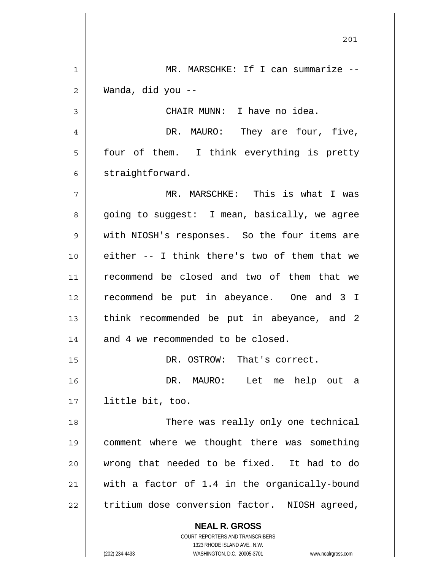**NEAL R. GROSS** COURT REPORTERS AND TRANSCRIBERS 201 1 2 3 4 5 6 7 8 9 10 11 12 13 14 15 16 17 18 19 20 21 22 MR. MARSCHKE: If I can summarize --Wanda, did you -- CHAIR MUNN: I have no idea. DR. MAURO: They are four, five, four of them. I think everything is pretty straightforward. MR. MARSCHKE: This is what I was going to suggest: I mean, basically, we agree with NIOSH's responses. So the four items are either -- I think there's two of them that we recommend be closed and two of them that we recommend be put in abeyance. One and 3 I think recommended be put in abeyance, and 2 and 4 we recommended to be closed. DR. OSTROW: That's correct. DR. MAURO: Let me help out a little bit, too. There was really only one technical comment where we thought there was something wrong that needed to be fixed. It had to do with a factor of 1.4 in the organically-bound tritium dose conversion factor. NIOSH agreed,

1323 RHODE ISLAND AVE., N.W.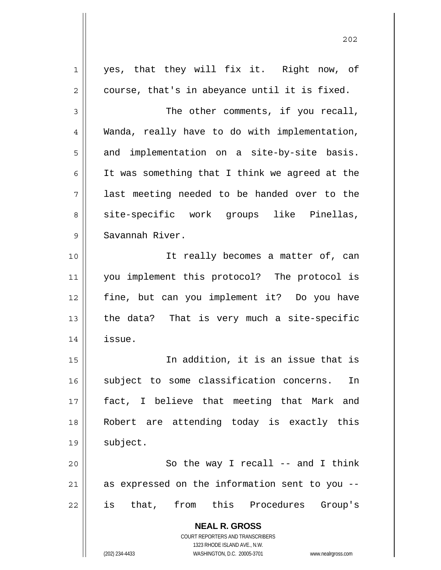**NEAL R. GROSS** COURT REPORTERS AND TRANSCRIBERS 1323 RHODE ISLAND AVE., N.W. (202) 234-4433 WASHINGTON, D.C. 20005-3701 www.nealrgross.com 1 2 3 4 5 6 7 8 9 10 11 12 13 14 15 16 17 18 19 20 21 22 yes, that they will fix it. Right now, of course, that's in abeyance until it is fixed. The other comments, if you recall, Wanda, really have to do with implementation, and implementation on a site-by-site basis. It was something that I think we agreed at the last meeting needed to be handed over to the site-specific work groups like Pinellas, Savannah River. It really becomes a matter of, can you implement this protocol? The protocol is fine, but can you implement it? Do you have the data? That is very much a site-specific issue. In addition, it is an issue that is subject to some classification concerns. In fact, I believe that meeting that Mark and Robert are attending today is exactly this subject. So the way I recall -- and I think as expressed on the information sent to you - is that, from this Procedures Group's

202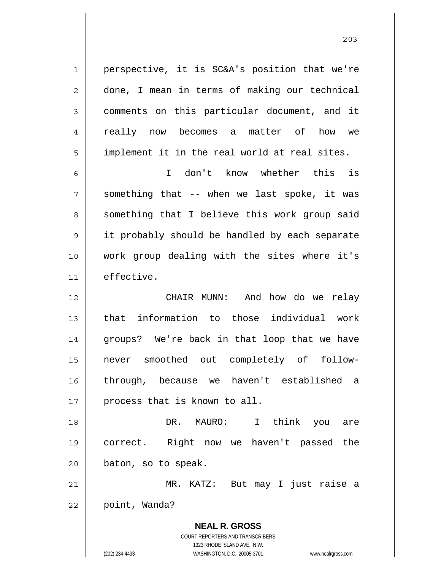perspective, it is SC&A's position that we're done, I mean in terms of making our technical comments on this particular document, and it really now becomes a matter of how we implement it in the real world at real sites.

1

2

3

4

5

203

6 7 8 9 10 11 I don't know whether this is something that -- when we last spoke, it was something that I believe this work group said it probably should be handled by each separate work group dealing with the sites where it's effective.

12 13 14 15 16 17 CHAIR MUNN: And how do we relay that information to those individual work groups? We're back in that loop that we have never smoothed out completely of followthrough, because we haven't established a process that is known to all.

18 19 20 DR. MAURO: I think you are correct. Right now we haven't passed the baton, so to speak.

21 22 MR. KATZ: But may I just raise a point, Wanda?

**NEAL R. GROSS**

COURT REPORTERS AND TRANSCRIBERS 1323 RHODE ISLAND AVE., N.W. (202) 234-4433 WASHINGTON, D.C. 20005-3701 www.nealrgross.com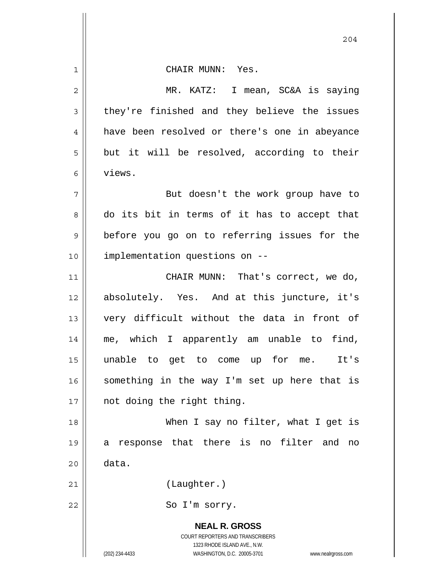**NEAL R. GROSS** COURT REPORTERS AND TRANSCRIBERS 1323 RHODE ISLAND AVE., N.W. 1 2 3 4 5 6 7 8 9 10 11 12 13 14 15 16 17 18 19 20 21 22 CHAIR MUNN: Yes. MR. KATZ: I mean, SC&A is saying they're finished and they believe the issues have been resolved or there's one in abeyance but it will be resolved, according to their views. But doesn't the work group have to do its bit in terms of it has to accept that before you go on to referring issues for the implementation questions on -- CHAIR MUNN: That's correct, we do, absolutely. Yes. And at this juncture, it's very difficult without the data in front of me, which I apparently am unable to find, unable to get to come up for me. It's something in the way I'm set up here that is not doing the right thing. When I say no filter, what I get is a response that there is no filter and no data. (Laughter.) So I'm sorry.

204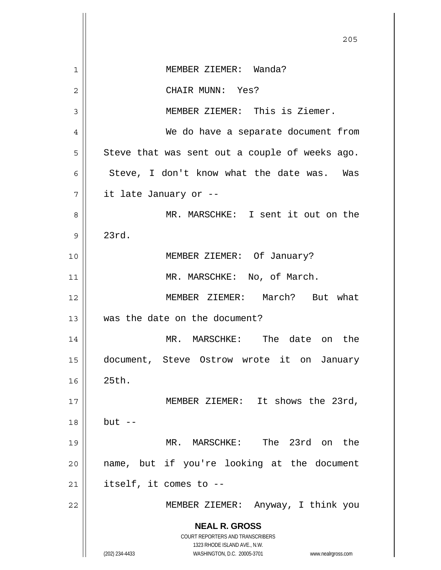|                | 205                                                                                                 |
|----------------|-----------------------------------------------------------------------------------------------------|
| 1              | MEMBER ZIEMER: Wanda?                                                                               |
| $\overline{2}$ | CHAIR MUNN: Yes?                                                                                    |
| 3              | MEMBER ZIEMER: This is Ziemer.                                                                      |
| 4              | We do have a separate document from                                                                 |
| 5              | Steve that was sent out a couple of weeks ago.                                                      |
| 6              | Steve, I don't know what the date was. Was                                                          |
| 7              | it late January or --                                                                               |
| 8              | MR. MARSCHKE: I sent it out on the                                                                  |
| 9              | 23rd.                                                                                               |
| 10             | MEMBER ZIEMER: Of January?                                                                          |
| 11             | MR. MARSCHKE: No, of March.                                                                         |
| 12             | MEMBER ZIEMER: March? But what                                                                      |
| 13             | was the date on the document?                                                                       |
| 14             | MR. MARSCHKE: The date on the                                                                       |
| 15             | document, Steve Ostrow wrote it on January                                                          |
| 16             | 25th.                                                                                               |
| 17             | MEMBER ZIEMER: It shows the 23rd,                                                                   |
| 18             | $but --$                                                                                            |
| 19             | MR. MARSCHKE: The 23rd on the                                                                       |
| 20             | name, but if you're looking at the document                                                         |
| 21             | itself, it comes to --                                                                              |
| 22             | MEMBER ZIEMER: Anyway, I think you                                                                  |
|                | <b>NEAL R. GROSS</b>                                                                                |
|                | COURT REPORTERS AND TRANSCRIBERS                                                                    |
|                | 1323 RHODE ISLAND AVE., N.W.<br>(202) 234-4433<br>WASHINGTON, D.C. 20005-3701<br>www.nealrgross.com |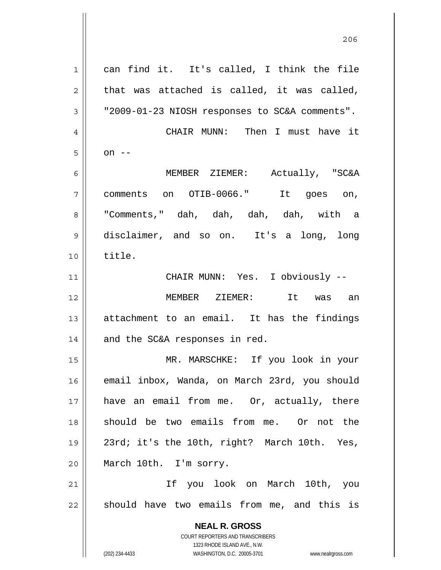**NEAL R. GROSS** COURT REPORTERS AND TRANSCRIBERS 1323 RHODE ISLAND AVE., N.W. 1 2 3 4 5 6 7 8 9 10 11 12 13 14 15 16 17 18 19 20 21 22 can find it. It's called, I think the file that was attached is called, it was called, "2009-01-23 NIOSH responses to SC&A comments". CHAIR MUNN: Then I must have it on  $--$  MEMBER ZIEMER: Actually, "SC&A comments on OTIB-0066." It goes on, "Comments," dah, dah, dah, dah, with a disclaimer, and so on. It's a long, long title. CHAIR MUNN: Yes. I obviously -- MEMBER ZIEMER: It was an attachment to an email. It has the findings and the SC&A responses in red. MR. MARSCHKE: If you look in your email inbox, Wanda, on March 23rd, you should have an email from me. Or, actually, there should be two emails from me. Or not the 23rd; it's the 10th, right? March 10th. Yes, March 10th. I'm sorry. If you look on March 10th, you should have two emails from me, and this is

206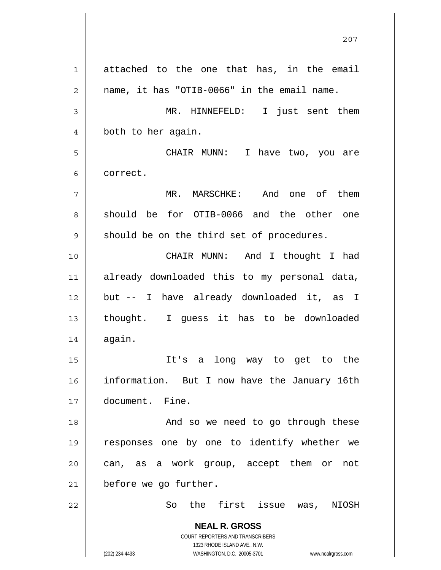**NEAL R. GROSS** COURT REPORTERS AND TRANSCRIBERS 1323 RHODE ISLAND AVE., N.W. (202) 234-4433 WASHINGTON, D.C. 20005-3701 www.nealrgross.com 1 2 3 4 5 6 7 8 9 10 11 12 13 14 15 16 17 18 19 20 21 22 attached to the one that has, in the email name, it has "OTIB-0066" in the email name. MR. HINNEFELD: I just sent them both to her again. CHAIR MUNN: I have two, you are correct. MR. MARSCHKE: And one of them should be for OTIB-0066 and the other one should be on the third set of procedures. CHAIR MUNN: And I thought I had already downloaded this to my personal data, but -- I have already downloaded it, as I thought. I guess it has to be downloaded again. It's a long way to get to the information. But I now have the January 16th document. Fine. And so we need to go through these responses one by one to identify whether we can, as a work group, accept them or not before we go further. So the first issue was, NIOSH

<u>207</u>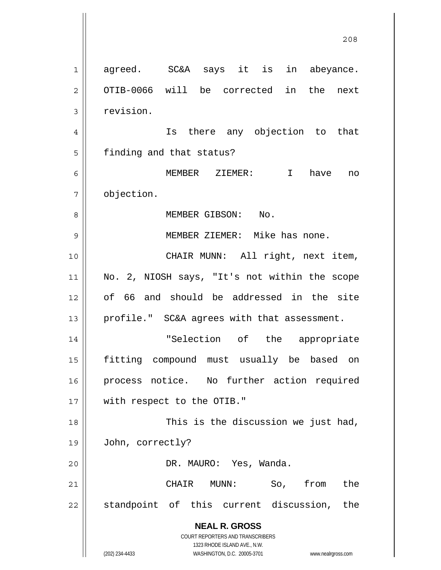**NEAL R. GROSS** COURT REPORTERS AND TRANSCRIBERS 1323 RHODE ISLAND AVE., N.W. (202) 234-4433 WASHINGTON, D.C. 20005-3701 www.nealrgross.com <u>208</u> 1 2 3 4 5 6 7 8 9 10 11 12 13 14 15 16 17 18 19 20 21 22 agreed. SC&A says it is in abeyance. OTIB-0066 will be corrected in the next revision. Is there any objection to that finding and that status? MEMBER ZIEMER: I have no objection. MEMBER GIBSON: No. MEMBER ZIEMER: Mike has none. CHAIR MUNN: All right, next item, No. 2, NIOSH says, "It's not within the scope of 66 and should be addressed in the site profile." SC&A agrees with that assessment. "Selection of the appropriate fitting compound must usually be based on process notice. No further action required with respect to the OTIB." This is the discussion we just had, John, correctly? DR. MAURO: Yes, Wanda. CHAIR MUNN: So, from the standpoint of this current discussion, the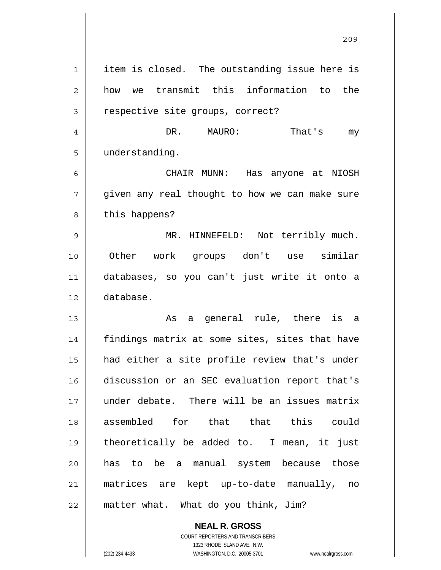1 2 3 4 5 6 7 8 9 10 11 12 13 14 15 16 17 18 19 20 21 22 item is closed. The outstanding issue here is how we transmit this information to the respective site groups, correct? DR. MAURO: That's my understanding. CHAIR MUNN: Has anyone at NIOSH given any real thought to how we can make sure this happens? MR. HINNEFELD: Not terribly much. Other work groups don't use similar databases, so you can't just write it onto a database. As a general rule, there is a findings matrix at some sites, sites that have had either a site profile review that's under discussion or an SEC evaluation report that's under debate. There will be an issues matrix assembled for that that this could theoretically be added to. I mean, it just has to be a manual system because those matrices are kept up-to-date manually, no matter what. What do you think, Jim?

<u>209</u>

**NEAL R. GROSS** COURT REPORTERS AND TRANSCRIBERS 1323 RHODE ISLAND AVE., N.W.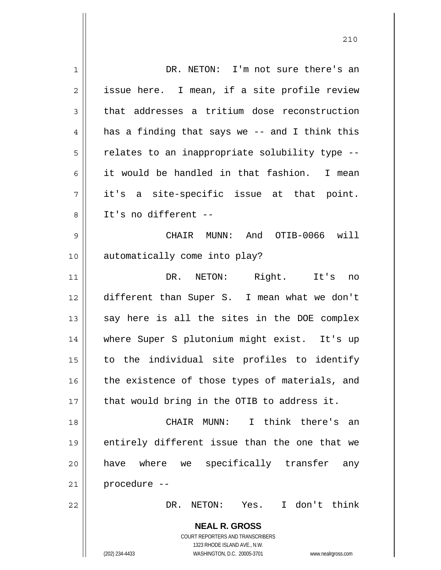| $\mathbf 1$    | DR. NETON: I'm not sure there's an                                  |
|----------------|---------------------------------------------------------------------|
| $\overline{2}$ | issue here. I mean, if a site profile review                        |
| 3              | that addresses a tritium dose reconstruction                        |
| 4              | has a finding that says we -- and I think this                      |
| 5              | relates to an inappropriate solubility type --                      |
| 6              | it would be handled in that fashion. I mean                         |
| 7              | it's a site-specific issue at that point.                           |
| 8              | It's no different --                                                |
| 9              | CHAIR MUNN: And OTIB-0066 will                                      |
| 10             | automatically come into play?                                       |
| 11             | DR. NETON: Right. It's no                                           |
| 12             | different than Super S. I mean what we don't                        |
| 13             | say here is all the sites in the DOE complex                        |
| 14             | where Super S plutonium might exist. It's up                        |
| 15             | to the individual site profiles to identify                         |
| 16             | the existence of those types of materials, and                      |
| 17             | that would bring in the OTIB to address it.                         |
| 18             | CHAIR MUNN:<br>I think there's an                                   |
| 19             | entirely different issue than the one that we                       |
| 20             | have where we specifically transfer<br>any                          |
| 21             | procedure --                                                        |
| 22             | I don't think<br>NETON: Yes.<br>DR.                                 |
|                | <b>NEAL R. GROSS</b>                                                |
|                | COURT REPORTERS AND TRANSCRIBERS                                    |
|                | 1323 RHODE ISLAND AVE., N.W.                                        |
|                | (202) 234-4433<br>WASHINGTON, D.C. 20005-3701<br>www.nealrgross.com |

<u>210</u>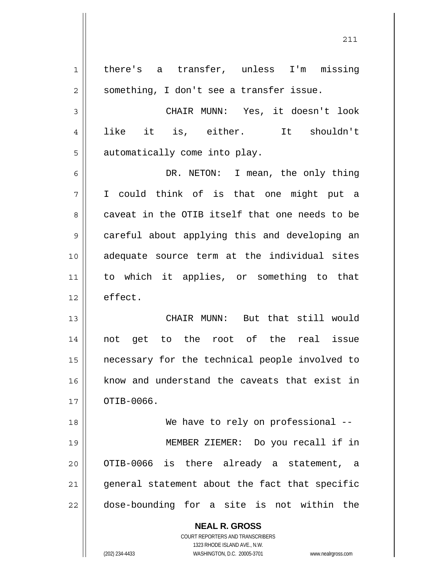**NEAL R. GROSS** 1 2 3 4 5 6 7 8 9 10 11 12 13 14 15 16 17 18 19 20 21 22 there's a transfer, unless I'm missing something, I don't see a transfer issue. CHAIR MUNN: Yes, it doesn't look like it is, either. It shouldn't automatically come into play. DR. NETON: I mean, the only thing I could think of is that one might put a caveat in the OTIB itself that one needs to be careful about applying this and developing an adequate source term at the individual sites to which it applies, or something to that effect. CHAIR MUNN: But that still would not get to the root of the real issue necessary for the technical people involved to know and understand the caveats that exist in OTIB-0066. We have to rely on professional -- MEMBER ZIEMER: Do you recall if in OTIB-0066 is there already a statement, a general statement about the fact that specific dose-bounding for a site is not within the

211

COURT REPORTERS AND TRANSCRIBERS 1323 RHODE ISLAND AVE., N.W.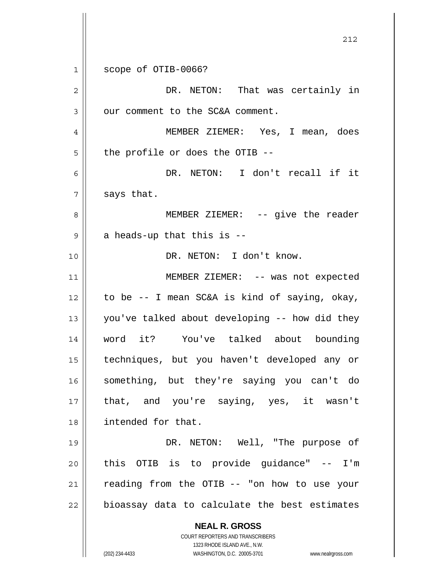**NEAL R. GROSS** COURT REPORTERS AND TRANSCRIBERS 1323 RHODE ISLAND AVE., N.W. (202) 234-4433 WASHINGTON, D.C. 20005-3701 www.nealrgross.com 1 2 3 4 5 6 7 8 9 10 11 12 13 14 15 16 17 18 19 20 21 22 scope of OTIB-0066? DR. NETON: That was certainly in our comment to the SC&A comment. MEMBER ZIEMER: Yes, I mean, does the profile or does the OTIB -- DR. NETON: I don't recall if it says that. MEMBER ZIEMER: -- give the reader a heads-up that this is -- DR. NETON: I don't know. MEMBER ZIEMER: -- was not expected to be -- I mean SC&A is kind of saying, okay, you've talked about developing -- how did they word it? You've talked about bounding techniques, but you haven't developed any or something, but they're saying you can't do that, and you're saying, yes, it wasn't intended for that. DR. NETON: Well, "The purpose of this OTIB is to provide guidance" -- I'm reading from the OTIB -- "on how to use your bioassay data to calculate the best estimates

<u>212</u>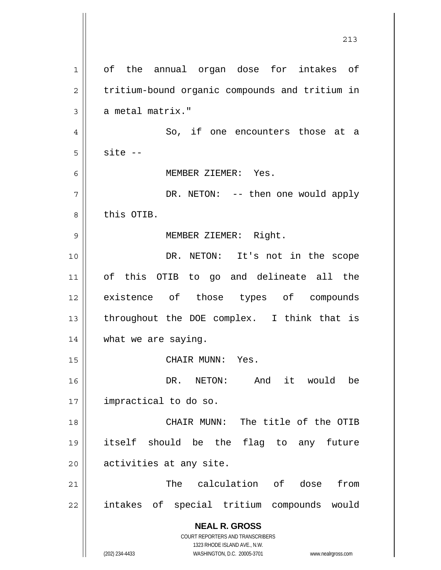**NEAL R. GROSS** COURT REPORTERS AND TRANSCRIBERS 1323 RHODE ISLAND AVE., N.W. (202) 234-4433 WASHINGTON, D.C. 20005-3701 www.nealrgross.com 213 1 2 3 4 5 6 7 8 9 10 11 12 13 14 15 16 17 18 19 20 21 22 of the annual organ dose for intakes of tritium-bound organic compounds and tritium in a metal matrix." So, if one encounters those at a site -- MEMBER ZIEMER: Yes. DR. NETON: -- then one would apply this OTIB. MEMBER ZIEMER: Right. DR. NETON: It's not in the scope of this OTIB to go and delineate all the existence of those types of compounds throughout the DOE complex. I think that is what we are saying. CHAIR MUNN: Yes. DR. NETON: And it would be impractical to do so. CHAIR MUNN: The title of the OTIB itself should be the flag to any future activities at any site. The calculation of dose from intakes of special tritium compounds would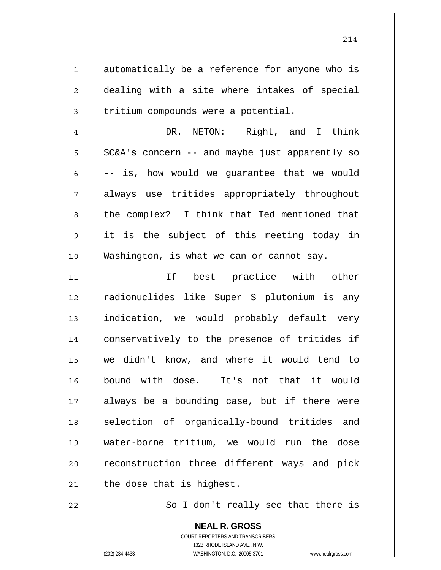1 2 3 4 5 6 7 8 9 10 11 12 13 14 15 16 17 18 automatically be a reference for anyone who is dealing with a site where intakes of special tritium compounds were a potential. DR. NETON: Right, and I think SC&A's concern -- and maybe just apparently so -- is, how would we guarantee that we would always use tritides appropriately throughout the complex? I think that Ted mentioned that it is the subject of this meeting today in Washington, is what we can or cannot say. If best practice with other radionuclides like Super S plutonium is any indication, we would probably default very conservatively to the presence of tritides if we didn't know, and where it would tend to bound with dose. It's not that it would always be a bounding case, but if there were selection of organically-bound tritides and

20

19

21 the dose that is highest.

22

So I don't really see that there is

**NEAL R. GROSS** COURT REPORTERS AND TRANSCRIBERS 1323 RHODE ISLAND AVE., N.W. (202) 234-4433 WASHINGTON, D.C. 20005-3701 www.nealrgross.com

water-borne tritium, we would run the dose

reconstruction three different ways and pick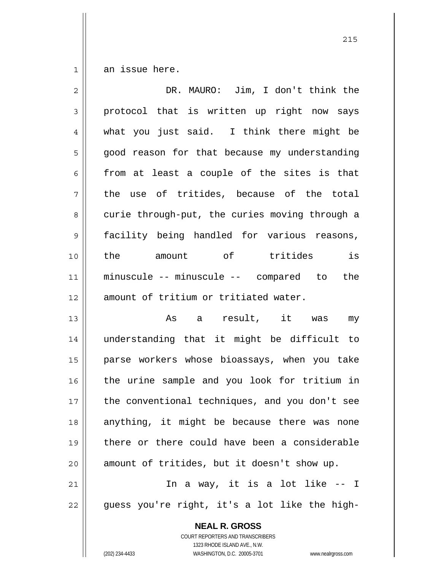1 an issue here.

| $\overline{2}$ | DR. MAURO: Jim, I don't think the              |
|----------------|------------------------------------------------|
| 3              | protocol that is written up right now says     |
| $\overline{4}$ | what you just said. I think there might be     |
| 5              | good reason for that because my understanding  |
| 6              | from at least a couple of the sites is that    |
| 7              | the use of tritides, because of the total      |
| 8              | curie through-put, the curies moving through a |
| 9              | facility being handled for various reasons,    |
| 10             | is<br>the<br>amount of tritides                |
| 11             | minuscule -- minuscule -- compared to<br>the   |
| 12             | amount of tritium or tritiated water.          |
| 13             | As a result, it was<br>my                      |
| 14             | understanding that it might be difficult to    |
| 15             | parse workers whose bioassays, when you take   |
| 16             | the urine sample and you look for tritium in   |
| 17             | the conventional techniques, and you don't see |
| 18             | anything, it might be because there was none   |
| 19             | there or there could have been a considerable  |
| 20             | amount of tritides, but it doesn't show up.    |
| 21             | In a way, it is a lot like -- I                |
| 22             | guess you're right, it's a lot like the high-  |
|                | <b>NEAL R. GROSS</b>                           |

1323 RHODE ISLAND AVE., N.W. (202) 234-4433 WASHINGTON, D.C. 20005-3701 www.nealrgross.com

COURT REPORTERS AND TRANSCRIBERS

<u>215</u>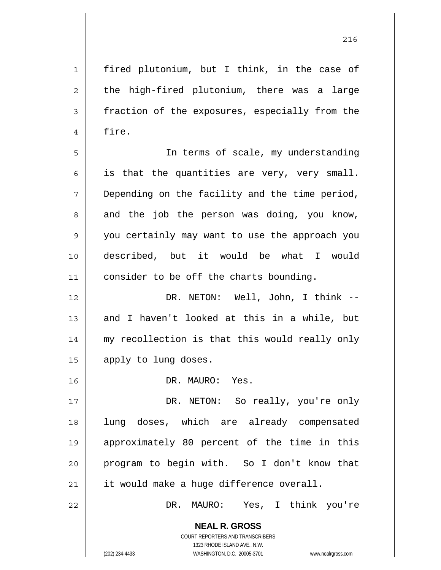**NEAL R. GROSS** COURT REPORTERS AND TRANSCRIBERS 1 2 3 4 5 6 7 8 9 10 11 12 13 14 15 16 17 18 19 20 21 22 fired plutonium, but I think, in the case of the high-fired plutonium, there was a large fraction of the exposures, especially from the fire. In terms of scale, my understanding is that the quantities are very, very small. Depending on the facility and the time period, and the job the person was doing, you know, you certainly may want to use the approach you described, but it would be what I would consider to be off the charts bounding. DR. NETON: Well, John, I think -and I haven't looked at this in a while, but my recollection is that this would really only apply to lung doses. DR. MAURO: Yes. DR. NETON: So really, you're only lung doses, which are already compensated approximately 80 percent of the time in this program to begin with. So I don't know that it would make a huge difference overall. DR. MAURO: Yes, I think you're

1323 RHODE ISLAND AVE., N.W.

(202) 234-4433 WASHINGTON, D.C. 20005-3701 www.nealrgross.com

<u>216</u>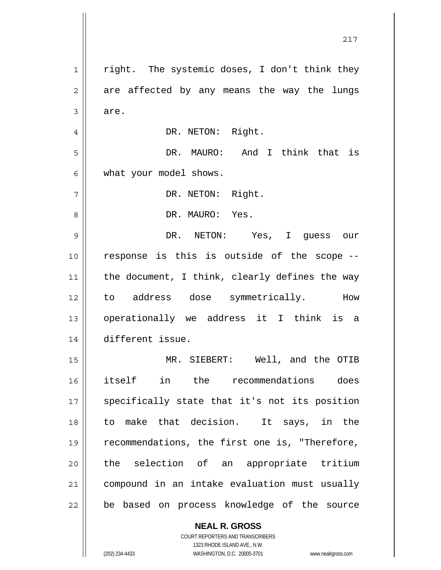1 2 3 4 5 6 7 8 9 10 11 12 13 14 15 16 17 18 19 20 21 22 right. The systemic doses, I don't think they are affected by any means the way the lungs are. DR. NETON: Right. DR. MAURO: And I think that is what your model shows. DR. NETON: Right. DR. MAURO: Yes. DR. NETON: Yes, I guess our response is this is outside of the scope - the document, I think, clearly defines the way to address dose symmetrically. How operationally we address it I think is a different issue. MR. SIEBERT: Well, and the OTIB itself in the recommendations does specifically state that it's not its position to make that decision. It says, in the recommendations, the first one is, "Therefore, the selection of an appropriate tritium compound in an intake evaluation must usually be based on process knowledge of the source

217

COURT REPORTERS AND TRANSCRIBERS 1323 RHODE ISLAND AVE., N.W. (202) 234-4433 WASHINGTON, D.C. 20005-3701 www.nealrgross.com

**NEAL R. GROSS**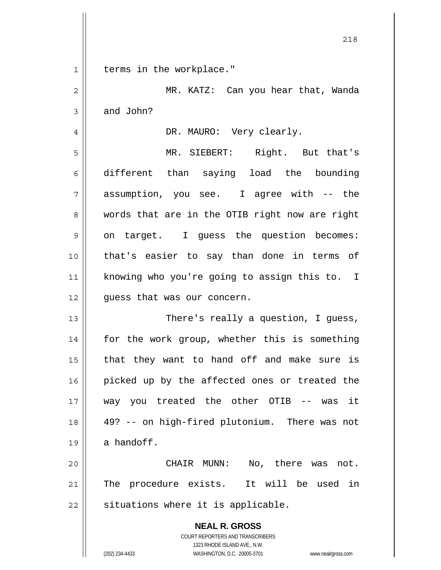1 || terms in the workplace."

| $\overline{c}$ | MR. KATZ: Can you hear that, Wanda                                                                                                                              |
|----------------|-----------------------------------------------------------------------------------------------------------------------------------------------------------------|
| 3              | and John?                                                                                                                                                       |
| $\overline{4}$ | DR. MAURO: Very clearly.                                                                                                                                        |
| 5              | MR. SIEBERT: Right. But that's                                                                                                                                  |
| 6              | different than saying load the bounding                                                                                                                         |
| 7              | assumption, you see. I agree with -- the                                                                                                                        |
| 8              | words that are in the OTIB right now are right                                                                                                                  |
| 9              | on target. I guess the question becomes:                                                                                                                        |
| 10             | that's easier to say than done in terms of                                                                                                                      |
| 11             | knowing who you're going to assign this to. I                                                                                                                   |
| 12             | quess that was our concern.                                                                                                                                     |
| 13             | There's really a question, I guess,                                                                                                                             |
| 14             | for the work group, whether this is something                                                                                                                   |
| 15             | that they want to hand off and make sure is                                                                                                                     |
| 16             | picked up by the affected ones or treated the                                                                                                                   |
| 17             | way you treated the other OTIB -- was<br>it                                                                                                                     |
| 18             | 49? -- on high-fired plutonium. There was not                                                                                                                   |
| 19             | a handoff.                                                                                                                                                      |
| 20             | CHAIR MUNN:<br>No, there was<br>not.                                                                                                                            |
| 21             | The procedure exists. It will be used in                                                                                                                        |
| 22             | situations where it is applicable.                                                                                                                              |
|                | <b>NEAL R. GROSS</b><br>COURT REPORTERS AND TRANSCRIBERS<br>1323 RHODE ISLAND AVE., N.W.<br>WASHINGTON, D.C. 20005-3701<br>(202) 234-4433<br>www.nealrgross.com |

<u>218</u>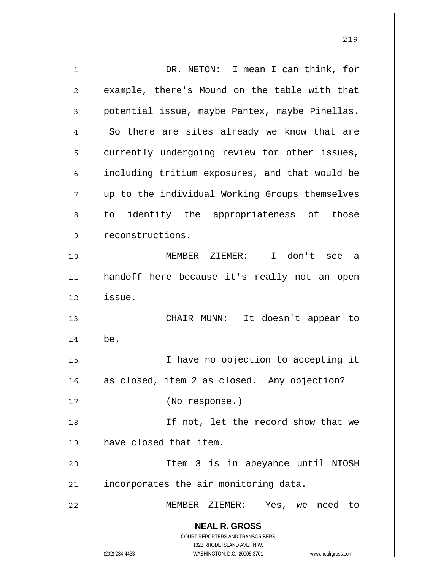| 1  | DR. NETON: I mean I can think, for                                  |
|----|---------------------------------------------------------------------|
| 2  | example, there's Mound on the table with that                       |
| 3  | potential issue, maybe Pantex, maybe Pinellas.                      |
| 4  | So there are sites already we know that are                         |
| 5  | currently undergoing review for other issues,                       |
| 6  | including tritium exposures, and that would be                      |
| 7  | up to the individual Working Groups themselves                      |
| 8  | identify the appropriateness of those<br>to                         |
| 9  | reconstructions.                                                    |
| 10 | MEMBER ZIEMER: I don't see a                                        |
| 11 | handoff here because it's really not an open                        |
| 12 | issue.                                                              |
| 13 | CHAIR MUNN: It doesn't appear to                                    |
| 14 | be.                                                                 |
| 15 | I have no objection to accepting it                                 |
| 16 | as closed, item 2 as closed. Any objection?                         |
| 17 | (No response.)                                                      |
| 18 | If not, let the record show that we                                 |
| 19 | have closed that item.                                              |
| 20 | Item 3 is in abeyance until NIOSH                                   |
| 21 | incorporates the air monitoring data.                               |
| 22 | MEMBER ZIEMER: Yes, we need to                                      |
|    | <b>NEAL R. GROSS</b>                                                |
|    | COURT REPORTERS AND TRANSCRIBERS                                    |
|    | 1323 RHODE ISLAND AVE., N.W.                                        |
|    | (202) 234-4433<br>WASHINGTON, D.C. 20005-3701<br>www.nealrgross.com |

<u>219</u>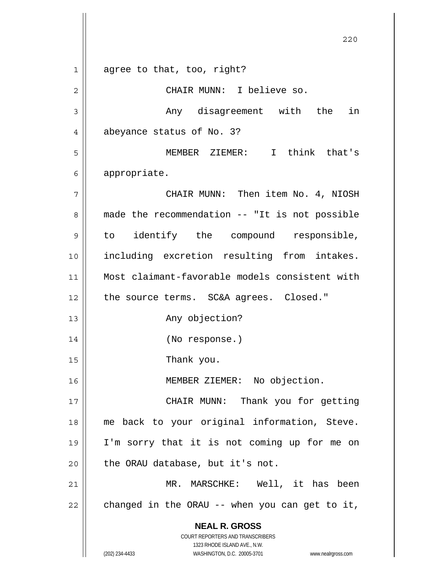**NEAL R. GROSS** COURT REPORTERS AND TRANSCRIBERS 1323 RHODE ISLAND AVE., N.W. (202) 234-4433 WASHINGTON, D.C. 20005-3701 www.nealrgross.com 1 2 3 4 5 6 7 8 9 10 11 12 13 14 15 16 17 18 19 20 21 22 agree to that, too, right? CHAIR MUNN: I believe so. Any disagreement with the in abeyance status of No. 3? MEMBER ZIEMER: I think that's appropriate. CHAIR MUNN: Then item No. 4, NIOSH made the recommendation -- "It is not possible to identify the compound responsible, including excretion resulting from intakes. Most claimant-favorable models consistent with the source terms. SC&A agrees. Closed." Any objection? (No response.) Thank you. MEMBER ZIEMER: No objection. CHAIR MUNN: Thank you for getting me back to your original information, Steve. I'm sorry that it is not coming up for me on the ORAU database, but it's not. MR. MARSCHKE: Well, it has been changed in the ORAU -- when you can get to it,

<u>220</u>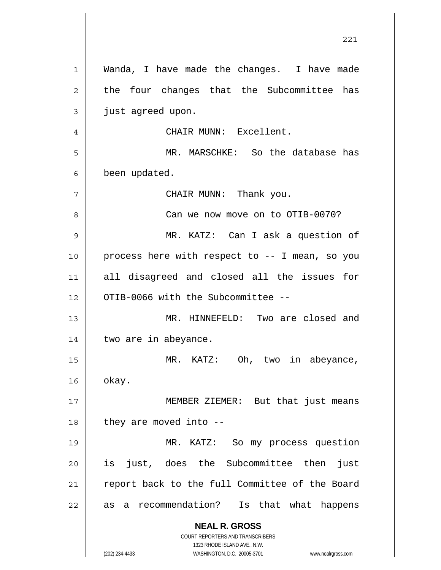|              | 221                                                                 |
|--------------|---------------------------------------------------------------------|
| $\mathbf{1}$ | Wanda, I have made the changes. I have made                         |
| 2            | the four changes that the Subcommittee has                          |
| 3            | just agreed upon.                                                   |
| 4            | CHAIR MUNN: Excellent.                                              |
| 5            | MR. MARSCHKE: So the database has                                   |
| 6            | been updated.                                                       |
| 7            | CHAIR MUNN: Thank you.                                              |
| 8            | Can we now move on to OTIB-0070?                                    |
| 9            | MR. KATZ: Can I ask a question of                                   |
| 10           | process here with respect to -- I mean, so you                      |
| 11           | all disagreed and closed all the issues for                         |
| 12           | OTIB-0066 with the Subcommittee --                                  |
| 13           | MR. HINNEFELD: Two are closed and                                   |
| 14           | two are in abeyance.                                                |
| 15           | MR. KATZ: Oh, two in abeyance,                                      |
| 16           | okay.                                                               |
| 17           | MEMBER ZIEMER: But that just means                                  |
| 18           | they are moved into --                                              |
| 19           | MR. KATZ: So my process question                                    |
| 20           | just, does the Subcommittee then<br>is<br>just                      |
| 21           | report back to the full Committee of the Board                      |
| 22           | recommendation? Is that what happens<br>as<br>a                     |
|              | <b>NEAL R. GROSS</b><br>COURT REPORTERS AND TRANSCRIBERS            |
|              | 1323 RHODE ISLAND AVE., N.W.                                        |
|              | (202) 234-4433<br>WASHINGTON, D.C. 20005-3701<br>www.nealrgross.com |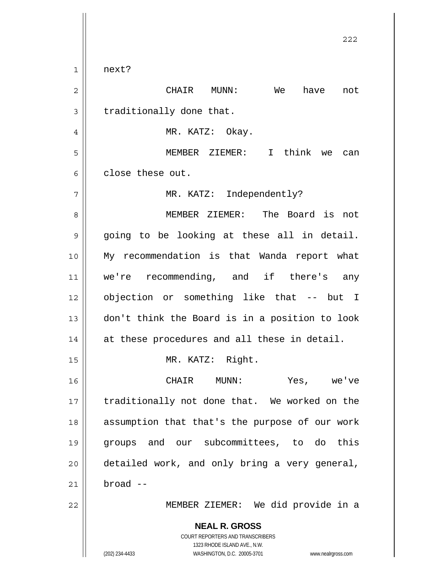$1$ next?

| $\overline{c}$ | CHAIR<br>We<br>have<br>$\texttt{MUNN}:$<br>not                                                                                                                  |
|----------------|-----------------------------------------------------------------------------------------------------------------------------------------------------------------|
| 3              | traditionally done that.                                                                                                                                        |
| 4              | MR. KATZ: Okay.                                                                                                                                                 |
| 5              | MEMBER ZIEMER: I think we<br>can                                                                                                                                |
| 6              | close these out.                                                                                                                                                |
| 7              | MR. KATZ: Independently?                                                                                                                                        |
| 8              | MEMBER ZIEMER: The Board is not                                                                                                                                 |
| 9              | going to be looking at these all in detail.                                                                                                                     |
| 10             | My recommendation is that Wanda report what                                                                                                                     |
| 11             | we're recommending, and if there's any                                                                                                                          |
| 12             | objection or something like that -- but I                                                                                                                       |
| 13             | don't think the Board is in a position to look                                                                                                                  |
| 14             | at these procedures and all these in detail.                                                                                                                    |
| 15             | MR. KATZ: Right.                                                                                                                                                |
| 16             | CHAIR MUNN:<br>Yes, we've                                                                                                                                       |
| $17$           | traditionally not done that. We worked on the                                                                                                                   |
| 18             | assumption that that's the purpose of our work                                                                                                                  |
| 19             | groups and our subcommittees, to do this                                                                                                                        |
| 20             | detailed work, and only bring a very general,                                                                                                                   |
| 21             | $broad -$                                                                                                                                                       |
| 22             | MEMBER ZIEMER: We did provide in a                                                                                                                              |
|                | <b>NEAL R. GROSS</b><br>COURT REPORTERS AND TRANSCRIBERS<br>1323 RHODE ISLAND AVE., N.W.<br>(202) 234-4433<br>WASHINGTON, D.C. 20005-3701<br>www.nealrgross.com |

<u>222</u>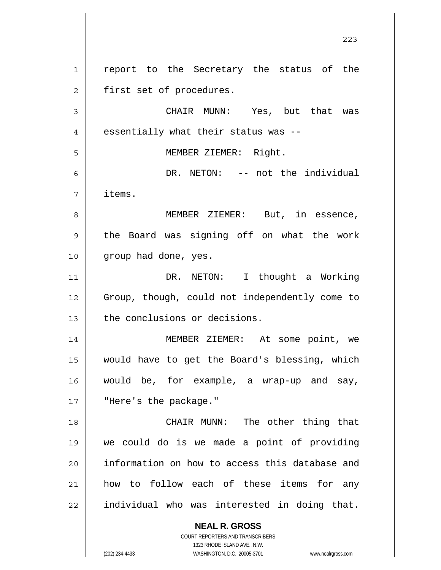**NEAL R. GROSS** COURT REPORTERS AND TRANSCRIBERS 1 2 3 4 5 6 7 8 9 10 11 12 13 14 15 16 17 18 19 20 21 22 report to the Secretary the status of the first set of procedures. CHAIR MUNN: Yes, but that was essentially what their status was -- MEMBER ZIEMER: Right. DR. NETON: -- not the individual items. MEMBER ZIEMER: But, in essence, the Board was signing off on what the work group had done, yes. DR. NETON: I thought a Working Group, though, could not independently come to the conclusions or decisions. MEMBER ZIEMER: At some point, we would have to get the Board's blessing, which would be, for example, a wrap-up and say, "Here's the package." CHAIR MUNN: The other thing that we could do is we made a point of providing information on how to access this database and how to follow each of these items for any individual who was interested in doing that.

<u>223</u>

1323 RHODE ISLAND AVE., N.W.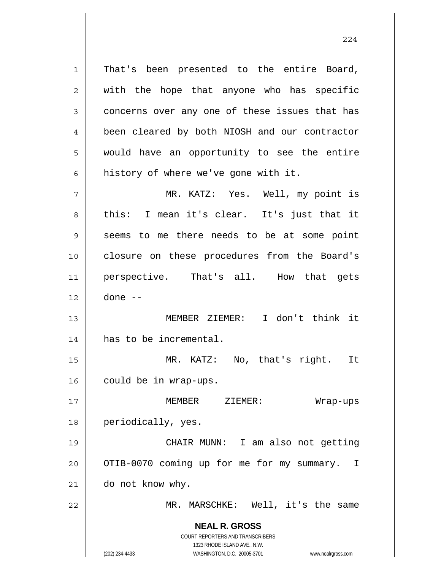1 2 3 4 5 6 7 That's been presented to the entire Board, with the hope that anyone who has specific concerns over any one of these issues that has been cleared by both NIOSH and our contractor would have an opportunity to see the entire history of where we've gone with it. MR. KATZ: Yes. Well, my point is

8 9 10 11 12 this: I mean it's clear. It's just that it seems to me there needs to be at some point closure on these procedures from the Board's perspective. That's all. How that gets done --

13 14 MEMBER ZIEMER: I don't think it has to be incremental.

15 16 MR. KATZ: No, that's right. It could be in wrap-ups.

17 18 MEMBER ZIEMER: Wrap-ups periodically, yes.

19 20 21 CHAIR MUNN: I am also not getting OTIB-0070 coming up for me for my summary. I do not know why.

MR. MARSCHKE: Well, it's the same

**NEAL R. GROSS** COURT REPORTERS AND TRANSCRIBERS 1323 RHODE ISLAND AVE., N.W.

22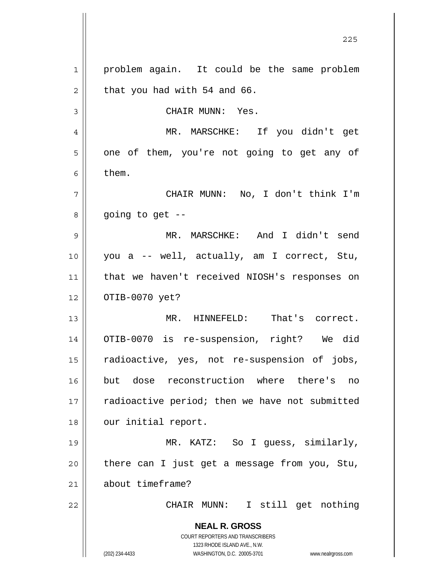**NEAL R. GROSS** COURT REPORTERS AND TRANSCRIBERS 1323 RHODE ISLAND AVE., N.W. (202) 234-4433 WASHINGTON, D.C. 20005-3701 www.nealrgross.com <u>225</u> 1 2 3 4 5 6 7 8 9 10 11 12 13 14 15 16 17 18 19 20 21 22 problem again. It could be the same problem that you had with 54 and 66. CHAIR MUNN: Yes. MR. MARSCHKE: If you didn't get one of them, you're not going to get any of them. CHAIR MUNN: No, I don't think I'm going to get  $-$ - MR. MARSCHKE: And I didn't send you a -- well, actually, am I correct, Stu, that we haven't received NIOSH's responses on OTIB-0070 yet? MR. HINNEFELD: That's correct. OTIB-0070 is re-suspension, right? We did radioactive, yes, not re-suspension of jobs, but dose reconstruction where there's no radioactive period; then we have not submitted our initial report. MR. KATZ: So I guess, similarly, there can I just get a message from you, Stu, about timeframe? CHAIR MUNN: I still get nothing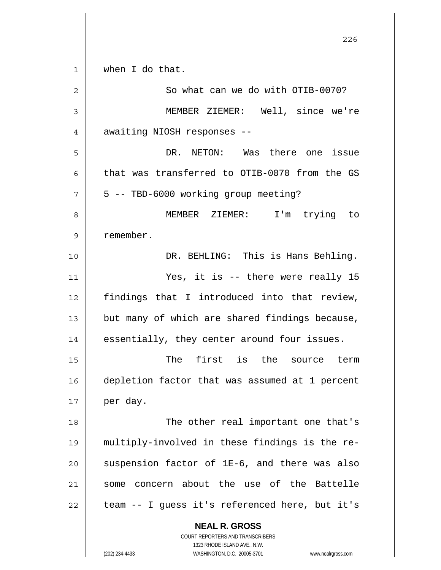**NEAL R. GROSS** COURT REPORTERS AND TRANSCRIBERS 1323 RHODE ISLAND AVE., N.W. <u>226</u> 1 2 3 4 5 6 7 8 9 10 11 12 13 14 15 16 17 18 19 20 21 22 when I do that. So what can we do with OTIB-0070? MEMBER ZIEMER: Well, since we're awaiting NIOSH responses -- DR. NETON: Was there one issue that was transferred to OTIB-0070 from the GS 5 -- TBD-6000 working group meeting? MEMBER ZIEMER: I'm trying to remember. DR. BEHLING: This is Hans Behling. Yes, it is -- there were really 15 findings that I introduced into that review, but many of which are shared findings because, essentially, they center around four issues. The first is the source term depletion factor that was assumed at 1 percent per day. The other real important one that's multiply-involved in these findings is the resuspension factor of 1E-6, and there was also some concern about the use of the Battelle team -- I guess it's referenced here, but it's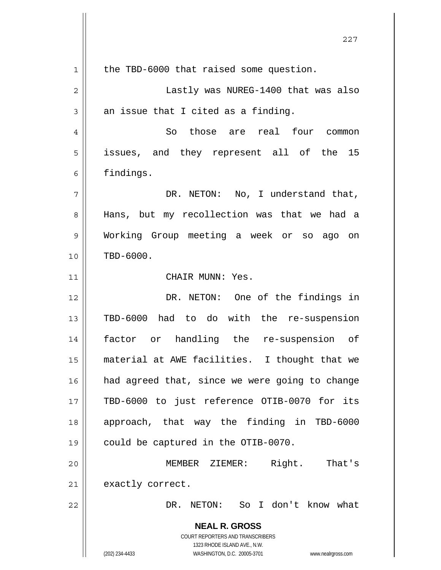**NEAL R. GROSS** COURT REPORTERS AND TRANSCRIBERS 1323 RHODE ISLAND AVE., N.W. (202) 234-4433 WASHINGTON, D.C. 20005-3701 www.nealrgross.com <u>227</u> 1 2 3 4 5 6 7 8 9 10 11 12 13 14 15 16 17 18 19 20 21 22 the TBD-6000 that raised some question. Lastly was NUREG-1400 that was also an issue that I cited as a finding. So those are real four common issues, and they represent all of the 15 findings. DR. NETON: No, I understand that, Hans, but my recollection was that we had a Working Group meeting a week or so ago on TBD-6000. CHAIR MUNN: Yes. DR. NETON: One of the findings in TBD-6000 had to do with the re-suspension factor or handling the re-suspension of material at AWE facilities. I thought that we had agreed that, since we were going to change TBD-6000 to just reference OTIB-0070 for its approach, that way the finding in TBD-6000 could be captured in the OTIB-0070. MEMBER ZIEMER: Right. That's exactly correct. DR. NETON: So I don't know what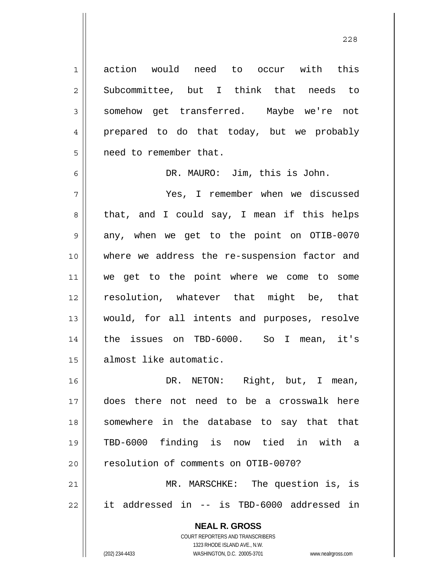action would need to occur with this Subcommittee, but I think that needs to somehow get transferred. Maybe we're not prepared to do that today, but we probably need to remember that. DR. MAURO: Jim, this is John. Yes, I remember when we discussed that, and I could say, I mean if this helps

9 10 11 12 13 14 15 any, when we get to the point on OTIB-0070 where we address the re-suspension factor and we get to the point where we come to some resolution, whatever that might be, that would, for all intents and purposes, resolve the issues on TBD-6000. So I mean, it's almost like automatic.

16 17 18 19 20 21 DR. NETON: Right, but, I mean, does there not need to be a crosswalk here somewhere in the database to say that that TBD-6000 finding is now tied in with a resolution of comments on OTIB-0070? MR. MARSCHKE: The question is, is

22 it addressed in -- is TBD-6000 addressed in

> **NEAL R. GROSS** COURT REPORTERS AND TRANSCRIBERS 1323 RHODE ISLAND AVE., N.W. (202) 234-4433 WASHINGTON, D.C. 20005-3701 www.nealrgross.com

1

2

3

4

5

6

7

8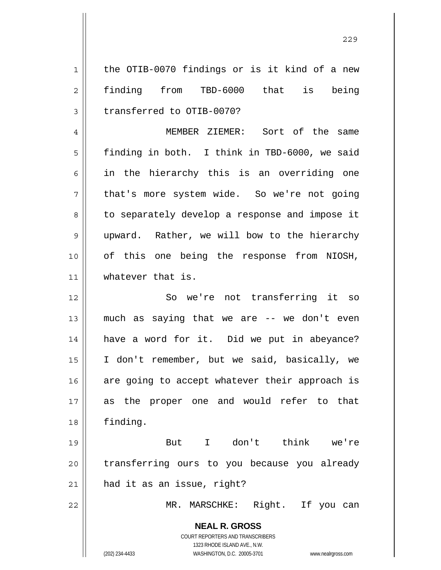1 2 3 the OTIB-0070 findings or is it kind of a new finding from TBD-6000 that is being transferred to OTIB-0070?

4 5 6 7 8 9 10 11 MEMBER ZIEMER: Sort of the same finding in both. I think in TBD-6000, we said in the hierarchy this is an overriding one that's more system wide. So we're not going to separately develop a response and impose it upward. Rather, we will bow to the hierarchy of this one being the response from NIOSH, whatever that is.

12 13 14 15 16 17 18 So we're not transferring it so much as saying that we are -- we don't even have a word for it. Did we put in abeyance? I don't remember, but we said, basically, we are going to accept whatever their approach is as the proper one and would refer to that finding.

19 20 21 But I don't think we're transferring ours to you because you already had it as an issue, right?

MR. MARSCHKE: Right. If you can

**NEAL R. GROSS** COURT REPORTERS AND TRANSCRIBERS 1323 RHODE ISLAND AVE., N.W.

22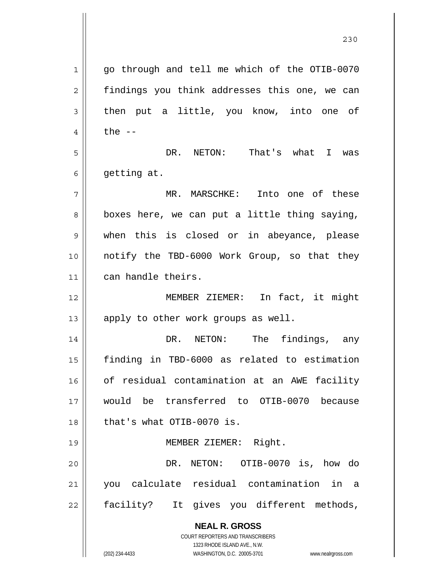**NEAL R. GROSS** COURT REPORTERS AND TRANSCRIBERS 1323 RHODE ISLAND AVE., N.W. 1 2 3 4 5 6 7 8 9 10 11 12 13 14 15 16 17 18 19 20 21 22 go through and tell me which of the OTIB-0070 findings you think addresses this one, we can then put a little, you know, into one of the  $--$  DR. NETON: That's what I was getting at. MR. MARSCHKE: Into one of these boxes here, we can put a little thing saying, when this is closed or in abeyance, please notify the TBD-6000 Work Group, so that they can handle theirs. MEMBER ZIEMER: In fact, it might apply to other work groups as well. DR. NETON: The findings, any finding in TBD-6000 as related to estimation of residual contamination at an AWE facility would be transferred to OTIB-0070 because that's what OTIB-0070 is. MEMBER ZIEMER: Right. DR. NETON: OTIB-0070 is, how do you calculate residual contamination in a facility? It gives you different methods,

<u>230</u>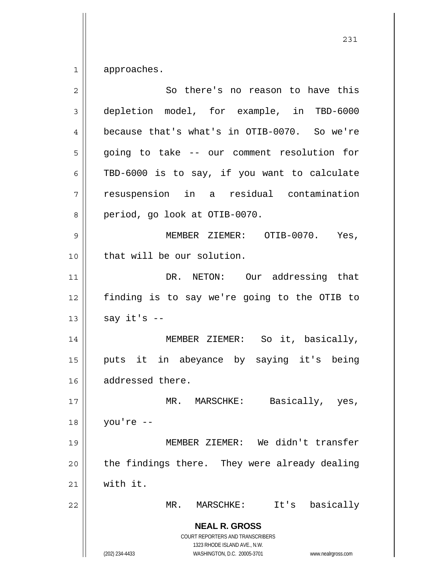1 approaches.

| $\overline{2}$ | So there's no reason to have this                                                                                                                                      |
|----------------|------------------------------------------------------------------------------------------------------------------------------------------------------------------------|
| 3              | depletion model, for example, in TBD-6000                                                                                                                              |
| $\overline{4}$ | because that's what's in OTIB-0070. So we're                                                                                                                           |
| 5              | going to take -- our comment resolution for                                                                                                                            |
| 6              | TBD-6000 is to say, if you want to calculate                                                                                                                           |
| 7              | resuspension in a residual contamination                                                                                                                               |
| 8              | period, go look at OTIB-0070.                                                                                                                                          |
| 9              | MEMBER ZIEMER: OTIB-0070.<br>Yes,                                                                                                                                      |
| 10             | that will be our solution.                                                                                                                                             |
| 11             | DR. NETON: Our addressing that                                                                                                                                         |
| 12             | finding is to say we're going to the OTIB to                                                                                                                           |
| 13             | say $it's$ --                                                                                                                                                          |
| 14             | MEMBER ZIEMER: So it, basically,                                                                                                                                       |
| 15             | puts it in abeyance by saying it's being                                                                                                                               |
| 16             | addressed there.                                                                                                                                                       |
| 17             | MR. MARSCHKE: Basically, yes,                                                                                                                                          |
| 18             | you're --                                                                                                                                                              |
| 19             | MEMBER ZIEMER: We didn't transfer                                                                                                                                      |
| 20             | the findings there. They were already dealing                                                                                                                          |
| 21             | with it.                                                                                                                                                               |
| 22             | basically<br>It's<br>MR.<br>MARSCHKE:                                                                                                                                  |
|                | <b>NEAL R. GROSS</b><br><b>COURT REPORTERS AND TRANSCRIBERS</b><br>1323 RHODE ISLAND AVE., N.W.<br>(202) 234-4433<br>WASHINGTON, D.C. 20005-3701<br>www.nealrgross.com |

231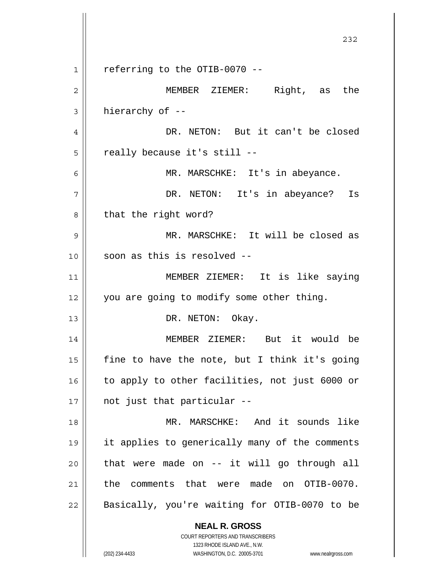**NEAL R. GROSS** COURT REPORTERS AND TRANSCRIBERS 1323 RHODE ISLAND AVE., N.W. <u>232</u> 1 2 3 4 5 6 7 8 9 10 11 12 13 14 15 16 17 18 19 20 21 22 referring to the OTIB-0070 -- MEMBER ZIEMER: Right, as the hierarchy of -- DR. NETON: But it can't be closed really because it's still -- MR. MARSCHKE: It's in abeyance. DR. NETON: It's in abeyance? Is that the right word? MR. MARSCHKE: It will be closed as soon as this is resolved -- MEMBER ZIEMER: It is like saying you are going to modify some other thing. DR. NETON: Okay. MEMBER ZIEMER: But it would be fine to have the note, but I think it's going to apply to other facilities, not just 6000 or not just that particular -- MR. MARSCHKE: And it sounds like it applies to generically many of the comments that were made on -- it will go through all the comments that were made on OTIB-0070. Basically, you're waiting for OTIB-0070 to be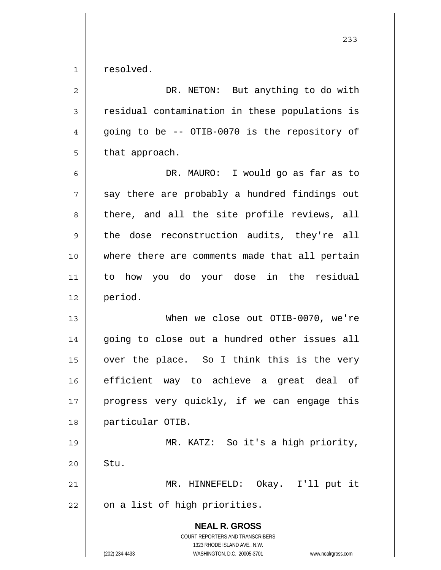1 resolved.

| 2              | DR. NETON: But anything to do with                                                                                                                              |
|----------------|-----------------------------------------------------------------------------------------------------------------------------------------------------------------|
| $\mathfrak{Z}$ | residual contamination in these populations is                                                                                                                  |
| $\overline{4}$ | going to be -- OTIB-0070 is the repository of                                                                                                                   |
| 5              | that approach.                                                                                                                                                  |
| 6              | DR. MAURO: I would go as far as to                                                                                                                              |
| 7              | say there are probably a hundred findings out                                                                                                                   |
| 8              | there, and all the site profile reviews, all                                                                                                                    |
| $\mathsf 9$    | the dose reconstruction audits, they're all                                                                                                                     |
| 10             | where there are comments made that all pertain                                                                                                                  |
| 11             | to how you do your dose in the residual                                                                                                                         |
| 12             | period.                                                                                                                                                         |
| 13             | When we close out OTIB-0070, we're                                                                                                                              |
| 14             | going to close out a hundred other issues all                                                                                                                   |
| 15             | over the place. So I think this is the very                                                                                                                     |
| 16             | efficient way to achieve a great deal of                                                                                                                        |
| $17$           | progress very quickly, if we can engage this                                                                                                                    |
| 18             | particular OTIB.                                                                                                                                                |
| 19             | MR. KATZ: So it's a high priority,                                                                                                                              |
| 20             | Stu.                                                                                                                                                            |
| 21             | Okay. I'll put it<br>MR. HINNEFELD:                                                                                                                             |
| 22             | on a list of high priorities.                                                                                                                                   |
|                | <b>NEAL R. GROSS</b><br>COURT REPORTERS AND TRANSCRIBERS<br>1323 RHODE ISLAND AVE., N.W.<br>(202) 234-4433<br>WASHINGTON, D.C. 20005-3701<br>www.nealrgross.com |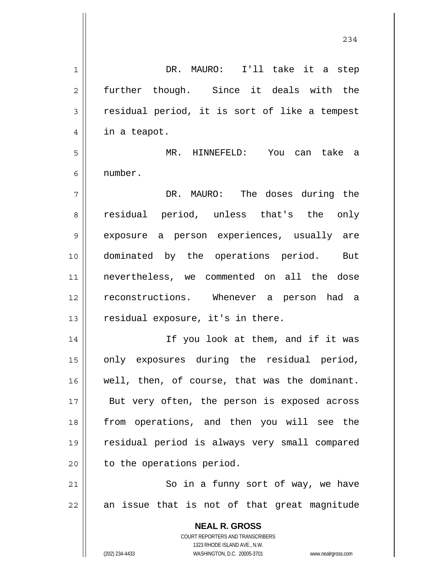| 1  | DR. MAURO: I'll take it a step                                                                      |
|----|-----------------------------------------------------------------------------------------------------|
| 2  | further though. Since it deals with the                                                             |
| 3  | residual period, it is sort of like a tempest                                                       |
| 4  | in a teapot.                                                                                        |
| 5  | MR. HINNEFELD: You can take a                                                                       |
| 6  | number.                                                                                             |
| 7  | DR. MAURO: The doses during the                                                                     |
| 8  | residual period, unless that's the only                                                             |
| 9  | exposure a person experiences, usually are                                                          |
| 10 | dominated by the operations period. But                                                             |
| 11 | nevertheless, we commented on all the dose                                                          |
| 12 | reconstructions. Whenever a person had a                                                            |
| 13 | residual exposure, it's in there.                                                                   |
| 14 | If you look at them, and if it was                                                                  |
| 15 | only exposures during the residual period,                                                          |
| 16 | well, then, of course, that was the dominant.                                                       |
| 17 | But very often, the person is exposed across                                                        |
| 18 | from operations, and then you will see the                                                          |
| 19 | residual period is always very small compared                                                       |
| 20 | to the operations period.                                                                           |
| 21 | So in a funny sort of way, we have                                                                  |
| 22 | an issue that is not of that great magnitude                                                        |
|    |                                                                                                     |
|    | <b>NEAL R. GROSS</b>                                                                                |
|    | COURT REPORTERS AND TRANSCRIBERS                                                                    |
|    | 1323 RHODE ISLAND AVE., N.W.<br>(202) 234-4433<br>WASHINGTON, D.C. 20005-3701<br>www.nealrgross.com |

234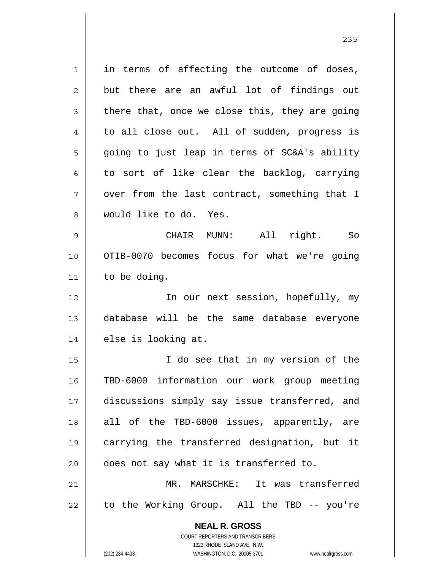**NEAL R. GROSS** COURT REPORTERS AND TRANSCRIBERS 1323 RHODE ISLAND AVE., N.W. 1 2 3 4 5 6 7 8 9 10 11 12 13 14 15 16 17 18 19 20 21 22 in terms of affecting the outcome of doses, but there are an awful lot of findings out there that, once we close this, they are going to all close out. All of sudden, progress is going to just leap in terms of SC&A's ability to sort of like clear the backlog, carrying over from the last contract, something that I would like to do. Yes. CHAIR MUNN: All right. So OTIB-0070 becomes focus for what we're going to be doing. In our next session, hopefully, my database will be the same database everyone else is looking at. I do see that in my version of the TBD-6000 information our work group meeting discussions simply say issue transferred, and all of the TBD-6000 issues, apparently, are carrying the transferred designation, but it does not say what it is transferred to. MR. MARSCHKE: It was transferred to the Working Group. All the TBD -- you're

(202) 234-4433 WASHINGTON, D.C. 20005-3701 www.nealrgross.com

<u>235</u>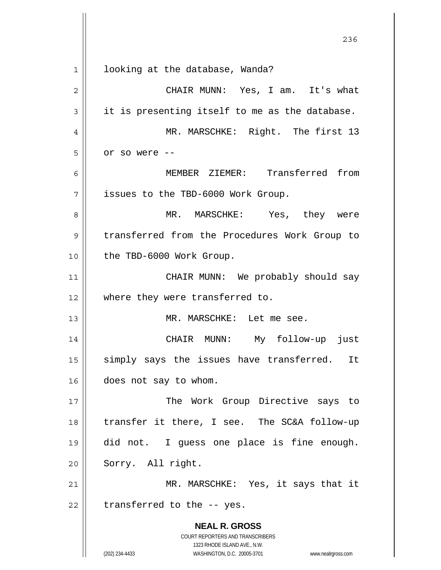**NEAL R. GROSS** COURT REPORTERS AND TRANSCRIBERS 1323 RHODE ISLAND AVE., N.W. (202) 234-4433 WASHINGTON, D.C. 20005-3701 www.nealrgross.com <u>236</u> 1 2 3 4 5 6 7 8 9 10 11 12 13 14 15 16 17 18 19 20 21 22 looking at the database, Wanda? CHAIR MUNN: Yes, I am. It's what it is presenting itself to me as the database. MR. MARSCHKE: Right. The first 13 or so were -- MEMBER ZIEMER: Transferred from issues to the TBD-6000 Work Group. MR. MARSCHKE: Yes, they were transferred from the Procedures Work Group to the TBD-6000 Work Group. CHAIR MUNN: We probably should say where they were transferred to. MR. MARSCHKE: Let me see. CHAIR MUNN: My follow-up just simply says the issues have transferred. It does not say to whom. The Work Group Directive says to transfer it there, I see. The SC&A follow-up did not. I guess one place is fine enough. Sorry. All right. MR. MARSCHKE: Yes, it says that it transferred to the -- yes.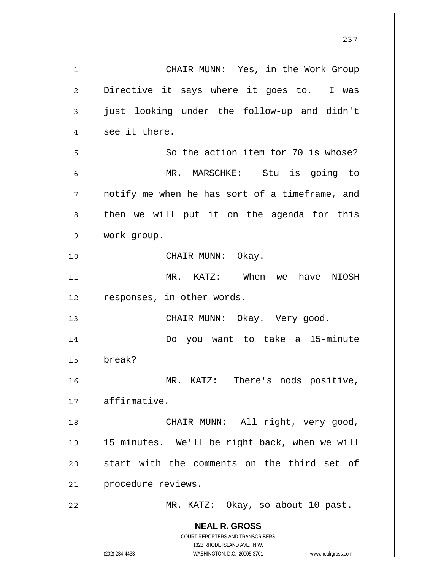| 1              | CHAIR MUNN: Yes, in the Work Group                                                                  |
|----------------|-----------------------------------------------------------------------------------------------------|
| $\overline{2}$ | Directive it says where it goes to. I was                                                           |
| 3              | just looking under the follow-up and didn't                                                         |
| 4              | see it there.                                                                                       |
| 5              | So the action item for 70 is whose?                                                                 |
| 6              | MR. MARSCHKE: Stu is going to                                                                       |
| 7              | notify me when he has sort of a timeframe, and                                                      |
| 8              | then we will put it on the agenda for this                                                          |
| 9              | work group.                                                                                         |
| 10             | CHAIR MUNN: Okay.                                                                                   |
| 11             | MR. KATZ: When we<br>have NIOSH                                                                     |
| 12             | responses, in other words.                                                                          |
| 13             | CHAIR MUNN: Okay. Very good.                                                                        |
| 14             | Do you want to take a 15-minute                                                                     |
| 15             | break?                                                                                              |
| 16             | MR. KATZ: There's nods positive,                                                                    |
| 17             | affirmative.                                                                                        |
| 18             | CHAIR MUNN: All right, very good,                                                                   |
| 19             | 15 minutes. We'll be right back, when we will                                                       |
| 20             | start with the comments on the third set of                                                         |
| 21             | procedure reviews.                                                                                  |
| 22             | MR. KATZ: Okay, so about 10 past.                                                                   |
|                | <b>NEAL R. GROSS</b>                                                                                |
|                | <b>COURT REPORTERS AND TRANSCRIBERS</b>                                                             |
|                | 1323 RHODE ISLAND AVE., N.W.<br>(202) 234-4433<br>WASHINGTON, D.C. 20005-3701<br>www.nealrgross.com |

 $\mathsf{I}$ 

237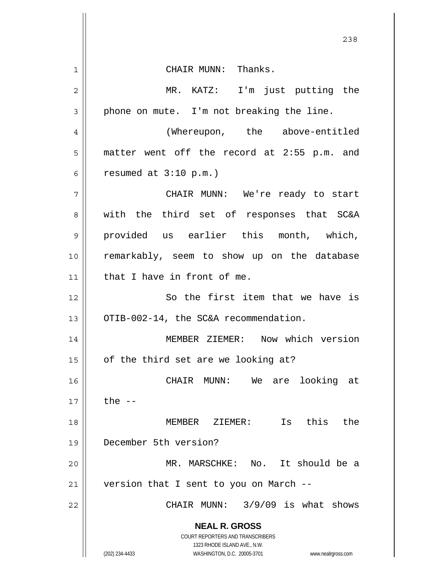|                | 238                                                                                                 |
|----------------|-----------------------------------------------------------------------------------------------------|
| 1              | CHAIR MUNN: Thanks.                                                                                 |
| $\overline{2}$ | MR. KATZ: I'm just putting the                                                                      |
| 3              | phone on mute. I'm not breaking the line.                                                           |
| 4              | (Whereupon, the above-entitled                                                                      |
| 5              | matter went off the record at 2:55 p.m. and                                                         |
| 6              | resumed at $3:10$ p.m.)                                                                             |
| 7              | CHAIR MUNN: We're ready to start                                                                    |
| 8              | with the third set of responses that SC&A                                                           |
| 9              | provided us earlier this month, which,                                                              |
| 10             | remarkably, seem to show up on the database                                                         |
| 11             | that I have in front of me.                                                                         |
| 12             | So the first item that we have is                                                                   |
| 13             | OTIB-002-14, the SC&A recommendation.                                                               |
| 14             | MEMBER ZIEMER: Now which version                                                                    |
| 15             | of the third set are we looking at?                                                                 |
| 16             | looking at<br>CHAIR MUNN:<br>We are                                                                 |
| 17             | the $--$                                                                                            |
| 18             | MEMBER ZIEMER: Is this the                                                                          |
| 19             | December 5th version?                                                                               |
| 20             | MR. MARSCHKE: No. It should be a                                                                    |
| 21             | version that I sent to you on March --                                                              |
| 22             | CHAIR MUNN: 3/9/09 is what shows                                                                    |
|                | <b>NEAL R. GROSS</b>                                                                                |
|                | COURT REPORTERS AND TRANSCRIBERS                                                                    |
|                | 1323 RHODE ISLAND AVE., N.W.<br>(202) 234-4433<br>WASHINGTON, D.C. 20005-3701<br>www.nealrgross.com |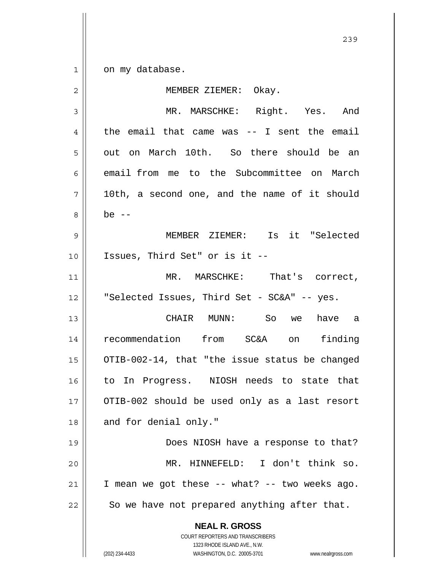1 on my database.

| $\overline{2}$ | MEMBER ZIEMER: Okay.                                                                                                                                            |
|----------------|-----------------------------------------------------------------------------------------------------------------------------------------------------------------|
| 3              | MR. MARSCHKE: Right. Yes. And                                                                                                                                   |
| 4              | the email that came was $-$ I sent the email                                                                                                                    |
| 5              | out on March 10th. So there should be an                                                                                                                        |
| 6              | email from me to the Subcommittee on March                                                                                                                      |
| 7              | 10th, a second one, and the name of it should                                                                                                                   |
| 8              | be $--$                                                                                                                                                         |
| $\mathsf 9$    | MEMBER ZIEMER: Is it "Selected                                                                                                                                  |
| 10             | Issues, Third Set" or is it --                                                                                                                                  |
| 11             | MR. MARSCHKE: That's correct,                                                                                                                                   |
| 12             | "Selected Issues, Third Set - SC&A" -- yes.                                                                                                                     |
| 13             | CHAIR MUNN: So we<br>have a                                                                                                                                     |
| 14             | recommendation from SC&A on finding                                                                                                                             |
| 15             | OTIB-002-14, that "the issue status be changed                                                                                                                  |
| 16             | to In Progress. NIOSH needs to state that                                                                                                                       |
| 17             | OTIB-002 should be used only as a last resort                                                                                                                   |
| 18             | and for denial only."                                                                                                                                           |
| 19             | Does NIOSH have a response to that?                                                                                                                             |
| 20             | MR. HINNEFELD: I don't think so.                                                                                                                                |
| 21             | I mean we got these -- what? -- two weeks ago.                                                                                                                  |
| 22             | So we have not prepared anything after that.                                                                                                                    |
|                | <b>NEAL R. GROSS</b><br>COURT REPORTERS AND TRANSCRIBERS<br>1323 RHODE ISLAND AVE., N.W.<br>(202) 234-4433<br>WASHINGTON, D.C. 20005-3701<br>www.nealrgross.com |

<u>239</u>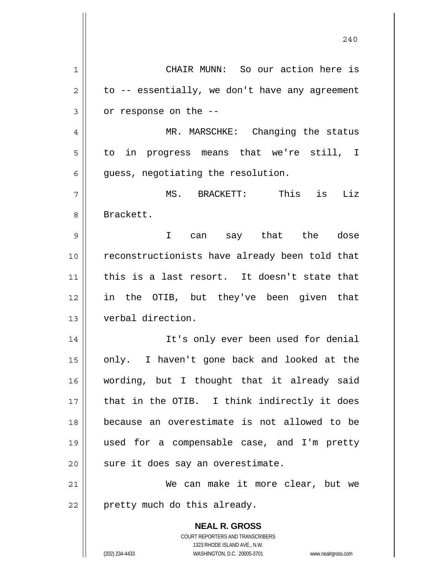|    | 240                                                                 |
|----|---------------------------------------------------------------------|
| 1  | CHAIR MUNN: So our action here is                                   |
| 2  | to -- essentially, we don't have any agreement                      |
| 3  | or response on the --                                               |
| 4  | MR. MARSCHKE: Changing the status                                   |
| 5  | to in progress means that we're still, I                            |
| 6  | guess, negotiating the resolution.                                  |
| 7  | MS. BRACKETT: This is Liz                                           |
| 8  | Brackett.                                                           |
| 9  | can say that the dose<br>$\mathbf{I}$                               |
| 10 | reconstructionists have already been told that                      |
| 11 | this is a last resort. It doesn't state that                        |
| 12 | in the OTIB, but they've been given that                            |
| 13 | verbal direction.                                                   |
| 14 | It's only ever been used for denial                                 |
| 15 | only. I haven't gone back and looked at the                         |
| 16 | wording, but I thought that it already said                         |
| 17 | that in the OTIB. I think indirectly it does                        |
| 18 | because an overestimate is not allowed to be                        |
| 19 | used for a compensable case, and I'm pretty                         |
| 20 | sure it does say an overestimate.                                   |
| 21 | We can make it more clear, but we                                   |
| 22 | pretty much do this already.                                        |
|    | <b>NEAL R. GROSS</b>                                                |
|    | COURT REPORTERS AND TRANSCRIBERS<br>1323 RHODE ISLAND AVE., N.W.    |
|    | (202) 234-4433<br>WASHINGTON, D.C. 20005-3701<br>www.nealrgross.com |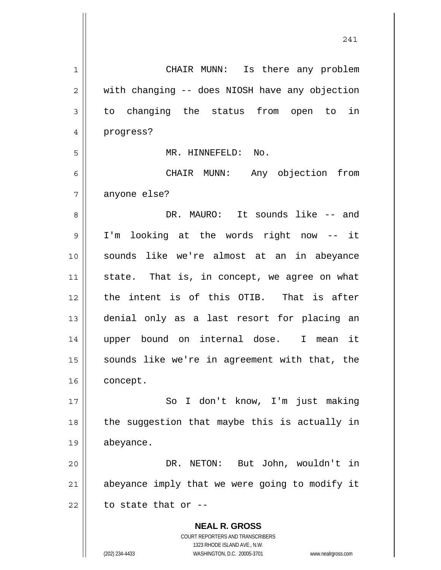| 1  | CHAIR MUNN: Is there any problem                                                                    |
|----|-----------------------------------------------------------------------------------------------------|
| 2  | with changing -- does NIOSH have any objection                                                      |
| 3  | to changing the status from open to<br>in                                                           |
| 4  | progress?                                                                                           |
| 5  | MR. HINNEFELD: No.                                                                                  |
| 6  | CHAIR MUNN: Any objection from                                                                      |
| 7  | anyone else?                                                                                        |
| 8  | DR. MAURO: It sounds like -- and                                                                    |
| 9  | I'm looking at the words right now -- it                                                            |
| 10 | sounds like we're almost at an in abeyance                                                          |
| 11 | state. That is, in concept, we agree on what                                                        |
| 12 | the intent is of this OTIB. That is after                                                           |
| 13 | denial only as a last resort for placing an                                                         |
| 14 | upper bound on internal dose. I mean it                                                             |
| 15 | sounds like we're in agreement with that, the                                                       |
| 16 | concept.                                                                                            |
| 17 | So I don't know, I'm just making                                                                    |
| 18 | the suggestion that maybe this is actually in                                                       |
| 19 | abeyance.                                                                                           |
| 20 | DR. NETON: But John, wouldn't in                                                                    |
| 21 | abeyance imply that we were going to modify it                                                      |
| 22 | to state that or --                                                                                 |
|    | <b>NEAL R. GROSS</b>                                                                                |
|    | <b>COURT REPORTERS AND TRANSCRIBERS</b>                                                             |
|    | 1323 RHODE ISLAND AVE., N.W.<br>(202) 234-4433<br>WASHINGTON, D.C. 20005-3701<br>www.nealrgross.com |
|    |                                                                                                     |

241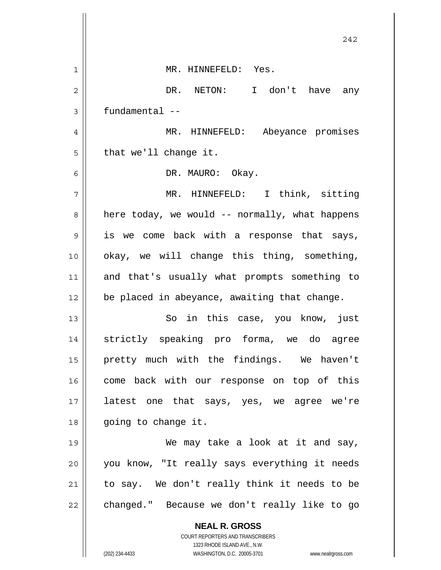|    | 242                                                                                                 |
|----|-----------------------------------------------------------------------------------------------------|
| 1  | MR. HINNEFELD: Yes.                                                                                 |
| 2  | DR. NETON: I don't have any                                                                         |
| 3  | fundamental --                                                                                      |
| 4  | MR. HINNEFELD: Abeyance promises                                                                    |
| 5  | that we'll change it.                                                                               |
| 6  | DR. MAURO: Okay.                                                                                    |
| 7  | MR. HINNEFELD: I think, sitting                                                                     |
| 8  | here today, we would -- normally, what happens                                                      |
| 9  | is we come back with a response that says,                                                          |
| 10 | okay, we will change this thing, something,                                                         |
| 11 | and that's usually what prompts something to                                                        |
| 12 | be placed in abeyance, awaiting that change.                                                        |
| 13 | So in this case, you know, just                                                                     |
| 14 | strictly speaking pro forma, we do agree                                                            |
| 15 | pretty much with the findings. We haven't                                                           |
| 16 | come back with our response on top of this                                                          |
| 17 | latest one that says, yes, we agree we're                                                           |
| 18 | going to change it.                                                                                 |
| 19 | We may take a look at it and say,                                                                   |
| 20 | you know, "It really says everything it needs                                                       |
| 21 | to say. We don't really think it needs to be                                                        |
| 22 | changed." Because we don't really like to go                                                        |
|    | <b>NEAL R. GROSS</b>                                                                                |
|    | COURT REPORTERS AND TRANSCRIBERS                                                                    |
|    | 1323 RHODE ISLAND AVE., N.W.<br>(202) 234-4433<br>WASHINGTON, D.C. 20005-3701<br>www.nealrgross.com |

Ħ  $\overline{\phantom{a}}$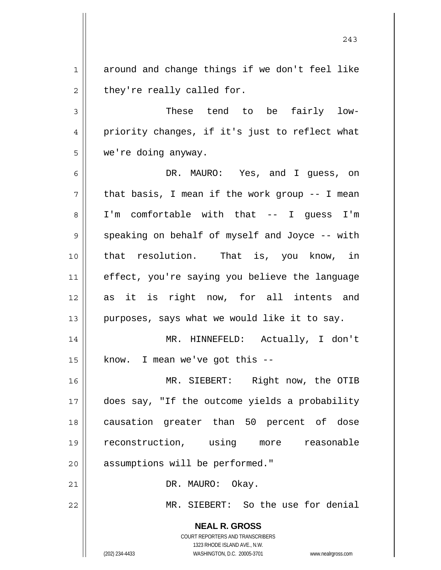1 2 around and change things if we don't feel like they're really called for.

3 4 5 These tend to be fairly lowpriority changes, if it's just to reflect what we're doing anyway.

6 7 8 9 10 11 12 13 DR. MAURO: Yes, and I guess, on that basis, I mean if the work group -- I mean I'm comfortable with that -- I guess I'm speaking on behalf of myself and Joyce -- with that resolution. That is, you know, in effect, you're saying you believe the language as it is right now, for all intents and purposes, says what we would like it to say.

14 15 MR. HINNEFELD: Actually, I don't know. I mean we've got this --

16 17 18 19 20 MR. SIEBERT: Right now, the OTIB does say, "If the outcome yields a probability causation greater than 50 percent of dose reconstruction, using more reasonable assumptions will be performed."

DR. MAURO: Okay.

MR. SIEBERT: So the use for denial

**NEAL R. GROSS** COURT REPORTERS AND TRANSCRIBERS 1323 RHODE ISLAND AVE., N.W.

21

22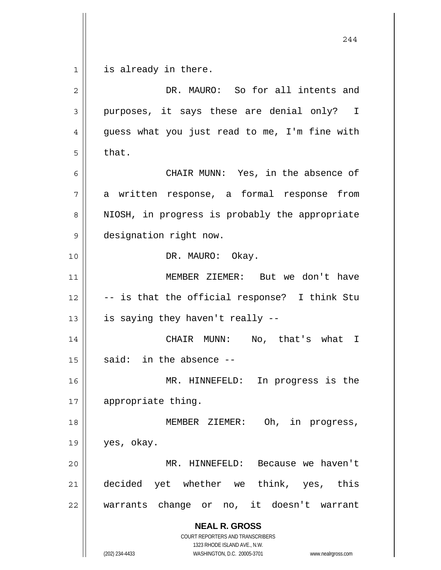**NEAL R. GROSS** COURT REPORTERS AND TRANSCRIBERS 1323 RHODE ISLAND AVE., N.W. 1 2 3 4 5 6 7 8 9 10 11 12 13 14 15 16 17 18 19 20 21 22 is already in there. DR. MAURO: So for all intents and purposes, it says these are denial only? I guess what you just read to me, I'm fine with that. CHAIR MUNN: Yes, in the absence of a written response, a formal response from NIOSH, in progress is probably the appropriate designation right now. DR. MAURO: Okay. MEMBER ZIEMER: But we don't have -- is that the official response? I think Stu is saying they haven't really -- CHAIR MUNN: No, that's what I said: in the absence -- MR. HINNEFELD: In progress is the appropriate thing. MEMBER ZIEMER: Oh, in progress, yes, okay. MR. HINNEFELD: Because we haven't decided yet whether we think, yes, this warrants change or no, it doesn't warrant

(202) 234-4433 WASHINGTON, D.C. 20005-3701 www.nealrgross.com

244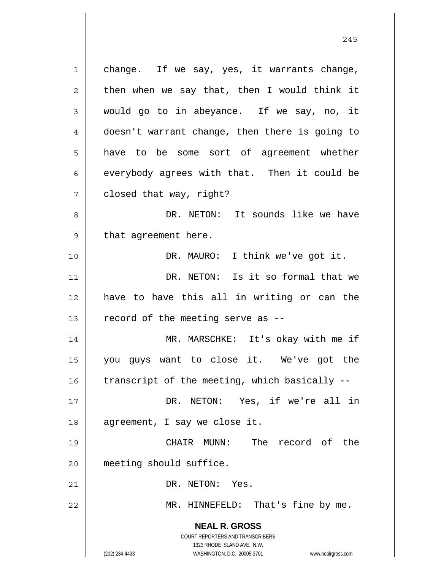**NEAL R. GROSS** COURT REPORTERS AND TRANSCRIBERS 1323 RHODE ISLAND AVE., N.W. (202) 234-4433 WASHINGTON, D.C. 20005-3701 www.nealrgross.com 1 2 3 4 5 6 7 8 9 10 11 12 13 14 15 16 17 18 19 20 21 22 change. If we say, yes, it warrants change, then when we say that, then I would think it would go to in abeyance. If we say, no, it doesn't warrant change, then there is going to have to be some sort of agreement whether everybody agrees with that. Then it could be closed that way, right? DR. NETON: It sounds like we have that agreement here. DR. MAURO: I think we've got it. DR. NETON: Is it so formal that we have to have this all in writing or can the record of the meeting serve as -- MR. MARSCHKE: It's okay with me if you guys want to close it. We've got the transcript of the meeting, which basically -- DR. NETON: Yes, if we're all in agreement, I say we close it. CHAIR MUNN: The record of the meeting should suffice. DR. NETON: Yes. MR. HINNEFELD: That's fine by me.

245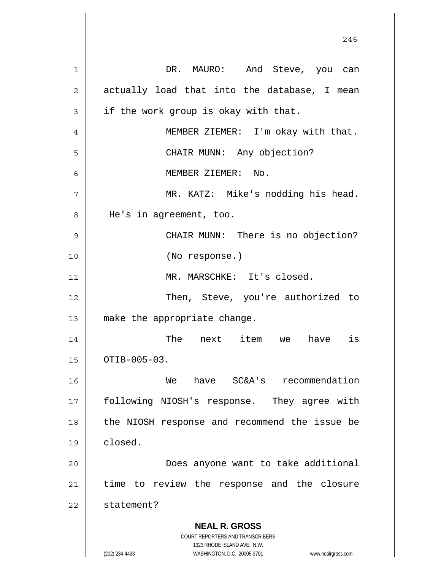**NEAL R. GROSS** COURT REPORTERS AND TRANSCRIBERS 1323 RHODE ISLAND AVE., N.W. (202) 234-4433 WASHINGTON, D.C. 20005-3701 www.nealrgross.com 246 1 2 3 4 5 6 7 8 9 10 11 12 13 14 15 16 17 18 19 20 21 22 DR. MAURO: And Steve, you can actually load that into the database, I mean if the work group is okay with that. MEMBER ZIEMER: I'm okay with that. CHAIR MUNN: Any objection? MEMBER ZIEMER: No. MR. KATZ: Mike's nodding his head. He's in agreement, too. CHAIR MUNN: There is no objection? (No response.) MR. MARSCHKE: It's closed. Then, Steve, you're authorized to make the appropriate change. The next item we have is OTIB-005-03. We have SC&A's recommendation following NIOSH's response. They agree with the NIOSH response and recommend the issue be closed. Does anyone want to take additional time to review the response and the closure statement?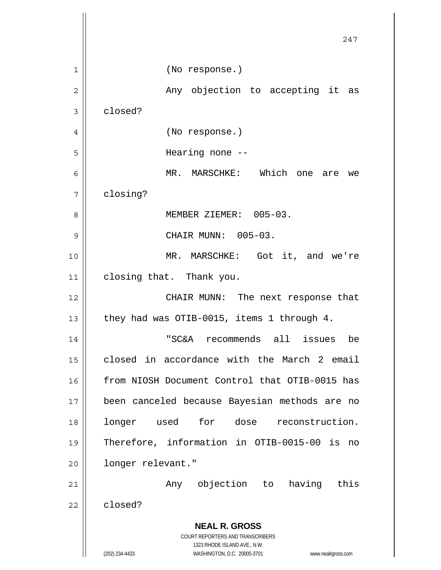|    | 247                                                                 |
|----|---------------------------------------------------------------------|
| 1  | (No response.)                                                      |
| 2  | Any objection to accepting it as                                    |
| 3  | closed?                                                             |
| 4  | (No response.)                                                      |
| 5  | Hearing none $-$                                                    |
| 6  | MR. MARSCHKE: Which one are<br>we                                   |
| 7  | closing?                                                            |
| 8  | MEMBER ZIEMER: 005-03.                                              |
| 9  | CHAIR MUNN: 005-03.                                                 |
| 10 | MR. MARSCHKE: Got it, and we're                                     |
| 11 | closing that. Thank you.                                            |
| 12 | CHAIR MUNN: The next response that                                  |
| 13 | they had was OTIB-0015, items 1 through 4.                          |
| 14 | "SC&A<br>recommends<br>a11<br>issues<br>be                          |
| 15 | closed in accordance with the March 2 email                         |
| 16 | from NIOSH Document Control that OTIB-0015 has                      |
| 17 | been canceled because Bayesian methods are no                       |
| 18 | longer used for dose reconstruction.                                |
| 19 | Therefore, information in OTIB-0015-00 is<br>no                     |
| 20 | longer relevant."                                                   |
| 21 | Any objection to<br>having this                                     |
| 22 | closed?                                                             |
|    | <b>NEAL R. GROSS</b>                                                |
|    | COURT REPORTERS AND TRANSCRIBERS<br>1323 RHODE ISLAND AVE., N.W.    |
|    | (202) 234-4433<br>WASHINGTON, D.C. 20005-3701<br>www.nealrgross.com |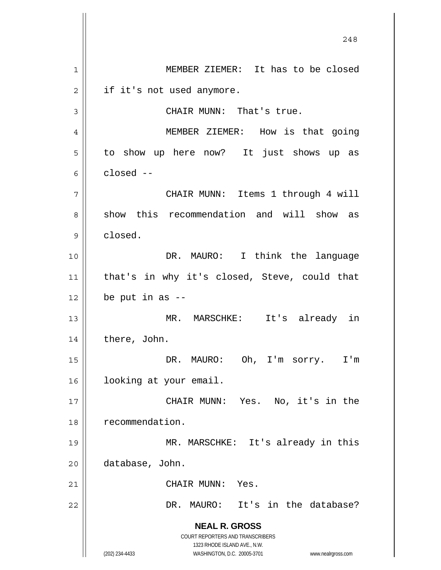**NEAL R. GROSS** COURT REPORTERS AND TRANSCRIBERS 1323 RHODE ISLAND AVE., N.W. (202) 234-4433 WASHINGTON, D.C. 20005-3701 www.nealrgross.com 248 1 2 3 4 5 6 7 8 9 10 11 12 13 14 15 16 17 18 19 20 21 22 MEMBER ZIEMER: It has to be closed if it's not used anymore. CHAIR MUNN: That's true. MEMBER ZIEMER: How is that going to show up here now? It just shows up as closed -- CHAIR MUNN: Items 1 through 4 will show this recommendation and will show as closed. DR. MAURO: I think the language that's in why it's closed, Steve, could that be put in as -- MR. MARSCHKE: It's already in there, John. DR. MAURO: Oh, I'm sorry. I'm looking at your email. CHAIR MUNN: Yes. No, it's in the recommendation. MR. MARSCHKE: It's already in this database, John. CHAIR MUNN: Yes. DR. MAURO: It's in the database?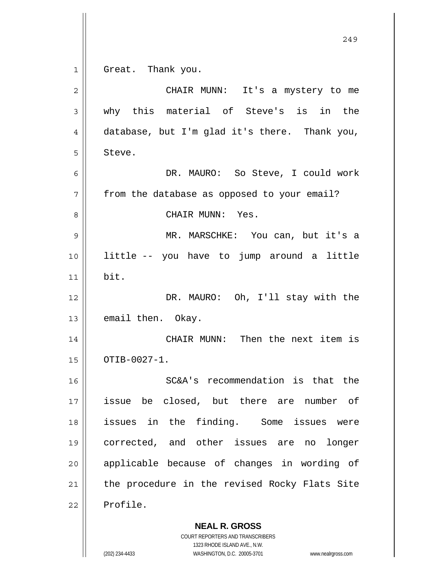$1$ 

Great. Thank you.

| 2  | CHAIR MUNN: It's a mystery to me              |  |  |  |  |  |
|----|-----------------------------------------------|--|--|--|--|--|
| 3  | why this material of Steve's is in the        |  |  |  |  |  |
| 4  | database, but I'm glad it's there. Thank you, |  |  |  |  |  |
| 5  | Steve.                                        |  |  |  |  |  |
| 6  | DR. MAURO: So Steve, I could work             |  |  |  |  |  |
| 7  | from the database as opposed to your email?   |  |  |  |  |  |
| 8  | CHAIR MUNN: Yes.                              |  |  |  |  |  |
| 9  | MR. MARSCHKE: You can, but it's a             |  |  |  |  |  |
| 10 | little -- you have to jump around a little    |  |  |  |  |  |
| 11 | bit.                                          |  |  |  |  |  |
| 12 | DR. MAURO: Oh, I'll stay with the             |  |  |  |  |  |
| 13 | email then. Okay.                             |  |  |  |  |  |
| 14 | CHAIR MUNN: Then the next item is             |  |  |  |  |  |
| 15 | OTIB-0027-1.                                  |  |  |  |  |  |
| 16 | SC&A's recommendation is that the             |  |  |  |  |  |
| 17 | issue be closed, but there are<br>number of   |  |  |  |  |  |
| 18 | issues in the finding. Some issues were       |  |  |  |  |  |
| 19 | corrected, and other issues are no<br>longer  |  |  |  |  |  |
| 20 | applicable because of changes in wording of   |  |  |  |  |  |
| 21 | the procedure in the revised Rocky Flats Site |  |  |  |  |  |
| 22 | Profile.                                      |  |  |  |  |  |
|    |                                               |  |  |  |  |  |

**NEAL R. GROSS** COURT REPORTERS AND TRANSCRIBERS 1323 RHODE ISLAND AVE., N.W.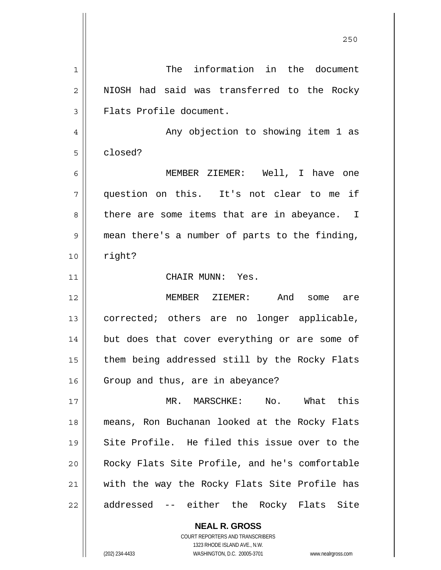| 1  | The information in the document                |
|----|------------------------------------------------|
| 2  | NIOSH had said was transferred to the Rocky    |
| 3  | Flats Profile document.                        |
| 4  | Any objection to showing item 1 as             |
| 5  | closed?                                        |
| 6  | MEMBER ZIEMER: Well, I have one                |
| 7  | question on this. It's not clear to me if      |
| 8  | there are some items that are in abeyance. I   |
| 9  | mean there's a number of parts to the finding, |
| 10 | right?                                         |
| 11 | CHAIR MUNN: Yes.                               |
| 12 | MEMBER ZIEMER: And some are                    |
| 13 | corrected; others are no longer applicable,    |
| 14 | but does that cover everything or are some of  |
| 15 | them being addressed still by the Rocky Flats  |
| 16 | Group and thus, are in abeyance?               |
| 17 | MR. MARSCHKE:<br>No. What this                 |
| 18 | means, Ron Buchanan looked at the Rocky Flats  |
| 19 | Site Profile. He filed this issue over to the  |
| 20 | Rocky Flats Site Profile, and he's comfortable |
| 21 | with the way the Rocky Flats Site Profile has  |
| 22 | addressed -- either the Rocky Flats Site       |
|    | <b>NEAL R. GROSS</b>                           |

<u>250</u>

COURT REPORTERS AND TRANSCRIBERS 1323 RHODE ISLAND AVE., N.W.

 $\mathsf{II}$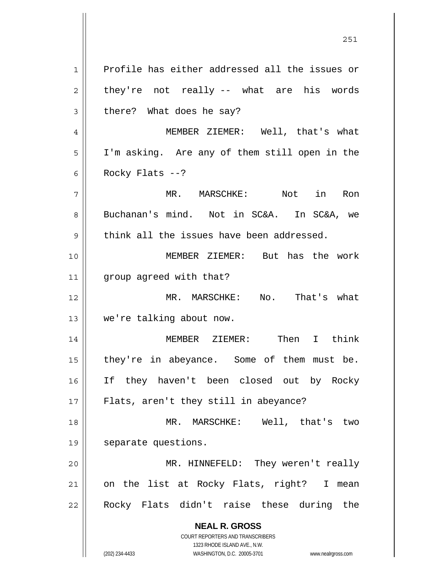**NEAL R. GROSS** COURT REPORTERS AND TRANSCRIBERS 1323 RHODE ISLAND AVE., N.W. 1 2 3 4 5 6 7 8 9 10 11 12 13 14 15 16 17 18 19 20 21 22 Profile has either addressed all the issues or they're not really -- what are his words there? What does he say? MEMBER ZIEMER: Well, that's what I'm asking. Are any of them still open in the Rocky Flats  $--?$  MR. MARSCHKE: Not in Ron Buchanan's mind. Not in SC&A. In SC&A, we think all the issues have been addressed. MEMBER ZIEMER: But has the work group agreed with that? MR. MARSCHKE: No. That's what we're talking about now. MEMBER ZIEMER: Then I think they're in abeyance. Some of them must be. If they haven't been closed out by Rocky Flats, aren't they still in abeyance? MR. MARSCHKE: Well, that's two separate questions. MR. HINNEFELD: They weren't really on the list at Rocky Flats, right? I mean Rocky Flats didn't raise these during the

251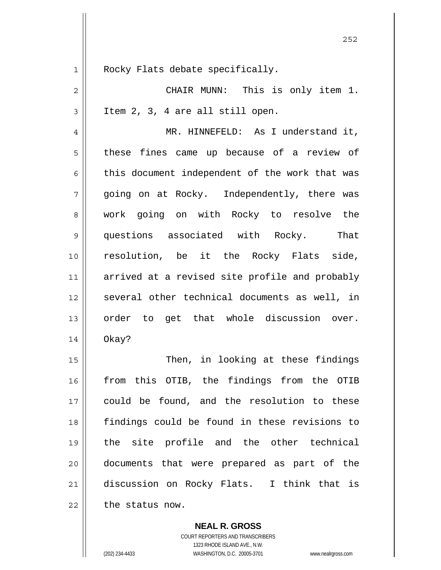| 1 | Rocky Flats |
|---|-------------|
|   |             |

2

3

|                                  | CHAIR MUNN: This is only item 1. |  |  |
|----------------------------------|----------------------------------|--|--|
| Item 2, 3, 4 are all still open. |                                  |  |  |

debate specifically.

4 5 6 7 8 9 10 11 12 13 14 MR. HINNEFELD: As I understand it, these fines came up because of a review of this document independent of the work that was going on at Rocky. Independently, there was work going on with Rocky to resolve the questions associated with Rocky. That resolution, be it the Rocky Flats side, arrived at a revised site profile and probably several other technical documents as well, in order to get that whole discussion over. Okay?

15 16 17 18 19 20 21 22 Then, in looking at these findings from this OTIB, the findings from the OTIB could be found, and the resolution to these findings could be found in these revisions to the site profile and the other technical documents that were prepared as part of the discussion on Rocky Flats. I think that is the status now.

> **NEAL R. GROSS** COURT REPORTERS AND TRANSCRIBERS 1323 RHODE ISLAND AVE., N.W. (202) 234-4433 WASHINGTON, D.C. 20005-3701 www.nealrgross.com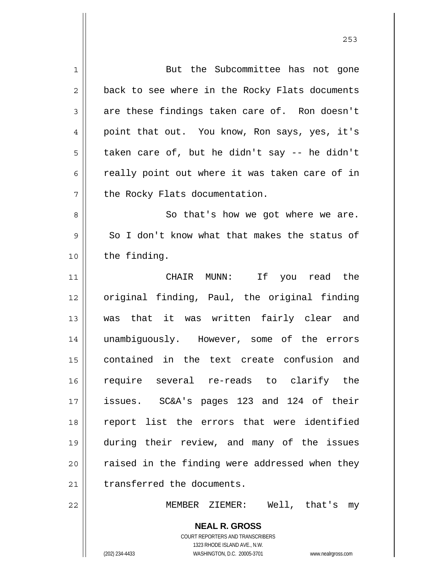| 1           | But the Subcommittee has not gone              |
|-------------|------------------------------------------------|
| 2           | back to see where in the Rocky Flats documents |
| 3           | are these findings taken care of. Ron doesn't  |
| 4           | point that out. You know, Ron says, yes, it's  |
| 5           | taken care of, but he didn't say -- he didn't  |
| 6           | really point out where it was taken care of in |
| 7           | the Rocky Flats documentation.                 |
| 8           | So that's how we got where we are.             |
| $\mathsf 9$ | So I don't know what that makes the status of  |
| 10          | the finding.                                   |
| 11          | CHAIR MUNN: If you read the                    |
| 12          | original finding, Paul, the original finding   |
| 13          | was that it was written fairly clear and       |
| 14          | unambiguously. However, some of the errors     |
| 15          | contained in the text create confusion and     |
| 16          | require several re-reads to clarify the        |
| 17          | issues. SC&A's pages 123 and 124 of their      |
| 18          | report list the errors that were identified    |
| 19          | during their review, and many of the issues    |
| 20          | raised in the finding were addressed when they |
| 21          | transferred the documents.                     |
| 22          | MEMBER ZIEMER: Well, that's my                 |
|             | <b>NEAL R. GROSS</b>                           |

COURT REPORTERS AND TRANSCRIBERS 1323 RHODE ISLAND AVE., N.W.

 $\mathsf{II}$ 

(202) 234-4433 WASHINGTON, D.C. 20005-3701 www.nealrgross.com

<u>253</u>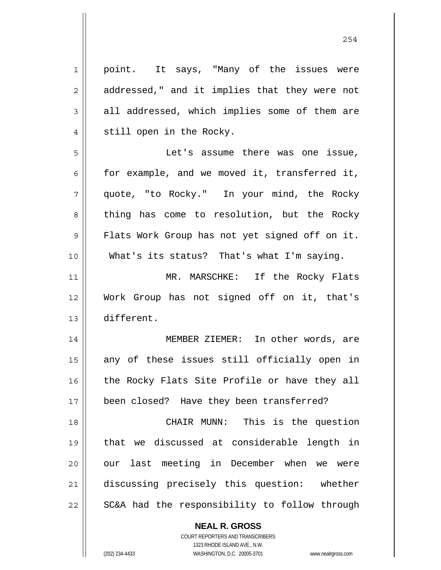| $\mathbf 1$    | point. It says, "Many of the issues were       |
|----------------|------------------------------------------------|
| $\overline{2}$ | addressed," and it implies that they were not  |
| $\mathfrak{Z}$ | all addressed, which implies some of them are  |
| $\overline{4}$ | still open in the Rocky.                       |
| 5              | Let's assume there was one issue,              |
| 6              | for example, and we moved it, transferred it,  |
| 7              | quote, "to Rocky." In your mind, the Rocky     |
| 8              | thing has come to resolution, but the Rocky    |
| 9              | Flats Work Group has not yet signed off on it. |
| 10             | What's its status? That's what I'm saying.     |
| 11             | MR. MARSCHKE: If the Rocky Flats               |
| 12             | Work Group has not signed off on it, that's    |
| 13             | different.                                     |
| 14             | MEMBER ZIEMER: In other words, are             |
| 15             | any of these issues still officially open in   |
| 16             | the Rocky Flats Site Profile or have they all  |
| 17             | been closed? Have they been transferred?       |
| 18             | CHAIR MUNN: This is the question               |
| 19             | that we discussed at considerable length in    |
| 20             | our last meeting in December when we were      |
| 21             | discussing precisely this question: whether    |
| 22             | SC&A had the responsibility to follow through  |

**NEAL R. GROSS** COURT REPORTERS AND TRANSCRIBERS

1323 RHODE ISLAND AVE., N.W.

(202) 234-4433 WASHINGTON, D.C. 20005-3701 www.nealrgross.com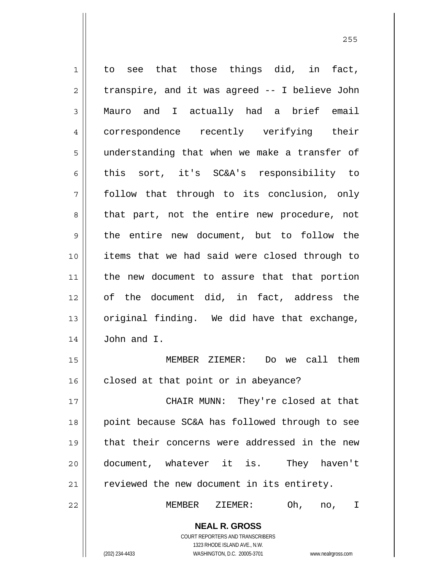1 2 3 4 5 6 7 8 9 10 11 12 13 14 15 16 17 18 19 to see that those things did, in fact, transpire, and it was agreed -- I believe John Mauro and I actually had a brief email correspondence recently verifying their understanding that when we make a transfer of this sort, it's SC&A's responsibility to follow that through to its conclusion, only that part, not the entire new procedure, not the entire new document, but to follow the items that we had said were closed through to the new document to assure that that portion of the document did, in fact, address the original finding. We did have that exchange, John and I. MEMBER ZIEMER: Do we call them closed at that point or in abeyance? CHAIR MUNN: They're closed at that point because SC&A has followed through to see that their concerns were addressed in the new

21

22

20

MEMBER ZIEMER: Oh, no, I

**NEAL R. GROSS** COURT REPORTERS AND TRANSCRIBERS

reviewed the new document in its entirety.

document, whatever it is. They haven't

1323 RHODE ISLAND AVE., N.W. (202) 234-4433 WASHINGTON, D.C. 20005-3701 www.nealrgross.com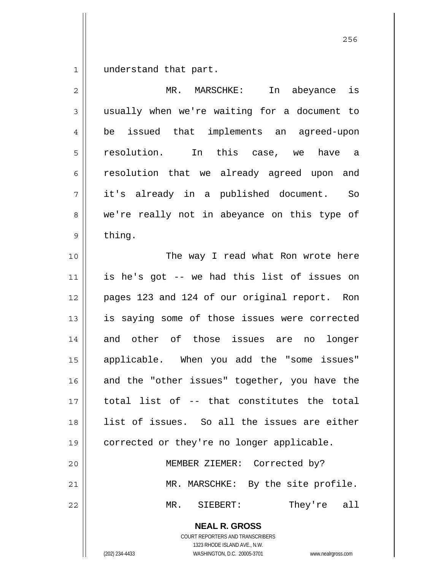1 understand that part.

| $\overline{2}$ | MR. MARSCHKE:<br>In abeyance is                                                                                                                                 |  |  |  |
|----------------|-----------------------------------------------------------------------------------------------------------------------------------------------------------------|--|--|--|
| $\mathfrak{Z}$ | usually when we're waiting for a document to                                                                                                                    |  |  |  |
| 4              | issued that implements an agreed-upon<br>be                                                                                                                     |  |  |  |
| 5              | resolution. In this case, we have a                                                                                                                             |  |  |  |
| 6              | resolution that we already agreed upon and                                                                                                                      |  |  |  |
| 7              | it's already in a published document. So                                                                                                                        |  |  |  |
| 8              | we're really not in abeyance on this type of                                                                                                                    |  |  |  |
| 9              | thing.                                                                                                                                                          |  |  |  |
| 10             | The way I read what Ron wrote here                                                                                                                              |  |  |  |
| 11             | is he's got -- we had this list of issues on                                                                                                                    |  |  |  |
| 12             | pages 123 and 124 of our original report. Ron                                                                                                                   |  |  |  |
| 13             | is saying some of those issues were corrected                                                                                                                   |  |  |  |
| 14             | and other of those issues are no<br>longer                                                                                                                      |  |  |  |
| 15             | applicable. When you add the "some issues"                                                                                                                      |  |  |  |
| 16             | and the "other issues" together, you have the                                                                                                                   |  |  |  |
| 17             | total list of -- that constitutes the total                                                                                                                     |  |  |  |
| 18             | list of issues. So all the issues are either                                                                                                                    |  |  |  |
| 19             | corrected or they're no longer applicable.                                                                                                                      |  |  |  |
| 20             | MEMBER ZIEMER: Corrected by?                                                                                                                                    |  |  |  |
| 21             | MR. MARSCHKE: By the site profile.                                                                                                                              |  |  |  |
| 22             | They're all<br>MR.<br>SIEBERT:                                                                                                                                  |  |  |  |
|                | <b>NEAL R. GROSS</b><br>COURT REPORTERS AND TRANSCRIBERS<br>1323 RHODE ISLAND AVE., N.W.<br>(202) 234-4433<br>WASHINGTON, D.C. 20005-3701<br>www.nealrgross.com |  |  |  |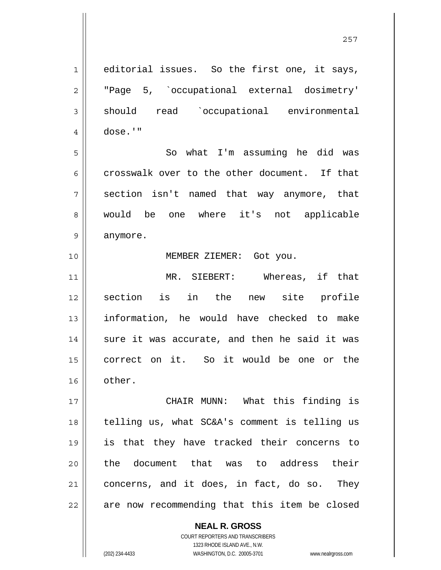**NEAL R. GROSS** COURT REPORTERS AND TRANSCRIBERS 1 2 3 4 5 6 7 8 9 10 11 12 13 14 15 16 17 18 19 20 21 22 editorial issues. So the first one, it says, "Page 5, `occupational external dosimetry' should read `occupational environmental dose.'" So what I'm assuming he did was crosswalk over to the other document. If that section isn't named that way anymore, that would be one where it's not applicable anymore. MEMBER ZIEMER: Got you. MR. SIEBERT: Whereas, if that section is in the new site profile information, he would have checked to make sure it was accurate, and then he said it was correct on it. So it would be one or the other. CHAIR MUNN: What this finding is telling us, what SC&A's comment is telling us is that they have tracked their concerns to the document that was to address their concerns, and it does, in fact, do so. They are now recommending that this item be closed

1323 RHODE ISLAND AVE., N.W.

(202) 234-4433 WASHINGTON, D.C. 20005-3701 www.nealrgross.com

<u>257 and 257</u>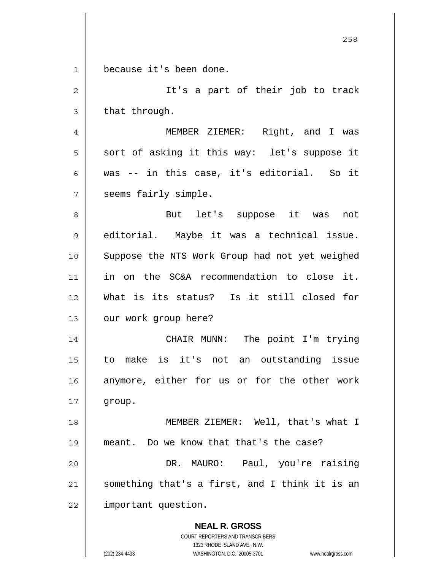**NEAL R. GROSS** COURT REPORTERS AND TRANSCRIBERS 1323 RHODE ISLAND AVE., N.W. (202) 234-4433 WASHINGTON, D.C. 20005-3701 www.nealrgross.com <u>258</u> 1 2 3 4 5 6 7 8 9 10 11 12 13 14 15 16 17 18 19 20 21 22 because it's been done. It's a part of their job to track that through. MEMBER ZIEMER: Right, and I was sort of asking it this way: let's suppose it was -- in this case, it's editorial. So it seems fairly simple. But let's suppose it was not editorial. Maybe it was a technical issue. Suppose the NTS Work Group had not yet weighed in on the SC&A recommendation to close it. What is its status? Is it still closed for our work group here? CHAIR MUNN: The point I'm trying to make is it's not an outstanding issue anymore, either for us or for the other work group. MEMBER ZIEMER: Well, that's what I meant. Do we know that that's the case? DR. MAURO: Paul, you're raising something that's a first, and I think it is an important question.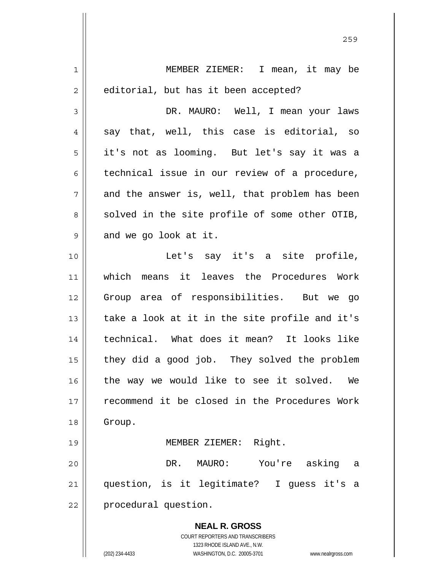| $\mathbf 1$  | MEMBER ZIEMER: I mean, it may be                                                                    |
|--------------|-----------------------------------------------------------------------------------------------------|
| $\mathbf{2}$ | editorial, but has it been accepted?                                                                |
| 3            | DR. MAURO: Well, I mean your laws                                                                   |
| 4            | say that, well, this case is editorial, so                                                          |
| 5            | it's not as looming. But let's say it was a                                                         |
| 6            | technical issue in our review of a procedure,                                                       |
| 7            | and the answer is, well, that problem has been                                                      |
| 8            | solved in the site profile of some other OTIB,                                                      |
| 9            | and we go look at it.                                                                               |
| 10           | Let's say it's a site profile,                                                                      |
| 11           | which means it leaves the Procedures Work                                                           |
| 12           | Group area of responsibilities. But we go                                                           |
| 13           | take a look at it in the site profile and it's                                                      |
| 14           | technical. What does it mean? It looks like                                                         |
| 15           | they did a good job. They solved the problem                                                        |
| 16           | the way we would like to see it solved.<br>We                                                       |
| 17           | recommend it be closed in the Procedures Work                                                       |
| 18           | Group.                                                                                              |
| 19           | Right.<br>MEMBER ZIEMER:                                                                            |
| 20           | DR.<br>MAURO:<br>You're<br>asking<br>a                                                              |
| 21           | question, is it legitimate? I guess it's<br>а                                                       |
| 22           | procedural question.                                                                                |
|              | <b>NEAL R. GROSS</b>                                                                                |
|              | <b>COURT REPORTERS AND TRANSCRIBERS</b>                                                             |
|              | 1323 RHODE ISLAND AVE., N.W.<br>(202) 234-4433<br>WASHINGTON, D.C. 20005-3701<br>www.nealrgross.com |

<u>259 میں اس کا اعتبار اور اس کا اعتبار اور اس کا اعتبار اور اس کا اعتبار اور اس کا اعتبار اور اس کا اعتبار اور ا</u>

 $\mathsf{I}$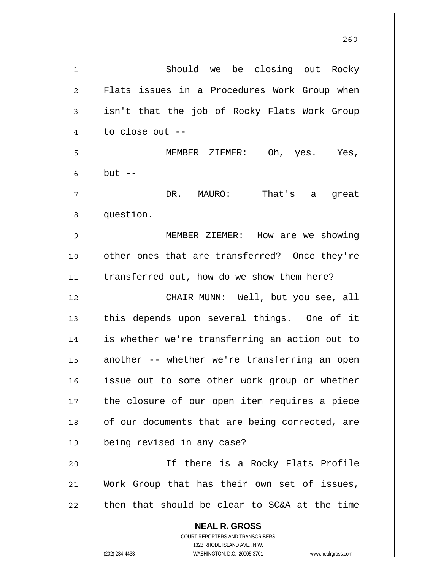**NEAL R. GROSS** COURT REPORTERS AND TRANSCRIBERS 1323 RHODE ISLAND AVE., N.W. (202) 234-4433 WASHINGTON, D.C. 20005-3701 www.nealrgross.com 1 2 3 4 5 6 7 8 9 10 11 12 13 14 15 16 17 18 19 20 21 22 Should we be closing out Rocky Flats issues in a Procedures Work Group when isn't that the job of Rocky Flats Work Group to close out -- MEMBER ZIEMER: Oh, yes. Yes, but  $--$ DR. MAURO: That's a great question. MEMBER ZIEMER: How are we showing other ones that are transferred? Once they're transferred out, how do we show them here? CHAIR MUNN: Well, but you see, all this depends upon several things. One of it is whether we're transferring an action out to another -- whether we're transferring an open issue out to some other work group or whether the closure of our open item requires a piece of our documents that are being corrected, are being revised in any case? If there is a Rocky Flats Profile Work Group that has their own set of issues, then that should be clear to SC&A at the time

<u>260</u>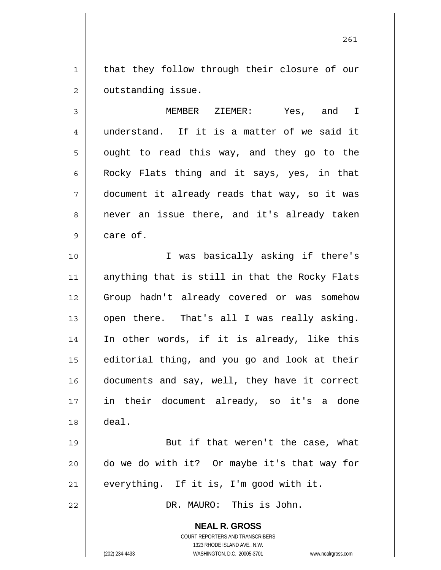1 2 that they follow through their closure of our outstanding issue.

3 4 5 6 7 8 9 MEMBER ZIEMER: Yes, and I understand. If it is a matter of we said it ought to read this way, and they go to the Rocky Flats thing and it says, yes, in that document it already reads that way, so it was never an issue there, and it's already taken care of.

10 11 12 13 14 15 16 17 18 I was basically asking if there's anything that is still in that the Rocky Flats Group hadn't already covered or was somehow open there. That's all I was really asking. In other words, if it is already, like this editorial thing, and you go and look at their documents and say, well, they have it correct in their document already, so it's a done deal.

19 20 21 But if that weren't the case, what do we do with it? Or maybe it's that way for everything. If it is, I'm good with it.

DR. MAURO: This is John.

**NEAL R. GROSS** COURT REPORTERS AND TRANSCRIBERS

1323 RHODE ISLAND AVE., N.W.

22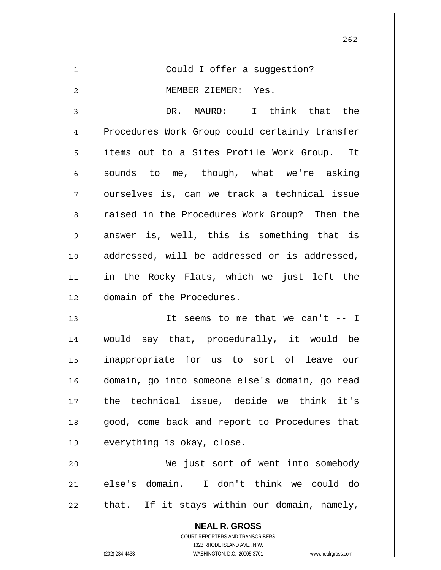| 1           | Could I offer a suggestion?                    |
|-------------|------------------------------------------------|
| 2           | MEMBER ZIEMER: Yes.                            |
| 3           | DR. MAURO: I think that the                    |
| 4           | Procedures Work Group could certainly transfer |
| 5           | items out to a Sites Profile Work Group. It    |
| 6           | sounds to me, though, what we're asking        |
| 7           | ourselves is, can we track a technical issue   |
| 8           | raised in the Procedures Work Group? Then the  |
| $\mathsf 9$ | answer is, well, this is something that is     |
| 10          | addressed, will be addressed or is addressed,  |
| 11          | in the Rocky Flats, which we just left the     |
| 12          | domain of the Procedures.                      |
| 13          | It seems to me that we can't $-$ I             |
| 14          | would say that, procedurally, it would be      |
| 15          | inappropriate for us to sort of leave our      |
| 16          | domain, go into someone else's domain, go read |
| 17          | the technical issue, decide we think it's      |
| 18          | good, come back and report to Procedures that  |
| 19          | everything is okay, close.                     |
| 20          | We just sort of went into somebody             |
| 21          | else's domain. I don't think we could do       |
| 22          | that. If it stays within our domain, namely,   |
|             | <b>NEAL R. GROSS</b>                           |

COURT REPORTERS AND TRANSCRIBERS 1323 RHODE ISLAND AVE., N.W.

 $\mathbf{I}$ 

(202) 234-4433 WASHINGTON, D.C. 20005-3701 www.nealrgross.com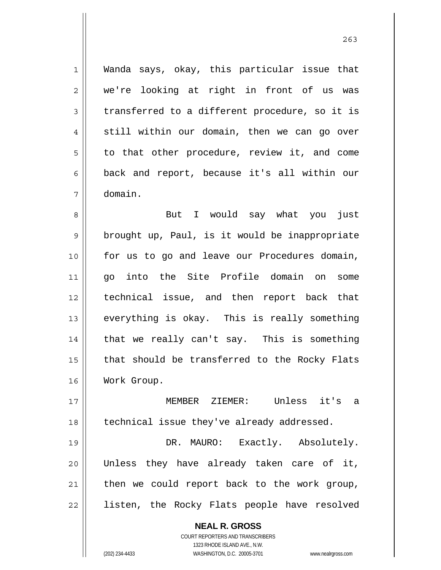Wanda says, okay, this particular issue that we're looking at right in front of us was transferred to a different procedure, so it is still within our domain, then we can go over to that other procedure, review it, and come back and report, because it's all within our domain.

8 9 10 11 12 13 14 15 16 But I would say what you just brought up, Paul, is it would be inappropriate for us to go and leave our Procedures domain, go into the Site Profile domain on some technical issue, and then report back that everything is okay. This is really something that we really can't say. This is something that should be transferred to the Rocky Flats Work Group.

17 18 MEMBER ZIEMER: Unless it's a technical issue they've already addressed.

19 20 21 22 DR. MAURO: Exactly. Absolutely. Unless they have already taken care of it, then we could report back to the work group, listen, the Rocky Flats people have resolved

> **NEAL R. GROSS** COURT REPORTERS AND TRANSCRIBERS 1323 RHODE ISLAND AVE., N.W. (202) 234-4433 WASHINGTON, D.C. 20005-3701 www.nealrgross.com

1

2

3

4

5

6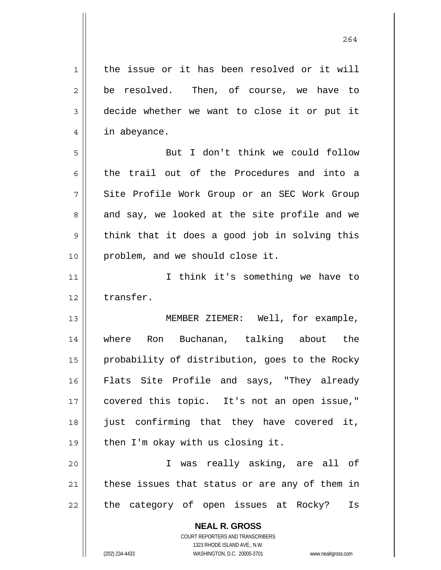**NEAL R. GROSS** COURT REPORTERS AND TRANSCRIBERS 1323 RHODE ISLAND AVE., N.W. 1 2 3 4 5 6 7 8 9 10 11 12 13 14 15 16 17 18 19 20 21 22 the issue or it has been resolved or it will be resolved. Then, of course, we have to decide whether we want to close it or put it in abeyance. But I don't think we could follow the trail out of the Procedures and into a Site Profile Work Group or an SEC Work Group and say, we looked at the site profile and we think that it does a good job in solving this problem, and we should close it. I think it's something we have to transfer. MEMBER ZIEMER: Well, for example, where Ron Buchanan, talking about the probability of distribution, goes to the Rocky Flats Site Profile and says, "They already covered this topic. It's not an open issue," just confirming that they have covered it, then I'm okay with us closing it. I was really asking, are all of these issues that status or are any of them in the category of open issues at Rocky? Is

264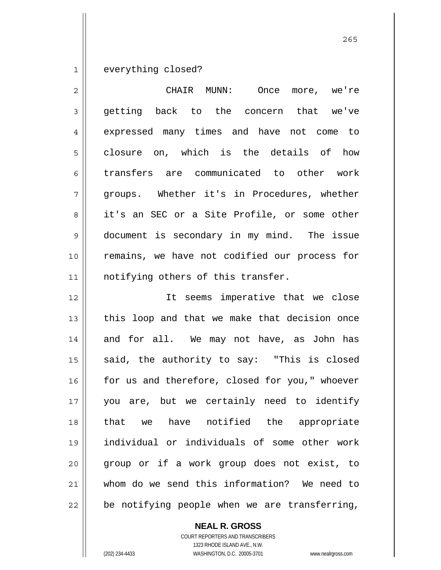1 everything closed?

| 2  | CHAIR MUNN: Once more, we're                   |
|----|------------------------------------------------|
| 3  | getting back to the concern that we've         |
| 4  | expressed many times and have not come to      |
| 5  | closure on, which is the details of how        |
| 6  | transfers are communicated to other work       |
| 7  | groups. Whether it's in Procedures, whether    |
| 8  | it's an SEC or a Site Profile, or some other   |
| 9  | document is secondary in my mind. The issue    |
| 10 | remains, we have not codified our process for  |
| 11 | notifying others of this transfer.             |
| 12 | It seems imperative that we close              |
| 13 | this loop and that we make that decision once  |
| 14 | and for all. We may not have, as John has      |
| 15 | said, the authority to say: "This is closed    |
| 16 | for us and therefore, closed for you," whoever |
| 17 | you are, but we certainly need to identify     |
| 18 | that we have notified the appropriate          |
| 19 | individual or individuals of some other work   |
| 20 | group or if a work group does not exist, to    |
| 21 | whom do we send this information? We need to   |
| 22 | be notifying people when we are transferring,  |

**NEAL R. GROSS**

COURT REPORTERS AND TRANSCRIBERS 1323 RHODE ISLAND AVE., N.W. (202) 234-4433 WASHINGTON, D.C. 20005-3701 www.nealrgross.com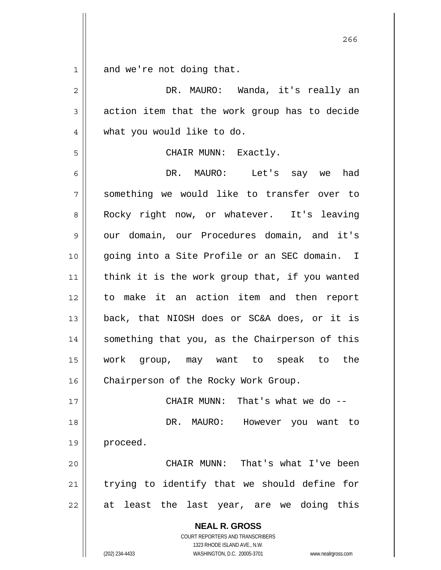1 and we're not doing that.

| $\overline{2}$ | DR. MAURO: Wanda, it's really an                                                                                                                                |
|----------------|-----------------------------------------------------------------------------------------------------------------------------------------------------------------|
| 3              | action item that the work group has to decide                                                                                                                   |
| 4              | what you would like to do.                                                                                                                                      |
| 5              | CHAIR MUNN: Exactly.                                                                                                                                            |
| 6              | DR. MAURO: Let's say we had                                                                                                                                     |
| 7              | something we would like to transfer over to                                                                                                                     |
| 8              | Rocky right now, or whatever. It's leaving                                                                                                                      |
| 9              | our domain, our Procedures domain, and it's                                                                                                                     |
| 10             | going into a Site Profile or an SEC domain. I                                                                                                                   |
| 11             | think it is the work group that, if you wanted                                                                                                                  |
| 12             | to make it an action item and then report                                                                                                                       |
| 13             | back, that NIOSH does or SC&A does, or it is                                                                                                                    |
| 14             | something that you, as the Chairperson of this                                                                                                                  |
| 15             | work group, may want to speak to the                                                                                                                            |
| 16             | Chairperson of the Rocky Work Group.                                                                                                                            |
| 17             | CHAIR MUNN: That's what we do --                                                                                                                                |
| 18             | DR. MAURO:<br>However you want to                                                                                                                               |
| 19             | proceed.                                                                                                                                                        |
| 20             | That's what I've been<br>CHAIR MUNN:                                                                                                                            |
| 21             | trying to identify that we should define for                                                                                                                    |
| 22             | at least the<br>last year, are we doing this                                                                                                                    |
|                | <b>NEAL R. GROSS</b><br>COURT REPORTERS AND TRANSCRIBERS<br>1323 RHODE ISLAND AVE., N.W.<br>(202) 234-4433<br>WASHINGTON, D.C. 20005-3701<br>www.nealrgross.com |

проставляют производите в 266 году в 266 году в 266 году в 266 году в 266 году в 266 году в 266 году в 266 год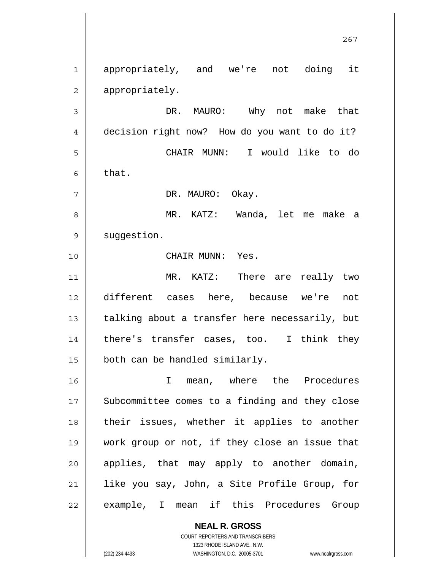1 2 3 4 5 6 7 8 9 10 11 12 13 14 15 16 17 18 19 20 21 22 appropriately, and we're not doing it appropriately. DR. MAURO: Why not make that decision right now? How do you want to do it? CHAIR MUNN: I would like to do that. DR. MAURO: Okay. MR. KATZ: Wanda, let me make a suggestion. CHAIR MUNN: Yes. MR. KATZ: There are really two different cases here, because we're not talking about a transfer here necessarily, but there's transfer cases, too. I think they both can be handled similarly. I mean, where the Procedures Subcommittee comes to a finding and they close their issues, whether it applies to another work group or not, if they close an issue that applies, that may apply to another domain, like you say, John, a Site Profile Group, for example, I mean if this Procedures Group

267

**NEAL R. GROSS** COURT REPORTERS AND TRANSCRIBERS 1323 RHODE ISLAND AVE., N.W.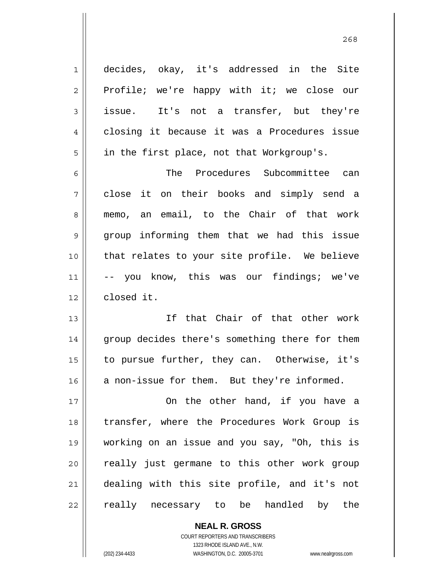1 2 3 4 5 6 7 8 9 10 11 12 13 14 decides, okay, it's addressed in the Site Profile; we're happy with it; we close our issue. It's not a transfer, but they're closing it because it was a Procedures issue in the first place, not that Workgroup's. The Procedures Subcommittee can close it on their books and simply send a memo, an email, to the Chair of that work group informing them that we had this issue that relates to your site profile. We believe -- you know, this was our findings; we've closed it. If that Chair of that other work group decides there's something there for them

to pursue further, they can. Otherwise, it's a non-issue for them. But they're informed.

15

16

17 18 19 20 21 22 On the other hand, if you have a transfer, where the Procedures Work Group is working on an issue and you say, "Oh, this is really just germane to this other work group dealing with this site profile, and it's not really necessary to be handled by the

> **NEAL R. GROSS** COURT REPORTERS AND TRANSCRIBERS 1323 RHODE ISLAND AVE., N.W. (202) 234-4433 WASHINGTON, D.C. 20005-3701 www.nealrgross.com

<u>268</u>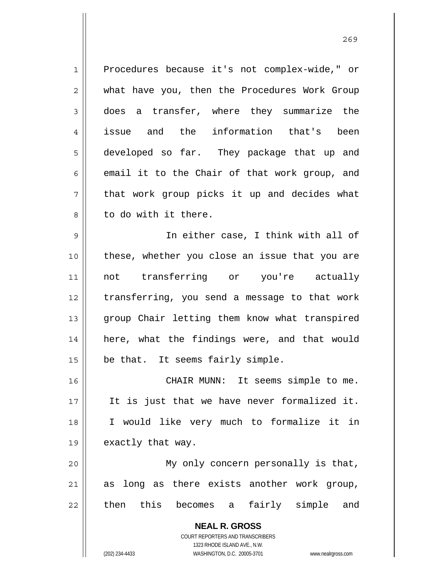**NEAL R. GROSS** COURT REPORTERS AND TRANSCRIBERS 1323 RHODE ISLAND AVE., N.W. 1 2 3 4 5 6 7 8 9 10 11 12 13 14 15 16 17 18 19 20 21 22 Procedures because it's not complex-wide," or what have you, then the Procedures Work Group does a transfer, where they summarize the issue and the information that's been developed so far. They package that up and email it to the Chair of that work group, and that work group picks it up and decides what to do with it there. In either case, I think with all of these, whether you close an issue that you are not transferring or you're actually transferring, you send a message to that work group Chair letting them know what transpired here, what the findings were, and that would be that. It seems fairly simple. CHAIR MUNN: It seems simple to me. It is just that we have never formalized it. I would like very much to formalize it in exactly that way. My only concern personally is that, as long as there exists another work group, then this becomes a fairly simple and

(202) 234-4433 WASHINGTON, D.C. 20005-3701 www.nealrgross.com

<u>269</u>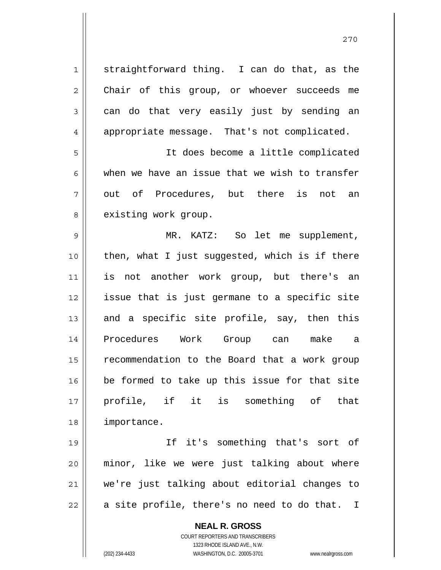1 2 3 4 5 6 7 8 9 10 11 12 13 14 15 16 17 18 19 20 straightforward thing. I can do that, as the Chair of this group, or whoever succeeds me can do that very easily just by sending an appropriate message. That's not complicated. It does become a little complicated when we have an issue that we wish to transfer out of Procedures, but there is not an existing work group. MR. KATZ: So let me supplement, then, what I just suggested, which is if there is not another work group, but there's an issue that is just germane to a specific site and a specific site profile, say, then this Procedures Work Group can make a recommendation to the Board that a work group be formed to take up this issue for that site profile, if it is something of that importance. If it's something that's sort of minor, like we were just talking about where we're just talking about editorial changes to

22

21

**NEAL R. GROSS** COURT REPORTERS AND TRANSCRIBERS

a site profile, there's no need to do that. I

1323 RHODE ISLAND AVE., N.W.

(202) 234-4433 WASHINGTON, D.C. 20005-3701 www.nealrgross.com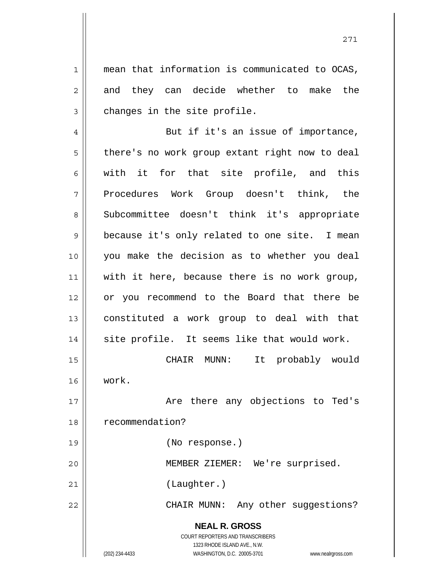mean that information is communicated to OCAS, and they can decide whether to make the changes in the site profile.

4 5 6 7 8 9 10 11 12 13 14 15 16 17 18 19 20 21 22 But if it's an issue of importance, there's no work group extant right now to deal with it for that site profile, and this Procedures Work Group doesn't think, the Subcommittee doesn't think it's appropriate because it's only related to one site. I mean you make the decision as to whether you deal with it here, because there is no work group, or you recommend to the Board that there be constituted a work group to deal with that site profile. It seems like that would work. CHAIR MUNN: It probably would work. Are there any objections to Ted's recommendation? (No response.) MEMBER ZIEMER: We're surprised. (Laughter.) CHAIR MUNN: Any other suggestions?

> **NEAL R. GROSS** COURT REPORTERS AND TRANSCRIBERS 1323 RHODE ISLAND AVE., N.W.

1

2

3

(202) 234-4433 WASHINGTON, D.C. 20005-3701 www.nealrgross.com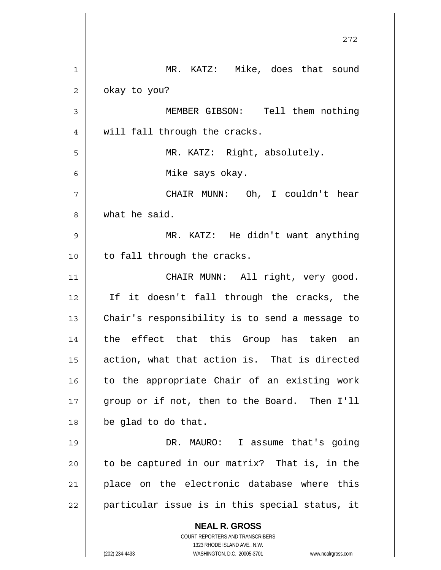|    | 272                                                                 |
|----|---------------------------------------------------------------------|
| 1  | MR. KATZ: Mike, does that sound                                     |
| 2  | okay to you?                                                        |
| 3  | MEMBER GIBSON: Tell them nothing                                    |
| 4  | will fall through the cracks.                                       |
| 5  | MR. KATZ: Right, absolutely.                                        |
| 6  | Mike says okay.                                                     |
| 7  | CHAIR MUNN: Oh, I couldn't hear                                     |
| 8  | what he said.                                                       |
| 9  | MR. KATZ: He didn't want anything                                   |
| 10 | to fall through the cracks.                                         |
| 11 | CHAIR MUNN: All right, very good.                                   |
| 12 | If it doesn't fall through the cracks, the                          |
| 13 | Chair's responsibility is to send a message to                      |
| 14 | the effect that this Group has taken an                             |
| 15 | action, what that action is. That is directed                       |
| 16 | to the appropriate Chair of an existing work                        |
| 17 | group or if not, then to the Board. Then I'll                       |
| 18 | be glad to do that.                                                 |
| 19 | DR. MAURO: I assume that's going                                    |
| 20 | to be captured in our matrix? That is, in the                       |
| 21 | place on the electronic database where this                         |
| 22 | particular issue is in this special status, it                      |
|    | <b>NEAL R. GROSS</b><br>COURT REPORTERS AND TRANSCRIBERS            |
|    | 1323 RHODE ISLAND AVE., N.W.                                        |
|    | (202) 234-4433<br>WASHINGTON, D.C. 20005-3701<br>www.nealrgross.com |

 $\mathsf{I}$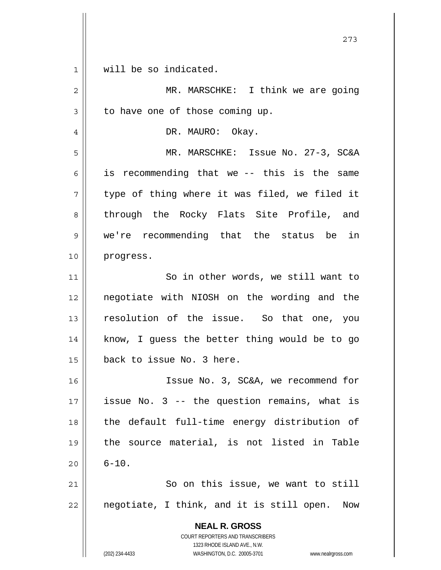| $1 \parallel$ |  |  |  | will be so indicated. |
|---------------|--|--|--|-----------------------|
|---------------|--|--|--|-----------------------|

 $\mathsf{I}$ 

| $\overline{2}$ | MR. MARSCHKE: I think we are going                                                                                                                              |
|----------------|-----------------------------------------------------------------------------------------------------------------------------------------------------------------|
| $\mathfrak{Z}$ | to have one of those coming up.                                                                                                                                 |
| $\overline{4}$ | DR. MAURO: Okay.                                                                                                                                                |
| 5              | MR. MARSCHKE: Issue No. 27-3, SC&A                                                                                                                              |
| 6              | is recommending that we -- this is the same                                                                                                                     |
| 7              | type of thing where it was filed, we filed it                                                                                                                   |
| 8              | through the Rocky Flats Site Profile, and                                                                                                                       |
| $\mathsf 9$    | we're recommending that the status be in                                                                                                                        |
| 10             | progress.                                                                                                                                                       |
| 11             | So in other words, we still want to                                                                                                                             |
| 12             | negotiate with NIOSH on the wording and the                                                                                                                     |
| 13             | resolution of the issue. So that one, you                                                                                                                       |
| 14             | know, I guess the better thing would be to go                                                                                                                   |
| 15             | back to issue No. 3 here.                                                                                                                                       |
| 16             | Issue No. 3, SC&A, we recommend for                                                                                                                             |
| 17             | issue No. 3 -- the question remains, what is                                                                                                                    |
| 18             | the default full-time energy distribution of                                                                                                                    |
| 19             | the source material, is not listed in Table                                                                                                                     |
| 20             | $6 - 10.$                                                                                                                                                       |
| 21             | So on this issue, we want to still                                                                                                                              |
| 22             | negotiate, I think, and it is still open.<br>Now                                                                                                                |
|                | <b>NEAL R. GROSS</b><br>COURT REPORTERS AND TRANSCRIBERS<br>1323 RHODE ISLAND AVE., N.W.<br>(202) 234-4433<br>WASHINGTON, D.C. 20005-3701<br>www.nealrgross.com |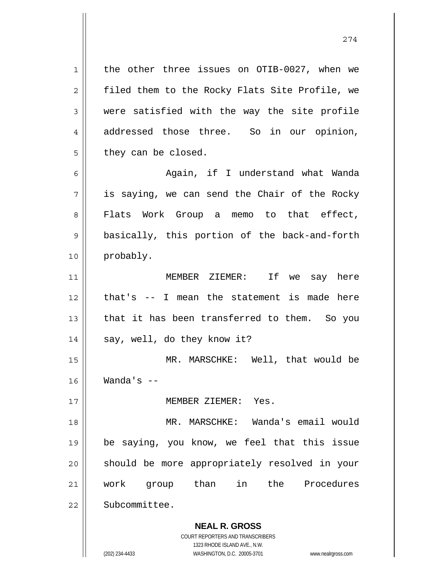the other three issues on OTIB-0027, when we filed them to the Rocky Flats Site Profile, we were satisfied with the way the site profile addressed those three. So in our opinion, they can be closed.

6 7 8 9 10 Again, if I understand what Wanda is saying, we can send the Chair of the Rocky Flats Work Group a memo to that effect, basically, this portion of the back-and-forth probably.

11 12 13 14 MEMBER ZIEMER: If we say here that's -- I mean the statement is made here that it has been transferred to them. So you say, well, do they know it?

15 16 MR. MARSCHKE: Well, that would be Wanda's --

MEMBER ZIEMER: Yes.

18 19 20 21 22 MR. MARSCHKE: Wanda's email would be saying, you know, we feel that this issue should be more appropriately resolved in your work group than in the Procedures Subcommittee.

> **NEAL R. GROSS** COURT REPORTERS AND TRANSCRIBERS

> > 1323 RHODE ISLAND AVE., N.W.

(202) 234-4433 WASHINGTON, D.C. 20005-3701 www.nealrgross.com

1

2

3

4

5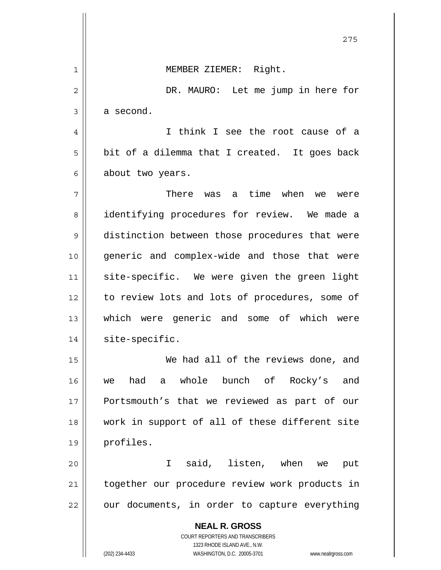|    | 275                                                                                      |
|----|------------------------------------------------------------------------------------------|
| 1  | MEMBER ZIEMER: Right.                                                                    |
| 2  | DR. MAURO: Let me jump in here for                                                       |
| 3  | a second.                                                                                |
| 4  | I think I see the root cause of a                                                        |
| 5  | bit of a dilemma that I created. It goes back                                            |
| 6  | about two years.                                                                         |
| 7  | There was a time when<br>we<br>were                                                      |
| 8  | identifying procedures for review. We made a                                             |
| 9  | distinction between those procedures that were                                           |
| 10 | generic and complex-wide and those that were                                             |
| 11 | site-specific. We were given the green light                                             |
| 12 | to review lots and lots of procedures, some of                                           |
| 13 | which were generic and some of which were                                                |
| 14 | site-specific.                                                                           |
| 15 | We had all of the reviews done, and                                                      |
| 16 | a whole bunch of Rocky's<br>had<br>and<br>we                                             |
| 17 | Portsmouth's that we reviewed as part of our                                             |
| 18 | work in support of all of these different site                                           |
| 19 | profiles.                                                                                |
| 20 | said, listen, when we<br>I.<br>put                                                       |
| 21 | together our procedure review work products in                                           |
| 22 | our documents, in order to capture everything                                            |
|    | <b>NEAL R. GROSS</b><br>COURT REPORTERS AND TRANSCRIBERS<br>1323 RHODE ISLAND AVE., N.W. |
|    | (202) 234-4433<br>WASHINGTON, D.C. 20005-3701<br>www.nealrgross.com                      |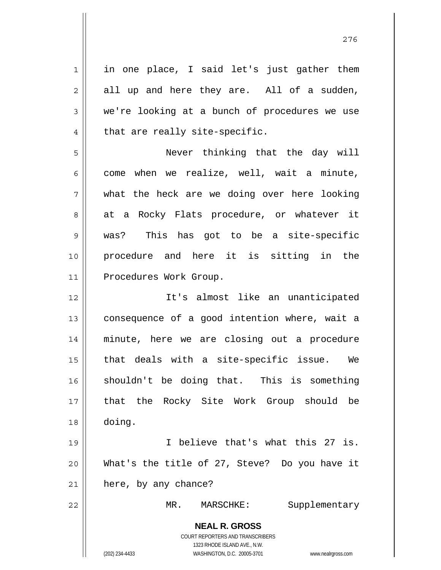**NEAL R. GROSS** COURT REPORTERS AND TRANSCRIBERS 1323 RHODE ISLAND AVE., N.W. (202) 234-4433 WASHINGTON, D.C. 20005-3701 www.nealrgross.com 1 2 3 4 5 6 7 8 9 10 11 12 13 14 15 16 17 18 19 20 21 22 in one place, I said let's just gather them all up and here they are. All of a sudden, we're looking at a bunch of procedures we use that are really site-specific. Never thinking that the day will come when we realize, well, wait a minute, what the heck are we doing over here looking at a Rocky Flats procedure, or whatever it was? This has got to be a site-specific procedure and here it is sitting in the Procedures Work Group. It's almost like an unanticipated consequence of a good intention where, wait a minute, here we are closing out a procedure that deals with a site-specific issue. We shouldn't be doing that. This is something that the Rocky Site Work Group should be doing. I believe that's what this 27 is. What's the title of 27, Steve? Do you have it here, by any chance? MR. MARSCHKE: Supplementary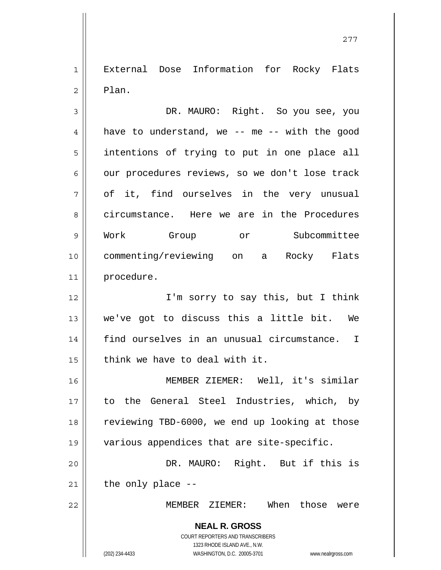1 2 External Dose Information for Rocky Flats Plan.

3 4 5 6 7 8 9 10 11 DR. MAURO: Right. So you see, you have to understand, we -- me -- with the good intentions of trying to put in one place all our procedures reviews, so we don't lose track of it, find ourselves in the very unusual circumstance. Here we are in the Procedures Work Group or Subcommittee commenting/reviewing on a Rocky Flats procedure.

12 13 14 15 I'm sorry to say this, but I think we've got to discuss this a little bit. We find ourselves in an unusual circumstance. I think we have to deal with it.

16 17 18 19 MEMBER ZIEMER: Well, it's similar to the General Steel Industries, which, by reviewing TBD-6000, we end up looking at those various appendices that are site-specific.

20 21 DR. MAURO: Right. But if this is the only place --

MEMBER ZIEMER: When those were

**NEAL R. GROSS** COURT REPORTERS AND TRANSCRIBERS 1323 RHODE ISLAND AVE., N.W. (202) 234-4433 WASHINGTON, D.C. 20005-3701 www.nealrgross.com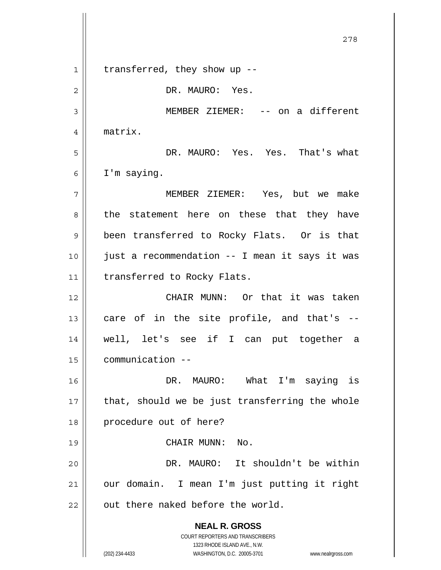**NEAL R. GROSS** COURT REPORTERS AND TRANSCRIBERS 1323 RHODE ISLAND AVE., N.W. (202) 234-4433 WASHINGTON, D.C. 20005-3701 www.nealrgross.com 1 2 3 4 5 6 7 8 9 10 11 12 13 14 15 16 17 18 19 20 21 22 transferred, they show up -- DR. MAURO: Yes. MEMBER ZIEMER: -- on a different matrix. DR. MAURO: Yes. Yes. That's what I'm saying. MEMBER ZIEMER: Yes, but we make the statement here on these that they have been transferred to Rocky Flats. Or is that just a recommendation -- I mean it says it was transferred to Rocky Flats. CHAIR MUNN: Or that it was taken care of in the site profile, and that's - well, let's see if I can put together a communication -- DR. MAURO: What I'm saying is that, should we be just transferring the whole procedure out of here? CHAIR MUNN: No. DR. MAURO: It shouldn't be within our domain. I mean I'm just putting it right out there naked before the world.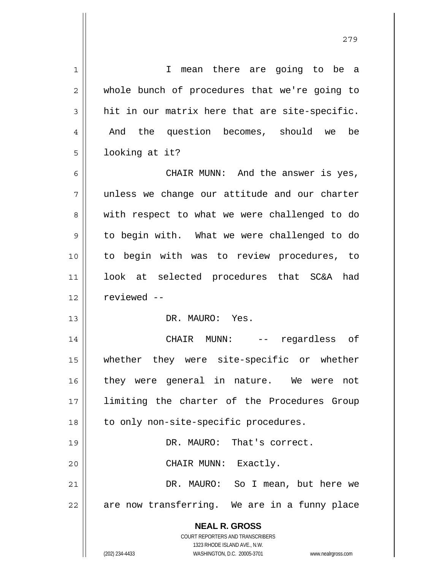| $\mathbf 1$ | I mean there are going to be a                                      |  |
|-------------|---------------------------------------------------------------------|--|
| 2           | whole bunch of procedures that we're going to                       |  |
| 3           | hit in our matrix here that are site-specific.                      |  |
| 4           | And the question becomes, should we<br>be                           |  |
| 5           | looking at it?                                                      |  |
| 6           | CHAIR MUNN: And the answer is yes,                                  |  |
| 7           | unless we change our attitude and our charter                       |  |
| 8           | with respect to what we were challenged to do                       |  |
| 9           | to begin with. What we were challenged to do                        |  |
| 10          | to begin with was to review procedures, to                          |  |
| 11          | look at selected procedures that SC&A had                           |  |
| 12          | reviewed --                                                         |  |
| 13          | DR. MAURO: Yes.                                                     |  |
| 14          | CHAIR MUNN:<br>regardless of<br>$--$                                |  |
| 15          | whether they were site-specific or whether                          |  |
| 16          | they were general in nature. We were<br>not                         |  |
| 17          | limiting the charter of the Procedures Group                        |  |
| 18          | to only non-site-specific procedures.                               |  |
| 19          | DR. MAURO: That's correct.                                          |  |
| 20          | CHAIR MUNN: Exactly.                                                |  |
| 21          | DR. MAURO: So I mean, but here we                                   |  |
| 22          | are now transferring. We are in a funny place                       |  |
|             | <b>NEAL R. GROSS</b>                                                |  |
|             | <b>COURT REPORTERS AND TRANSCRIBERS</b>                             |  |
|             | 1323 RHODE ISLAND AVE., N.W.                                        |  |
|             | (202) 234-4433<br>WASHINGTON, D.C. 20005-3701<br>www.nealrgross.com |  |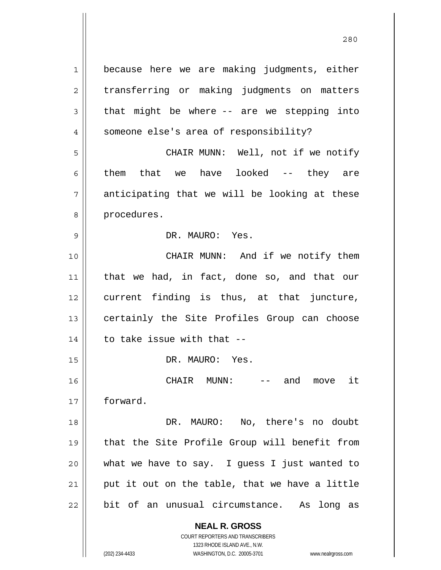**NEAL R. GROSS** COURT REPORTERS AND TRANSCRIBERS 1 2 3 4 5 6 7 8 9 10 11 12 13 14 15 16 17 18 19 20 21 22 because here we are making judgments, either transferring or making judgments on matters that might be where -- are we stepping into someone else's area of responsibility? CHAIR MUNN: Well, not if we notify them that we have looked -- they are anticipating that we will be looking at these procedures. DR. MAURO: Yes. CHAIR MUNN: And if we notify them that we had, in fact, done so, and that our current finding is thus, at that juncture, certainly the Site Profiles Group can choose to take issue with that -- DR. MAURO: Yes. CHAIR MUNN: -- and move it forward. DR. MAURO: No, there's no doubt that the Site Profile Group will benefit from what we have to say. I guess I just wanted to put it out on the table, that we have a little bit of an unusual circumstance. As long as

<u>280</u>

1323 RHODE ISLAND AVE., N.W.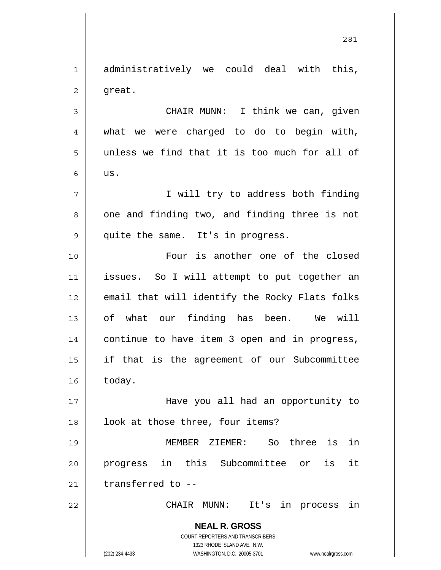1 2 3 administratively we could deal with this, great. CHAIR MUNN: I think we can, given

4 5 6 what we were charged to do to begin with, unless we find that it is too much for all of us.

 I will try to address both finding one and finding two, and finding three is not quite the same. It's in progress.

10 11 12 13 14 15 16 Four is another one of the closed issues. So I will attempt to put together an email that will identify the Rocky Flats folks of what our finding has been. We will continue to have item 3 open and in progress, if that is the agreement of our Subcommittee today.

17 18 Have you all had an opportunity to look at those three, four items?

19 20 21 MEMBER ZIEMER: So three is in progress in this Subcommittee or is it transferred to --

CHAIR MUNN: It's in process in

**NEAL R. GROSS** COURT REPORTERS AND TRANSCRIBERS 1323 RHODE ISLAND AVE., N.W.

22

7

8

9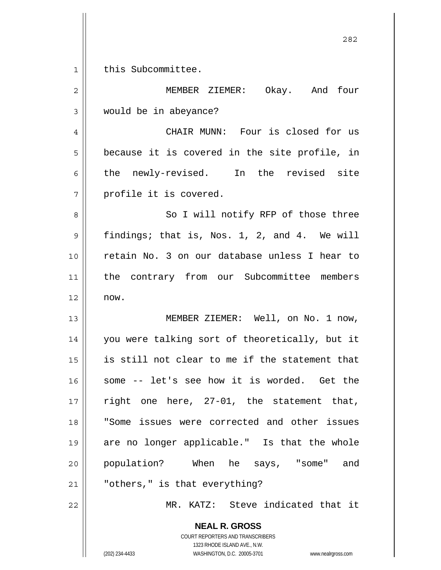$1 ||$ this Subcommittee.

| $\overline{2}$ | MEMBER ZIEMER: Okay. And four                  |
|----------------|------------------------------------------------|
| 3              | would be in abeyance?                          |
|                |                                                |
| $\overline{4}$ | CHAIR MUNN: Four is closed for us              |
| 5              | because it is covered in the site profile, in  |
| 6              | the newly-revised. In the revised site         |
| 7              | profile it is covered.                         |
| 8              | So I will notify RFP of those three            |
| 9              | findings; that is, Nos. 1, 2, and 4. We will   |
| 10             | retain No. 3 on our database unless I hear to  |
| 11             | the contrary from our Subcommittee members     |
| 12             | now.                                           |
| 13             | MEMBER ZIEMER: Well, on No. 1 now,             |
| 14             | you were talking sort of theoretically, but it |
| 15             | is still not clear to me if the statement that |
| 16             | -- let's see how it is worded. Get the<br>some |
| 17             | right one here, 27-01, the statement that,     |
| 18             | "Some issues were corrected and other issues   |
| 19             | are no longer applicable." Is that the whole   |
| 20             | population? When he says, "some" and           |
| 21             | "others," is that everything?                  |
| 22             | MR. KATZ: Steve indicated that it              |
|                | <b>NEAL R. GROSS</b>                           |

COURT REPORTERS AND TRANSCRIBERS 1323 RHODE ISLAND AVE., N.W.

(202) 234-4433 WASHINGTON, D.C. 20005-3701 www.nealrgross.com

<u>282</u>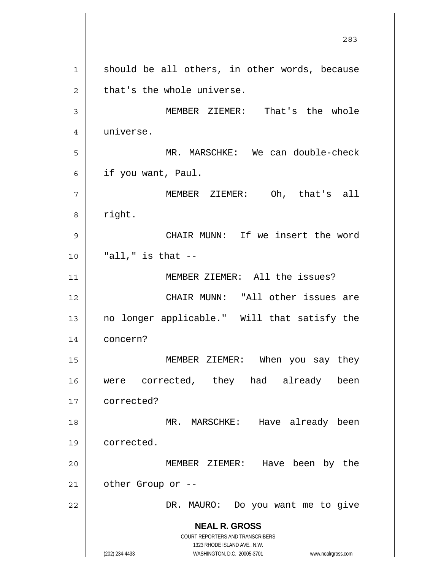**NEAL R. GROSS** COURT REPORTERS AND TRANSCRIBERS 1323 RHODE ISLAND AVE., N.W. (202) 234-4433 WASHINGTON, D.C. 20005-3701 www.nealrgross.com <u>283</u> 1 2 3 4 5 6 7 8 9 10 11 12 13 14 15 16 17 18 19 20 21 22 should be all others, in other words, because that's the whole universe. MEMBER ZIEMER: That's the whole universe. MR. MARSCHKE: We can double-check if you want, Paul. MEMBER ZIEMER: Oh, that's all right. CHAIR MUNN: If we insert the word  $"all,"$  is that  $--$  MEMBER ZIEMER: All the issues? CHAIR MUNN: "All other issues are no longer applicable." Will that satisfy the concern? MEMBER ZIEMER: When you say they were corrected, they had already been corrected? MR. MARSCHKE: Have already been corrected. MEMBER ZIEMER: Have been by the other Group or -- DR. MAURO: Do you want me to give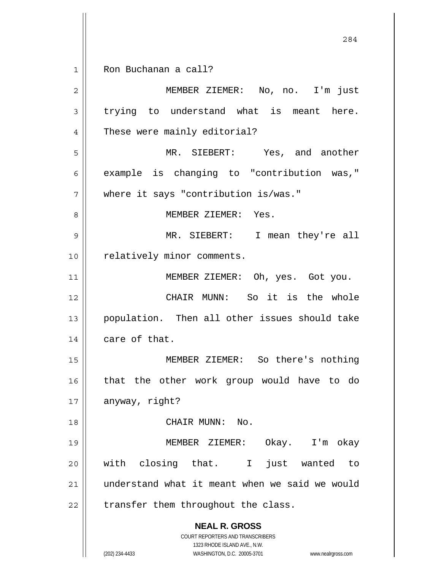1 Ron Buchanan a call?

**NEAL R. GROSS** COURT REPORTERS AND TRANSCRIBERS 1323 RHODE ISLAND AVE., N.W. (202) 234-4433 WASHINGTON, D.C. 20005-3701 www.nealrgross.com 2 3 4 5 6 7 8 9 10 11 12 13 14 15 16 17 18 19 20 21 22 MEMBER ZIEMER: No, no. I'm just trying to understand what is meant here. These were mainly editorial? MR. SIEBERT: Yes, and another example is changing to "contribution was," where it says "contribution is/was." MEMBER ZIEMER: Yes. MR. SIEBERT: I mean they're all relatively minor comments. MEMBER ZIEMER: Oh, yes. Got you. CHAIR MUNN: So it is the whole population. Then all other issues should take care of that. MEMBER ZIEMER: So there's nothing that the other work group would have to do anyway, right? CHAIR MUNN: No. MEMBER ZIEMER: Okay. I'm okay with closing that. I just wanted to understand what it meant when we said we would transfer them throughout the class.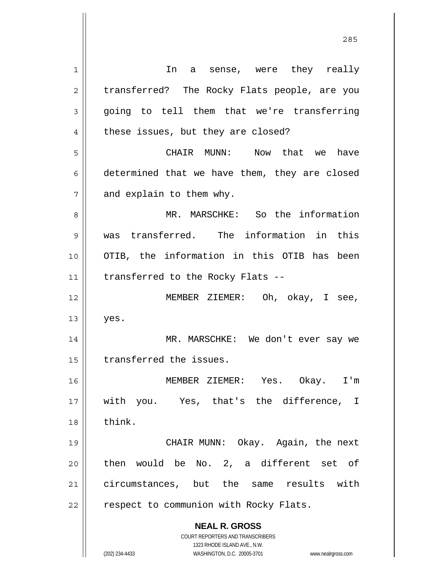**NEAL R. GROSS** COURT REPORTERS AND TRANSCRIBERS 1323 RHODE ISLAND AVE., N.W. (202) 234-4433 WASHINGTON, D.C. 20005-3701 www.nealrgross.com 1 2 3 4 5 6 7 8 9 10 11 12 13 14 15 16 17 18 19 20 21 22 In a sense, were they really transferred? The Rocky Flats people, are you going to tell them that we're transferring these issues, but they are closed? CHAIR MUNN: Now that we have determined that we have them, they are closed and explain to them why. MR. MARSCHKE: So the information was transferred. The information in this OTIB, the information in this OTIB has been transferred to the Rocky Flats -- MEMBER ZIEMER: Oh, okay, I see, yes. MR. MARSCHKE: We don't ever say we transferred the issues. MEMBER ZIEMER: Yes. Okay. I'm with you. Yes, that's the difference, I think. CHAIR MUNN: Okay. Again, the next then would be No. 2, a different set of circumstances, but the same results with respect to communion with Rocky Flats.

<u>285</u>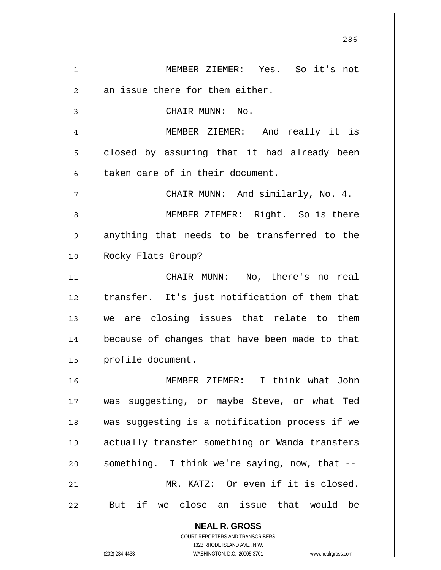**NEAL R. GROSS** COURT REPORTERS AND TRANSCRIBERS 1 2 3 4 5 6 7 8 9 10 11 12 13 14 15 16 17 18 19 20 21 22 MEMBER ZIEMER: Yes. So it's not an issue there for them either. CHAIR MUNN: No. MEMBER ZIEMER: And really it is closed by assuring that it had already been taken care of in their document. CHAIR MUNN: And similarly, No. 4. MEMBER ZIEMER: Right. So is there anything that needs to be transferred to the Rocky Flats Group? CHAIR MUNN: No, there's no real transfer. It's just notification of them that we are closing issues that relate to them because of changes that have been made to that profile document. MEMBER ZIEMER: I think what John was suggesting, or maybe Steve, or what Ted was suggesting is a notification process if we actually transfer something or Wanda transfers something. I think we're saying, now, that -- MR. KATZ: Or even if it is closed. But if we close an issue that would be

<u>286</u>

1323 RHODE ISLAND AVE., N.W.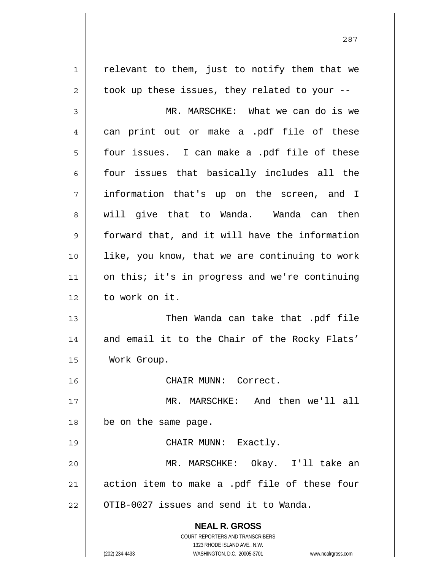**NEAL R. GROSS** COURT REPORTERS AND TRANSCRIBERS 1323 RHODE ISLAND AVE., N.W. (202) 234-4433 WASHINGTON, D.C. 20005-3701 www.nealrgross.com 1 2 3 4 5 6 7 8 9 10 11 12 13 14 15 16 17 18 19 20 21 22 relevant to them, just to notify them that we took up these issues, they related to your -- MR. MARSCHKE: What we can do is we can print out or make a .pdf file of these four issues. I can make a .pdf file of these four issues that basically includes all the information that's up on the screen, and I will give that to Wanda. Wanda can then forward that, and it will have the information like, you know, that we are continuing to work on this; it's in progress and we're continuing to work on it. Then Wanda can take that .pdf file and email it to the Chair of the Rocky Flats' Work Group. CHAIR MUNN: Correct. MR. MARSCHKE: And then we'll all be on the same page. CHAIR MUNN: Exactly. MR. MARSCHKE: Okay. I'll take an action item to make a .pdf file of these four OTIB-0027 issues and send it to Wanda.

<u>287</u>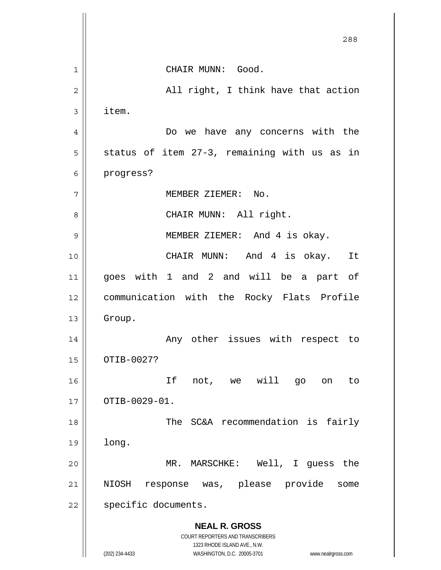**NEAL R. GROSS** COURT REPORTERS AND TRANSCRIBERS 1323 RHODE ISLAND AVE., N.W. (202) 234-4433 WASHINGTON, D.C. 20005-3701 www.nealrgross.com <u>288</u> 1 2 3 4 5 6 7 8 9 10 11 12 13 14 15 16 17 18 19 20 21 22 CHAIR MUNN: Good. All right, I think have that action item. Do we have any concerns with the status of item 27-3, remaining with us as in progress? MEMBER ZIEMER: No. CHAIR MUNN: All right. MEMBER ZIEMER: And 4 is okay. CHAIR MUNN: And 4 is okay. It goes with 1 and 2 and will be a part of communication with the Rocky Flats Profile Group. Any other issues with respect to OTIB-0027? If not, we will go on to OTIB-0029-01. The SC&A recommendation is fairly long. MR. MARSCHKE: Well, I guess the NIOSH response was, please provide some specific documents.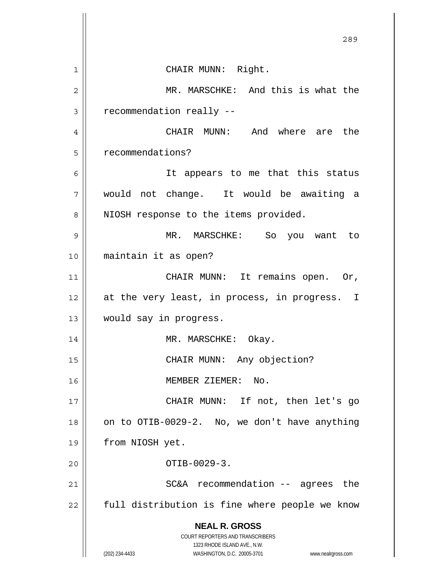|                | 289                                                                                                 |
|----------------|-----------------------------------------------------------------------------------------------------|
| 1              | CHAIR MUNN: Right.                                                                                  |
| $\overline{2}$ | MR. MARSCHKE: And this is what the                                                                  |
| 3              | recommendation really --                                                                            |
| 4              | CHAIR MUNN: And where are the                                                                       |
| 5              | recommendations?                                                                                    |
|                |                                                                                                     |
| 6              | It appears to me that this status                                                                   |
| 7              | would not change. It would be awaiting a                                                            |
| 8              | NIOSH response to the items provided.                                                               |
| 9              | MR. MARSCHKE: So you want<br>to                                                                     |
| 10             | maintain it as open?                                                                                |
| 11             | CHAIR MUNN: It remains open. Or,                                                                    |
| 12             | at the very least, in process, in progress. I                                                       |
| 13             | would say in progress.                                                                              |
| 14             | MR. MARSCHKE: Okay.                                                                                 |
| 15             | CHAIR MUNN: Any objection?                                                                          |
| 16             | MEMBER ZIEMER:<br>No.                                                                               |
| 17             | CHAIR MUNN: If not, then let's go                                                                   |
| 18             | on to OTIB-0029-2. No, we don't have anything                                                       |
| 19             | from NIOSH yet.                                                                                     |
| 20             | OTIB-0029-3.                                                                                        |
| 21             | SC&A recommendation -- agrees the                                                                   |
| 22             | full distribution is fine where people we know                                                      |
|                | <b>NEAL R. GROSS</b>                                                                                |
|                | <b>COURT REPORTERS AND TRANSCRIBERS</b>                                                             |
|                | 1323 RHODE ISLAND AVE., N.W.<br>(202) 234-4433<br>WASHINGTON, D.C. 20005-3701<br>www.nealrgross.com |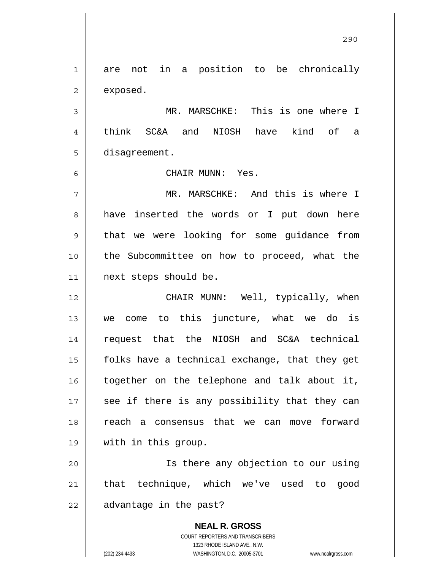**NEAL R. GROSS** COURT REPORTERS AND TRANSCRIBERS 1 2 3 4 5 6 7 8 9 10 11 12 13 14 15 16 17 18 19 20 21 22 are not in a position to be chronically exposed. MR. MARSCHKE: This is one where I think SC&A and NIOSH have kind of a disagreement. CHAIR MUNN: Yes. MR. MARSCHKE: And this is where I have inserted the words or I put down here that we were looking for some guidance from the Subcommittee on how to proceed, what the next steps should be. CHAIR MUNN: Well, typically, when we come to this juncture, what we do is request that the NIOSH and SC&A technical folks have a technical exchange, that they get together on the telephone and talk about it, see if there is any possibility that they can reach a consensus that we can move forward with in this group. Is there any objection to our using that technique, which we've used to good advantage in the past?

<u>290</u>

1323 RHODE ISLAND AVE., N.W.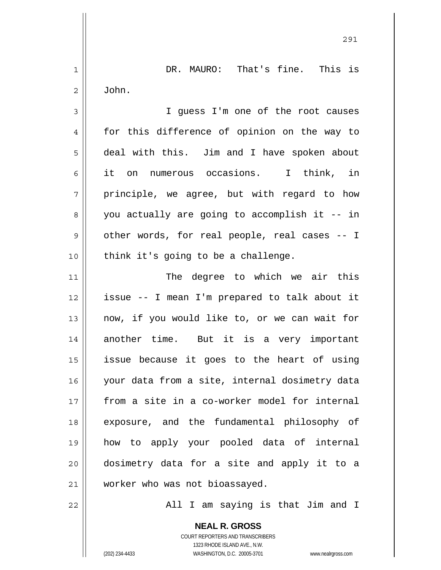1 2 3 4 5 6 7 8 9 10 11 12 13 14 15 16 17 18 19 20 21 22 DR. MAURO: That's fine. This is John. I guess I'm one of the root causes for this difference of opinion on the way to deal with this. Jim and I have spoken about it on numerous occasions. I think, in principle, we agree, but with regard to how you actually are going to accomplish it -- in other words, for real people, real cases -- I think it's going to be a challenge. The degree to which we air this issue -- I mean I'm prepared to talk about it now, if you would like to, or we can wait for another time. But it is a very important issue because it goes to the heart of using your data from a site, internal dosimetry data from a site in a co-worker model for internal exposure, and the fundamental philosophy of how to apply your pooled data of internal dosimetry data for a site and apply it to a worker who was not bioassayed. All I am saying is that Jim and I

<u>291</u>

**NEAL R. GROSS** COURT REPORTERS AND TRANSCRIBERS 1323 RHODE ISLAND AVE., N.W. (202) 234-4433 WASHINGTON, D.C. 20005-3701 www.nealrgross.com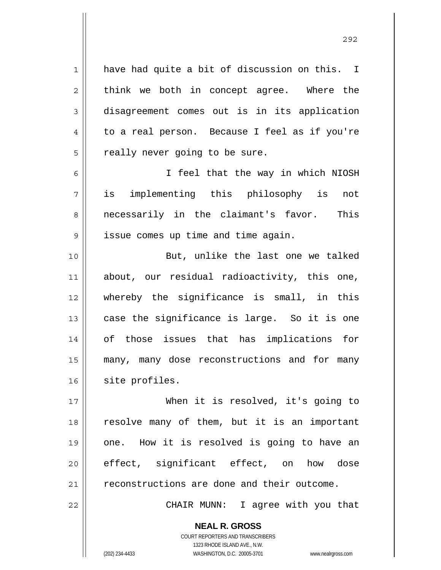have had quite a bit of discussion on this. I think we both in concept agree. Where the disagreement comes out is in its application to a real person. Because I feel as if you're really never going to be sure.

 I feel that the way in which NIOSH is implementing this philosophy is not necessarily in the claimant's favor. This issue comes up time and time again.

10 11 12 13 14 15 16 But, unlike the last one we talked about, our residual radioactivity, this one, whereby the significance is small, in this case the significance is large. So it is one of those issues that has implications for many, many dose reconstructions and for many site profiles.

17 18 19 20 21 When it is resolved, it's going to resolve many of them, but it is an important one. How it is resolved is going to have an effect, significant effect, on how dose reconstructions are done and their outcome.

CHAIR MUNN: I agree with you that

**NEAL R. GROSS** COURT REPORTERS AND TRANSCRIBERS 1323 RHODE ISLAND AVE., N.W. (202) 234-4433 WASHINGTON, D.C. 20005-3701 www.nealrgross.com

1

2

3

4

5

6

7

8

9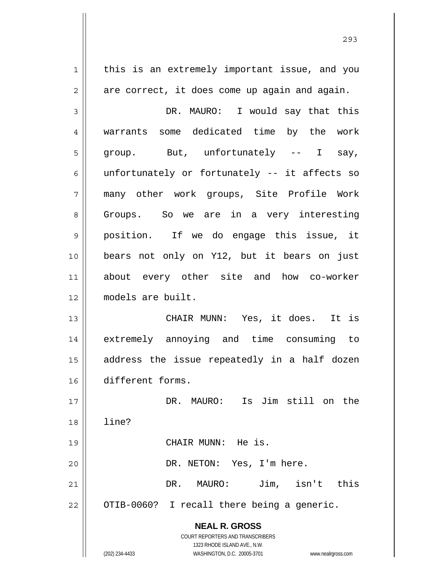**NEAL R. GROSS** COURT REPORTERS AND TRANSCRIBERS 1323 RHODE ISLAND AVE., N.W. (202) 234-4433 WASHINGTON, D.C. 20005-3701 www.nealrgross.com 1 2 3 4 5 6 7 8 9 10 11 12 13 14 15 16 17 18 19 20 21 22 this is an extremely important issue, and you are correct, it does come up again and again. DR. MAURO: I would say that this warrants some dedicated time by the work group. But, unfortunately -- I say, unfortunately or fortunately -- it affects so many other work groups, Site Profile Work Groups. So we are in a very interesting position. If we do engage this issue, it bears not only on Y12, but it bears on just about every other site and how co-worker models are built. CHAIR MUNN: Yes, it does. It is extremely annoying and time consuming to address the issue repeatedly in a half dozen different forms. DR. MAURO: Is Jim still on the line? CHAIR MUNN: He is. DR. NETON: Yes, I'm here. DR. MAURO: Jim, isn't this OTIB-0060? I recall there being a generic.

<u>293</u>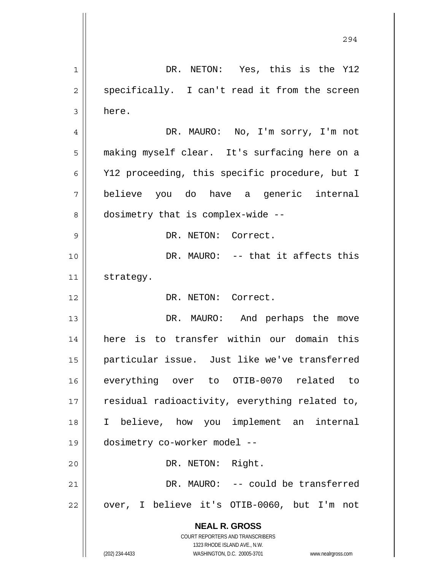**NEAL R. GROSS** COURT REPORTERS AND TRANSCRIBERS 1323 RHODE ISLAND AVE., N.W. (202) 234-4433 WASHINGTON, D.C. 20005-3701 www.nealrgross.com 294 1 2 3 4 5 6 7 8 9 10 11 12 13 14 15 16 17 18 19 20 21 22 DR. NETON: Yes, this is the Y12 specifically. I can't read it from the screen here. DR. MAURO: No, I'm sorry, I'm not making myself clear. It's surfacing here on a Y12 proceeding, this specific procedure, but I believe you do have a generic internal dosimetry that is complex-wide -- DR. NETON: Correct. DR. MAURO: -- that it affects this strategy. DR. NETON: Correct. DR. MAURO: And perhaps the move here is to transfer within our domain this particular issue. Just like we've transferred everything over to OTIB-0070 related to residual radioactivity, everything related to, I believe, how you implement an internal dosimetry co-worker model -- DR. NETON: Right. DR. MAURO: -- could be transferred over, I believe it's OTIB-0060, but I'm not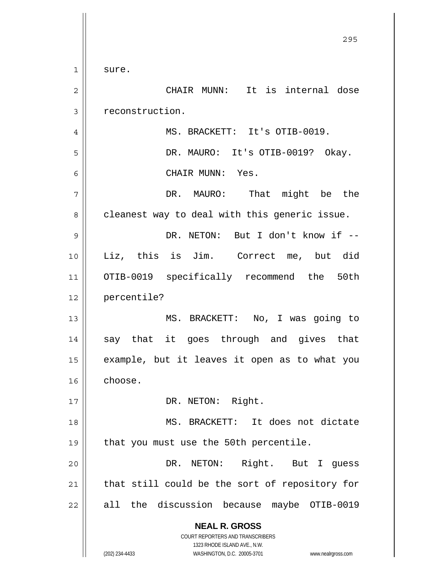**NEAL R. GROSS** COURT REPORTERS AND TRANSCRIBERS 1323 RHODE ISLAND AVE., N.W. (202) 234-4433 WASHINGTON, D.C. 20005-3701 www.nealrgross.com <u>295</u> 1 2 3 4 5 6 7 8 9 10 11 12 13 14 15 16 17 18 19 20 21 22 sure. CHAIR MUNN: It is internal dose reconstruction. MS. BRACKETT: It's OTIB-0019. DR. MAURO: It's OTIB-0019? Okay. CHAIR MUNN: Yes. DR. MAURO: That might be the cleanest way to deal with this generic issue. DR. NETON: But I don't know if --Liz, this is Jim. Correct me, but did OTIB-0019 specifically recommend the 50th percentile? MS. BRACKETT: No, I was going to say that it goes through and gives that example, but it leaves it open as to what you choose. DR. NETON: Right. MS. BRACKETT: It does not dictate that you must use the 50th percentile. DR. NETON: Right. But I guess that still could be the sort of repository for all the discussion because maybe OTIB-0019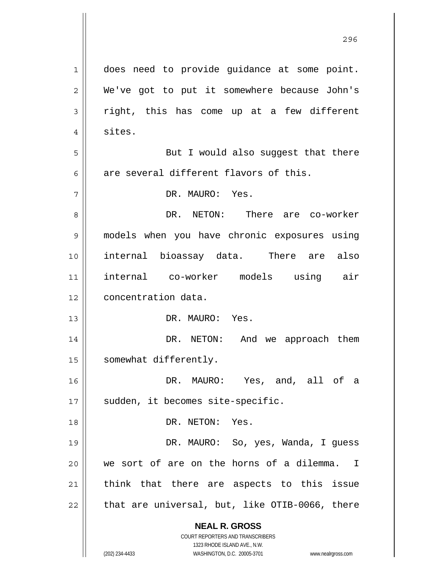**NEAL R. GROSS** COURT REPORTERS AND TRANSCRIBERS 1323 RHODE ISLAND AVE., N.W. (202) 234-4433 WASHINGTON, D.C. 20005-3701 www.nealrgross.com 1 2 3 4 5 6 7 8 9 10 11 12 13 14 15 16 17 18 19 20 21 22 does need to provide guidance at some point. We've got to put it somewhere because John's right, this has come up at a few different sites. But I would also suggest that there are several different flavors of this. DR. MAURO: Yes. DR. NETON: There are co-worker models when you have chronic exposures using internal bioassay data. There are also internal co-worker models using air concentration data. DR. MAURO: Yes. DR. NETON: And we approach them somewhat differently. DR. MAURO: Yes, and, all of a sudden, it becomes site-specific. DR. NETON: Yes. DR. MAURO: So, yes, Wanda, I guess we sort of are on the horns of a dilemma. I think that there are aspects to this issue that are universal, but, like OTIB-0066, there

<u>296 - Andre Stein, Amerikaansk politiker (</u>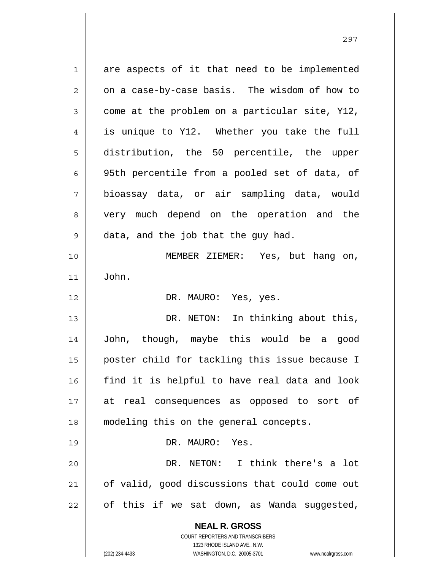| 1  | are aspects of it that need to be implemented                       |
|----|---------------------------------------------------------------------|
| 2  | on a case-by-case basis. The wisdom of how to                       |
| 3  | come at the problem on a particular site, Y12,                      |
| 4  | is unique to Y12. Whether you take the full                         |
| 5  | distribution, the 50 percentile, the upper                          |
| 6  | 95th percentile from a pooled set of data, of                       |
| 7  | bioassay data, or air sampling data, would                          |
| 8  | very much depend on the operation and the                           |
| 9  | data, and the job that the guy had.                                 |
| 10 | MEMBER ZIEMER: Yes, but hang on,                                    |
| 11 | John.                                                               |
| 12 | DR. MAURO: Yes, yes.                                                |
| 13 | DR. NETON: In thinking about this,                                  |
| 14 | John, though, maybe this would be a good                            |
| 15 | poster child for tackling this issue because I                      |
| 16 | find it is helpful to have real data and look                       |
| 17 | at real consequences as opposed to sort of                          |
| 18 | modeling this on the general concepts.                              |
| 19 | DR. MAURO: Yes.                                                     |
| 20 | DR. NETON: I think there's a lot                                    |
| 21 | of valid, good discussions that could come out                      |
| 22 | of this if we sat down, as Wanda suggested,                         |
|    |                                                                     |
|    | <b>NEAL R. GROSS</b><br>COURT REPORTERS AND TRANSCRIBERS            |
|    | 1323 RHODE ISLAND AVE., N.W.                                        |
|    | (202) 234-4433<br>WASHINGTON, D.C. 20005-3701<br>www.nealrgross.com |

297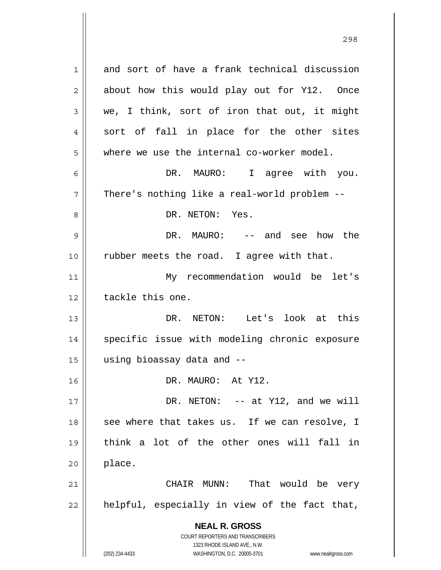**NEAL R. GROSS** COURT REPORTERS AND TRANSCRIBERS 1323 RHODE ISLAND AVE., N.W. 1 2 3 4 5 6 7 8 9 10 11 12 13 14 15 16 17 18 19 20 21 22 and sort of have a frank technical discussion about how this would play out for Y12. Once we, I think, sort of iron that out, it might sort of fall in place for the other sites where we use the internal co-worker model. DR. MAURO: I agree with you. There's nothing like a real-world problem -- DR. NETON: Yes. DR. MAURO: -- and see how the rubber meets the road. I agree with that. My recommendation would be let's tackle this one. DR. NETON: Let's look at this specific issue with modeling chronic exposure using bioassay data and -- DR. MAURO: At Y12. DR. NETON: -- at Y12, and we will see where that takes us. If we can resolve, I think a lot of the other ones will fall in place. CHAIR MUNN: That would be very helpful, especially in view of the fact that,

(202) 234-4433 WASHINGTON, D.C. 20005-3701 www.nealrgross.com

<u>298</u>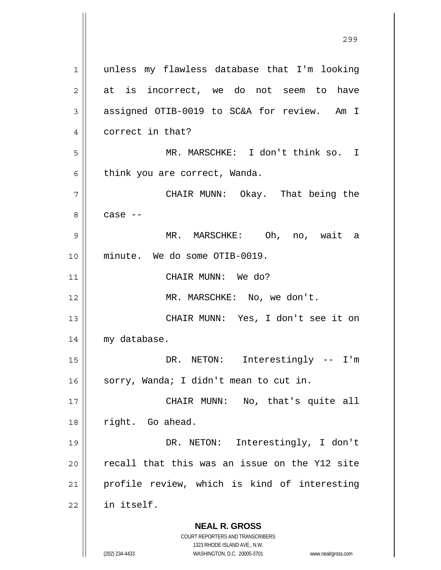**NEAL R. GROSS** COURT REPORTERS AND TRANSCRIBERS 1323 RHODE ISLAND AVE., N.W. 1 2 3 4 5 6 7 8 9 10 11 12 13 14 15 16 17 18 19 20 21 22 unless my flawless database that I'm looking at is incorrect, we do not seem to have assigned OTIB-0019 to SC&A for review. Am I correct in that? MR. MARSCHKE: I don't think so. I think you are correct, Wanda. CHAIR MUNN: Okay. That being the case -- MR. MARSCHKE: Oh, no, wait a minute. We do some OTIB-0019. CHAIR MUNN: We do? MR. MARSCHKE: No, we don't. CHAIR MUNN: Yes, I don't see it on my database. DR. NETON: Interestingly -- I'm sorry, Wanda; I didn't mean to cut in. CHAIR MUNN: No, that's quite all right. Go ahead. DR. NETON: Interestingly, I don't recall that this was an issue on the Y12 site profile review, which is kind of interesting in itself.

<u>299 - Andre Sterne Barbara, amerikan pendadaran pendada personal dan personal dan personal dan personal dan p</u>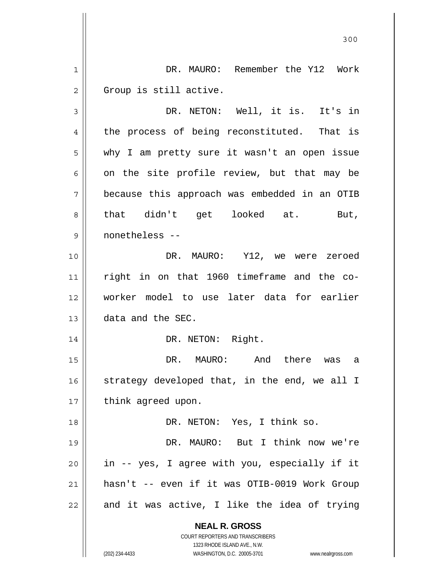**NEAL R. GROSS** COURT REPORTERS AND TRANSCRIBERS 1323 RHODE ISLAND AVE., N.W. (202) 234-4433 WASHINGTON, D.C. 20005-3701 www.nealrgross.com 300 1 2 3 4 5 6 7 8 9 10 11 12 13 14 15 16 17 18 19 20 21 22 DR. MAURO: Remember the Y12 Work Group is still active. DR. NETON: Well, it is. It's in the process of being reconstituted. That is why I am pretty sure it wasn't an open issue on the site profile review, but that may be because this approach was embedded in an OTIB that didn't get looked at. But, nonetheless -- DR. MAURO: Y12, we were zeroed right in on that 1960 timeframe and the coworker model to use later data for earlier data and the SEC. DR. NETON: Right. DR. MAURO: And there was a strategy developed that, in the end, we all I think agreed upon. DR. NETON: Yes, I think so. DR. MAURO: But I think now we're in -- yes, I agree with you, especially if it hasn't -- even if it was OTIB-0019 Work Group and it was active, I like the idea of trying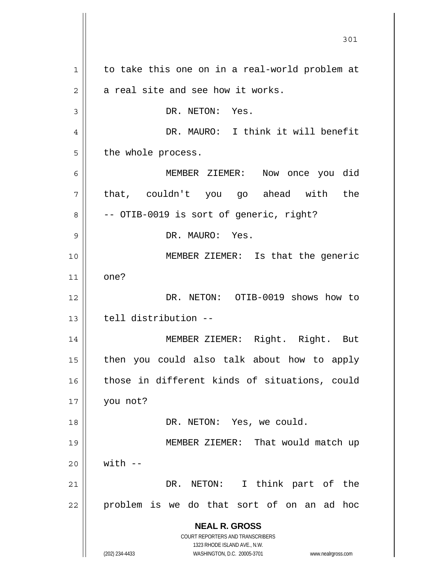**NEAL R. GROSS** COURT REPORTERS AND TRANSCRIBERS 1323 RHODE ISLAND AVE., N.W. (202) 234-4433 WASHINGTON, D.C. 20005-3701 www.nealrgross.com 301 1 2 3 4 5 6 7 8 9 10 11 12 13 14 15 16 17 18 19 20 21 22 to take this one on in a real-world problem at a real site and see how it works. DR. NETON: Yes. DR. MAURO: I think it will benefit the whole process. MEMBER ZIEMER: Now once you did that, couldn't you go ahead with the -- OTIB-0019 is sort of generic, right? DR. MAURO: Yes. MEMBER ZIEMER: Is that the generic one? DR. NETON: OTIB-0019 shows how to tell distribution -- MEMBER ZIEMER: Right. Right. But then you could also talk about how to apply those in different kinds of situations, could you not? DR. NETON: Yes, we could. MEMBER ZIEMER: That would match up  $with --$ DR. NETON: I think part of the problem is we do that sort of on an ad hoc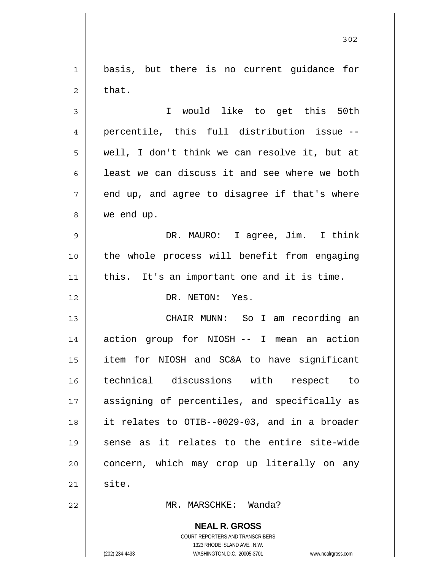**NEAL R. GROSS** COURT REPORTERS AND TRANSCRIBERS 1 2 3 4 5 6 7 8 9 10 11 12 13 14 15 16 17 18 19 20 21 22 basis, but there is no current guidance for that. I would like to get this 50th percentile, this full distribution issue - well, I don't think we can resolve it, but at least we can discuss it and see where we both end up, and agree to disagree if that's where we end up. DR. MAURO: I agree, Jim. I think the whole process will benefit from engaging this. It's an important one and it is time. DR. NETON: Yes. CHAIR MUNN: So I am recording an action group for NIOSH -- I mean an action item for NIOSH and SC&A to have significant technical discussions with respect to assigning of percentiles, and specifically as it relates to OTIB--0029-03, and in a broader sense as it relates to the entire site-wide concern, which may crop up literally on any site. MR. MARSCHKE: Wanda?

302

1323 RHODE ISLAND AVE., N.W.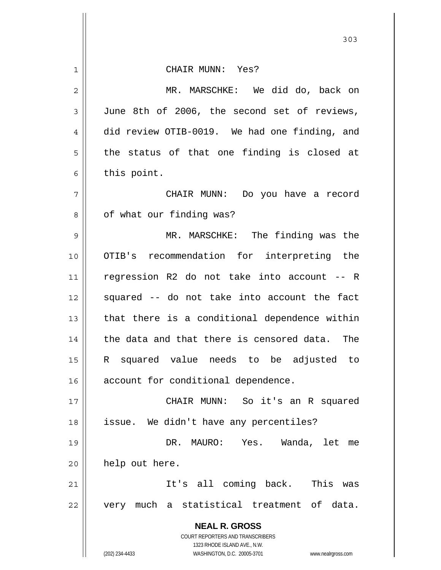**NEAL R. GROSS** COURT REPORTERS AND TRANSCRIBERS 1323 RHODE ISLAND AVE., N.W. (202) 234-4433 WASHINGTON, D.C. 20005-3701 www.nealrgross.com 1 2 3 4 5 6 7 8 9 10 11 12 13 14 15 16 17 18 19 20 21 22 CHAIR MUNN: Yes? MR. MARSCHKE: We did do, back on June 8th of 2006, the second set of reviews, did review OTIB-0019. We had one finding, and the status of that one finding is closed at this point. CHAIR MUNN: Do you have a record of what our finding was? MR. MARSCHKE: The finding was the OTIB's recommendation for interpreting the regression R2 do not take into account -- R squared -- do not take into account the fact that there is a conditional dependence within the data and that there is censored data. The R squared value needs to be adjusted to account for conditional dependence. CHAIR MUNN: So it's an R squared issue. We didn't have any percentiles? DR. MAURO: Yes. Wanda, let me help out here. It's all coming back. This was very much a statistical treatment of data.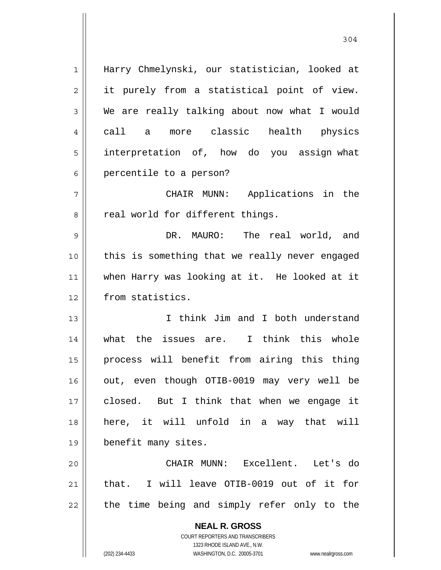| $\mathbf 1$ | Harry Chmelynski, our statistician, looked at                       |
|-------------|---------------------------------------------------------------------|
| 2           | it purely from a statistical point of view.                         |
| 3           | We are really talking about now what I would                        |
| 4           | a more classic health<br>call<br>physics                            |
| 5           | interpretation of, how do you assign what                           |
| 6           | percentile to a person?                                             |
| 7           | CHAIR MUNN: Applications in the                                     |
| 8           | real world for different things.                                    |
| $\mathsf 9$ | DR. MAURO:<br>The real world, and                                   |
| 10          | this is something that we really never engaged                      |
| 11          | when Harry was looking at it. He looked at it                       |
| 12          | from statistics.                                                    |
| 13          | I think Jim and I both understand                                   |
| 14          | what the issues are. I think this whole                             |
| 15          | process will benefit from airing this thing                         |
| 16          | out, even though OTIB-0019 may very well be                         |
| 17          | closed. But I think that when we engage it                          |
| 18          | here, it will unfold in a way that will                             |
| 19          | benefit many sites.                                                 |
| 20          | CHAIR MUNN: Excellent. Let's do                                     |
| 21          | that. I will leave OTIB-0019 out of it for                          |
| 22          | the time being and simply refer only to the                         |
|             | <b>NEAL R. GROSS</b>                                                |
|             | COURT REPORTERS AND TRANSCRIBERS                                    |
|             | 1323 RHODE ISLAND AVE., N.W.                                        |
|             | (202) 234-4433<br>WASHINGTON, D.C. 20005-3701<br>www.nealrgross.com |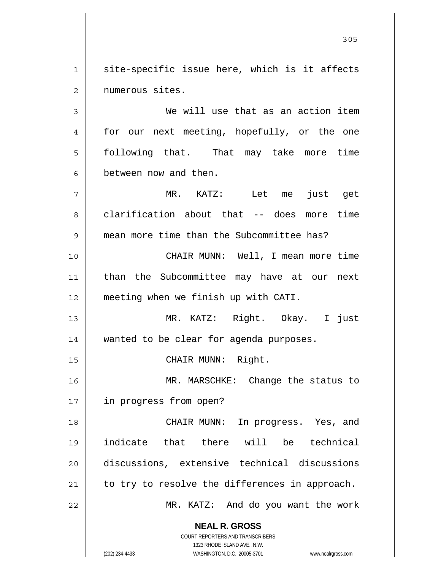1 2 site-specific issue here, which is it affects numerous sites.

3 4 5 6 We will use that as an action item for our next meeting, hopefully, or the one following that. That may take more time between now and then.

7 8 9 MR. KATZ: Let me just get clarification about that -- does more time mean more time than the Subcommittee has?

10 11 12 CHAIR MUNN: Well, I mean more time than the Subcommittee may have at our next meeting when we finish up with CATI.

13 14 MR. KATZ: Right. Okay. I just wanted to be clear for agenda purposes.

CHAIR MUNN: Right.

16 17 MR. MARSCHKE: Change the status to in progress from open?

18 19 20 21 22 CHAIR MUNN: In progress. Yes, and indicate that there will be technical discussions, extensive technical discussions to try to resolve the differences in approach. MR. KATZ: And do you want the work

**NEAL R. GROSS**

15

COURT REPORTERS AND TRANSCRIBERS 1323 RHODE ISLAND AVE., N.W. (202) 234-4433 WASHINGTON, D.C. 20005-3701 www.nealrgross.com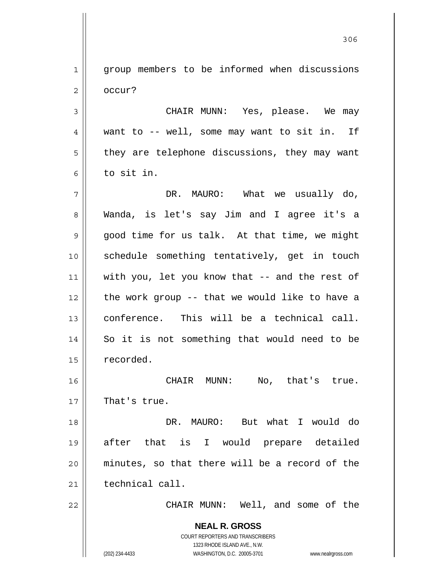1 2 group members to be informed when discussions occur?

3 4 5 6 CHAIR MUNN: Yes, please. We may want to -- well, some may want to sit in. If they are telephone discussions, they may want to sit in.

7 8 9 10 11 12 13 14 15 DR. MAURO: What we usually do, Wanda, is let's say Jim and I agree it's a good time for us talk. At that time, we might schedule something tentatively, get in touch with you, let you know that -- and the rest of the work group -- that we would like to have a conference. This will be a technical call. So it is not something that would need to be recorded.

16 17 CHAIR MUNN: No, that's true. That's true.

18 19 20 21 DR. MAURO: But what I would do after that is I would prepare detailed minutes, so that there will be a record of the technical call.

22

CHAIR MUNN: Well, and some of the

**NEAL R. GROSS** COURT REPORTERS AND TRANSCRIBERS 1323 RHODE ISLAND AVE., N.W. (202) 234-4433 WASHINGTON, D.C. 20005-3701 www.nealrgross.com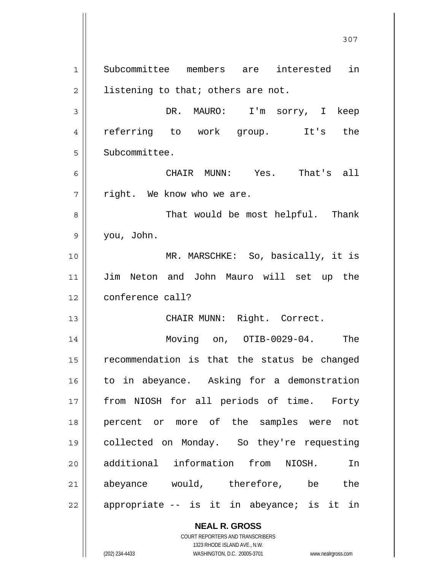**NEAL R. GROSS** 1 2 3 4 5 6 7 8 9 10 11 12 13 14 15 16 17 18 19 20 21 22 Subcommittee members are interested in listening to that; others are not. DR. MAURO: I'm sorry, I keep referring to work group. It's the Subcommittee. CHAIR MUNN: Yes. That's all right. We know who we are. That would be most helpful. Thank you, John. MR. MARSCHKE: So, basically, it is Jim Neton and John Mauro will set up the conference call? CHAIR MUNN: Right. Correct. Moving on, OTIB-0029-04. The recommendation is that the status be changed to in abeyance. Asking for a demonstration from NIOSH for all periods of time. Forty percent or more of the samples were not collected on Monday. So they're requesting additional information from NIOSH. In abeyance would, therefore, be the appropriate -- is it in abeyance; is it in

307

1323 RHODE ISLAND AVE., N.W. (202) 234-4433 WASHINGTON, D.C. 20005-3701 www.nealrgross.com

COURT REPORTERS AND TRANSCRIBERS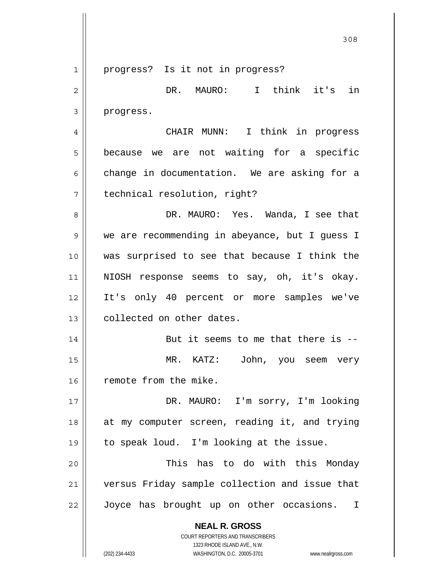**NEAL R. GROSS** COURT REPORTERS AND TRANSCRIBERS 1323 RHODE ISLAND AVE., N.W. 1 2 3 4 5 6 7 8 9 10 11 12 13 14 15 16 17 18 19 20 21 22 progress? Is it not in progress? DR. MAURO: I think it's in progress. CHAIR MUNN: I think in progress because we are not waiting for a specific change in documentation. We are asking for a technical resolution, right? DR. MAURO: Yes. Wanda, I see that we are recommending in abeyance, but I guess I was surprised to see that because I think the NIOSH response seems to say, oh, it's okay. It's only 40 percent or more samples we've collected on other dates. But it seems to me that there is -- MR. KATZ: John, you seem very remote from the mike. DR. MAURO: I'm sorry, I'm looking at my computer screen, reading it, and trying to speak loud. I'm looking at the issue. This has to do with this Monday versus Friday sample collection and issue that Joyce has brought up on other occasions. I

(202) 234-4433 WASHINGTON, D.C. 20005-3701 www.nealrgross.com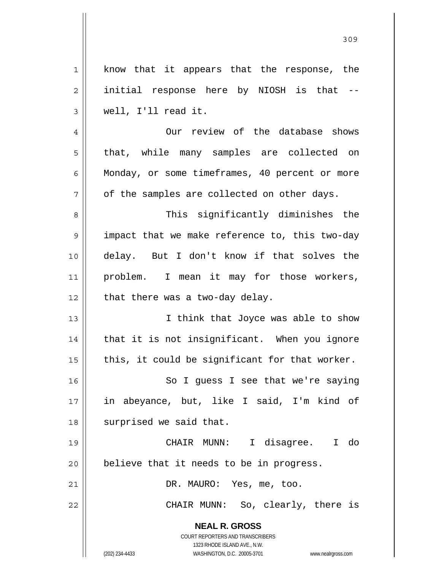| $\mathbf 1$    | know that it appears that the response, the                         |
|----------------|---------------------------------------------------------------------|
| $\overline{2}$ | initial response here by NIOSH is that --                           |
| 3              | well, I'll read it.                                                 |
| $\overline{4}$ | Our review of the database shows                                    |
| 5              | that, while many samples are collected on                           |
| 6              | Monday, or some timeframes, 40 percent or more                      |
| 7              | of the samples are collected on other days.                         |
| 8              | This significantly diminishes the                                   |
| $\mathsf 9$    | impact that we make reference to, this two-day                      |
| 10             | delay. But I don't know if that solves the                          |
| 11             | problem. I mean it may for those workers,                           |
| 12             | that there was a two-day delay.                                     |
| 13             | I think that Joyce was able to show                                 |
| 14             | that it is not insignificant. When you ignore                       |
| 15             | this, it could be significant for that worker.                      |
| 16             | So I guess I see that we're saying                                  |
| 17             | in abeyance, but, like I said, I'm kind of                          |
| 18             | surprised we said that.                                             |
| 19             | I disagree. I do<br>CHAIR MUNN:                                     |
| 20             | believe that it needs to be in progress.                            |
| 21             | DR. MAURO: Yes, me, too.                                            |
| 22             | CHAIR MUNN: So, clearly, there is                                   |
|                | <b>NEAL R. GROSS</b>                                                |
|                | <b>COURT REPORTERS AND TRANSCRIBERS</b>                             |
|                | 1323 RHODE ISLAND AVE., N.W.                                        |
|                | (202) 234-4433<br>WASHINGTON, D.C. 20005-3701<br>www.nealrgross.com |

<u>309</u>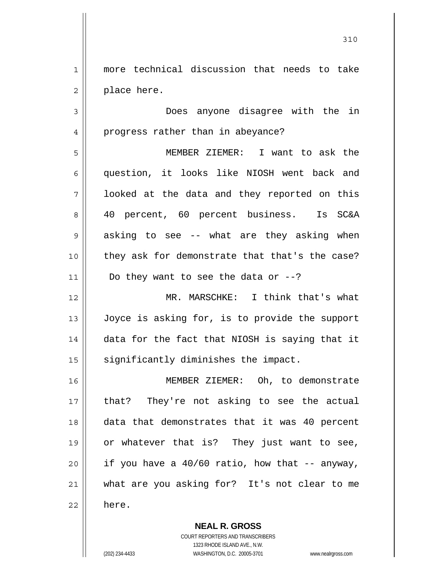1 2 more technical discussion that needs to take place here.

3 4 Does anyone disagree with the in progress rather than in abeyance?

5 6 7 8 9 10 11 MEMBER ZIEMER: I want to ask the question, it looks like NIOSH went back and looked at the data and they reported on this 40 percent, 60 percent business. Is SC&A asking to see -- what are they asking when they ask for demonstrate that that's the case? Do they want to see the data or  $-$ -?

12 13 14 15 MR. MARSCHKE: I think that's what Joyce is asking for, is to provide the support data for the fact that NIOSH is saying that it significantly diminishes the impact.

16 17 18 19 20 21 22 MEMBER ZIEMER: Oh, to demonstrate that? They're not asking to see the actual data that demonstrates that it was 40 percent or whatever that is? They just want to see, if you have a 40/60 ratio, how that -- anyway, what are you asking for? It's not clear to me here.

> **NEAL R. GROSS** COURT REPORTERS AND TRANSCRIBERS 1323 RHODE ISLAND AVE., N.W. (202) 234-4433 WASHINGTON, D.C. 20005-3701 www.nealrgross.com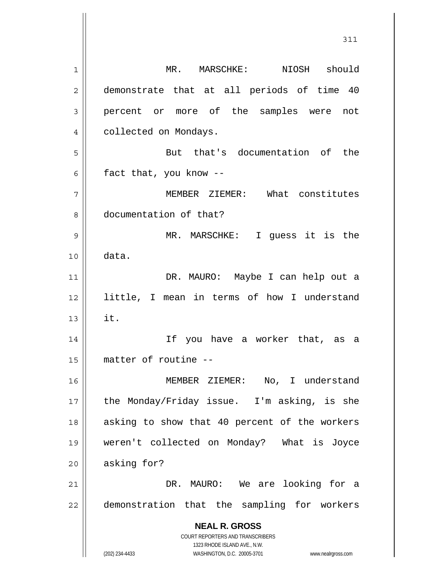**NEAL R. GROSS** COURT REPORTERS AND TRANSCRIBERS 1323 RHODE ISLAND AVE., N.W. (202) 234-4433 WASHINGTON, D.C. 20005-3701 www.nealrgross.com 1 2 3 4 5 6 7 8 9 10 11 12 13 14 15 16 17 18 19 20 21 22 MR. MARSCHKE: NIOSH should demonstrate that at all periods of time 40 percent or more of the samples were not collected on Mondays. But that's documentation of the fact that, you know -- MEMBER ZIEMER: What constitutes documentation of that? MR. MARSCHKE: I guess it is the data. DR. MAURO: Maybe I can help out a little, I mean in terms of how I understand it. If you have a worker that, as a matter of routine -- MEMBER ZIEMER: No, I understand the Monday/Friday issue. I'm asking, is she asking to show that 40 percent of the workers weren't collected on Monday? What is Joyce asking for? DR. MAURO: We are looking for a demonstration that the sampling for workers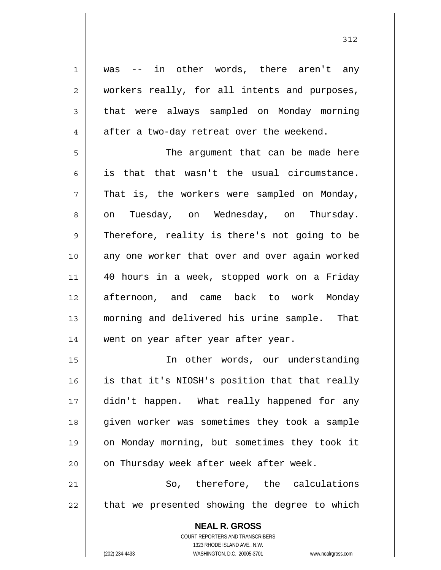1 2 3 4 5 6 7 8 9 10 11 12 13 14 15 16 17 18 19 20 21 22 was -- in other words, there aren't any workers really, for all intents and purposes, that were always sampled on Monday morning after a two-day retreat over the weekend. The argument that can be made here is that that wasn't the usual circumstance. That is, the workers were sampled on Monday, on Tuesday, on Wednesday, on Thursday. Therefore, reality is there's not going to be any one worker that over and over again worked 40 hours in a week, stopped work on a Friday afternoon, and came back to work Monday morning and delivered his urine sample. That went on year after year after year. In other words, our understanding is that it's NIOSH's position that that really didn't happen. What really happened for any given worker was sometimes they took a sample on Monday morning, but sometimes they took it on Thursday week after week after week. So, therefore, the calculations that we presented showing the degree to which

> **NEAL R. GROSS** COURT REPORTERS AND TRANSCRIBERS 1323 RHODE ISLAND AVE., N.W.

(202) 234-4433 WASHINGTON, D.C. 20005-3701 www.nealrgross.com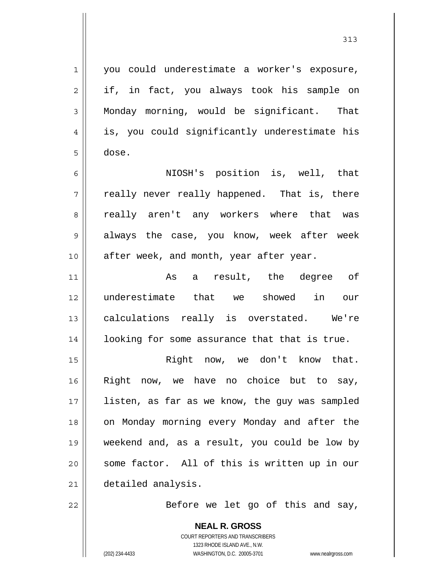1 2 3 4 5 6 7 8 9 10 11 12 13 14 15 16 17 18 19 20 21 22 you could underestimate a worker's exposure, if, in fact, you always took his sample on Monday morning, would be significant. That is, you could significantly underestimate his dose. NIOSH's position is, well, that really never really happened. That is, there really aren't any workers where that was always the case, you know, week after week after week, and month, year after year. As a result, the degree of underestimate that we showed in our calculations really is overstated. We're looking for some assurance that that is true. Right now, we don't know that. Right now, we have no choice but to say, listen, as far as we know, the guy was sampled on Monday morning every Monday and after the weekend and, as a result, you could be low by some factor. All of this is written up in our detailed analysis. Before we let go of this and say,

313

**NEAL R. GROSS** COURT REPORTERS AND TRANSCRIBERS 1323 RHODE ISLAND AVE., N.W. (202) 234-4433 WASHINGTON, D.C. 20005-3701 www.nealrgross.com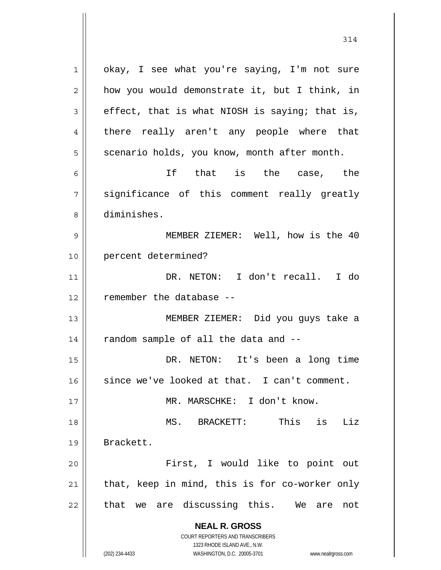**NEAL R. GROSS** COURT REPORTERS AND TRANSCRIBERS 1323 RHODE ISLAND AVE., N.W. 1 2 3 4 5 6 7 8 9 10 11 12 13 14 15 16 17 18 19 20 21 22 okay, I see what you're saying, I'm not sure how you would demonstrate it, but I think, in effect, that is what NIOSH is saying; that is, there really aren't any people where that scenario holds, you know, month after month. If that is the case, the significance of this comment really greatly diminishes. MEMBER ZIEMER: Well, how is the 40 percent determined? DR. NETON: I don't recall. I do remember the database -- MEMBER ZIEMER: Did you guys take a random sample of all the data and -- DR. NETON: It's been a long time since we've looked at that. I can't comment. MR. MARSCHKE: I don't know. MS. BRACKETT: This is Liz Brackett. First, I would like to point out that, keep in mind, this is for co-worker only that we are discussing this. We are not

314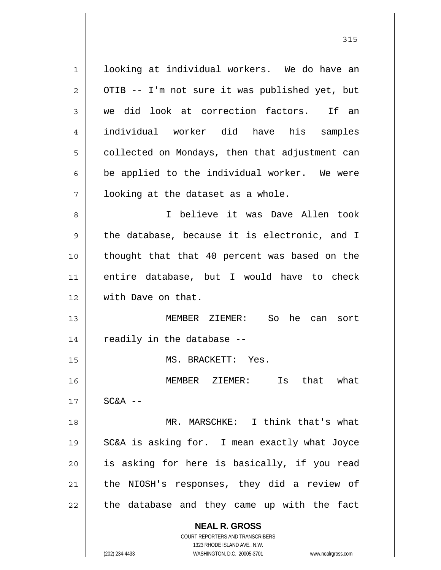**NEAL R. GROSS** COURT REPORTERS AND TRANSCRIBERS 1323 RHODE ISLAND AVE., N.W. 1 2 3 4 5 6 7 8 9 10 11 12 13 14 15 16 17 18 19 20 21 22 looking at individual workers. We do have an OTIB -- I'm not sure it was published yet, but we did look at correction factors. If an individual worker did have his samples collected on Mondays, then that adjustment can be applied to the individual worker. We were looking at the dataset as a whole. I believe it was Dave Allen took the database, because it is electronic, and I thought that that 40 percent was based on the entire database, but I would have to check with Dave on that. MEMBER ZIEMER: So he can sort readily in the database -- MS. BRACKETT: Yes. MEMBER ZIEMER: Is that what  $SC&A$  -- MR. MARSCHKE: I think that's what SC&A is asking for. I mean exactly what Joyce is asking for here is basically, if you read the NIOSH's responses, they did a review of the database and they came up with the fact

315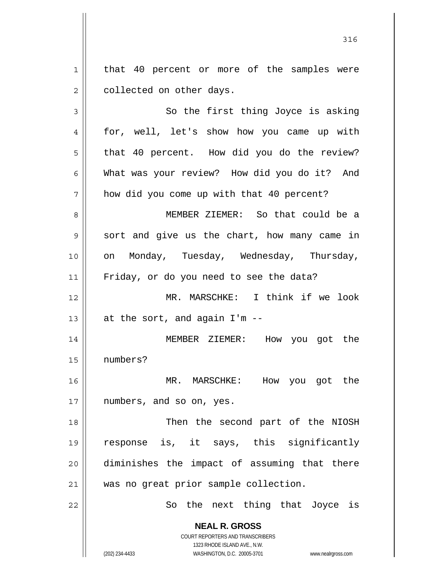1 2 that 40 percent or more of the samples were collected on other days.

**NEAL R. GROSS** 3 4 5 6 7 8 9 10 11 12 13 14 15 16 17 18 19 20 21 22 So the first thing Joyce is asking for, well, let's show how you came up with that 40 percent. How did you do the review? What was your review? How did you do it? And how did you come up with that 40 percent? MEMBER ZIEMER: So that could be a sort and give us the chart, how many came in on Monday, Tuesday, Wednesday, Thursday, Friday, or do you need to see the data? MR. MARSCHKE: I think if we look at the sort, and again I'm -- MEMBER ZIEMER: How you got the numbers? MR. MARSCHKE: How you got the numbers, and so on, yes. Then the second part of the NIOSH response is, it says, this significantly diminishes the impact of assuming that there was no great prior sample collection. So the next thing that Joyce is

> COURT REPORTERS AND TRANSCRIBERS 1323 RHODE ISLAND AVE., N.W.

(202) 234-4433 WASHINGTON, D.C. 20005-3701 www.nealrgross.com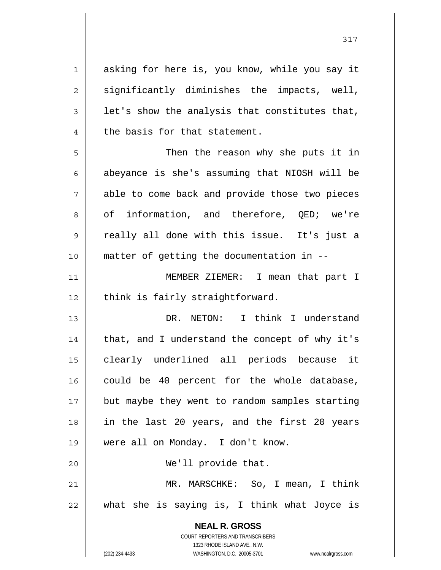**NEAL R. GROSS** COURT REPORTERS AND TRANSCRIBERS 1323 RHODE ISLAND AVE., N.W. 1 2 3 4 5 6 7 8 9 10 11 12 13 14 15 16 17 18 19 20 21 22 asking for here is, you know, while you say it significantly diminishes the impacts, well, let's show the analysis that constitutes that, the basis for that statement. Then the reason why she puts it in abeyance is she's assuming that NIOSH will be able to come back and provide those two pieces of information, and therefore, QED; we're really all done with this issue. It's just a matter of getting the documentation in -- MEMBER ZIEMER: I mean that part I think is fairly straightforward. DR. NETON: I think I understand that, and I understand the concept of why it's clearly underlined all periods because it could be 40 percent for the whole database, but maybe they went to random samples starting in the last 20 years, and the first 20 years were all on Monday. I don't know. We'll provide that. MR. MARSCHKE: So, I mean, I think what she is saying is, I think what Joyce is

(202) 234-4433 WASHINGTON, D.C. 20005-3701 www.nealrgross.com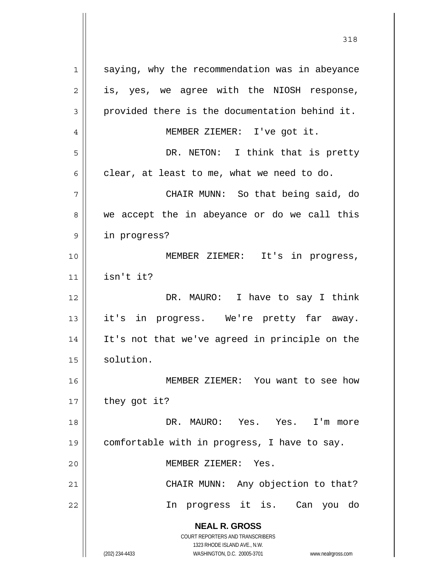**NEAL R. GROSS** COURT REPORTERS AND TRANSCRIBERS 1323 RHODE ISLAND AVE., N.W. (202) 234-4433 WASHINGTON, D.C. 20005-3701 www.nealrgross.com 1 2 3 4 5 6 7 8 9 10 11 12 13 14 15 16 17 18 19 20 21 22 saying, why the recommendation was in abeyance is, yes, we agree with the NIOSH response, provided there is the documentation behind it. MEMBER ZIEMER: I've got it. DR. NETON: I think that is pretty clear, at least to me, what we need to do. CHAIR MUNN: So that being said, do we accept the in abeyance or do we call this in progress? MEMBER ZIEMER: It's in progress, isn't it? DR. MAURO: I have to say I think it's in progress. We're pretty far away. It's not that we've agreed in principle on the solution. MEMBER ZIEMER: You want to see how they got it? DR. MAURO: Yes. Yes. I'm more comfortable with in progress, I have to say. MEMBER ZIEMER: Yes. CHAIR MUNN: Any objection to that? In progress it is. Can you do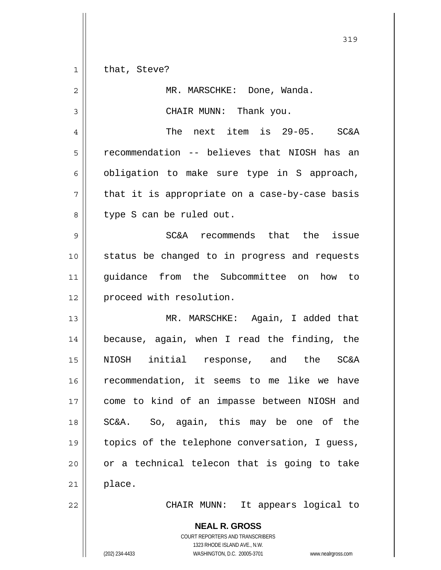**NEAL R. GROSS** COURT REPORTERS AND TRANSCRIBERS 1323 RHODE ISLAND AVE., N.W. 1 2 3 4 5 6 7 8 9 10 11 12 13 14 15 16 17 18 19 20 21 22 that, Steve? MR. MARSCHKE: Done, Wanda. CHAIR MUNN: Thank you. The next item is 29-05. SC&A recommendation -- believes that NIOSH has an obligation to make sure type in S approach, that it is appropriate on a case-by-case basis type S can be ruled out. SC&A recommends that the issue status be changed to in progress and requests guidance from the Subcommittee on how to proceed with resolution. MR. MARSCHKE: Again, I added that because, again, when I read the finding, the NIOSH initial response, and the SC&A recommendation, it seems to me like we have come to kind of an impasse between NIOSH and SC&A. So, again, this may be one of the topics of the telephone conversation, I guess, or a technical telecon that is going to take place. CHAIR MUNN: It appears logical to

319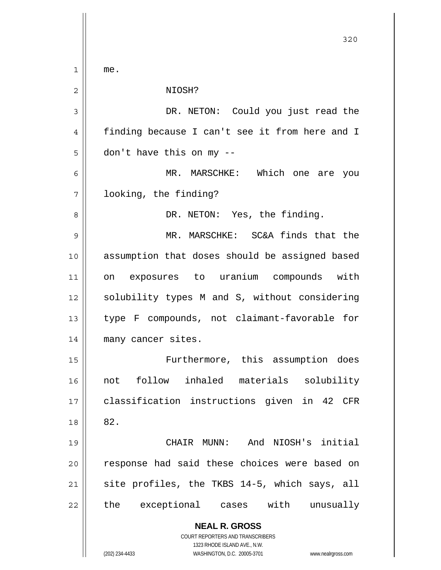**NEAL R. GROSS** COURT REPORTERS AND TRANSCRIBERS 1323 RHODE ISLAND AVE., N.W. (202) 234-4433 WASHINGTON, D.C. 20005-3701 www.nealrgross.com 1 2 3 4 5 6 7 8 9 10 11 12 13 14 15 16 17 18 19 20 21 22 me. NIOSH? DR. NETON: Could you just read the finding because I can't see it from here and I don't have this on my -- MR. MARSCHKE: Which one are you looking, the finding? DR. NETON: Yes, the finding. MR. MARSCHKE: SC&A finds that the assumption that doses should be assigned based on exposures to uranium compounds with solubility types M and S, without considering type F compounds, not claimant-favorable for many cancer sites. Furthermore, this assumption does not follow inhaled materials solubility classification instructions given in 42 CFR 82. CHAIR MUNN: And NIOSH's initial response had said these choices were based on site profiles, the TKBS 14-5, which says, all the exceptional cases with unusually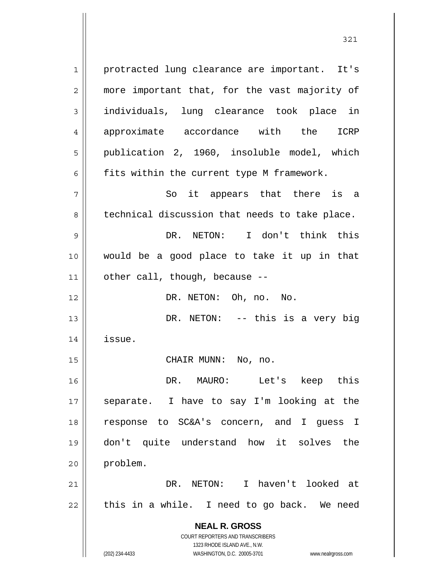**NEAL R. GROSS** COURT REPORTERS AND TRANSCRIBERS 1 2 3 4 5 6 7 8 9 10 11 12 13 14 15 16 17 18 19 20 21 22 protracted lung clearance are important. It's more important that, for the vast majority of individuals, lung clearance took place in approximate accordance with the ICRP publication 2, 1960, insoluble model, which fits within the current type M framework. So it appears that there is a technical discussion that needs to take place. DR. NETON: I don't think this would be a good place to take it up in that other call, though, because -- DR. NETON: Oh, no. No. DR. NETON: -- this is a very big issue. CHAIR MUNN: No, no. DR. MAURO: Let's keep this separate. I have to say I'm looking at the response to SC&A's concern, and I guess I don't quite understand how it solves the problem. DR. NETON: I haven't looked at this in a while. I need to go back. We need

321

1323 RHODE ISLAND AVE., N.W.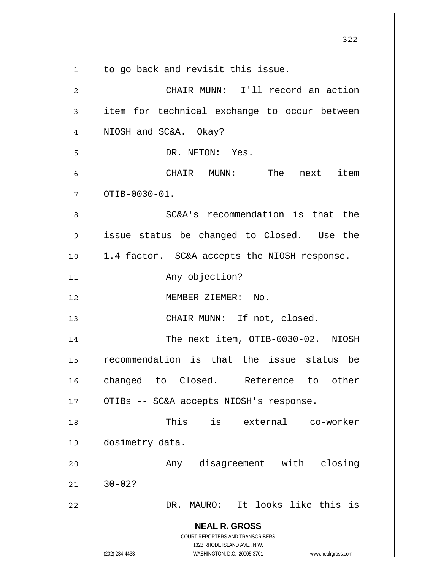|                | 322                                                                     |
|----------------|-------------------------------------------------------------------------|
| $\mathbf 1$    | to go back and revisit this issue.                                      |
| 2              | CHAIR MUNN: I'll record an action                                       |
| 3              | item for technical exchange to occur between                            |
| $\overline{4}$ | NIOSH and SC&A. Okay?                                                   |
| 5              | DR. NETON: Yes.                                                         |
| 6              | CHAIR MUNN: The next item                                               |
| 7              | OTIB-0030-01.                                                           |
| 8              | SC&A's recommendation is that the                                       |
| 9              | issue status be changed to Closed. Use the                              |
| 10             | 1.4 factor. SC&A accepts the NIOSH response.                            |
| 11             | Any objection?                                                          |
| 12             | MEMBER ZIEMER: No.                                                      |
| 13             | CHAIR MUNN: If not, closed.                                             |
| 14             | The next item, OTIB-0030-02. NIOSH                                      |
| 15             | recommendation is that the issue status<br>be                           |
| 16             | changed to Closed. Reference<br>other<br>to                             |
| 17             | OTIBs -- SC&A accepts NIOSH's response.                                 |
| 18             | is<br>This<br>external co-worker                                        |
| 19             | dosimetry data.                                                         |
| 20             | disagreement with<br>closing<br>Any                                     |
| 21             | $30 - 02?$                                                              |
| 22             | MAURO: It looks like this is<br>DR.                                     |
|                | <b>NEAL R. GROSS</b>                                                    |
|                | <b>COURT REPORTERS AND TRANSCRIBERS</b><br>1323 RHODE ISLAND AVE., N.W. |
|                | (202) 234-4433<br>WASHINGTON, D.C. 20005-3701<br>www.nealrgross.com     |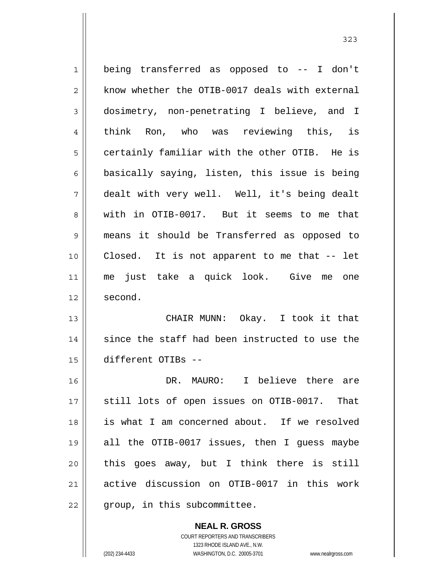1 2 3 4 5 6 7 8 9 10 11 12 13 14 15 16 17 18 19 20 21 22 being transferred as opposed to -- I don't know whether the OTIB-0017 deals with external dosimetry, non-penetrating I believe, and I think Ron, who was reviewing this, is certainly familiar with the other OTIB. He is basically saying, listen, this issue is being dealt with very well. Well, it's being dealt with in OTIB-0017. But it seems to me that means it should be Transferred as opposed to Closed. It is not apparent to me that -- let me just take a quick look. Give me one second. CHAIR MUNN: Okay. I took it that since the staff had been instructed to use the different OTIBs -- DR. MAURO: I believe there are still lots of open issues on OTIB-0017. That is what I am concerned about. If we resolved all the OTIB-0017 issues, then I guess maybe this goes away, but I think there is still active discussion on OTIB-0017 in this work group, in this subcommittee.

**NEAL R. GROSS**

COURT REPORTERS AND TRANSCRIBERS 1323 RHODE ISLAND AVE., N.W. (202) 234-4433 WASHINGTON, D.C. 20005-3701 www.nealrgross.com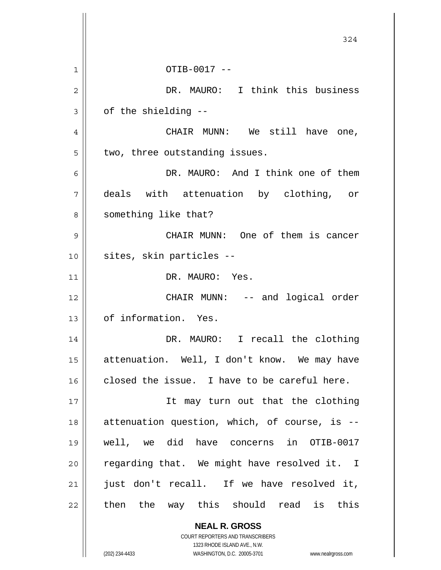|    | 324                                                                 |
|----|---------------------------------------------------------------------|
| 1  | OTIB-0017 --                                                        |
| 2  | DR. MAURO: I think this business                                    |
| 3  | of the shielding --                                                 |
| 4  | CHAIR MUNN: We still have one,                                      |
| 5  | two, three outstanding issues.                                      |
| 6  | DR. MAURO: And I think one of them                                  |
| 7  | deals with attenuation by clothing, or                              |
| 8  | something like that?                                                |
| 9  | CHAIR MUNN: One of them is cancer                                   |
| 10 | sites, skin particles --                                            |
| 11 | DR. MAURO: Yes.                                                     |
| 12 | CHAIR MUNN: -- and logical order                                    |
| 13 | of information. Yes.                                                |
| 14 | DR. MAURO: I recall the clothing                                    |
| 15 | attenuation. Well, I don't know. We may have                        |
| 16 | closed the issue. I have to be careful here.                        |
| 17 | It may turn out that the clothing                                   |
| 18 | attenuation question, which, of course, is --                       |
| 19 | well, we did have concerns in OTIB-0017                             |
| 20 | regarding that. We might have resolved it. I                        |
| 21 | just don't recall. If we have resolved it,                          |
| 22 | then the way this should read is this                               |
|    | <b>NEAL R. GROSS</b><br>COURT REPORTERS AND TRANSCRIBERS            |
|    | 1323 RHODE ISLAND AVE., N.W.                                        |
|    | (202) 234-4433<br>WASHINGTON, D.C. 20005-3701<br>www.nealrgross.com |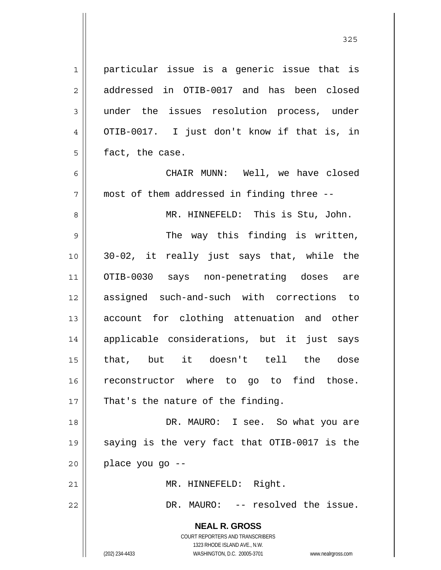**NEAL R. GROSS** COURT REPORTERS AND TRANSCRIBERS 1323 RHODE ISLAND AVE., N.W. (202) 234-4433 WASHINGTON, D.C. 20005-3701 www.nealrgross.com 1 2 3 4 5 6 7 8 9 10 11 12 13 14 15 16 17 18 19 20 21 22 particular issue is a generic issue that is addressed in OTIB-0017 and has been closed under the issues resolution process, under OTIB-0017. I just don't know if that is, in fact, the case. CHAIR MUNN: Well, we have closed most of them addressed in finding three -- MR. HINNEFELD: This is Stu, John. The way this finding is written, 30-02, it really just says that, while the OTIB-0030 says non-penetrating doses are assigned such-and-such with corrections to account for clothing attenuation and other applicable considerations, but it just says that, but it doesn't tell the dose reconstructor where to go to find those. That's the nature of the finding. DR. MAURO: I see. So what you are saying is the very fact that OTIB-0017 is the place you go -- MR. HINNEFELD: Right. DR. MAURO: -- resolved the issue.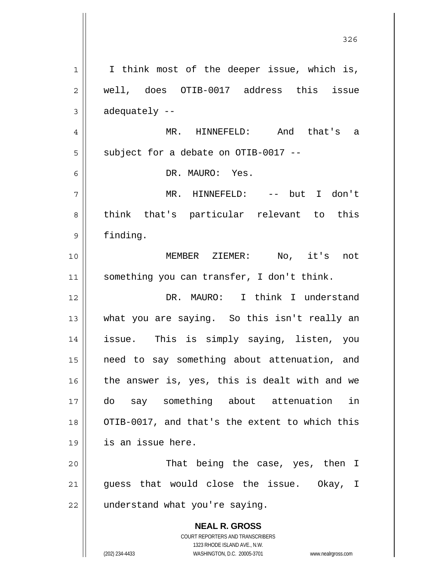**NEAL R. GROSS** COURT REPORTERS AND TRANSCRIBERS 1323 RHODE ISLAND AVE., N.W. (202) 234-4433 WASHINGTON, D.C. 20005-3701 www.nealrgross.com 1 2 3 4 5 6 7 8 9 10 11 12 13 14 15 16 17 18 19 20 21 22 I think most of the deeper issue, which is, well, does OTIB-0017 address this issue adequately -- MR. HINNEFELD: And that's a subject for a debate on OTIB-0017 -- DR. MAURO: Yes. MR. HINNEFELD: -- but I don't think that's particular relevant to this finding. MEMBER ZIEMER: No, it's not something you can transfer, I don't think. DR. MAURO: I think I understand what you are saying. So this isn't really an issue. This is simply saying, listen, you need to say something about attenuation, and the answer is, yes, this is dealt with and we do say something about attenuation in OTIB-0017, and that's the extent to which this is an issue here. That being the case, yes, then I guess that would close the issue. Okay, I understand what you're saying.

<u>326</u>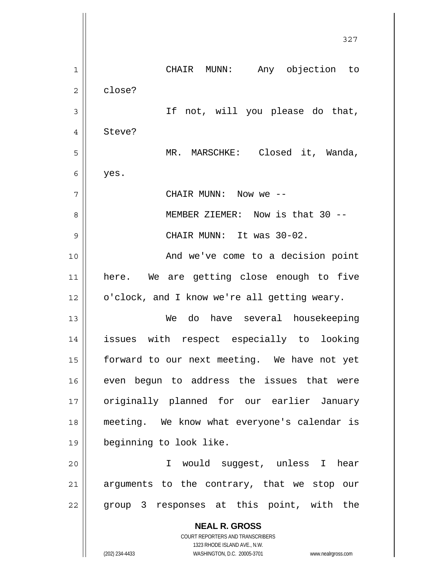**NEAL R. GROSS** COURT REPORTERS AND TRANSCRIBERS 1323 RHODE ISLAND AVE., N.W. 327 1 2 3 4 5 6 7 8 9 10 11 12 13 14 15 16 17 18 19 20 21 22 CHAIR MUNN: Any objection to close? If not, will you please do that, Steve? MR. MARSCHKE: Closed it, Wanda, yes. CHAIR MUNN: Now we -- MEMBER ZIEMER: Now is that 30 -- CHAIR MUNN: It was 30-02. And we've come to a decision point here. We are getting close enough to five o'clock, and I know we're all getting weary. We do have several housekeeping issues with respect especially to looking forward to our next meeting. We have not yet even begun to address the issues that were originally planned for our earlier January meeting. We know what everyone's calendar is beginning to look like. I would suggest, unless I hear arguments to the contrary, that we stop our group 3 responses at this point, with the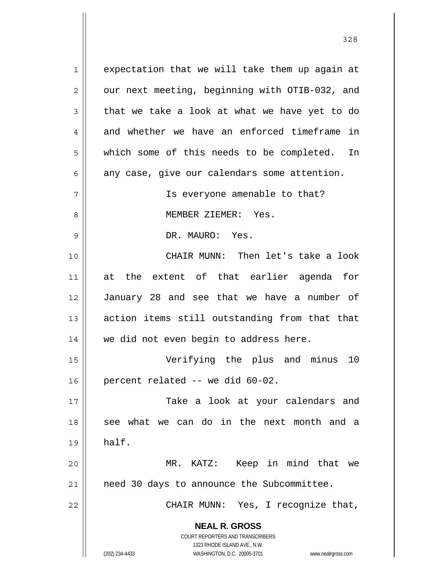**NEAL R. GROSS** COURT REPORTERS AND TRANSCRIBERS 1323 RHODE ISLAND AVE., N.W. (202) 234-4433 WASHINGTON, D.C. 20005-3701 www.nealrgross.com 1 2 3 4 5 6 7 8 9 10 11 12 13 14 15 16 17 18 19 20 21 22 expectation that we will take them up again at our next meeting, beginning with OTIB-032, and that we take a look at what we have yet to do and whether we have an enforced timeframe in which some of this needs to be completed. In any case, give our calendars some attention. Is everyone amenable to that? MEMBER ZIEMER: Yes. DR. MAURO: Yes. CHAIR MUNN: Then let's take a look at the extent of that earlier agenda for January 28 and see that we have a number of action items still outstanding from that that we did not even begin to address here. Verifying the plus and minus 10 percent related -- we did 60-02. Take a look at your calendars and see what we can do in the next month and a half. MR. KATZ: Keep in mind that we need 30 days to announce the Subcommittee. CHAIR MUNN: Yes, I recognize that,

<u>328</u>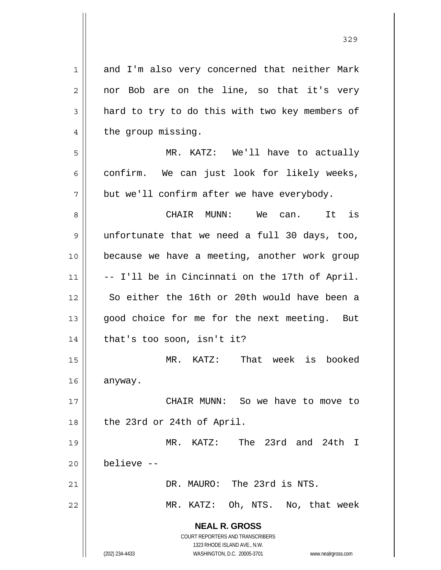**NEAL R. GROSS** COURT REPORTERS AND TRANSCRIBERS 1323 RHODE ISLAND AVE., N.W. (202) 234-4433 WASHINGTON, D.C. 20005-3701 www.nealrgross.com 1 2 3 4 5 6 7 8 9 10 11 12 13 14 15 16 17 18 19 20 21 22 and I'm also very concerned that neither Mark nor Bob are on the line, so that it's very hard to try to do this with two key members of the group missing. MR. KATZ: We'll have to actually confirm. We can just look for likely weeks, but we'll confirm after we have everybody. CHAIR MUNN: We can. It is unfortunate that we need a full 30 days, too, because we have a meeting, another work group -- I'll be in Cincinnati on the 17th of April. So either the 16th or 20th would have been a good choice for me for the next meeting. But that's too soon, isn't it? MR. KATZ: That week is booked anyway. CHAIR MUNN: So we have to move to the 23rd or 24th of April. MR. KATZ: The 23rd and 24th I believe -- DR. MAURO: The 23rd is NTS. MR. KATZ: Oh, NTS. No, that week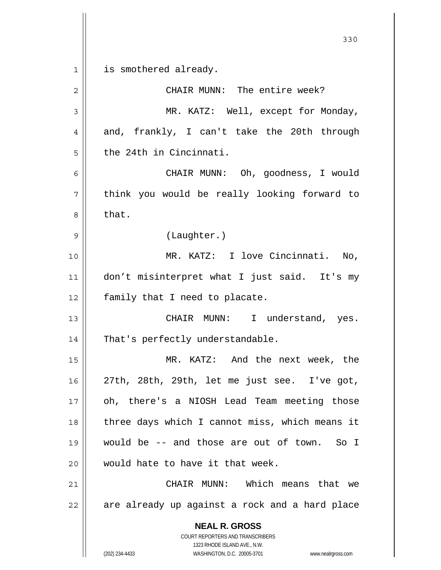**NEAL R. GROSS** COURT REPORTERS AND TRANSCRIBERS 1323 RHODE ISLAND AVE., N.W. (202) 234-4433 WASHINGTON, D.C. 20005-3701 www.nealrgross.com 330 1 2 3 4 5 6 7 8 9 10 11 12 13 14 15 16 17 18 19 20 21 22 is smothered already. CHAIR MUNN: The entire week? MR. KATZ: Well, except for Monday, and, frankly, I can't take the 20th through the 24th in Cincinnati. CHAIR MUNN: Oh, goodness, I would think you would be really looking forward to that. (Laughter.) MR. KATZ: I love Cincinnati. No, don't misinterpret what I just said. It's my family that I need to placate. CHAIR MUNN: I understand, yes. That's perfectly understandable. MR. KATZ: And the next week, the 27th, 28th, 29th, let me just see. I've got, oh, there's a NIOSH Lead Team meeting those three days which I cannot miss, which means it would be -- and those are out of town. So I would hate to have it that week. CHAIR MUNN: Which means that we are already up against a rock and a hard place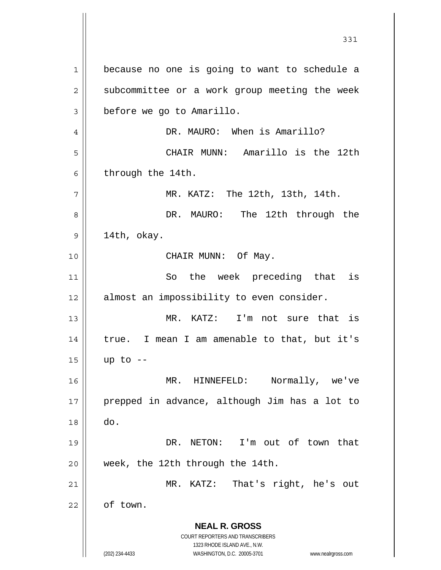**NEAL R. GROSS** COURT REPORTERS AND TRANSCRIBERS 1323 RHODE ISLAND AVE., N.W. (202) 234-4433 WASHINGTON, D.C. 20005-3701 www.nealrgross.com 1 2 3 4 5 6 7 8 9 10 11 12 13 14 15 16 17 18 19 20 21 22 because no one is going to want to schedule a subcommittee or a work group meeting the week before we go to Amarillo. DR. MAURO: When is Amarillo? CHAIR MUNN: Amarillo is the 12th through the 14th. MR. KATZ: The 12th, 13th, 14th. DR. MAURO: The 12th through the 14th, okay. CHAIR MUNN: Of May. So the week preceding that is almost an impossibility to even consider. MR. KATZ: I'm not sure that is true. I mean I am amenable to that, but it's up to -- MR. HINNEFELD: Normally, we've prepped in advance, although Jim has a lot to do. DR. NETON: I'm out of town that week, the 12th through the 14th. MR. KATZ: That's right, he's out of town.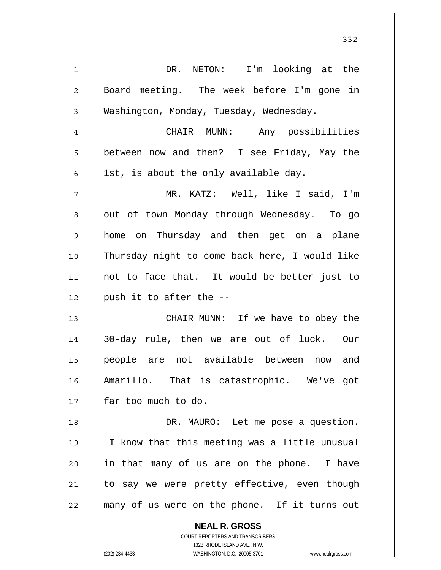**NEAL R. GROSS** 1 2 3 4 5 6 7 8 9 10 11 12 13 14 15 16 17 18 19 20 21 22 DR. NETON: I'm looking at the Board meeting. The week before I'm gone in Washington, Monday, Tuesday, Wednesday. CHAIR MUNN: Any possibilities between now and then? I see Friday, May the 1st, is about the only available day. MR. KATZ: Well, like I said, I'm out of town Monday through Wednesday. To go home on Thursday and then get on a plane Thursday night to come back here, I would like not to face that. It would be better just to push it to after the -- CHAIR MUNN: If we have to obey the 30-day rule, then we are out of luck. Our people are not available between now and Amarillo. That is catastrophic. We've got far too much to do. DR. MAURO: Let me pose a question. I know that this meeting was a little unusual in that many of us are on the phone. I have to say we were pretty effective, even though many of us were on the phone. If it turns out

332

COURT REPORTERS AND TRANSCRIBERS 1323 RHODE ISLAND AVE., N.W.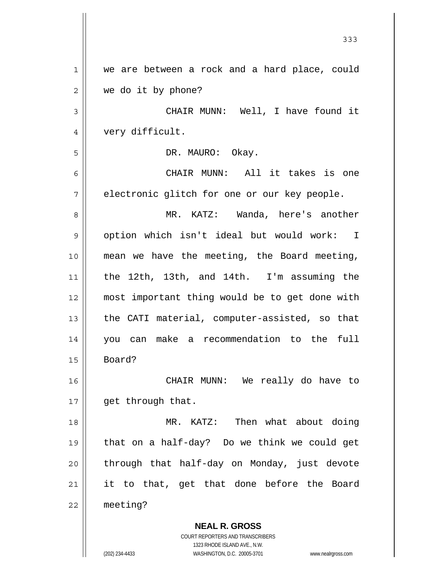|              | 333                                                      |
|--------------|----------------------------------------------------------|
| 1            | we are between a rock and a hard place, could            |
| $\mathbf{2}$ | we do it by phone?                                       |
| 3            | CHAIR MUNN: Well, I have found it                        |
| 4            | very difficult.                                          |
| 5            | DR. MAURO: Okay.                                         |
| 6            | CHAIR MUNN: All it takes is one                          |
| 7            | electronic glitch for one or our key people.             |
| 8            | MR. KATZ: Wanda, here's another                          |
| 9            | option which isn't ideal but would work: I               |
| 10           | mean we have the meeting, the Board meeting,             |
| 11           | the 12th, 13th, and 14th. I'm assuming the               |
| 12           | most important thing would be to get done with           |
| 13           | the CATI material, computer-assisted, so that            |
| 14           | you can make a recommendation to the<br>full             |
| 15           | Board?                                                   |
| 16           | CHAIR MUNN: We really do have to                         |
| 17           | get through that.                                        |
| 18           | MR. KATZ: Then what about doing                          |
| 19           | that on a half-day? Do we think we could get             |
| 20           | through that half-day on Monday, just devote             |
| 21           | it to that, get that done before the Board               |
| 22           | meeting?                                                 |
|              | <b>NEAL R. GROSS</b><br>COURT REPORTERS AND TRANSCRIBERS |

1323 RHODE ISLAND AVE., N.W.

 $\prod$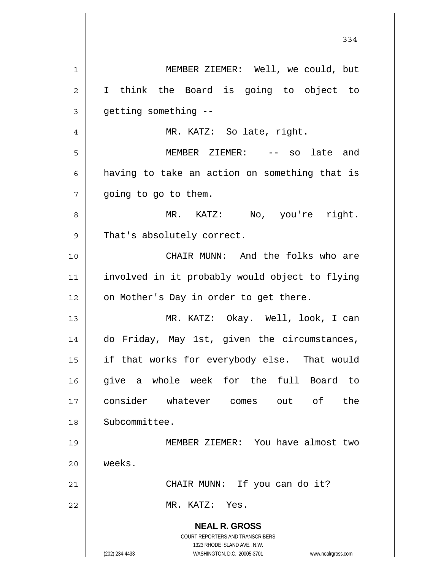|    | 334                                                                                                                                                             |
|----|-----------------------------------------------------------------------------------------------------------------------------------------------------------------|
| 1  | MEMBER ZIEMER: Well, we could, but                                                                                                                              |
| 2  | I think the Board is going to object to                                                                                                                         |
| 3  | getting something --                                                                                                                                            |
| 4  | MR. KATZ: So late, right.                                                                                                                                       |
| 5  | MEMBER ZIEMER: -- so late and                                                                                                                                   |
| 6  | having to take an action on something that is                                                                                                                   |
| 7  | going to go to them.                                                                                                                                            |
| 8  | MR. KATZ: No, you're right.                                                                                                                                     |
| 9  | That's absolutely correct.                                                                                                                                      |
| 10 | CHAIR MUNN: And the folks who are                                                                                                                               |
| 11 | involved in it probably would object to flying                                                                                                                  |
| 12 | on Mother's Day in order to get there.                                                                                                                          |
| 13 | MR. KATZ: Okay. Well, look, I can                                                                                                                               |
| 14 | do Friday, May 1st, given the circumstances,                                                                                                                    |
| 15 | if that works for everybody else. That would                                                                                                                    |
| 16 | give a whole week for the full<br>Board to                                                                                                                      |
| 17 | consider whatever comes out of<br>the                                                                                                                           |
| 18 | Subcommittee.                                                                                                                                                   |
| 19 | MEMBER ZIEMER: You have almost two                                                                                                                              |
| 20 | weeks.                                                                                                                                                          |
| 21 | CHAIR MUNN: If you can do it?                                                                                                                                   |
| 22 | MR. KATZ: Yes.                                                                                                                                                  |
|    | <b>NEAL R. GROSS</b><br>COURT REPORTERS AND TRANSCRIBERS<br>1323 RHODE ISLAND AVE., N.W.<br>(202) 234-4433<br>WASHINGTON, D.C. 20005-3701<br>www.nealrgross.com |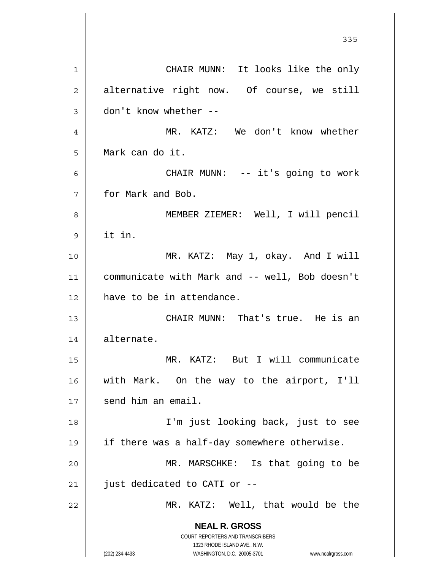**NEAL R. GROSS** COURT REPORTERS AND TRANSCRIBERS 1323 RHODE ISLAND AVE., N.W. (202) 234-4433 WASHINGTON, D.C. 20005-3701 www.nealrgross.com <u>335</u> 1 2 3 4 5 6 7 8 9 10 11 12 13 14 15 16 17 18 19 20 21 22 CHAIR MUNN: It looks like the only alternative right now. Of course, we still don't know whether -- MR. KATZ: We don't know whether Mark can do it. CHAIR MUNN: -- it's going to work for Mark and Bob. MEMBER ZIEMER: Well, I will pencil it in. MR. KATZ: May 1, okay. And I will communicate with Mark and -- well, Bob doesn't have to be in attendance. CHAIR MUNN: That's true. He is an alternate. MR. KATZ: But I will communicate with Mark. On the way to the airport, I'll send him an email. I'm just looking back, just to see if there was a half-day somewhere otherwise. MR. MARSCHKE: Is that going to be just dedicated to CATI or -- MR. KATZ: Well, that would be the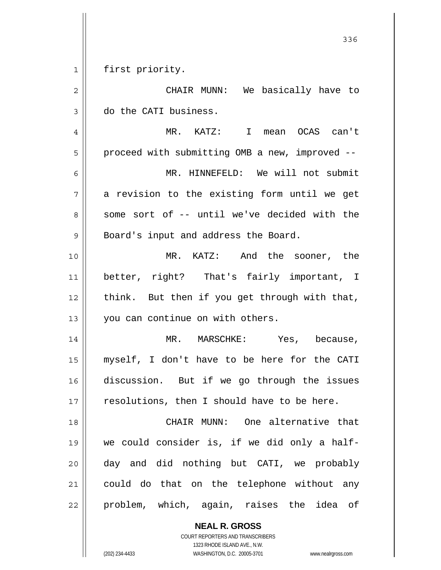$\begin{array}{c|c|c|c|c} 1 & 1 \\ \hline \end{array}$ first priority.

| $\overline{2}$ | CHAIR MUNN: We basically have to               |
|----------------|------------------------------------------------|
| $\mathfrak{Z}$ | do the CATI business.                          |
| $\overline{4}$ | MR. KATZ: I mean OCAS can't                    |
| 5              | proceed with submitting OMB a new, improved -- |
| 6              | MR. HINNEFELD: We will not submit              |
| 7              | a revision to the existing form until we get   |
| 8              | some sort of -- until we've decided with the   |
| $\mathsf 9$    | Board's input and address the Board.           |
| 10             | MR. KATZ: And the sooner, the                  |
| 11             | better, right? That's fairly important, I      |
| 12             | think. But then if you get through with that,  |
| 13             | you can continue on with others.               |
| 14             | MR. MARSCHKE: Yes, because,                    |
| 15             | myself, I don't have to be here for the CATI   |
| 16             | discussion. But if we go through the issues    |
| 17             | resolutions, then I should have to be here.    |
| 18             | CHAIR MUNN: One alternative that               |
| 19             | we could consider is, if we did only a half-   |
| 20             | day and did nothing but CATI, we probably      |
| 21             | could do that on the telephone without any     |
| 22             | problem, which, again, raises the idea of      |

**NEAL R. GROSS** COURT REPORTERS AND TRANSCRIBERS

1323 RHODE ISLAND AVE., N.W.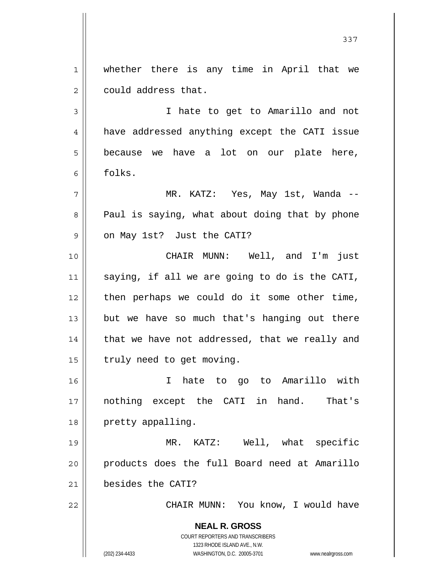1 2 whether there is any time in April that we could address that.

3 4 5 6 I hate to get to Amarillo and not have addressed anything except the CATI issue because we have a lot on our plate here, folks.

7 8 9 MR. KATZ: Yes, May 1st, Wanda -- Paul is saying, what about doing that by phone on May 1st? Just the CATI?

10 11 12 13 14 15 CHAIR MUNN: Well, and I'm just saying, if all we are going to do is the CATI, then perhaps we could do it some other time, but we have so much that's hanging out there that we have not addressed, that we really and truly need to get moving.

16 17 18 I hate to go to Amarillo with nothing except the CATI in hand. That's pretty appalling.

19 20 21 MR. KATZ: Well, what specific products does the full Board need at Amarillo besides the CATI?

CHAIR MUNN: You know, I would have

**NEAL R. GROSS** COURT REPORTERS AND TRANSCRIBERS 1323 RHODE ISLAND AVE., N.W. (202) 234-4433 WASHINGTON, D.C. 20005-3701 www.nealrgross.com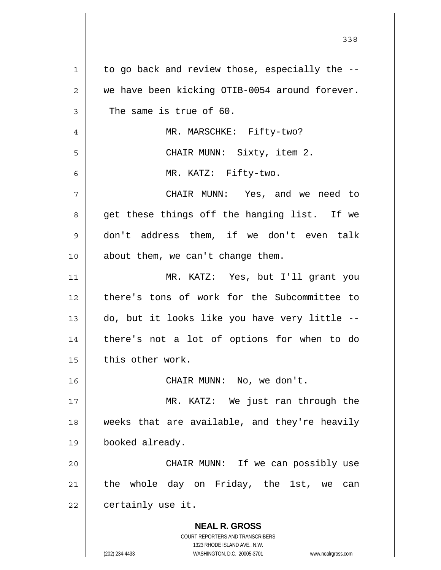| 1  | to go back and review those, especially the --                                                      |
|----|-----------------------------------------------------------------------------------------------------|
| 2  | we have been kicking OTIB-0054 around forever.                                                      |
| 3  | The same is true of 60.                                                                             |
| 4  | MR. MARSCHKE: Fifty-two?                                                                            |
| 5  | CHAIR MUNN: Sixty, item 2.                                                                          |
| 6  | MR. KATZ: Fifty-two.                                                                                |
| 7  | CHAIR MUNN: Yes, and we need to                                                                     |
| 8  | get these things off the hanging list. If we                                                        |
| 9  | don't address them, if we don't even talk                                                           |
| 10 | about them, we can't change them.                                                                   |
| 11 | MR. KATZ: Yes, but I'll grant you                                                                   |
| 12 | there's tons of work for the Subcommittee to                                                        |
| 13 | do, but it looks like you have very little --                                                       |
| 14 | there's not a lot of options for when to do                                                         |
| 15 | this other work.                                                                                    |
| 16 | CHAIR MUNN: No, we don't.                                                                           |
| 17 | MR. KATZ: We just ran through the                                                                   |
| 18 | weeks that are available, and they're heavily                                                       |
| 19 | booked already.                                                                                     |
| 20 | CHAIR MUNN: If we can possibly use                                                                  |
| 21 | the whole day on Friday, the 1st, we<br>can                                                         |
| 22 | certainly use it.                                                                                   |
|    | <b>NEAL R. GROSS</b>                                                                                |
|    | COURT REPORTERS AND TRANSCRIBERS                                                                    |
|    | 1323 RHODE ISLAND AVE., N.W.<br>(202) 234-4433<br>WASHINGTON, D.C. 20005-3701<br>www.nealrgross.com |

<u>338</u>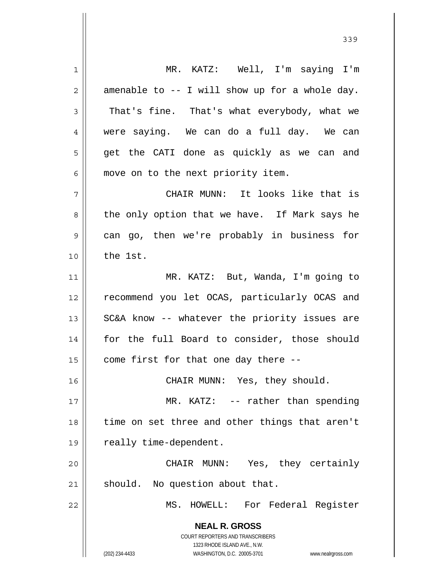**NEAL R. GROSS** COURT REPORTERS AND TRANSCRIBERS 1323 RHODE ISLAND AVE., N.W. (202) 234-4433 WASHINGTON, D.C. 20005-3701 www.nealrgross.com 1 2 3 4 5 6 7 8 9 10 11 12 13 14 15 16 17 18 19 20 21 22 MR. KATZ: Well, I'm saying I'm amenable to -- I will show up for a whole day. That's fine. That's what everybody, what we were saying. We can do a full day. We can get the CATI done as quickly as we can and move on to the next priority item. CHAIR MUNN: It looks like that is the only option that we have. If Mark says he can go, then we're probably in business for the 1st. MR. KATZ: But, Wanda, I'm going to recommend you let OCAS, particularly OCAS and SC&A know -- whatever the priority issues are for the full Board to consider, those should come first for that one day there -- CHAIR MUNN: Yes, they should. MR. KATZ: -- rather than spending time on set three and other things that aren't really time-dependent. CHAIR MUNN: Yes, they certainly should. No question about that. MS. HOWELL: For Federal Register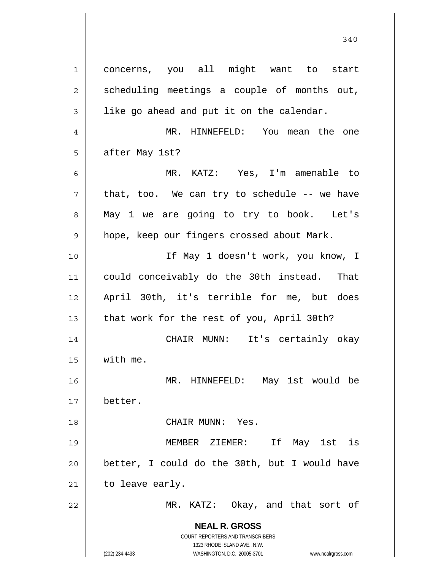**NEAL R. GROSS** COURT REPORTERS AND TRANSCRIBERS 1323 RHODE ISLAND AVE., N.W. (202) 234-4433 WASHINGTON, D.C. 20005-3701 www.nealrgross.com 1 2 3 4 5 6 7 8 9 10 11 12 13 14 15 16 17 18 19 20 21 22 concerns, you all might want to start scheduling meetings a couple of months out, like go ahead and put it on the calendar. MR. HINNEFELD: You mean the one after May 1st? MR. KATZ: Yes, I'm amenable to that, too. We can try to schedule -- we have May 1 we are going to try to book. Let's hope, keep our fingers crossed about Mark. If May 1 doesn't work, you know, I could conceivably do the 30th instead. That April 30th, it's terrible for me, but does that work for the rest of you, April 30th? CHAIR MUNN: It's certainly okay with me. MR. HINNEFELD: May 1st would be better. CHAIR MUNN: Yes. MEMBER ZIEMER: If May 1st is better, I could do the 30th, but I would have to leave early. MR. KATZ: Okay, and that sort of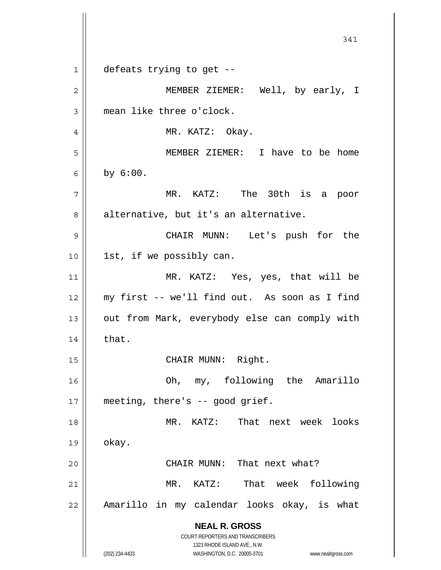**NEAL R. GROSS** COURT REPORTERS AND TRANSCRIBERS 1323 RHODE ISLAND AVE., N.W. (202) 234-4433 WASHINGTON, D.C. 20005-3701 www.nealrgross.com 341 1 2 3 4 5 6 7 8 9 10 11 12 13 14 15 16 17 18 19 20 21 22 defeats trying to get -- MEMBER ZIEMER: Well, by early, I mean like three o'clock. MR. KATZ: Okay. MEMBER ZIEMER: I have to be home by 6:00. MR. KATZ: The 30th is a poor alternative, but it's an alternative. CHAIR MUNN: Let's push for the 1st, if we possibly can. MR. KATZ: Yes, yes, that will be my first -- we'll find out. As soon as I find out from Mark, everybody else can comply with that. CHAIR MUNN: Right. Oh, my, following the Amarillo meeting, there's -- good grief. MR. KATZ: That next week looks okay. CHAIR MUNN: That next what? MR. KATZ: That week following Amarillo in my calendar looks okay, is what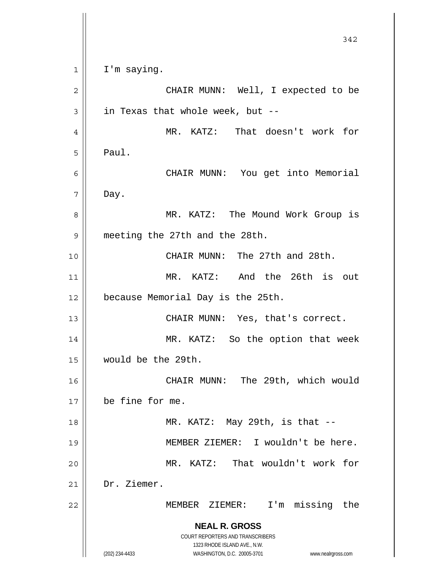**NEAL R. GROSS** COURT REPORTERS AND TRANSCRIBERS 1323 RHODE ISLAND AVE., N.W. (202) 234-4433 WASHINGTON, D.C. 20005-3701 www.nealrgross.com 342 1 2 3 4 5 6 7 8 9 10 11 12 13 14 15 16 17 18 19 20 21 22 I'm saying. CHAIR MUNN: Well, I expected to be in Texas that whole week, but -- MR. KATZ: That doesn't work for Paul. CHAIR MUNN: You get into Memorial Day. MR. KATZ: The Mound Work Group is meeting the 27th and the 28th. CHAIR MUNN: The 27th and 28th. MR. KATZ: And the 26th is out because Memorial Day is the 25th. CHAIR MUNN: Yes, that's correct. MR. KATZ: So the option that week would be the 29th. CHAIR MUNN: The 29th, which would be fine for me. MR. KATZ: May 29th, is that -- MEMBER ZIEMER: I wouldn't be here. MR. KATZ: That wouldn't work for Dr. Ziemer. MEMBER ZIEMER: I'm missing the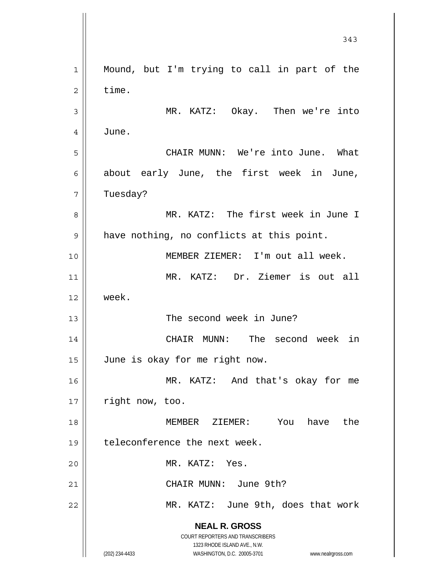**NEAL R. GROSS** COURT REPORTERS AND TRANSCRIBERS 1323 RHODE ISLAND AVE., N.W. (202) 234-4433 WASHINGTON, D.C. 20005-3701 www.nealrgross.com 343 1 2 3 4 5 6 7 8 9 10 11 12 13 14 15 16 17 18 19 20 21 22 Mound, but I'm trying to call in part of the time. MR. KATZ: Okay. Then we're into June. CHAIR MUNN: We're into June. What about early June, the first week in June, Tuesday? MR. KATZ: The first week in June I have nothing, no conflicts at this point. MEMBER ZIEMER: I'm out all week. MR. KATZ: Dr. Ziemer is out all week. The second week in June? CHAIR MUNN: The second week in June is okay for me right now. MR. KATZ: And that's okay for me right now, too. MEMBER ZIEMER: You have the teleconference the next week. MR. KATZ: Yes. CHAIR MUNN: June 9th? MR. KATZ: June 9th, does that work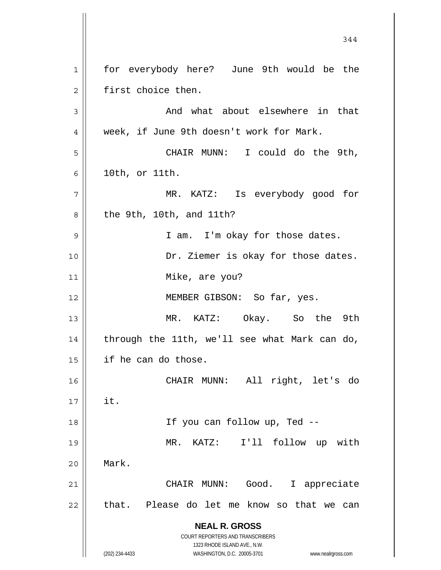**NEAL R. GROSS** COURT REPORTERS AND TRANSCRIBERS 1323 RHODE ISLAND AVE., N.W. (202) 234-4433 WASHINGTON, D.C. 20005-3701 www.nealrgross.com 344 1 2 3 4 5 6 7 8 9 10 11 12 13 14 15 16 17 18 19 20 21 22 for everybody here? June 9th would be the first choice then. And what about elsewhere in that week, if June 9th doesn't work for Mark. CHAIR MUNN: I could do the 9th, 10th, or 11th. MR. KATZ: Is everybody good for the 9th, 10th, and 11th? I am. I'm okay for those dates. Dr. Ziemer is okay for those dates. Mike, are you? MEMBER GIBSON: So far, yes. MR. KATZ: Okay. So the 9th through the 11th, we'll see what Mark can do, if he can do those. CHAIR MUNN: All right, let's do it. If you can follow up, Ted -- MR. KATZ: I'll follow up with Mark. CHAIR MUNN: Good. I appreciate that. Please do let me know so that we can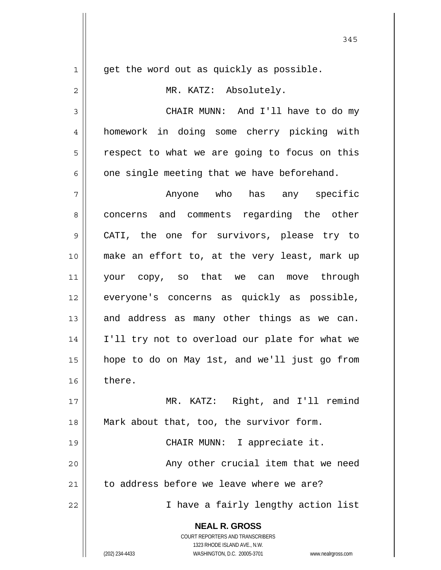**NEAL R. GROSS** COURT REPORTERS AND TRANSCRIBERS 1323 RHODE ISLAND AVE., N.W. 1 2 3 4 5 6 7 8 9 10 11 12 13 14 15 16 17 18 19 20 21 22 get the word out as quickly as possible. MR. KATZ: Absolutely. CHAIR MUNN: And I'll have to do my homework in doing some cherry picking with respect to what we are going to focus on this one single meeting that we have beforehand. Anyone who has any specific concerns and comments regarding the other CATI, the one for survivors, please try to make an effort to, at the very least, mark up your copy, so that we can move through everyone's concerns as quickly as possible, and address as many other things as we can. I'll try not to overload our plate for what we hope to do on May 1st, and we'll just go from there. MR. KATZ: Right, and I'll remind Mark about that, too, the survivor form. CHAIR MUNN: I appreciate it. Any other crucial item that we need to address before we leave where we are? I have a fairly lengthy action list

(202) 234-4433 WASHINGTON, D.C. 20005-3701 www.nealrgross.com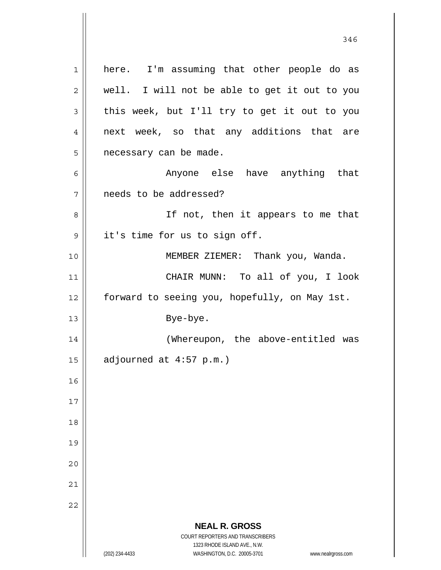**NEAL R. GROSS** COURT REPORTERS AND TRANSCRIBERS 1323 RHODE ISLAND AVE., N.W. (202) 234-4433 WASHINGTON, D.C. 20005-3701 www.nealrgross.com 1 2 3 4 5 6 7 8 9 10 11 12 13 14 15 16 17 18 19 20 21 22 here. I'm assuming that other people do as well. I will not be able to get it out to you this week, but I'll try to get it out to you next week, so that any additions that are necessary can be made. Anyone else have anything that needs to be addressed? If not, then it appears to me that it's time for us to sign off. MEMBER ZIEMER: Thank you, Wanda. CHAIR MUNN: To all of you, I look forward to seeing you, hopefully, on May 1st. Bye-bye. (Whereupon, the above-entitled was adjourned at 4:57 p.m.)